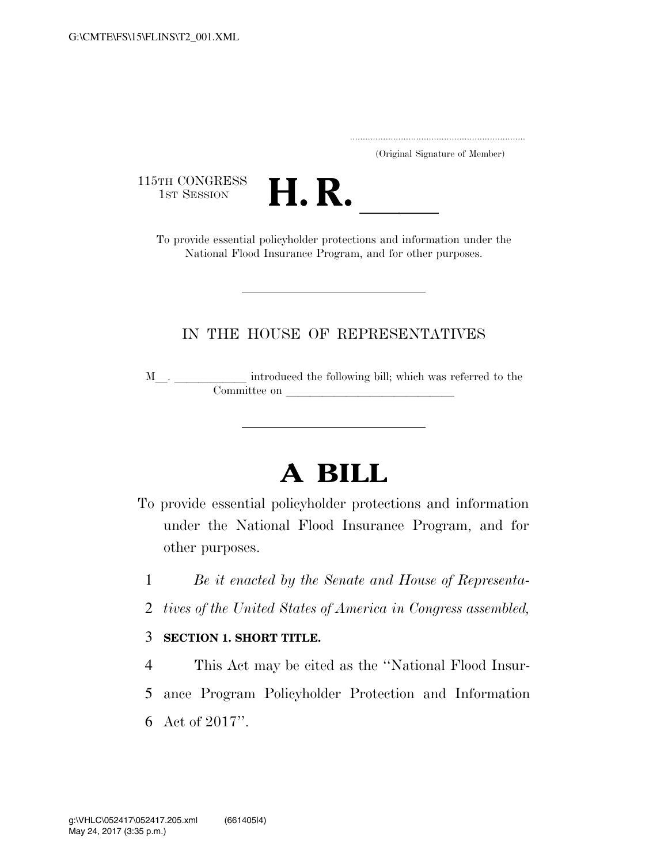|  | (Original Signature of Member) |  |
|--|--------------------------------|--|

115TH CONGRESS<br>1st Session



TH CONGRESS<br>1st SESSION **H. R.** <u>International policyholder protections</u> and information under the National Flood Insurance Program, and for other purposes.

### IN THE HOUSE OF REPRESENTATIVES

M\_\_. \_\_\_\_\_\_\_\_\_\_\_\_ introduced the following bill; which was referred to the Committee on l

# **A BILL**

- To provide essential policyholder protections and information under the National Flood Insurance Program, and for other purposes.
	- 1 *Be it enacted by the Senate and House of Representa-*
	- 2 *tives of the United States of America in Congress assembled,*

#### 3 **SECTION 1. SHORT TITLE.**

4 This Act may be cited as the ''National Flood Insur-5 ance Program Policyholder Protection and Information 6 Act of 2017''.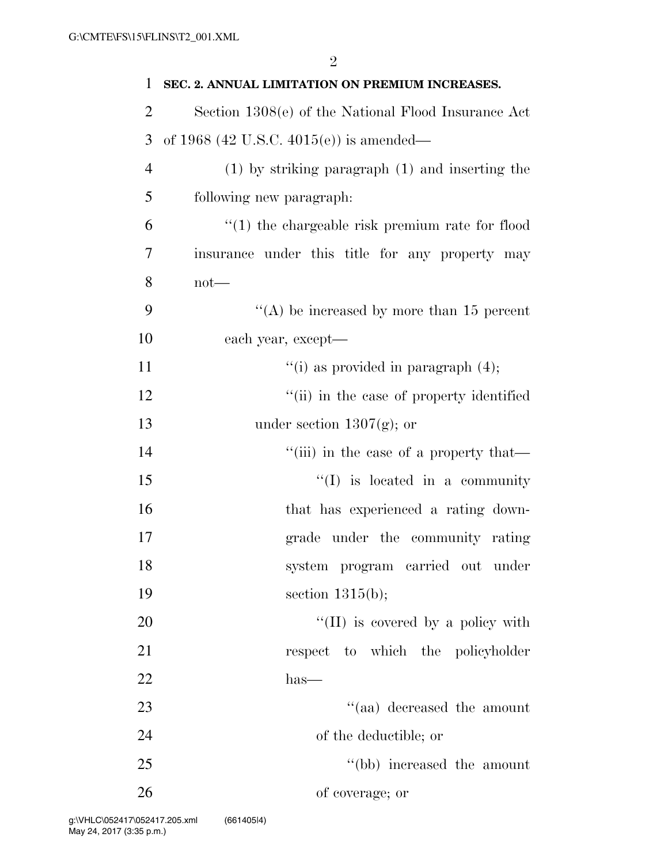| 1              | SEC. 2. ANNUAL LIMITATION ON PREMIUM INCREASES.     |
|----------------|-----------------------------------------------------|
| $\overline{2}$ | Section 1308(e) of the National Flood Insurance Act |
| 3              | of 1968 (42 U.S.C. 4015(e)) is amended—             |
| $\overline{4}$ | $(1)$ by striking paragraph $(1)$ and inserting the |
| 5              | following new paragraph:                            |
| 6              | $"(1)$ the chargeable risk premium rate for flood   |
| 7              | insurance under this title for any property may     |
| 8              | $not$ —                                             |
| 9              | "(A) be increased by more than 15 percent           |
| 10             | each year, except-                                  |
| 11             | "(i) as provided in paragraph $(4)$ ;               |
| 12             | "(ii) in the case of property identified            |
| 13             | under section $1307(g)$ ; or                        |
| 14             | "(iii) in the case of a property that—              |
| 15             | $\lq\lq$ is located in a community                  |
| 16             | that has experienced a rating down-                 |
| 17             | grade under the community rating                    |
| 18             | system program carried out under                    |
| 19             | section $1315(b)$ ;                                 |
| 20             | $\lq\lq$ (II) is covered by a policy with           |
| 21             | respect to which the policyholder                   |
| 22             | $has-$                                              |
| 23             | "(aa) decreased the amount                          |
| 24             | of the deductible; or                               |
| 25             | "(bb) increased the amount                          |
| 26             | of coverage; or                                     |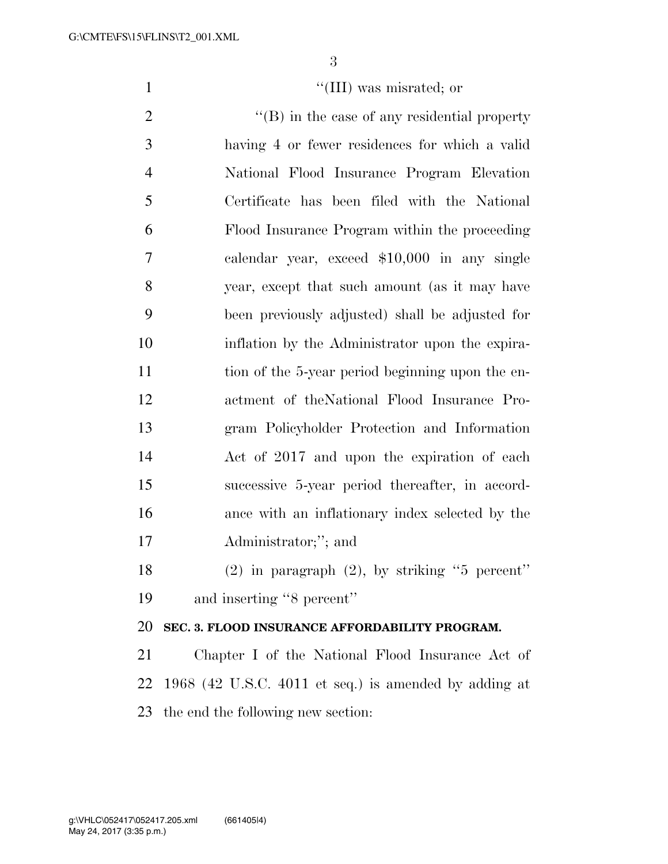1  $\text{``(III)}$  was misrated; or

 $\langle$  (B) in the case of any residential property having 4 or fewer residences for which a valid National Flood Insurance Program Elevation Certificate has been filed with the National Flood Insurance Program within the proceeding calendar year, exceed \$10,000 in any single year, except that such amount (as it may have been previously adjusted) shall be adjusted for inflation by the Administrator upon the expira-11 tion of the 5-year period beginning upon the en- actment of theNational Flood Insurance Pro- gram Policyholder Protection and Information Act of 2017 and upon the expiration of each successive 5-year period thereafter, in accord- ance with an inflationary index selected by the Administrator;''; and (2) in paragraph (2), by striking ''5 percent'' and inserting ''8 percent'' **SEC. 3. FLOOD INSURANCE AFFORDABILITY PROGRAM.**  Chapter I of the National Flood Insurance Act of 1968 (42 U.S.C. 4011 et seq.) is amended by adding at

the end the following new section: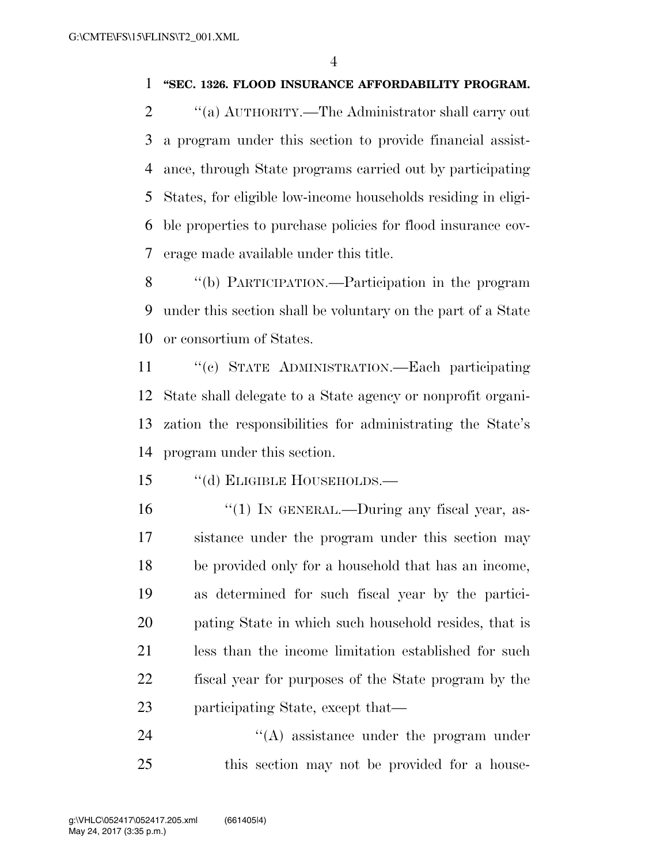#### **''SEC. 1326. FLOOD INSURANCE AFFORDABILITY PROGRAM.**

 $\gamma$  (a) AUTHORITY.—The Administrator shall carry out a program under this section to provide financial assist- ance, through State programs carried out by participating States, for eligible low-income households residing in eligi- ble properties to purchase policies for flood insurance cov-erage made available under this title.

 ''(b) PARTICIPATION.—Participation in the program under this section shall be voluntary on the part of a State or consortium of States.

 ''(c) STATE ADMINISTRATION.—Each participating State shall delegate to a State agency or nonprofit organi- zation the responsibilities for administrating the State's program under this section.

''(d) ELIGIBLE HOUSEHOLDS.—

16 "(1) IN GENERAL.—During any fiscal year, as- sistance under the program under this section may be provided only for a household that has an income, as determined for such fiscal year by the partici- pating State in which such household resides, that is less than the income limitation established for such fiscal year for purposes of the State program by the participating State, except that—

24 ''(A) assistance under the program under this section may not be provided for a house-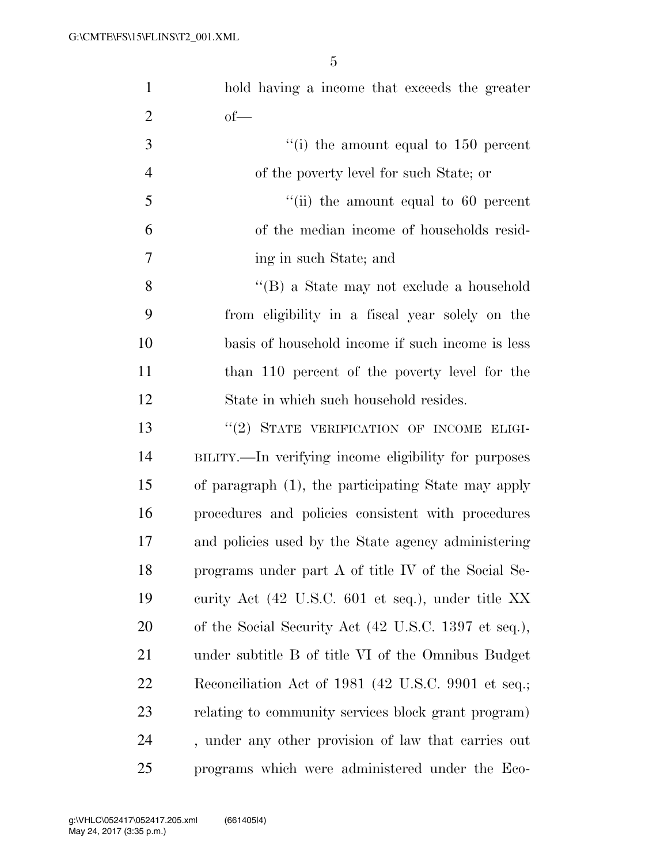| $\mathbf{1}$   | hold having a income that exceeds the greater        |
|----------------|------------------------------------------------------|
| $\overline{2}$ | $of-$                                                |
| 3              | $\lq\lq$ (i) the amount equal to 150 percent         |
| $\overline{4}$ | of the poverty level for such State; or              |
| 5              | $``$ (ii) the amount equal to 60 percent             |
| 6              | of the median income of households resid-            |
| 7              | ing in such State; and                               |
| 8              | "(B) a State may not exclude a household             |
| 9              | from eligibility in a fiscal year solely on the      |
| 10             | basis of household income if such income is less     |
| 11             | than 110 percent of the poverty level for the        |
| 12             | State in which such household resides.               |
| 13             | "(2) STATE VERIFICATION OF INCOME ELIGI-             |
| 14             | BILITY.—In verifying income eligibility for purposes |
| 15             | of paragraph (1), the participating State may apply  |
| 16             | procedures and policies consistent with procedures   |
| 17             | and policies used by the State agency administering  |
| 18             | programs under part A of title IV of the Social Se-  |
| 19             | curity Act (42 U.S.C. 601 et seq.), under title XX   |
| 20             | of the Social Security Act (42 U.S.C. 1397 et seq.), |
| 21             | under subtitle B of title VI of the Omnibus Budget   |
| 22             | Reconciliation Act of 1981 (42 U.S.C. 9901 et seq.;  |
| 23             | relating to community services block grant program)  |
| 24             | , under any other provision of law that carries out  |
| 25             | programs which were administered under the Eco-      |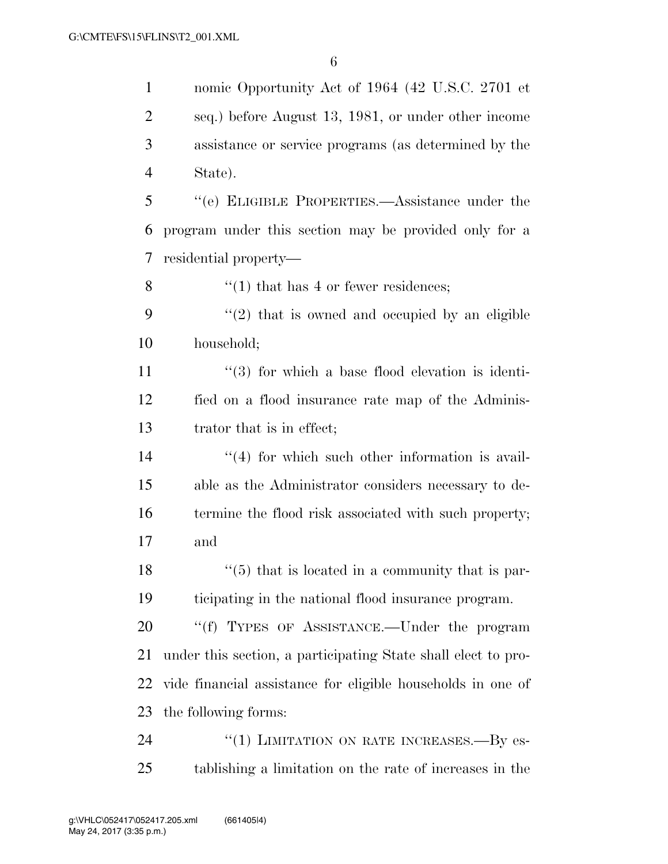nomic Opportunity Act of 1964 (42 U.S.C. 2701 et seq.) before August 13, 1981, or under other income assistance or service programs (as determined by the State). ''(e) ELIGIBLE PROPERTIES.—Assistance under the program under this section may be provided only for a residential property—  $\frac{1}{1}$  that has 4 or fewer residences;  $(2)$  that is owned and occupied by an eligible household;  $\frac{11}{2}$  ''(3) for which a base flood elevation is identi- fied on a flood insurance rate map of the Adminis- trator that is in effect; 14 ''(4) for which such other information is avail- able as the Administrator considers necessary to de-16 termine the flood risk associated with such property; and  $\frac{18}{18}$  ''(5) that is located in a community that is par- ticipating in the national flood insurance program. 20 "(f) TYPES OF ASSISTANCE.—Under the program under this section, a participating State shall elect to pro- vide financial assistance for eligible households in one of the following forms: 24 "(1) LIMITATION ON RATE INCREASES.—By es-tablishing a limitation on the rate of increases in the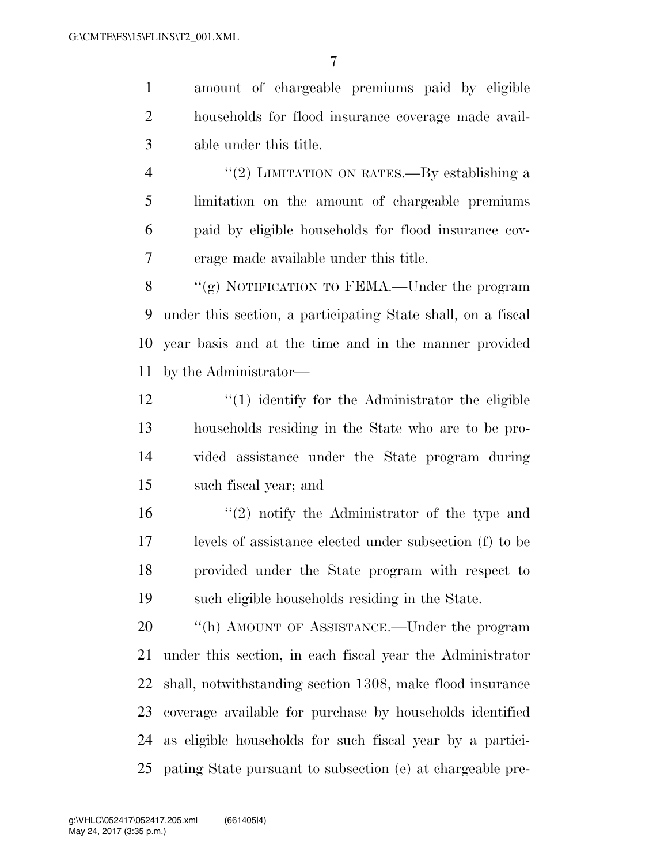amount of chargeable premiums paid by eligible households for flood insurance coverage made avail-able under this title.

4 "(2) LIMITATION ON RATES.—By establishing a limitation on the amount of chargeable premiums paid by eligible households for flood insurance cov-erage made available under this title.

 ''(g) NOTIFICATION TO FEMA.—Under the program under this section, a participating State shall, on a fiscal year basis and at the time and in the manner provided by the Administrator—

 ''(1) identify for the Administrator the eligible households residing in the State who are to be pro- vided assistance under the State program during such fiscal year; and

 ''(2) notify the Administrator of the type and levels of assistance elected under subsection (f) to be provided under the State program with respect to such eligible households residing in the State.

20 "(h) AMOUNT OF ASSISTANCE.—Under the program under this section, in each fiscal year the Administrator shall, notwithstanding section 1308, make flood insurance coverage available for purchase by households identified as eligible households for such fiscal year by a partici-pating State pursuant to subsection (e) at chargeable pre-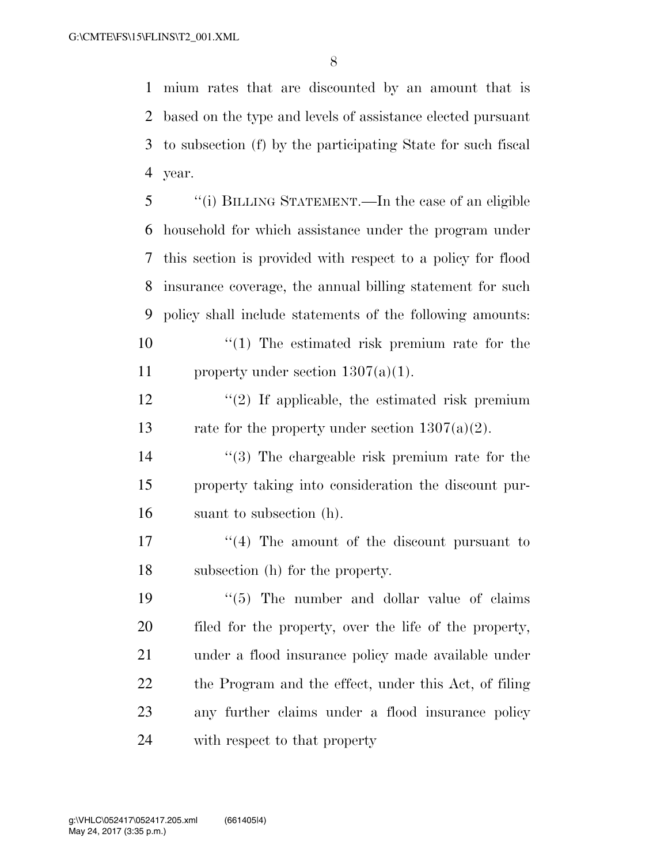mium rates that are discounted by an amount that is based on the type and levels of assistance elected pursuant to subsection (f) by the participating State for such fiscal year.

 ''(i) BILLING STATEMENT.—In the case of an eligible household for which assistance under the program under this section is provided with respect to a policy for flood insurance coverage, the annual billing statement for such policy shall include statements of the following amounts:  $\frac{10}{10}$  The estimated risk premium rate for the 11 property under section  $1307(a)(1)$ .

12  $\frac{12}{2}$  If applicable, the estimated risk premium 13 rate for the property under section  $1307(a)(2)$ .

 ''(3) The chargeable risk premium rate for the property taking into consideration the discount pur-suant to subsection (h).

17 ''(4) The amount of the discount pursuant to subsection (h) for the property.

 $(5)$  The number and dollar value of claims filed for the property, over the life of the property, under a flood insurance policy made available under 22 the Program and the effect, under this Act, of filing any further claims under a flood insurance policy with respect to that property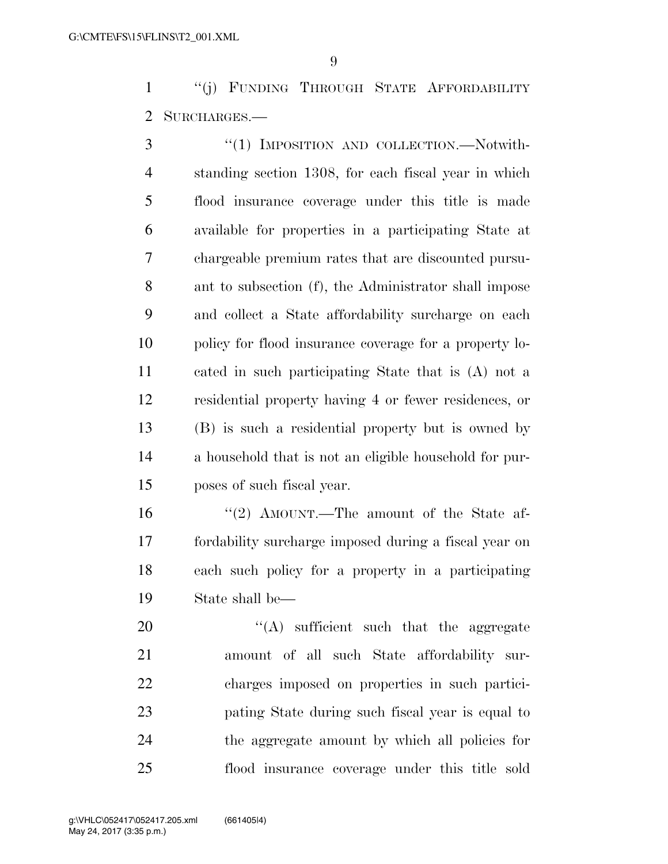''(j) FUNDING THROUGH STATE AFFORDABILITY SURCHARGES.—

3 "(1) IMPOSITION AND COLLECTION.—Notwith- standing section 1308, for each fiscal year in which flood insurance coverage under this title is made available for properties in a participating State at chargeable premium rates that are discounted pursu- ant to subsection (f), the Administrator shall impose and collect a State affordability surcharge on each policy for flood insurance coverage for a property lo- cated in such participating State that is (A) not a residential property having 4 or fewer residences, or (B) is such a residential property but is owned by a household that is not an eligible household for pur-poses of such fiscal year.

 ''(2) AMOUNT.—The amount of the State af- fordability surcharge imposed during a fiscal year on each such policy for a property in a participating State shall be—

 $\langle (A)$  sufficient such that the aggregate amount of all such State affordability sur- charges imposed on properties in such partici- pating State during such fiscal year is equal to the aggregate amount by which all policies for flood insurance coverage under this title sold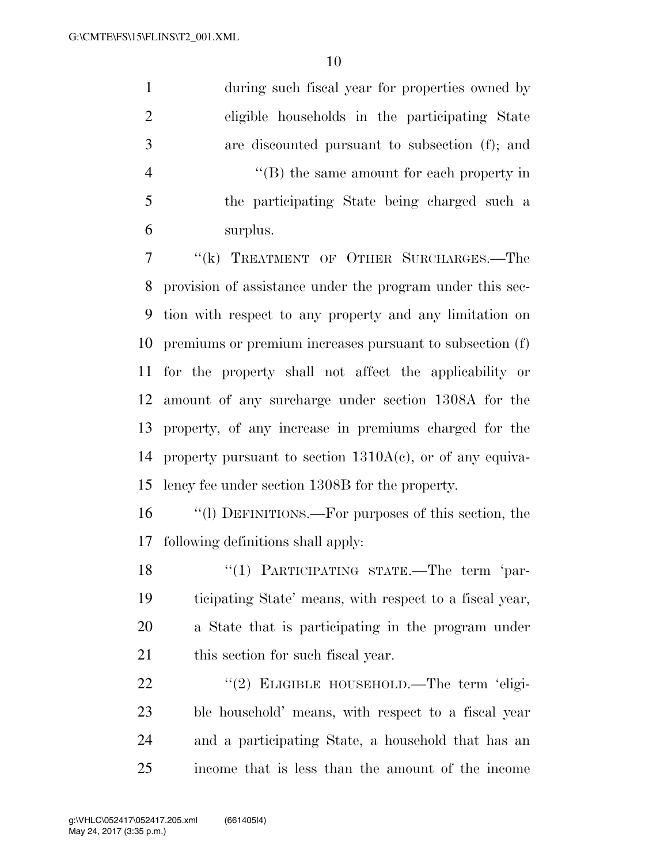during such fiscal year for properties owned by eligible households in the participating State are discounted pursuant to subsection (f); and 4 ''(B) the same amount for each property in the participating State being charged such a surplus.

 ''(k) TREATMENT OF OTHER SURCHARGES.—The provision of assistance under the program under this sec- tion with respect to any property and any limitation on premiums or premium increases pursuant to subsection (f) for the property shall not affect the applicability or amount of any surcharge under section 1308A for the property, of any increase in premiums charged for the 14 property pursuant to section  $1310A(c)$ , or of any equiva-lency fee under section 1308B for the property.

 ''(l) DEFINITIONS.—For purposes of this section, the following definitions shall apply:

18 "(1) PARTICIPATING STATE.—The term 'par- ticipating State' means, with respect to a fiscal year, a State that is participating in the program under 21 this section for such fiscal year.

22 "(2) ELIGIBLE HOUSEHOLD.—The term 'eligi- ble household' means, with respect to a fiscal year and a participating State, a household that has an income that is less than the amount of the income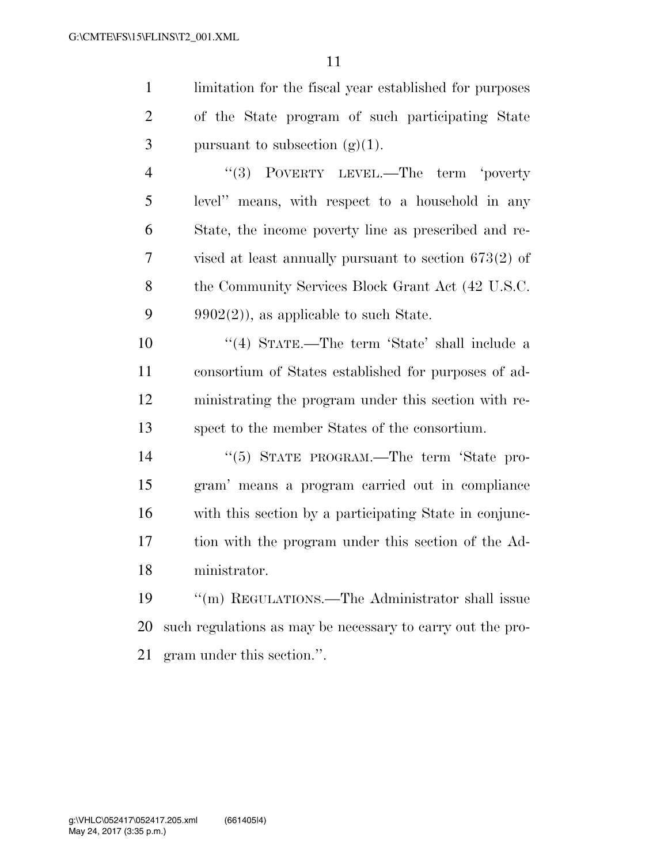limitation for the fiscal year established for purposes of the State program of such participating State 3 pursuant to subsection  $(g)(1)$ .

4 "(3) POVERTY LEVEL.—The term 'poverty level'' means, with respect to a household in any State, the income poverty line as prescribed and re- vised at least annually pursuant to section 673(2) of 8 the Community Services Block Grant Act (42 U.S.C. 9 9902(2)), as applicable to such State.

 ''(4) STATE.—The term 'State' shall include a consortium of States established for purposes of ad- ministrating the program under this section with re-spect to the member States of the consortium.

14 "(5) STATE PROGRAM.—The term 'State pro- gram' means a program carried out in compliance with this section by a participating State in conjunc- tion with the program under this section of the Ad-ministrator.

 ''(m) REGULATIONS.—The Administrator shall issue such regulations as may be necessary to carry out the pro-gram under this section.''.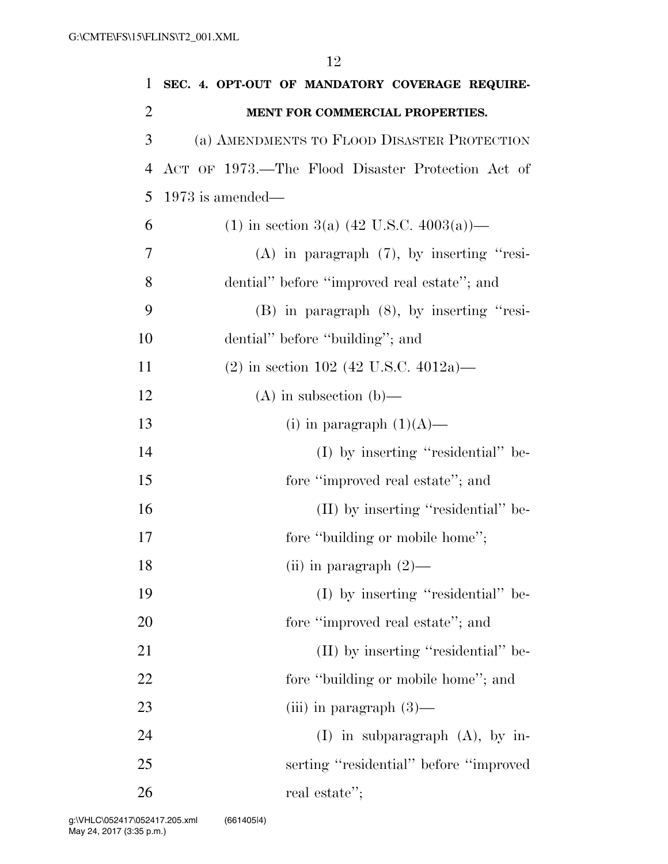1 **SEC. 4. OPT-OUT OF MANDATORY COVERAGE REQUIRE-**2 **MENT FOR COMMERCIAL PROPERTIES.**  3 (a) AMENDMENTS TO FLOOD DISASTER PROTECTION 4 ACT OF 1973.—The Flood Disaster Protection Act of 5 1973 is amended— 6 (1) in section 3(a)  $(42 \text{ U.S.C. } 4003(a))$ — 7 (A) in paragraph (7), by inserting ''resi-8 dential'' before ''improved real estate''; and 9 (B) in paragraph (8), by inserting ''resi-10 dential'' before "building"; and 11 (2) in section 102 (42 U.S.C. 4012a)— 12 (A) in subsection (b)— 13 (i) in paragraph  $(1)(A)$ — 14 (I) by inserting "residential" be-15 fore "improved real estate"; and 16 (II) by inserting "residential" be-17 fore "building or mobile home"; 18 (ii) in paragraph  $(2)$ — 19 (I) by inserting ''residential'' be-20 fore "improved real estate"; and 21 (II) by inserting "residential" be-22 fore "building or mobile home"; and 23 (iii) in paragraph  $(3)$ — 24 (I) in subparagraph (A), by in-25 serting ''residential'' before ''improved

26 real estate'';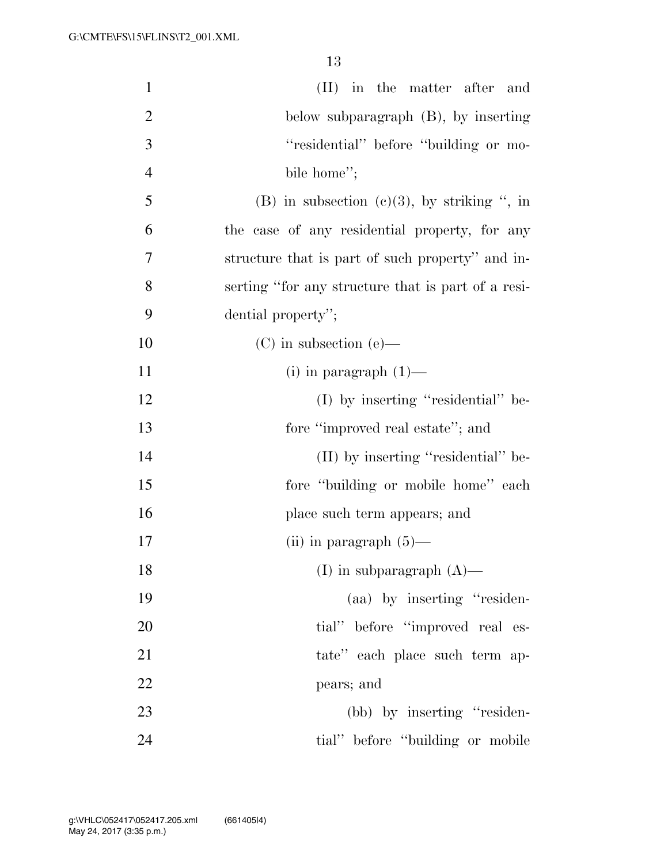| $\mathbf{1}$   | (II) in the matter after and                       |
|----------------|----------------------------------------------------|
| $\overline{2}$ | below subparagraph $(B)$ , by inserting            |
| 3              | "residential" before "building or mo-              |
| $\overline{4}$ | bile home";                                        |
| 5              | (B) in subsection (c)(3), by striking ", in        |
| 6              | the case of any residential property, for any      |
| 7              | structure that is part of such property" and in-   |
| 8              | serting "for any structure that is part of a resi- |
| 9              | dential property";                                 |
| 10             | $(C)$ in subsection $(e)$ —                        |
| 11             | $(i)$ in paragraph $(1)$ —                         |
| 12             | $(I)$ by inserting "residential" be-               |
| 13             | fore "improved real estate"; and                   |
| 14             | (II) by inserting "residential" be-                |
| 15             | fore "building or mobile home" each                |
| 16             | place such term appears; and                       |
| 17             | (ii) in paragraph $(5)$ —                          |
| 18             | (I) in subparagraph $(A)$ —                        |
| 19             | (aa) by inserting "residen-                        |
| 20             | tial" before "improved real es-                    |
| 21             | tate" each place such term ap-                     |
| 22             | pears; and                                         |
| 23             | (bb) by inserting "residen-                        |
| 24             | tial" before "building or mobile                   |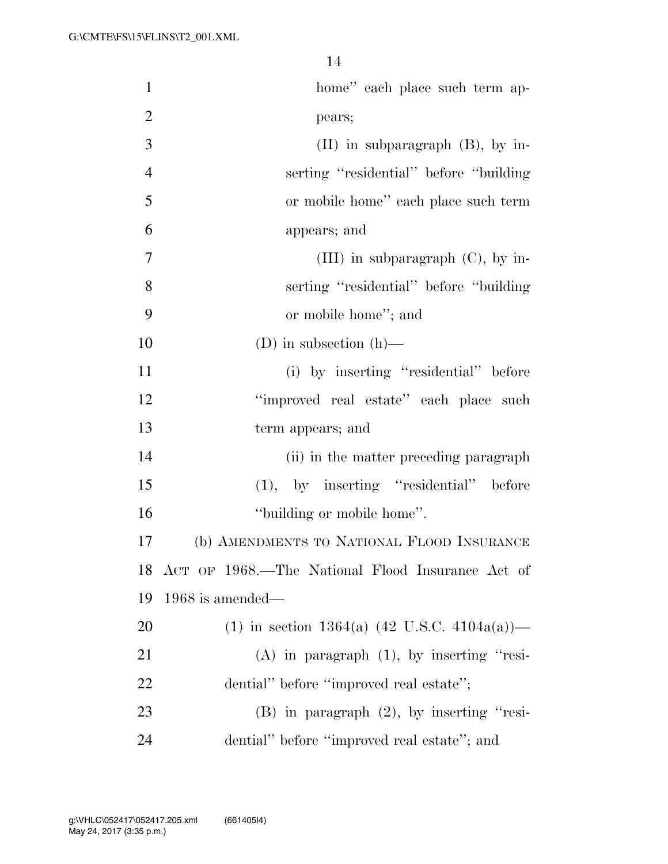| $\mathbf{1}$   | home" each place such term ap-                      |
|----------------|-----------------------------------------------------|
| $\overline{2}$ | pears;                                              |
| 3              | $(II)$ in subparagraph $(B)$ , by in-               |
| $\overline{4}$ | serting "residential" before "building"             |
| 5              | or mobile home" each place such term                |
| 6              | appears; and                                        |
| 7              | (III) in subparagraph $(C)$ , by in-                |
| 8              | serting "residential" before "building"             |
| 9              | or mobile home"; and                                |
| 10             | (D) in subsection $(h)$ —                           |
| 11             | (i) by inserting "residential" before               |
| 12             | "improved real estate" each place such              |
| 13             | term appears; and                                   |
| 14             | (ii) in the matter preceding paragraph              |
| 15             | $(1)$ , by inserting "residential" before           |
| 16             | "building or mobile home".                          |
| 17             | (b) AMENDMENTS TO NATIONAL FLOOD INSURANCE          |
|                | 18 ACT OF 1968.—The National Flood Insurance Act of |
| 19             | $1968$ is amended—                                  |
| 20             | (1) in section 1364(a) (42 U.S.C. 4104a(a))—        |
| 21             | $(A)$ in paragraph $(1)$ , by inserting "resi-      |
| 22             | dential" before "improved real estate";             |
| 23             | $(B)$ in paragraph $(2)$ , by inserting "resi-      |
| 24             | dential" before "improved real estate"; and         |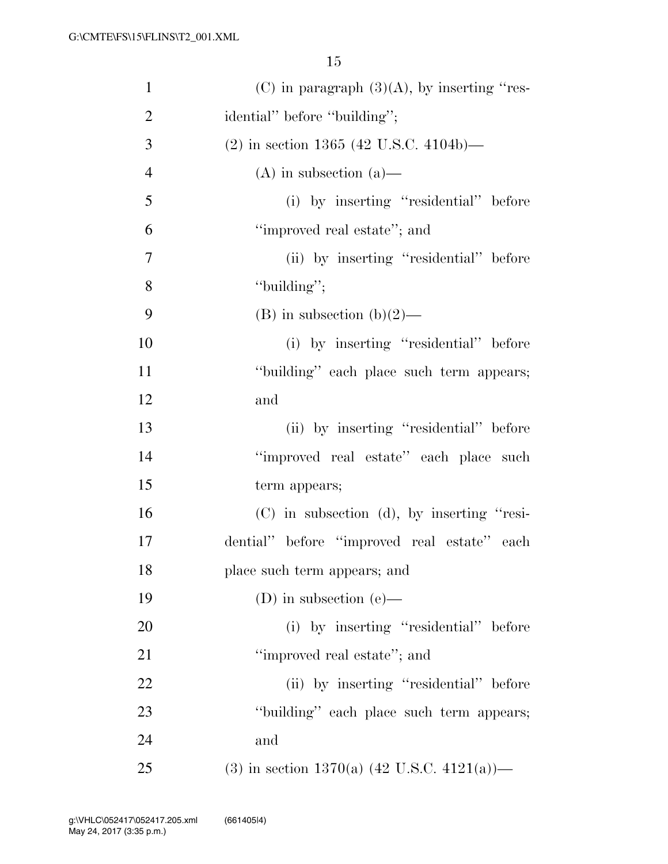| $\mathbf{1}$   | (C) in paragraph $(3)(A)$ , by inserting "res-          |
|----------------|---------------------------------------------------------|
| $\overline{2}$ | idential" before "building";                            |
| 3              | $(2)$ in section 1365 (42 U.S.C. 4104b)—                |
| $\overline{4}$ | $(A)$ in subsection $(a)$ —                             |
| 5              | (i) by inserting "residential" before                   |
| 6              | "improved real estate"; and                             |
| $\overline{7}$ | (ii) by inserting "residential" before                  |
| 8              | "building";                                             |
| 9              | $(B)$ in subsection $(b)(2)$ —                          |
| 10             | (i) by inserting "residential" before                   |
| 11             | "building" each place such term appears;                |
| 12             | and                                                     |
| 13             | (ii) by inserting "residential" before                  |
| 14             | "improved real estate" each place such                  |
| 15             | term appears;                                           |
| 16             | $(C)$ in subsection $(d)$ , by inserting "resi-         |
| 17             | dential" before "improved real estate" each             |
| 18             | place such term appears; and                            |
| 19             | (D) in subsection (e)—                                  |
| 20             | (i) by inserting "residential" before                   |
| 21             | "improved real estate"; and                             |
| 22             | (ii) by inserting "residential" before                  |
| 23             | "building" each place such term appears;                |
| 24             | and                                                     |
| 25             | (3) in section 1370(a) $(42 \text{ U.S.C. } 4121(a))$ — |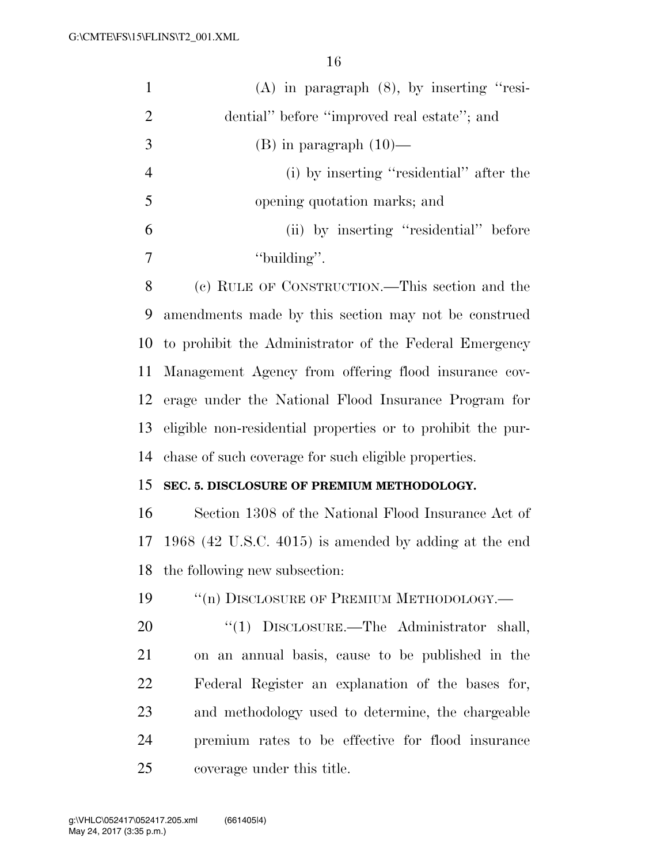| $\mathbf{1}$   | $(A)$ in paragraph $(8)$ , by inserting "resi-              |
|----------------|-------------------------------------------------------------|
| $\overline{2}$ | dential" before "improved real estate"; and                 |
| 3              | $(B)$ in paragraph $(10)$ —                                 |
| $\overline{4}$ | (i) by inserting "residential" after the                    |
| 5              | opening quotation marks; and                                |
| 6              | (ii) by inserting "residential" before                      |
| 7              | "building".                                                 |
| 8              | (c) RULE OF CONSTRUCTION.—This section and the              |
| 9              | amendments made by this section may not be construed        |
| 10             | to prohibit the Administrator of the Federal Emergency      |
| 11             | Management Agency from offering flood insurance cov-        |
| 12             | erage under the National Flood Insurance Program for        |
| 13             | eligible non-residential properties or to prohibit the pur- |
| 14             | chase of such coverage for such eligible properties.        |
| 15             | SEC. 5. DISCLOSURE OF PREMIUM METHODOLOGY.                  |
| 16             | Section 1308 of the National Flood Insurance Act of         |
| 17             | $1968$ (42 U.S.C. 4015) is amended by adding at the end     |
| 18             | the following new subsection:                               |
| 19             | "(n) DISCLOSURE OF PREMIUM METHODOLOGY.-                    |
| 20             | " $(1)$ DISCLOSURE.—The Administrator shall,                |
| 21             | on an annual basis, cause to be published in the            |
| 22             | Federal Register an explanation of the bases for,           |
| 23             | and methodology used to determine, the chargeable           |
| 24             | premium rates to be effective for flood insurance           |
| 25             | coverage under this title.                                  |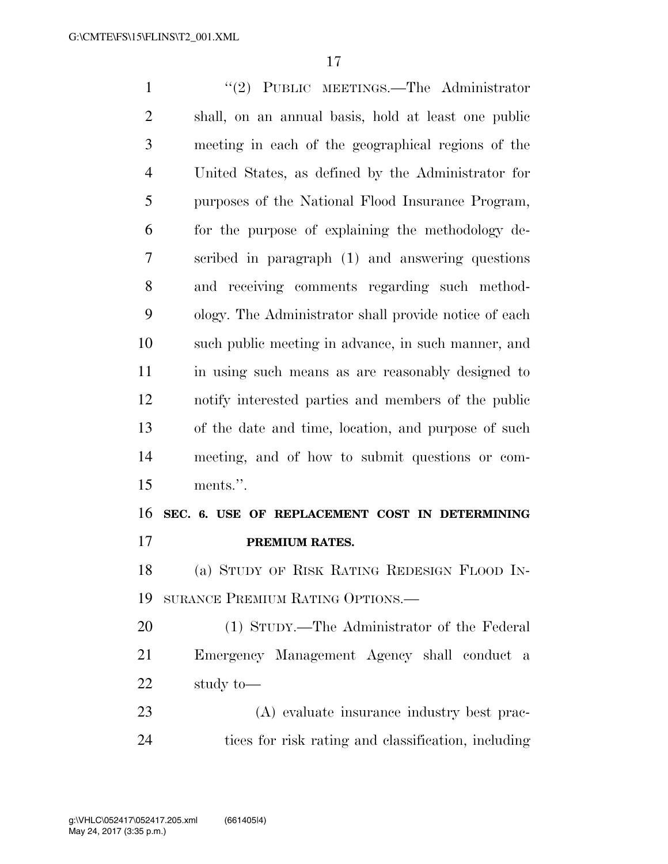''(2) PUBLIC MEETINGS.—The Administrator shall, on an annual basis, hold at least one public meeting in each of the geographical regions of the United States, as defined by the Administrator for purposes of the National Flood Insurance Program, for the purpose of explaining the methodology de- scribed in paragraph (1) and answering questions and receiving comments regarding such method- ology. The Administrator shall provide notice of each such public meeting in advance, in such manner, and in using such means as are reasonably designed to notify interested parties and members of the public of the date and time, location, and purpose of such meeting, and of how to submit questions or com- ments.''. **SEC. 6. USE OF REPLACEMENT COST IN DETERMINING PREMIUM RATES.**  (a) STUDY OF RISK RATING REDESIGN FLOOD IN- SURANCE PREMIUM RATING OPTIONS.— (1) STUDY.—The Administrator of the Federal Emergency Management Agency shall conduct a study to— (A) evaluate insurance industry best prac-

tices for risk rating and classification, including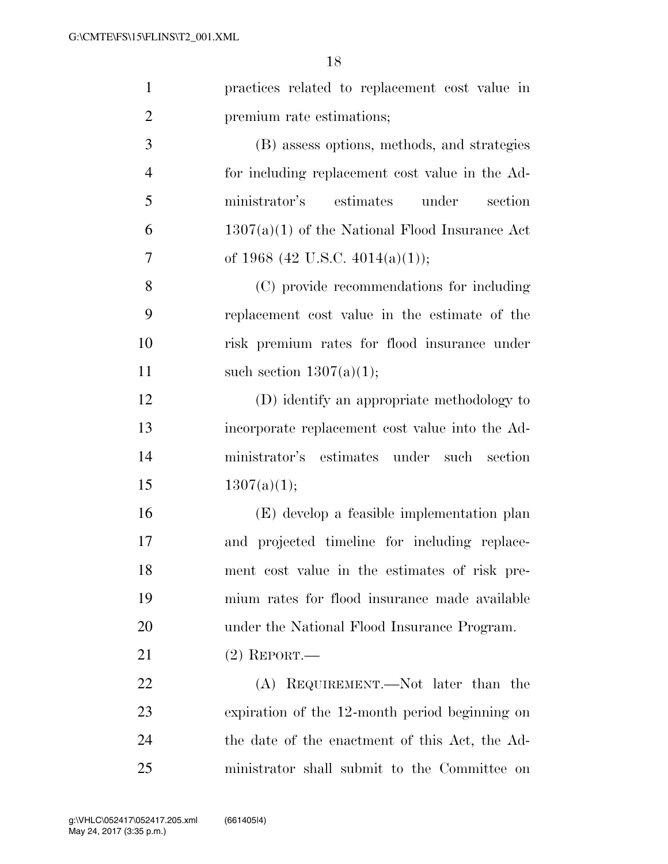| $\mathbf{1}$   | practices related to replacement cost value in   |
|----------------|--------------------------------------------------|
| $\overline{2}$ | premium rate estimations;                        |
| 3              | (B) assess options, methods, and strategies      |
| $\overline{4}$ | for including replacement cost value in the Ad-  |
| 5              | ministrator's<br>estimates<br>under<br>section   |
| 6              | $1307(a)(1)$ of the National Flood Insurance Act |
| 7              | of 1968 (42 U.S.C. 4014(a)(1));                  |
| 8              | (C) provide recommendations for including        |
| 9              | replacement cost value in the estimate of the    |
| 10             | risk premium rates for flood insurance under     |
| 11             | such section $1307(a)(1)$ ;                      |
| 12             | (D) identify an appropriate methodology to       |
| 13             | incorporate replacement cost value into the Ad-  |
| 14             | ministrator's estimates under such section       |
| 15             | 1307(a)(1);                                      |
| 16             | (E) develop a feasible implementation plan       |
| 17             | and projected timeline for including replace-    |
| 18             | ment cost value in the estimates of risk pre-    |
| 19             | mium rates for flood insurance made available    |
| 20             | under the National Flood Insurance Program.      |
| 21             | $(2)$ REPORT.—                                   |
| 22             | (A) REQUIREMENT.—Not later than the              |
| 23             | expiration of the 12-month period beginning on   |
| 24             | the date of the enactment of this Act, the Ad-   |
| 25             | ministrator shall submit to the Committee on     |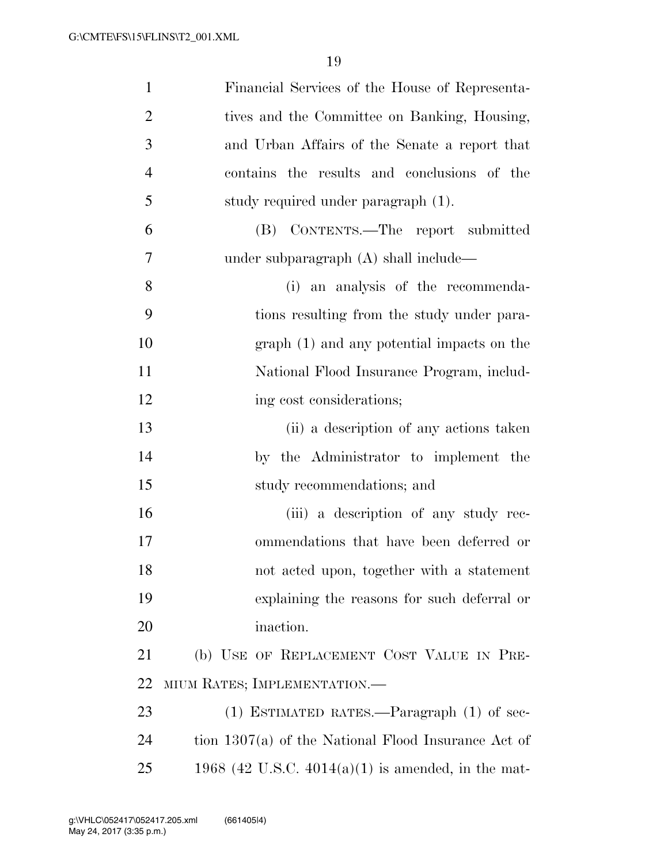| $\mathbf{1}$   | Financial Services of the House of Representa-        |
|----------------|-------------------------------------------------------|
| $\overline{2}$ | tives and the Committee on Banking, Housing,          |
| 3              | and Urban Affairs of the Senate a report that         |
| $\overline{4}$ | contains the results and conclusions of the           |
| 5              | study required under paragraph (1).                   |
| 6              | (B) CONTENTS.—The report submitted                    |
| 7              | under subparagraph (A) shall include—                 |
| 8              | (i) an analysis of the recommenda-                    |
| 9              | tions resulting from the study under para-            |
| 10             | $graph(1)$ and any potential impacts on the           |
| 11             | National Flood Insurance Program, includ-             |
| 12             | ing cost considerations;                              |
| 13             | (ii) a description of any actions taken               |
| 14             | by the Administrator to implement the                 |
| 15             | study recommendations; and                            |
| 16             | (iii) a description of any study rec-                 |
| 17             | ommendations that have been deferred or               |
| 18             | not acted upon, together with a statement             |
| 19             | explaining the reasons for such deferral or           |
| 20             | inaction.                                             |
| 21             | (b) USE OF REPLACEMENT COST VALUE IN PRE-             |
| 22             | MIUM RATES; IMPLEMENTATION.—                          |
| 23             | $(1)$ ESTIMATED RATES.—Paragraph $(1)$ of sec-        |
| 24             | tion $1307(a)$ of the National Flood Insurance Act of |
| 25             | 1968 (42 U.S.C. 4014(a)(1) is amended, in the mat-    |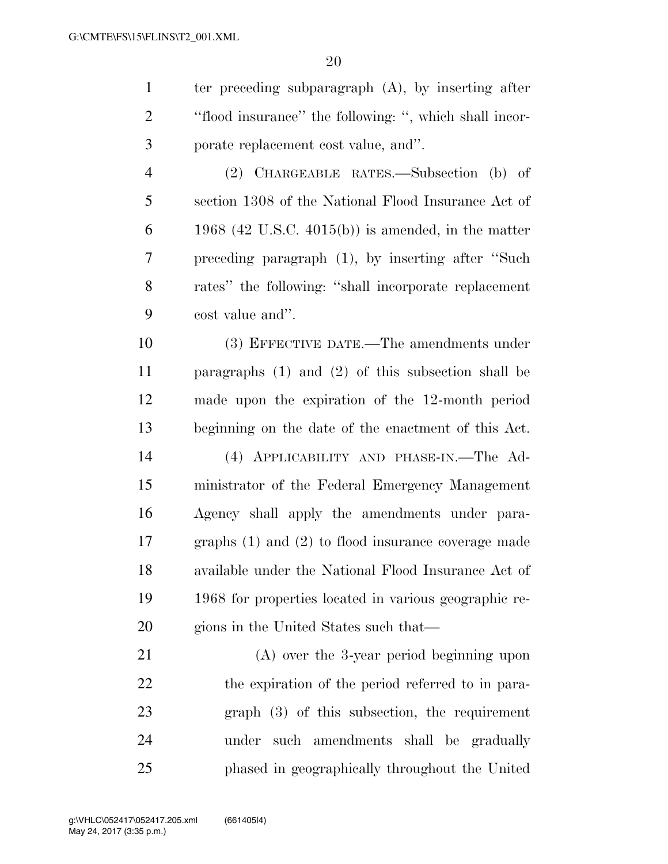ter preceding subparagraph (A), by inserting after

| $\overline{2}$ | "flood insurance" the following: ", which shall incor-  |
|----------------|---------------------------------------------------------|
| 3              | porate replacement cost value, and".                    |
| $\overline{4}$ | (2) CHARGEABLE RATES.—Subsection (b) of                 |
| 5              | section 1308 of the National Flood Insurance Act of     |
| 6              | 1968 (42 U.S.C. 4015(b)) is amended, in the matter      |
| 7              | preceding paragraph (1), by inserting after "Such       |
| 8              | rates" the following: "shall incorporate replacement    |
| 9              | cost value and".                                        |
| 10             | (3) EFFECTIVE DATE.—The amendments under                |
| 11             | paragraphs $(1)$ and $(2)$ of this subsection shall be  |
| 12             | made upon the expiration of the 12-month period         |
| 13             | beginning on the date of the enactment of this Act.     |
| 14             | (4) APPLICABILITY AND PHASE-IN.—The Ad-                 |
| 15             | ministrator of the Federal Emergency Management         |
| 16             | Agency shall apply the amendments under para-           |
| 17             | graphs $(1)$ and $(2)$ to flood insurance coverage made |
| 18             | available under the National Flood Insurance Act of     |
| 19             | 1968 for properties located in various geographic re-   |
| 20             | gions in the United States such that—                   |
| 21             | $(A)$ over the 3-year period beginning upon             |
| 22             | the expiration of the period referred to in para-       |
| 23             | graph (3) of this subsection, the requirement           |
| 24             | such amendments shall be gradually<br>under             |
| 25             | phased in geographically throughout the United          |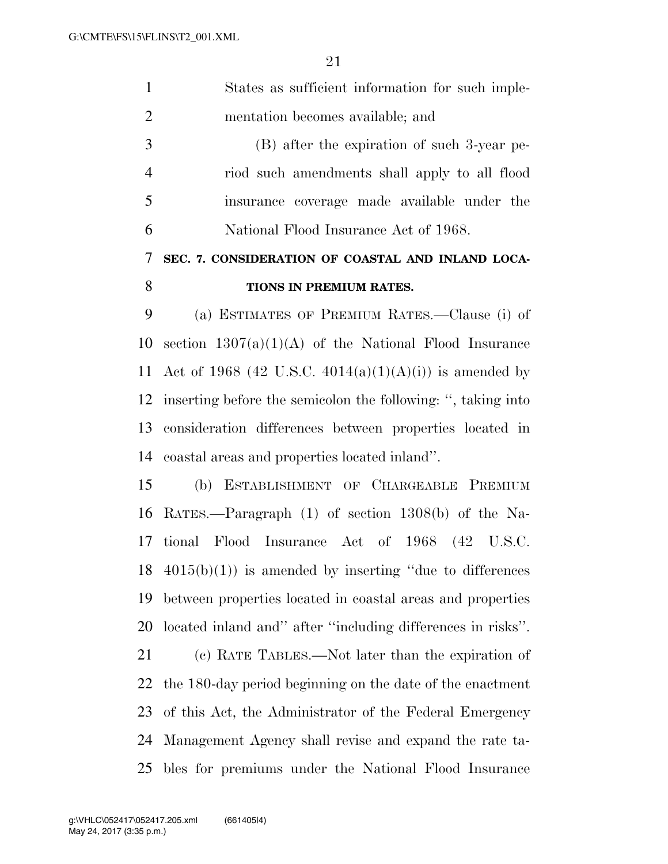| $\mathbf{1}$   | States as sufficient information for such imple-             |
|----------------|--------------------------------------------------------------|
| $\overline{2}$ | mentation becomes available; and                             |
| 3              | (B) after the expiration of such 3-year pe-                  |
| $\overline{4}$ | riod such amendments shall apply to all flood                |
| 5              | insurance coverage made available under the                  |
| 6              | National Flood Insurance Act of 1968.                        |
| $\tau$         | SEC. 7. CONSIDERATION OF COASTAL AND INLAND LOCA-            |
| 8              | TIONS IN PREMIUM RATES.                                      |
| 9              | (a) ESTIMATES OF PREMIUM RATES.—Clause (i) of                |
| 10             | section $1307(a)(1)(A)$ of the National Flood Insurance      |
| 11             | Act of 1968 (42 U.S.C. 4014(a)(1)(A)(i)) is amended by       |
| 12             | inserting before the semicolon the following: ", taking into |
| 13             | consideration differences between properties located in      |
| 14             | coastal areas and properties located inland".                |
| 15             | (b) ESTABLISHMENT OF CHARGEABLE PREMIUM                      |
|                | 16 RATES.—Paragraph (1) of section 1308(b) of the Na-        |
| 17             | tional Flood Insurance Act of 1968 (42 U.S.C.                |
| 18             | $4015(b)(1)$ is amended by inserting "due to differences"    |
| 19             | between properties located in coastal areas and properties   |
| 20             | located inland and" after "including differences in risks".  |
|                |                                                              |

 (c) RATE TABLES.—Not later than the expiration of the 180-day period beginning on the date of the enactment of this Act, the Administrator of the Federal Emergency Management Agency shall revise and expand the rate ta-bles for premiums under the National Flood Insurance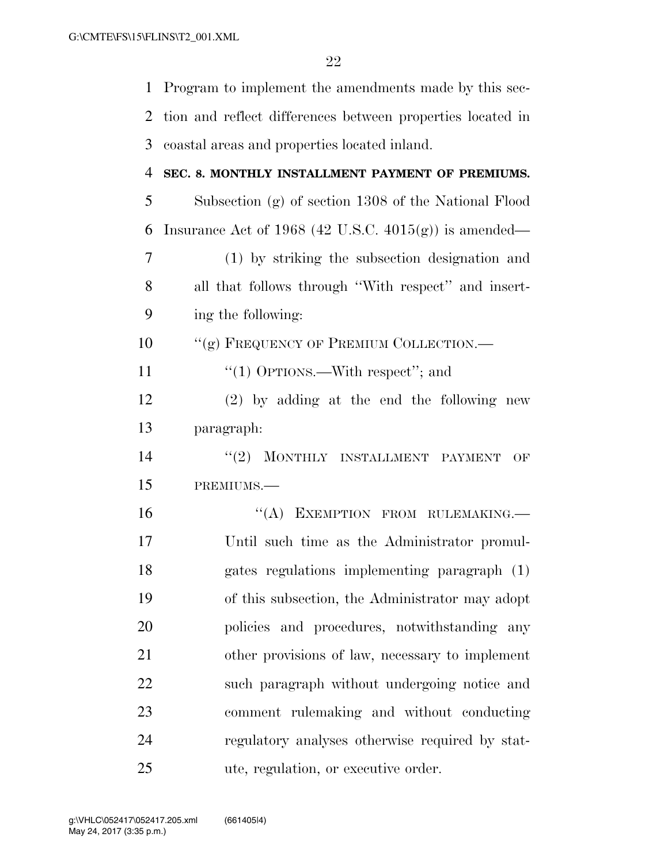| $\mathbf{1}$ | Program to implement the amendments made by this sec-      |
|--------------|------------------------------------------------------------|
| 2            | tion and reflect differences between properties located in |
| 3            | coastal areas and properties located inland.               |
| 4            | SEC. 8. MONTHLY INSTALLMENT PAYMENT OF PREMIUMS.           |
| 5            | Subsection (g) of section 1308 of the National Flood       |
| 6            | Insurance Act of 1968 (42 U.S.C. 4015(g)) is amended—      |
| 7            | (1) by striking the subsection designation and             |
| 8            | all that follows through "With respect" and insert-        |
| 9            | ing the following:                                         |
| 10           | "(g) FREQUENCY OF PREMIUM COLLECTION.—                     |
| 11           | "(1) OPTIONS.—With respect"; and                           |
| 12           | $(2)$ by adding at the end the following new               |
| 13           | paragraph:                                                 |
| 14           | "(2) MONTHLY INSTALLMENT PAYMENT<br>OF                     |
| 15           | PREMIUMS.-                                                 |
| 16           | EXEMPTION FROM RULEMAKING.<br>``(A)                        |
| 17           | Until such time as the Administrator promul-               |
| 18           | gates regulations implementing paragraph (1)               |
| 19           | of this subsection, the Administrator may adopt            |
| 20           | policies and procedures, notwithstanding any               |
| 21           | other provisions of law, necessary to implement            |
| 22           | such paragraph without undergoing notice and               |
| 23           | comment rulemaking and without conducting                  |
| 24           | regulatory analyses otherwise required by stat-            |
| 25           | ute, regulation, or executive order.                       |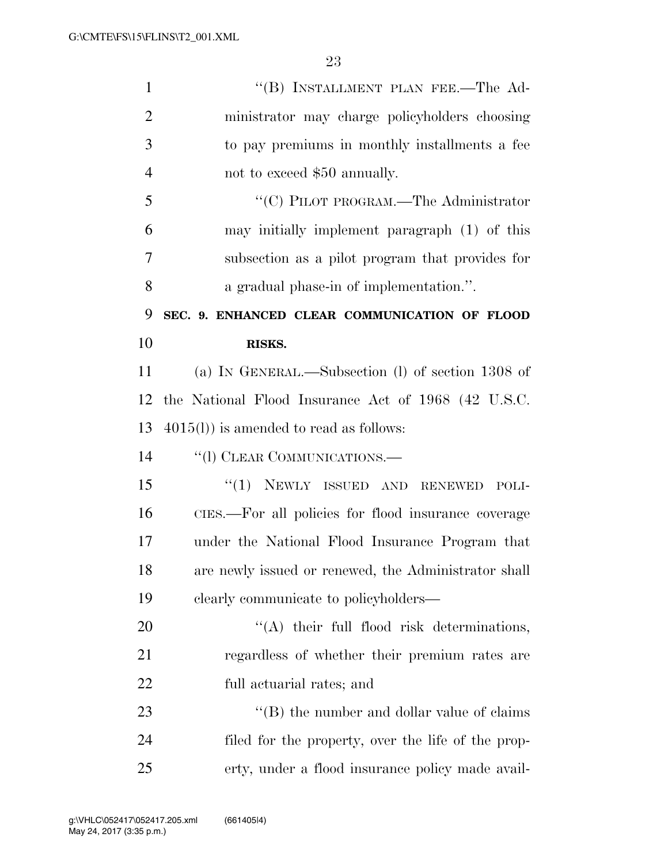| $\mathbf{1}$   | "(B) INSTALLMENT PLAN FEE.—The Ad-                   |
|----------------|------------------------------------------------------|
| $\overline{2}$ | ministrator may charge policyholders choosing        |
| 3              | to pay premiums in monthly installments a fee        |
| 4              | not to exceed \$50 annually.                         |
| 5              | "(C) PILOT PROGRAM.—The Administrator                |
| 6              | may initially implement paragraph (1) of this        |
| 7              | subsection as a pilot program that provides for      |
| 8              | a gradual phase-in of implementation.".              |
| 9              | SEC. 9. ENHANCED CLEAR COMMUNICATION OF FLOOD        |
| 10             | RISKS.                                               |
| 11             | (a) IN GENERAL.—Subsection (l) of section 1308 of    |
| 12             | the National Flood Insurance Act of 1968 (42 U.S.C.  |
| 13             | $4015(l)$ ) is amended to read as follows:           |
| 14             | "(1) CLEAR COMMUNICATIONS.—                          |
| 15             | $``(1)$ NEWLY ISSUED AND RENEWED<br>POLI-            |
| 16             | CIES.—For all policies for flood insurance coverage  |
| 17             | under the National Flood Insurance Program that      |
| 18             | are newly issued or renewed, the Administrator shall |
| 19             | clearly communicate to policyholders—                |
| 20             | $\lq\lq$ their full flood risk determinations,       |
| 21             | regardless of whether their premium rates are        |
| 22             | full actuarial rates; and                            |
| 23             | "(B) the number and dollar value of claims"          |
| 24             | filed for the property, over the life of the prop-   |
| 25             | erty, under a flood insurance policy made avail-     |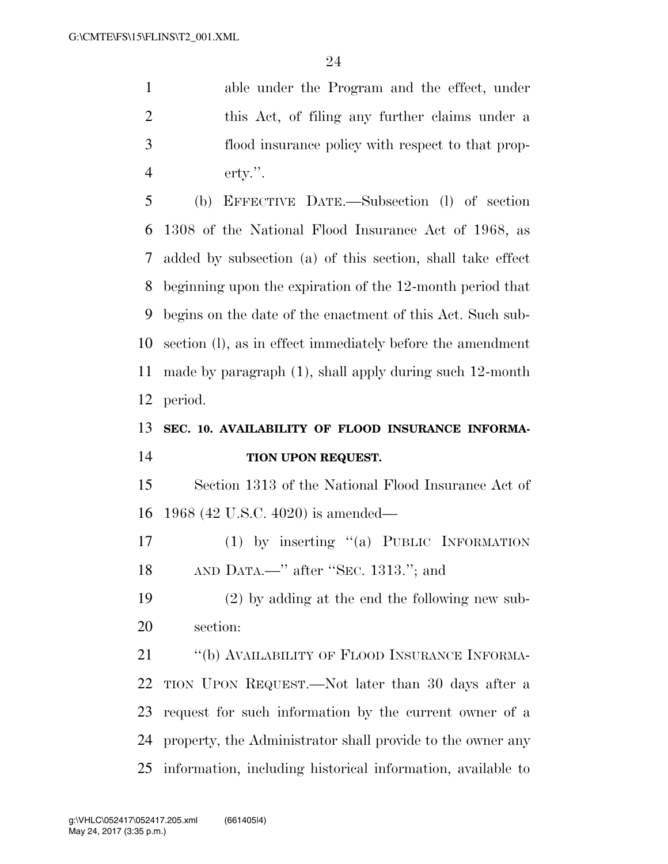able under the Program and the effect, under this Act, of filing any further claims under a flood insurance policy with respect to that prop-erty.''.

 (b) EFFECTIVE DATE.—Subsection (l) of section 1308 of the National Flood Insurance Act of 1968, as added by subsection (a) of this section, shall take effect beginning upon the expiration of the 12-month period that begins on the date of the enactment of this Act. Such sub- section (l), as in effect immediately before the amendment made by paragraph (1), shall apply during such 12-month period.

# **SEC. 10. AVAILABILITY OF FLOOD INSURANCE INFORMA-TION UPON REQUEST.**

 Section 1313 of the National Flood Insurance Act of 1968 (42 U.S.C. 4020) is amended—

 (1) by inserting ''(a) PUBLIC INFORMATION AND DATA.—'' after ''SEC. 1313.''; and

 (2) by adding at the end the following new sub-section:

21 "(b) AVAILABILITY OF FLOOD INSURANCE INFORMA- TION UPON REQUEST.—Not later than 30 days after a request for such information by the current owner of a property, the Administrator shall provide to the owner any information, including historical information, available to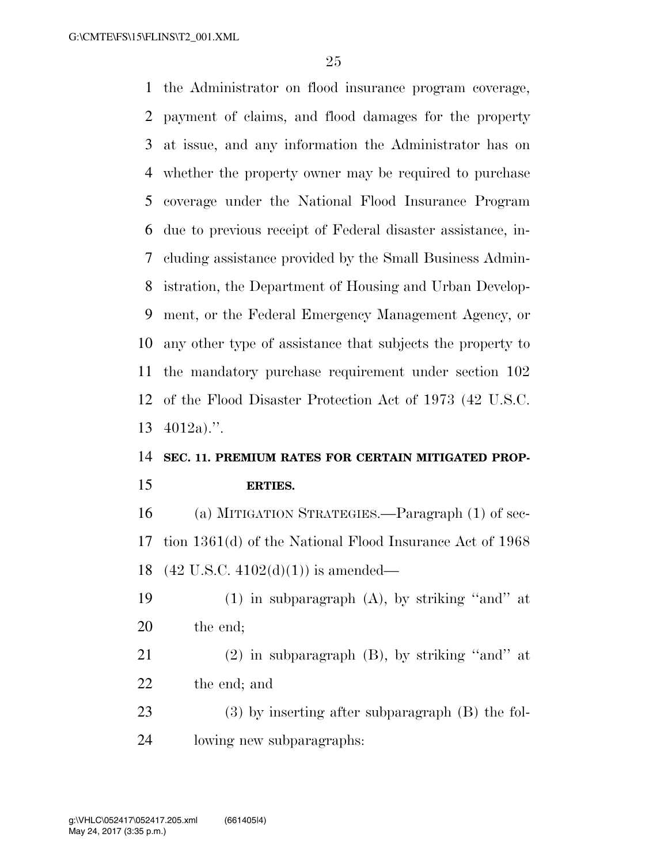the Administrator on flood insurance program coverage, payment of claims, and flood damages for the property at issue, and any information the Administrator has on whether the property owner may be required to purchase coverage under the National Flood Insurance Program due to previous receipt of Federal disaster assistance, in- cluding assistance provided by the Small Business Admin- istration, the Department of Housing and Urban Develop- ment, or the Federal Emergency Management Agency, or any other type of assistance that subjects the property to the mandatory purchase requirement under section 102 of the Flood Disaster Protection Act of 1973 (42 U.S.C. 4012a).''.

# **SEC. 11. PREMIUM RATES FOR CERTAIN MITIGATED PROP-**

#### **ERTIES.**

 (a) MITIGATION STRATEGIES.—Paragraph (1) of sec- tion 1361(d) of the National Flood Insurance Act of 1968 (42 U.S.C. 4102(d)(1)) is amended—

- 19  $(1)$  in subparagraph  $(A)$ , by striking "and" at the end;
- (2) in subparagraph (B), by striking ''and'' at the end; and
- (3) by inserting after subparagraph (B) the fol-lowing new subparagraphs: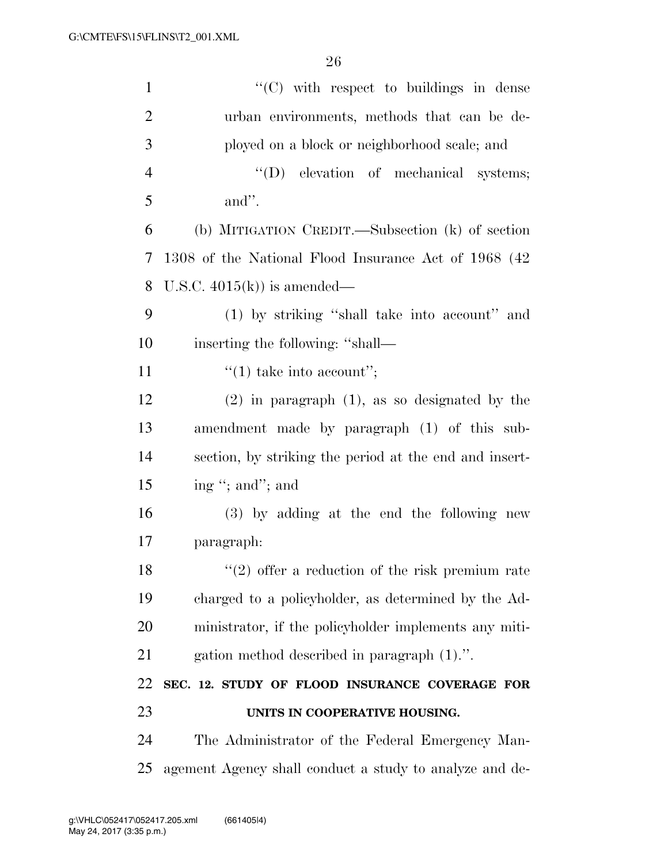| $\mathbf{1}$   | $\lq\lq$ (C) with respect to buildings in dense         |
|----------------|---------------------------------------------------------|
| $\overline{2}$ | urban environments, methods that can be de-             |
| 3              | ployed on a block or neighborhood scale; and            |
| $\overline{4}$ | "(D) elevation of mechanical systems;                   |
| 5              | and".                                                   |
| 6              | (b) MITIGATION CREDIT.—Subsection (k) of section        |
| 7              | 1308 of the National Flood Insurance Act of 1968 (42)   |
| 8              | U.S.C. $4015(k)$ is amended—                            |
| 9              | (1) by striking "shall take into account" and           |
| 10             | inserting the following: "shall—                        |
| 11             | $\lq(1)$ take into account";                            |
| 12             | $(2)$ in paragraph $(1)$ , as so designated by the      |
| 13             | amendment made by paragraph (1) of this sub-            |
| 14             | section, by striking the period at the end and insert-  |
| 15             | ing "; and"; and                                        |
| 16             | (3) by adding at the end the following new              |
| 17             | paragraph:                                              |
| 18             | $(2)$ offer a reduction of the risk premium rate        |
| 19             | charged to a policyholder, as determined by the Ad-     |
| 20             | ministrator, if the policyholder implements any miti-   |
| 21             | gation method described in paragraph (1).".             |
| 22             | SEC. 12. STUDY OF FLOOD INSURANCE COVERAGE FOR          |
| 23             | UNITS IN COOPERATIVE HOUSING.                           |
| 24             | The Administrator of the Federal Emergency Man-         |
| 25             | agement Agency shall conduct a study to analyze and de- |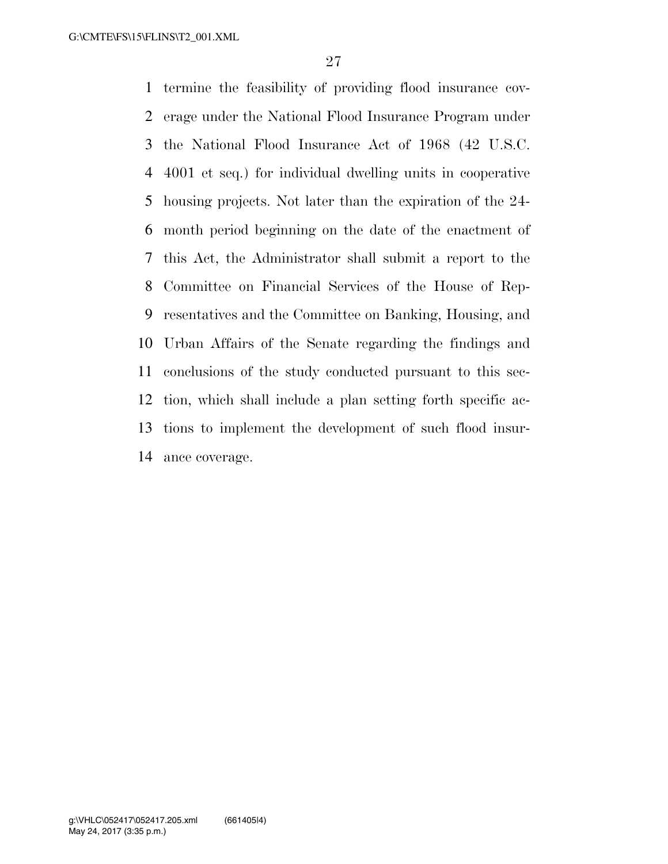termine the feasibility of providing flood insurance cov- erage under the National Flood Insurance Program under the National Flood Insurance Act of 1968 (42 U.S.C. 4001 et seq.) for individual dwelling units in cooperative housing projects. Not later than the expiration of the 24- month period beginning on the date of the enactment of this Act, the Administrator shall submit a report to the Committee on Financial Services of the House of Rep- resentatives and the Committee on Banking, Housing, and Urban Affairs of the Senate regarding the findings and conclusions of the study conducted pursuant to this sec- tion, which shall include a plan setting forth specific ac- tions to implement the development of such flood insur-ance coverage.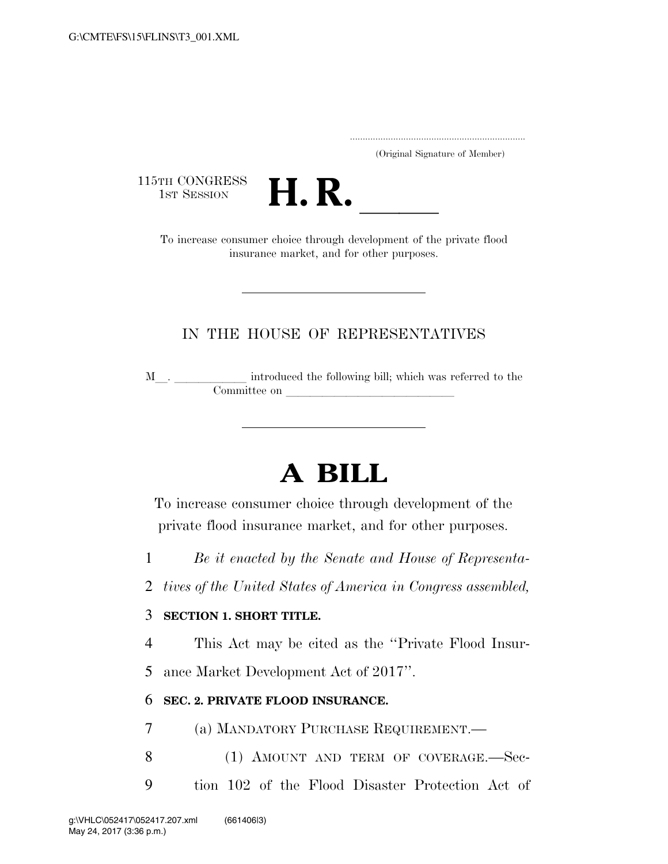..................................................................... (Original Signature of Member)

115TH CONGRESS<br>1st Session



TH CONGRESS<br>1st SESSION **H. R.** <u>Increase consumer choice through development of the private flood</u> insurance market, and for other purposes.

## IN THE HOUSE OF REPRESENTATIVES

M\_\_. \_\_\_\_\_\_\_\_\_\_\_\_ introduced the following bill; which was referred to the Committee on

# **A BILL**

To increase consumer choice through development of the private flood insurance market, and for other purposes.

- 1 *Be it enacted by the Senate and House of Representa-*
- 2 *tives of the United States of America in Congress assembled,*

### 3 **SECTION 1. SHORT TITLE.**

4 This Act may be cited as the ''Private Flood Insur-

5 ance Market Development Act of 2017''.

### 6 **SEC. 2. PRIVATE FLOOD INSURANCE.**

7 (a) MANDATORY PURCHASE REQUIREMENT.—

- 8 (1) AMOUNT AND TERM OF COVERAGE. Sec-
- 9 tion 102 of the Flood Disaster Protection Act of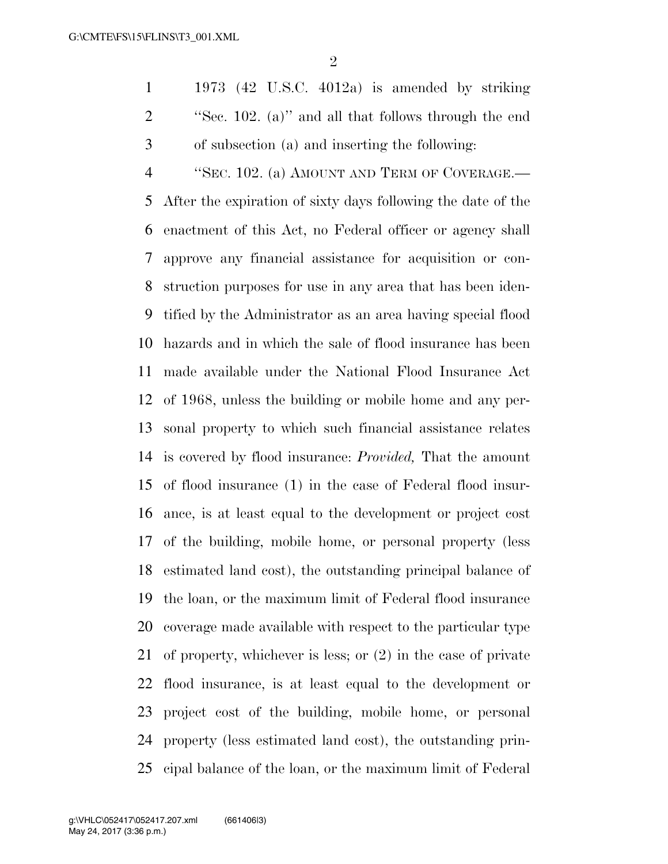1973 (42 U.S.C. 4012a) is amended by striking ''Sec. 102. (a)'' and all that follows through the end of subsection (a) and inserting the following:

 ''SEC. 102. (a) AMOUNT AND TERM OF COVERAGE.— After the expiration of sixty days following the date of the enactment of this Act, no Federal officer or agency shall approve any financial assistance for acquisition or con- struction purposes for use in any area that has been iden- tified by the Administrator as an area having special flood hazards and in which the sale of flood insurance has been made available under the National Flood Insurance Act of 1968, unless the building or mobile home and any per- sonal property to which such financial assistance relates is covered by flood insurance: *Provided,* That the amount of flood insurance (1) in the case of Federal flood insur- ance, is at least equal to the development or project cost of the building, mobile home, or personal property (less estimated land cost), the outstanding principal balance of the loan, or the maximum limit of Federal flood insurance coverage made available with respect to the particular type of property, whichever is less; or (2) in the case of private flood insurance, is at least equal to the development or project cost of the building, mobile home, or personal property (less estimated land cost), the outstanding prin-cipal balance of the loan, or the maximum limit of Federal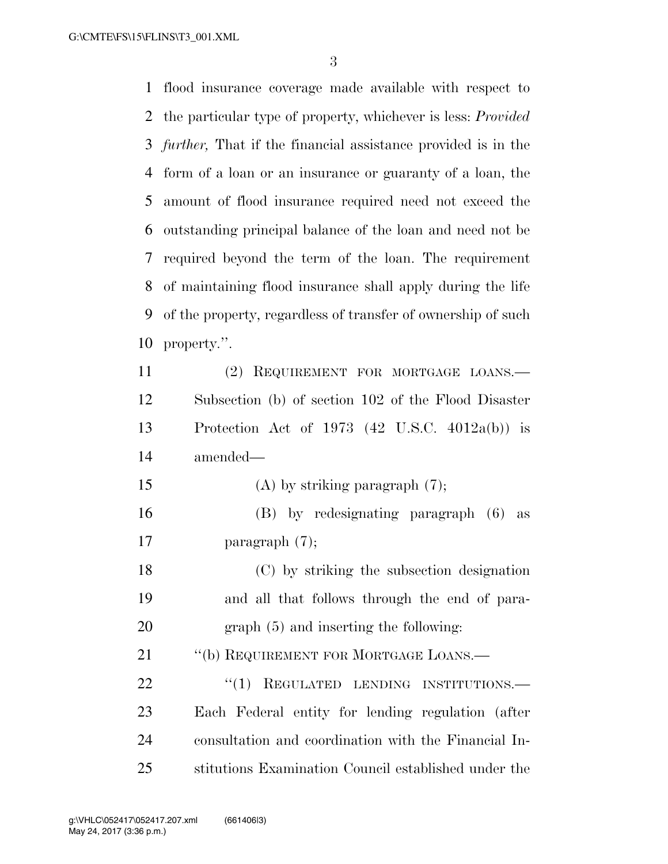G:\CMTE\FS\15\FLINS\T3\_001.XML

 flood insurance coverage made available with respect to the particular type of property, whichever is less: *Provided further,* That if the financial assistance provided is in the form of a loan or an insurance or guaranty of a loan, the amount of flood insurance required need not exceed the outstanding principal balance of the loan and need not be required beyond the term of the loan. The requirement of maintaining flood insurance shall apply during the life of the property, regardless of transfer of ownership of such property.''. (2) REQUIREMENT FOR MORTGAGE LOANS.— Subsection (b) of section 102 of the Flood Disaster Protection Act of 1973 (42 U.S.C. 4012a(b)) is amended—

- (A) by striking paragraph (7);
- (B) by redesignating paragraph (6) as paragraph (7);
- (C) by striking the subsection designation and all that follows through the end of para-graph (5) and inserting the following:
- 21 "(b) REQUIREMENT FOR MORTGAGE LOANS.—
- 22 "(1) REGULATED LENDING INSTITUTIONS. Each Federal entity for lending regulation (after consultation and coordination with the Financial In-stitutions Examination Council established under the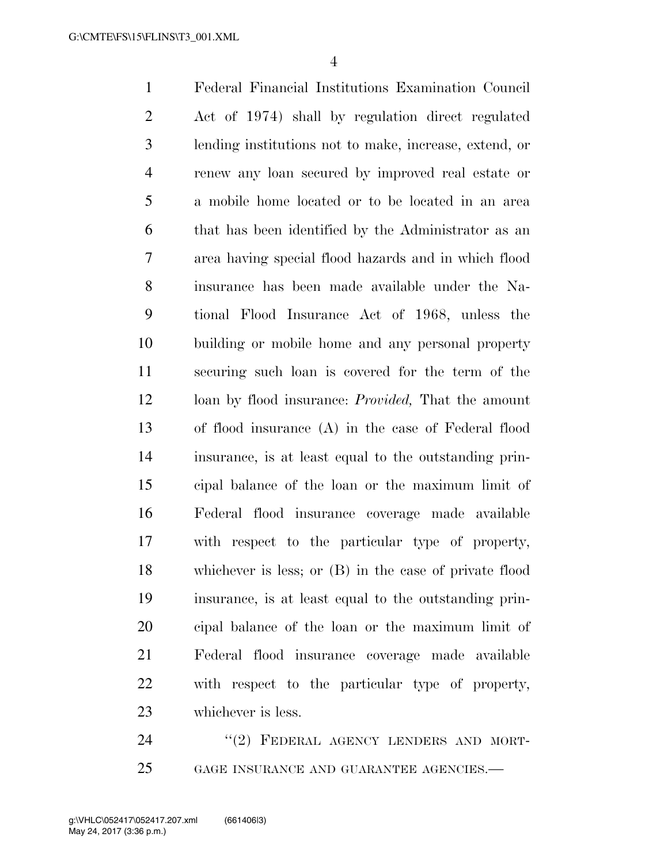Federal Financial Institutions Examination Council Act of 1974) shall by regulation direct regulated lending institutions not to make, increase, extend, or renew any loan secured by improved real estate or a mobile home located or to be located in an area that has been identified by the Administrator as an area having special flood hazards and in which flood insurance has been made available under the Na- tional Flood Insurance Act of 1968, unless the building or mobile home and any personal property securing such loan is covered for the term of the loan by flood insurance: *Provided,* That the amount of flood insurance (A) in the case of Federal flood insurance, is at least equal to the outstanding prin- cipal balance of the loan or the maximum limit of Federal flood insurance coverage made available with respect to the particular type of property, whichever is less; or (B) in the case of private flood insurance, is at least equal to the outstanding prin- cipal balance of the loan or the maximum limit of Federal flood insurance coverage made available with respect to the particular type of property, whichever is less.

24 "(2) FEDERAL AGENCY LENDERS AND MORT-GAGE INSURANCE AND GUARANTEE AGENCIES.—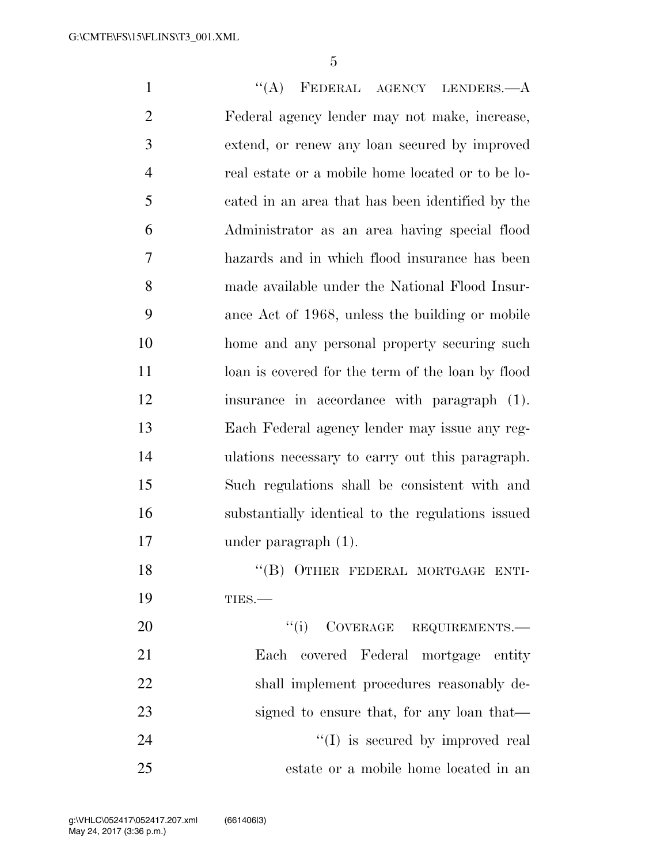1 "(A) FEDERAL AGENCY LENDERS.—A Federal agency lender may not make, increase, extend, or renew any loan secured by improved real estate or a mobile home located or to be lo- cated in an area that has been identified by the Administrator as an area having special flood hazards and in which flood insurance has been made available under the National Flood Insur- ance Act of 1968, unless the building or mobile home and any personal property securing such 11 loan is covered for the term of the loan by flood insurance in accordance with paragraph (1). Each Federal agency lender may issue any reg- ulations necessary to carry out this paragraph. Such regulations shall be consistent with and substantially identical to the regulations issued under paragraph (1). 18 "(B) OTHER FEDERAL MORTGAGE ENTI-19 TIES.—  $"(i)$  COVERAGE REQUIREMENTS.— Each covered Federal mortgage entity shall implement procedures reasonably de-23 signed to ensure that, for any loan that—  $\langle (I)$  is secured by improved real

estate or a mobile home located in an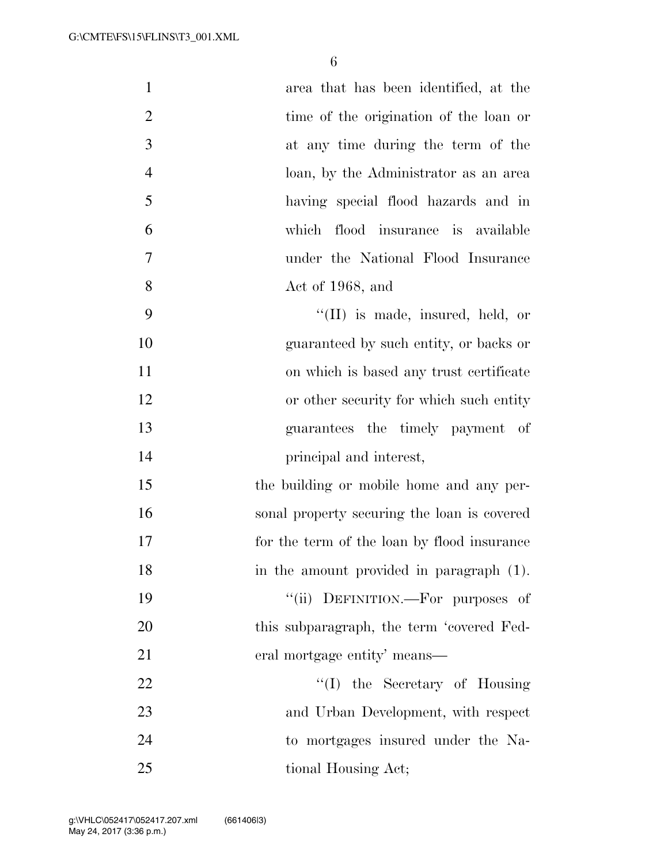| $\mathbf{1}$   | area that has been identified, at the       |
|----------------|---------------------------------------------|
| $\overline{2}$ | time of the origination of the loan or      |
| 3              | at any time during the term of the          |
| $\overline{4}$ | loan, by the Administrator as an area       |
| 5              | having special flood hazards and in         |
| 6              | which flood insurance is available          |
| $\tau$         | under the National Flood Insurance          |
| 8              | Act of 1968, and                            |
| 9              | $\lq$ (II) is made, insured, held, or       |
| 10             | guaranteed by such entity, or backs or      |
| 11             | on which is based any trust certificate     |
| 12             | or other security for which such entity     |
| 13             | guarantees the timely payment of            |
| 14             | principal and interest,                     |
| 15             | the building or mobile home and any per-    |
| 16             | sonal property securing the loan is covered |
| 17             | for the term of the loan by flood insurance |
| 18             | in the amount provided in paragraph (1).    |
| 19             | "(ii) DEFINITION.—For purposes of           |
| 20             | this subparagraph, the term 'covered Fed-   |
| 21             | eral mortgage entity' means—                |
| 22             | "(I) the Secretary of Housing               |
| 23             | and Urban Development, with respect         |
| 24             | to mortgages insured under the Na-          |
| 25             | tional Housing Act;                         |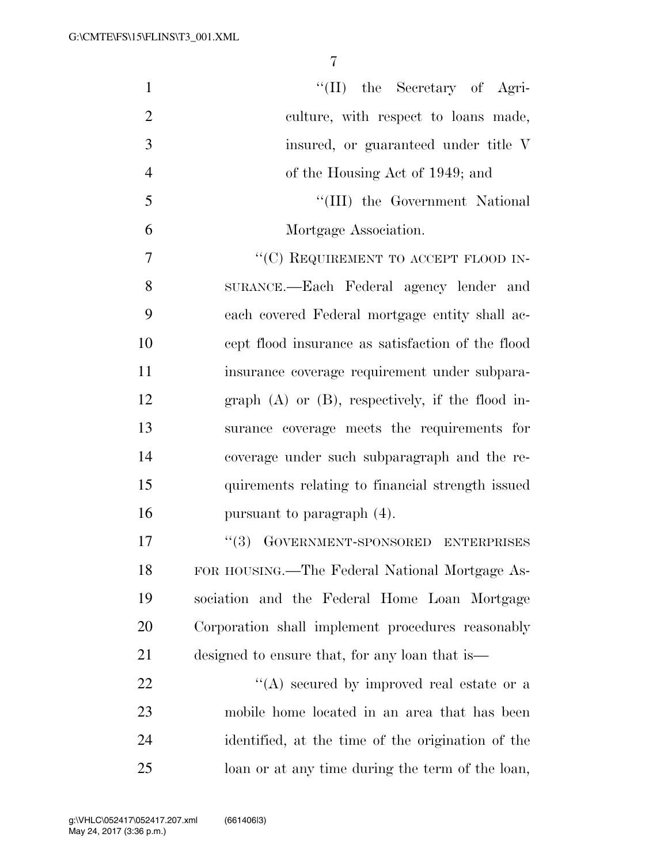| $\mathbf{1}$   | "(II) the Secretary of Agri-                          |
|----------------|-------------------------------------------------------|
| $\overline{2}$ | culture, with respect to loans made,                  |
| 3              | insured, or guaranteed under title V                  |
| $\overline{4}$ | of the Housing Act of 1949; and                       |
| 5              | "(III) the Government National                        |
| 6              | Mortgage Association.                                 |
| 7              | "(C) REQUIREMENT TO ACCEPT FLOOD IN-                  |
| 8              | SURANCE.—Each Federal agency lender and               |
| 9              | each covered Federal mortgage entity shall ac-        |
| 10             | cept flood insurance as satisfaction of the flood     |
| 11             | insurance coverage requirement under subpara-         |
| 12             | graph $(A)$ or $(B)$ , respectively, if the flood in- |
| 13             | surance coverage meets the requirements for           |
| 14             | coverage under such subparagraph and the re-          |
| 15             | quirements relating to financial strength issued      |
| 16             | pursuant to paragraph (4).                            |
| 17             | GOVERNMENT-SPONSORED ENTERPRISES<br>(3)               |
| 18             | FOR HOUSING.—The Federal National Mortgage As-        |
| 19             | sociation and the Federal Home Loan Mortgage          |
| 20             | Corporation shall implement procedures reasonably     |
| 21             | designed to ensure that, for any loan that is         |
| 22             | "(A) secured by improved real estate or a             |
| 23             | mobile home located in an area that has been          |
| 24             | identified, at the time of the origination of the     |
| 25             | loan or at any time during the term of the loan,      |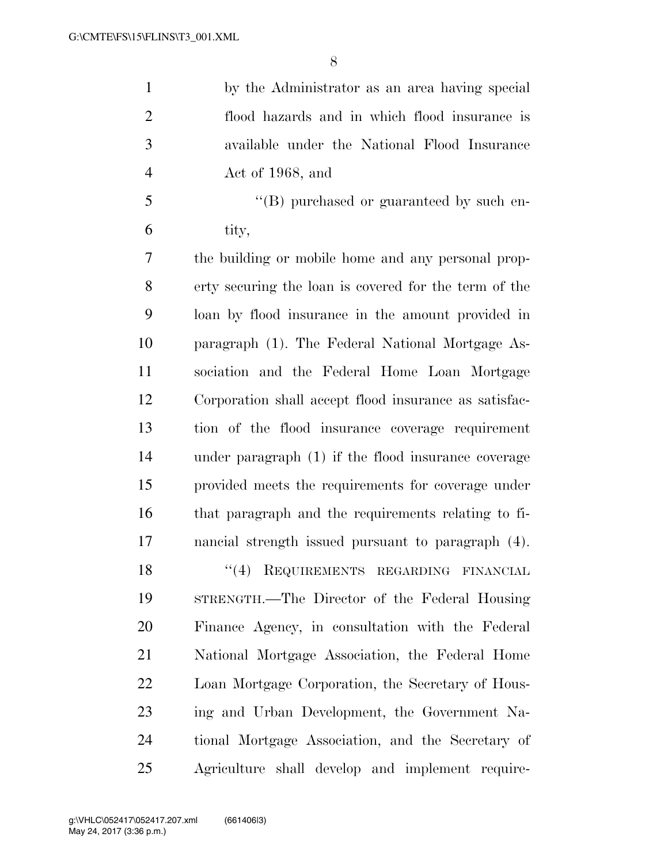| $\mathbf{1}$   | by the Administrator as an area having special        |
|----------------|-------------------------------------------------------|
| $\overline{2}$ | flood hazards and in which flood insurance is         |
| 3              | available under the National Flood Insurance          |
| $\overline{4}$ | Act of 1968, and                                      |
| 5              | "(B) purchased or guaranteed by such en-              |
| 6              | tity,                                                 |
| 7              | the building or mobile home and any personal prop-    |
| 8              | erty securing the loan is covered for the term of the |
| 9              | loan by flood insurance in the amount provided in     |
| 10             | paragraph (1). The Federal National Mortgage As-      |
| 11             | sociation and the Federal Home Loan Mortgage          |
| 12             | Corporation shall accept flood insurance as satisfac- |
| 13             | tion of the flood insurance coverage requirement      |
| 14             | under paragraph $(1)$ if the flood insurance coverage |
| 15             | provided meets the requirements for coverage under    |
| 16             | that paragraph and the requirements relating to fi-   |
| 17             | nancial strength issued pursuant to paragraph (4).    |
| 18             | "(4) REQUIREMENTS REGARDING FINANCIAL                 |
| 19             | STRENGTH.—The Director of the Federal Housing         |
| 20             | Finance Agency, in consultation with the Federal      |
| 21             | National Mortgage Association, the Federal Home       |
| 22             | Loan Mortgage Corporation, the Secretary of Hous-     |
| 23             | ing and Urban Development, the Government Na-         |
| 24             | tional Mortgage Association, and the Secretary of     |
| 25             | Agriculture shall develop and implement require-      |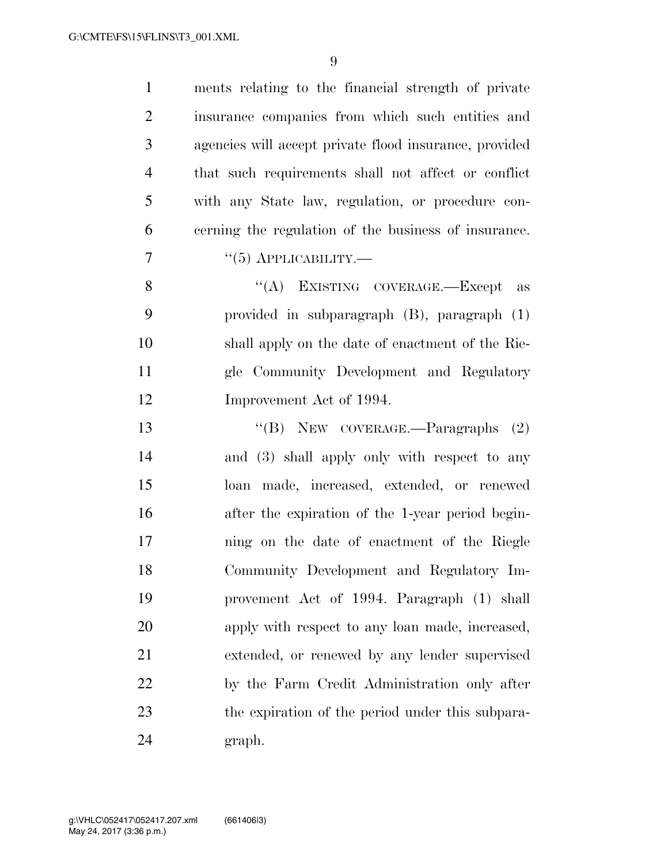| $\mathbf{1}$   | ments relating to the financial strength of private    |
|----------------|--------------------------------------------------------|
| $\overline{2}$ | insurance companies from which such entities and       |
| 3              | agencies will accept private flood insurance, provided |
| $\overline{4}$ | that such requirements shall not affect or conflict    |
| 5              | with any State law, regulation, or procedure con-      |
| 6              | cerning the regulation of the business of insurance.   |
| 7              | $``(5)$ APPLICABILITY.—                                |
| 8              | "(A) EXISTING COVERAGE.—Except as                      |
| 9              | provided in subparagraph (B), paragraph (1)            |
| 10             | shall apply on the date of enactment of the Rie-       |
| 11             | gle Community Development and Regulatory               |
| 12             | Improvement Act of 1994.                               |
| 13             | "(B) NEW COVERAGE.—Paragraphs $(2)$                    |
| 14             | and (3) shall apply only with respect to any           |
| 15             | loan made, increased, extended, or renewed             |
| 16             | after the expiration of the 1-year period begin-       |
| 17             | ning on the date of enactment of the Riegle            |
| 18             | Community Development and Regulatory Im-               |
| 19             | provement Act of 1994. Paragraph (1) shall             |
| 20             | apply with respect to any loan made, increased,        |
| 21             | extended, or renewed by any lender supervised          |
| 22             | by the Farm Credit Administration only after           |
| 23             | the expiration of the period under this subpara-       |
| 24             | graph.                                                 |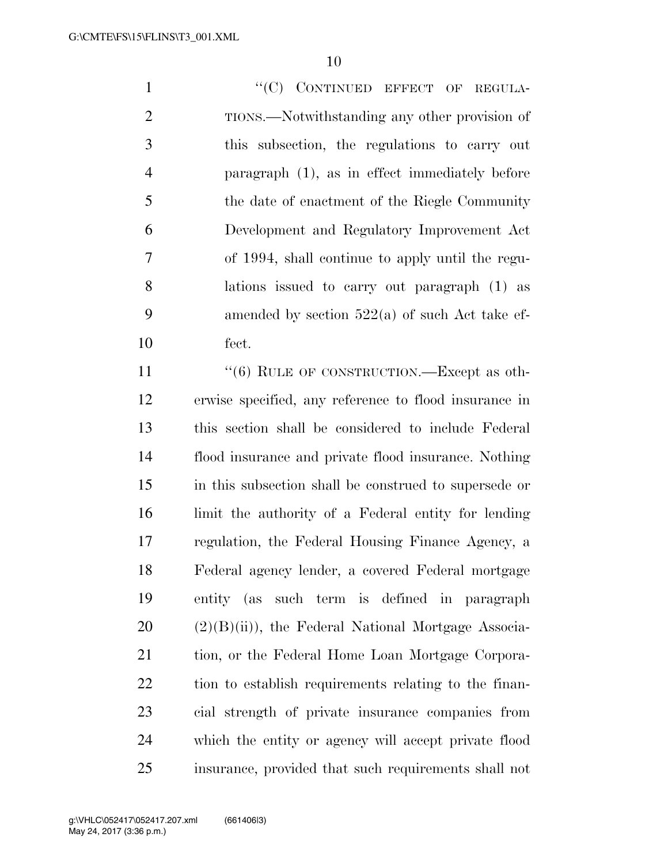1 ""(C) CONTINUED EFFECT OF REGULA- TIONS.—Notwithstanding any other provision of this subsection, the regulations to carry out paragraph (1), as in effect immediately before the date of enactment of the Riegle Community Development and Regulatory Improvement Act of 1994, shall continue to apply until the regu- lations issued to carry out paragraph (1) as 9 amended by section  $522(a)$  of such Act take ef-fect.

11 "(6) RULE OF CONSTRUCTION.—Except as oth- erwise specified, any reference to flood insurance in this section shall be considered to include Federal flood insurance and private flood insurance. Nothing in this subsection shall be construed to supersede or limit the authority of a Federal entity for lending regulation, the Federal Housing Finance Agency, a Federal agency lender, a covered Federal mortgage entity (as such term is defined in paragraph  $20 \text{ (2)}(B)(ii)$ , the Federal National Mortgage Associa- tion, or the Federal Home Loan Mortgage Corpora- tion to establish requirements relating to the finan- cial strength of private insurance companies from which the entity or agency will accept private flood insurance, provided that such requirements shall not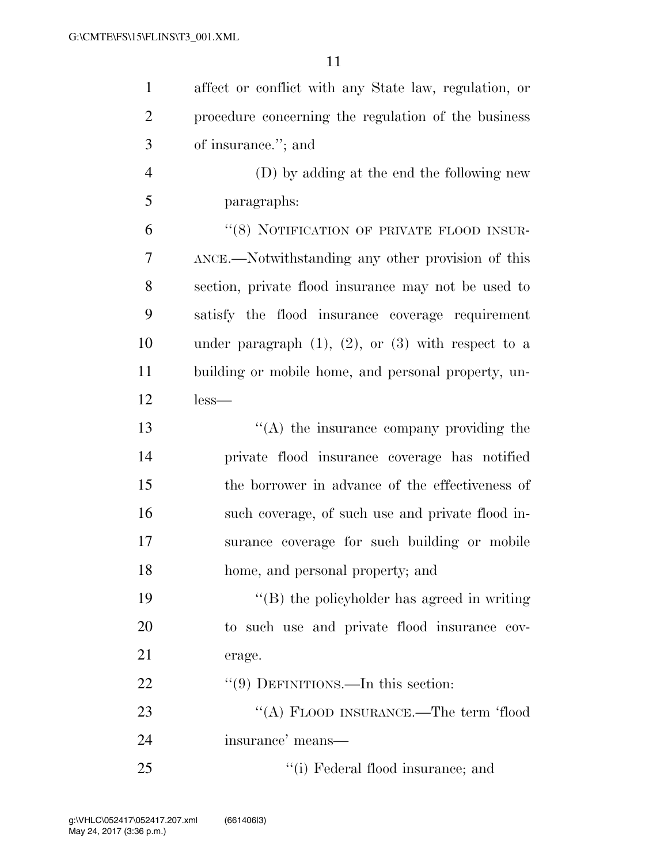| $\mathbf{1}$   | affect or conflict with any State law, regulation, or      |
|----------------|------------------------------------------------------------|
| $\overline{2}$ | procedure concerning the regulation of the business        |
| 3              | of insurance."; and                                        |
| $\overline{4}$ | (D) by adding at the end the following new                 |
| 5              | paragraphs:                                                |
| 6              | "(8) NOTIFICATION OF PRIVATE FLOOD INSUR-                  |
| 7              | ANCE.—Notwithstanding any other provision of this          |
| 8              | section, private flood insurance may not be used to        |
| 9              | satisfy the flood insurance coverage requirement           |
| 10             | under paragraph $(1)$ , $(2)$ , or $(3)$ with respect to a |
| 11             | building or mobile home, and personal property, un-        |
| 12             | $less-$                                                    |
| 13             | $\lq\lq$ the insurance company providing the               |
| 14             | private flood insurance coverage has notified              |
| 15             | the borrower in advance of the effectiveness of            |
| 16             | such coverage, of such use and private flood in-           |
| $17\,$         | surance coverage for such building or mobile               |
| 18             | home, and personal property; and                           |
| 19             | "(B) the policyholder has agreed in writing                |
| 20             | to such use and private flood insurance cov-               |
| 21             | erage.                                                     |
| 22             | $\lq(9)$ DEFINITIONS.—In this section:                     |
| 23             | "(A) FLOOD INSURANCE.—The term 'flood                      |
| 24             | insurance' means—                                          |
| 25             | "(i) Federal flood insurance; and                          |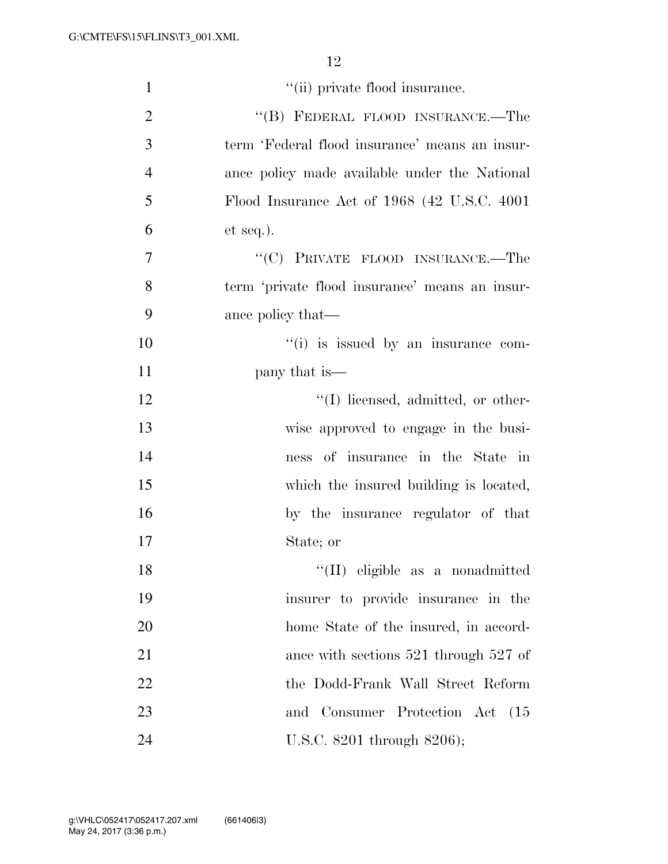| $\mathbf{1}$   | "(ii) private flood insurance.                 |
|----------------|------------------------------------------------|
| $\overline{2}$ | "(B) FEDERAL FLOOD INSURANCE.—The              |
| 3              | term 'Federal flood insurance' means an insur- |
| $\overline{4}$ | ance policy made available under the National  |
| 5              | Flood Insurance Act of 1968 (42 U.S.C. 4001)   |
| 6              | $et seq.$ ).                                   |
| 7              | "(C) PRIVATE FLOOD INSURANCE.—The              |
| 8              | term 'private flood insurance' means an insur- |
| 9              | ance policy that—                              |
| 10             | "(i) is issued by an insurance com-            |
| 11             | pany that is—                                  |
| 12             | "(I) licensed, admitted, or other-             |
| 13             | wise approved to engage in the busi-           |
| 14             | ness of insurance in the State in              |
| 15             | which the insured building is located,         |
| 16             | by the insurance regulator of that             |
| 17             | State; or                                      |
| 18             | "(II) eligible as a nonadmitted                |
| 19             | insurer to provide insurance in the            |
| 20             | home State of the insured, in accord-          |
| 21             | ance with sections $521$ through $527$ of      |
| 22             | the Dodd-Frank Wall Street Reform              |
| 23             | and Consumer Protection Act<br>(15)            |
| 24             | U.S.C. 8201 through 8206);                     |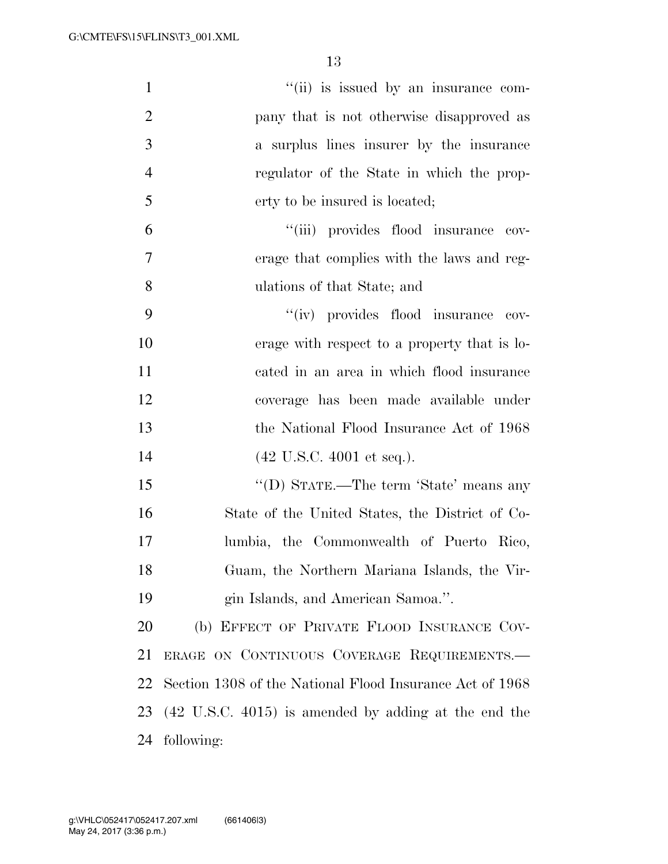| $\mathbf{1}$   | "(ii) is issued by an insurance com-                            |
|----------------|-----------------------------------------------------------------|
| $\overline{2}$ | pany that is not otherwise disapproved as                       |
| 3              | a surplus lines insurer by the insurance                        |
| $\overline{4}$ | regulator of the State in which the prop-                       |
| 5              | erty to be insured is located;                                  |
| 6              | "(iii) provides flood insurance cov-                            |
| 7              | erage that complies with the laws and reg-                      |
| 8              | ulations of that State; and                                     |
| 9              | "(iv) provides flood insurance cov-                             |
| 10             | erage with respect to a property that is lo-                    |
| 11             | cated in an area in which flood insurance                       |
| 12             | coverage has been made available under                          |
| 13             | the National Flood Insurance Act of 1968                        |
| 14             | $(42 \text{ U.S.C. } 4001 \text{ et seq.}).$                    |
| 15             | "(D) STATE.—The term 'State' means any                          |
| 16             | State of the United States, the District of Co-                 |
| 17             | lumbia, the Commonwealth of Puerto Rico,                        |
| 18             | Guam, the Northern Mariana Islands, the Vir-                    |
| 19             | gin Islands, and American Samoa.".                              |
| 20             | (b) EFFECT OF PRIVATE FLOOD INSURANCE COV-                      |
| 21             | ERAGE ON CONTINUOUS COVERAGE REQUIREMENTS.                      |
| 22             | Section 1308 of the National Flood Insurance Act of 1968        |
| 23             | $(42 \text{ U.S.C. } 4015)$ is amended by adding at the end the |
| 24             | following:                                                      |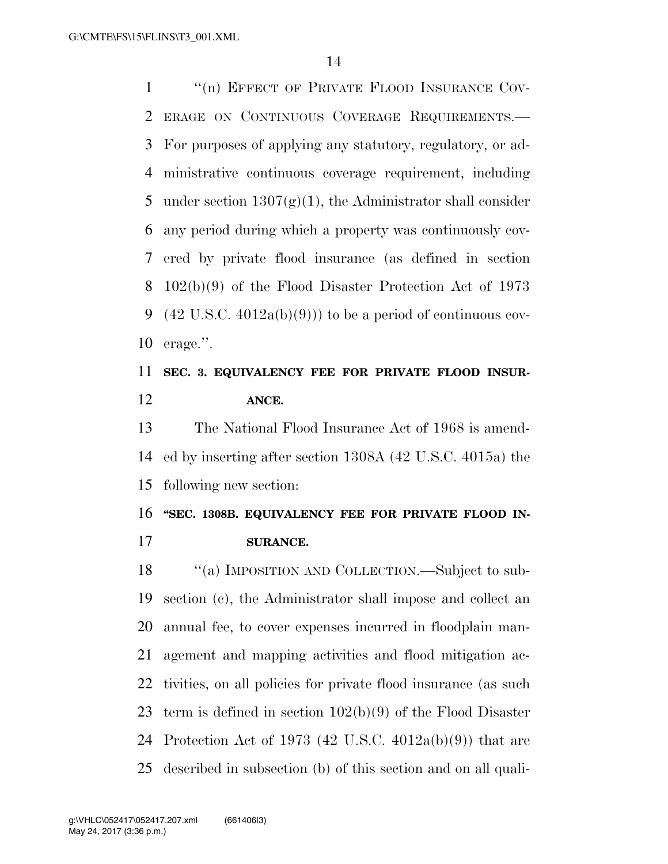1 "(n) EFFECT OF PRIVATE FLOOD INSURANCE COV- ERAGE ON CONTINUOUS COVERAGE REQUIREMENTS.— For purposes of applying any statutory, regulatory, or ad- ministrative continuous coverage requirement, including 5 under section  $1307(g)(1)$ , the Administrator shall consider any period during which a property was continuously cov- ered by private flood insurance (as defined in section 102(b)(9) of the Flood Disaster Protection Act of 1973 9 (42 U.S.C.  $4012a(b)(9)$ ) to be a period of continuous cov-erage.''.

# **SEC. 3. EQUIVALENCY FEE FOR PRIVATE FLOOD INSUR-ANCE.**

 The National Flood Insurance Act of 1968 is amend- ed by inserting after section 1308A (42 U.S.C. 4015a) the following new section:

### **''SEC. 1308B. EQUIVALENCY FEE FOR PRIVATE FLOOD IN-SURANCE.**

18 "(a) IMPOSITION AND COLLECTION.—Subject to sub- section (c), the Administrator shall impose and collect an annual fee, to cover expenses incurred in floodplain man- agement and mapping activities and flood mitigation ac- tivities, on all policies for private flood insurance (as such 23 term is defined in section  $102(b)(9)$  of the Flood Disaster Protection Act of 1973 (42 U.S.C. 4012a(b)(9)) that are described in subsection (b) of this section and on all quali-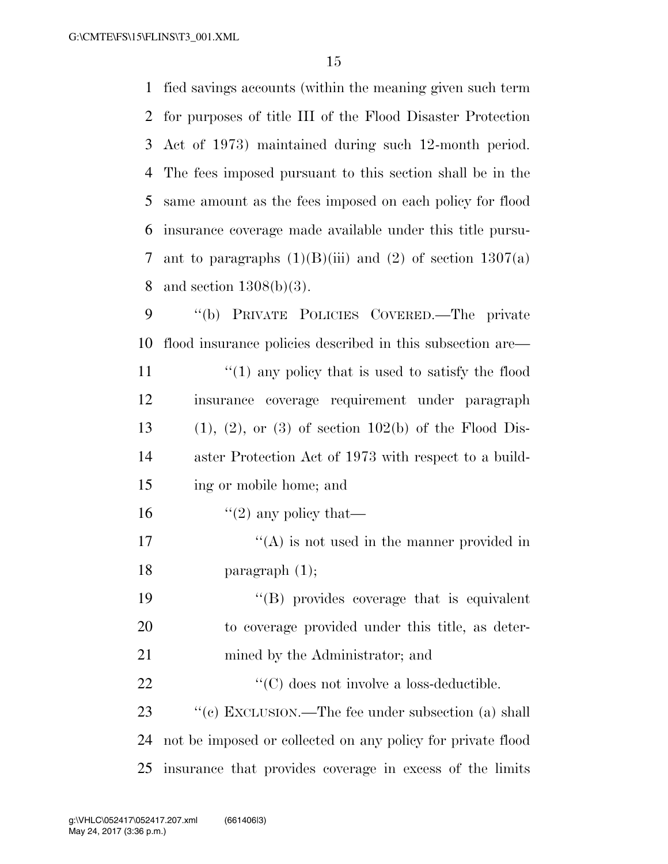| $\mathbf 1$    | fied savings accounts (within the meaning given such term      |
|----------------|----------------------------------------------------------------|
| $\overline{2}$ | for purposes of title III of the Flood Disaster Protection     |
| 3              | Act of 1973) maintained during such 12-month period.           |
| 4              | The fees imposed pursuant to this section shall be in the      |
| 5              | same amount as the fees imposed on each policy for flood       |
| 6              | insurance coverage made available under this title pursu-      |
| 7              | ant to paragraphs $(1)(B)(iii)$ and $(2)$ of section $1307(a)$ |
| 8              | and section $1308(b)(3)$ .                                     |
| 9              | "(b) PRIVATE POLICIES COVERED.—The private                     |
| 10             | flood insurance policies described in this subsection are—     |
| 11             | $\lq(1)$ any policy that is used to satisfy the flood          |
| 12             | insurance coverage requirement under paragraph                 |
| 13             | $(1), (2),$ or $(3)$ of section 102(b) of the Flood Dis-       |
| 14             | aster Protection Act of 1973 with respect to a build-          |
| 15             | ing or mobile home; and                                        |
| 16             | "(2) any policy that—                                          |
| 17             | $\cdot$ (A) is not used in the manner provided in              |
| 18             | paragraph $(1)$ ;                                              |
| 19             | "(B) provides coverage that is equivalent                      |
| 20             | to coverage provided under this title, as deter-               |
| 21             | mined by the Administrator; and                                |
| 22             | $\lq\lq$ <sup>(C)</sup> does not involve a loss-deductible.    |
| 23             | "(c) EXCLUSION.—The fee under subsection (a) shall             |
| 24             | not be imposed or collected on any policy for private flood    |
| 25             | insurance that provides coverage in excess of the limits       |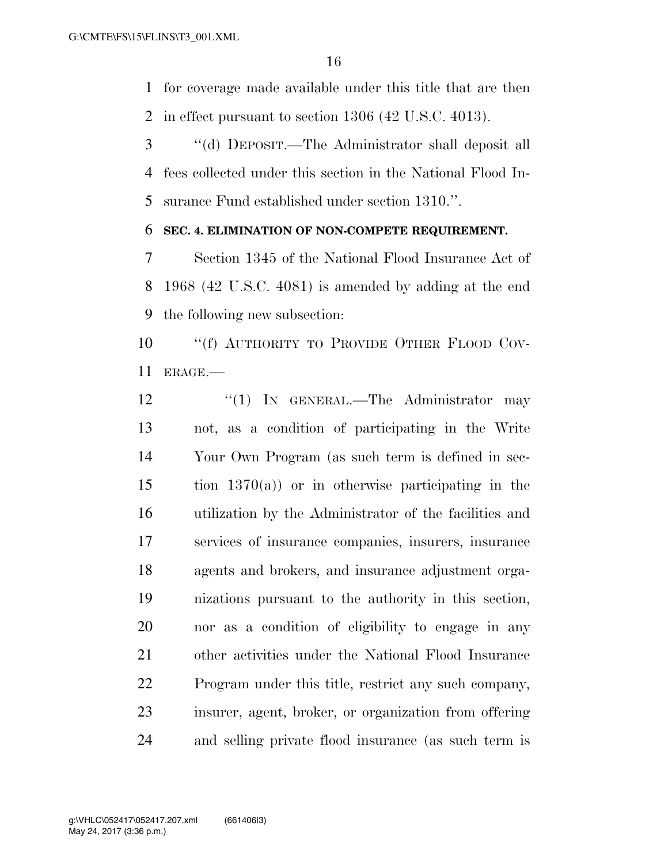for coverage made available under this title that are then in effect pursuant to section 1306 (42 U.S.C. 4013).

 ''(d) DEPOSIT.—The Administrator shall deposit all fees collected under this section in the National Flood In-surance Fund established under section 1310.''.

#### **SEC. 4. ELIMINATION OF NON-COMPETE REQUIREMENT.**

 Section 1345 of the National Flood Insurance Act of 1968 (42 U.S.C. 4081) is amended by adding at the end the following new subsection:

10 "'(f) AUTHORITY TO PROVIDE OTHER FLOOD COV-ERAGE.—

12 "(1) IN GENERAL.—The Administrator may not, as a condition of participating in the Write Your Own Program (as such term is defined in sec- tion 1370(a)) or in otherwise participating in the utilization by the Administrator of the facilities and services of insurance companies, insurers, insurance agents and brokers, and insurance adjustment orga- nizations pursuant to the authority in this section, nor as a condition of eligibility to engage in any other activities under the National Flood Insurance Program under this title, restrict any such company, insurer, agent, broker, or organization from offering and selling private flood insurance (as such term is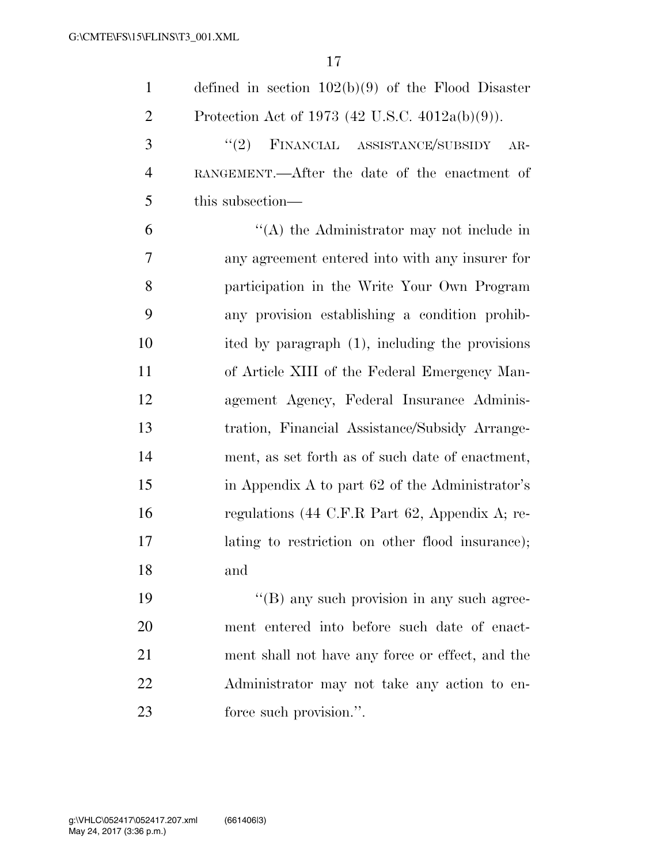| $\mathbf{1}$   | defined in section $102(b)(9)$ of the Flood Disaster                      |
|----------------|---------------------------------------------------------------------------|
| $\overline{2}$ | Protection Act of 1973 (42 U.S.C. 4012a(b)(9)).                           |
| 3              | (2)<br>FINANCIAL ASSISTANCE/SUBSIDY<br>$AR-$                              |
| $\overline{4}$ | RANGEMENT.—After the date of the enactment of                             |
| 5              | this subsection—                                                          |
| 6              | $\lq\lq$ the Administrator may not include in                             |
| 7              | any agreement entered into with any insurer for                           |
| 8              | participation in the Write Your Own Program                               |
| 9              | any provision establishing a condition prohib-                            |
| 10             | ited by paragraph (1), including the provisions                           |
| 11             | of Article XIII of the Federal Emergency Man-                             |
| 12             | agement Agency, Federal Insurance Adminis-                                |
| 13             | tration, Financial Assistance/Subsidy Arrange-                            |
| 14             | ment, as set forth as of such date of enactment,                          |
| 15             | in Appendix A to part 62 of the Administrator's                           |
| 16             | regulations $(44 \text{ C.F.R Part } 62, \text{ Appendix A}; \text{ re-}$ |
| 17             | lating to restriction on other flood insurance);                          |
| 18             | and                                                                       |
| 19             | $\lq\lq$ (B) any such provision in any such agree-                        |
| 20             | ment entered into before such date of enact-                              |
| 21             | ment shall not have any force or effect, and the                          |
| 22             | Administrator may not take any action to en-                              |
|                |                                                                           |

23 force such provision.".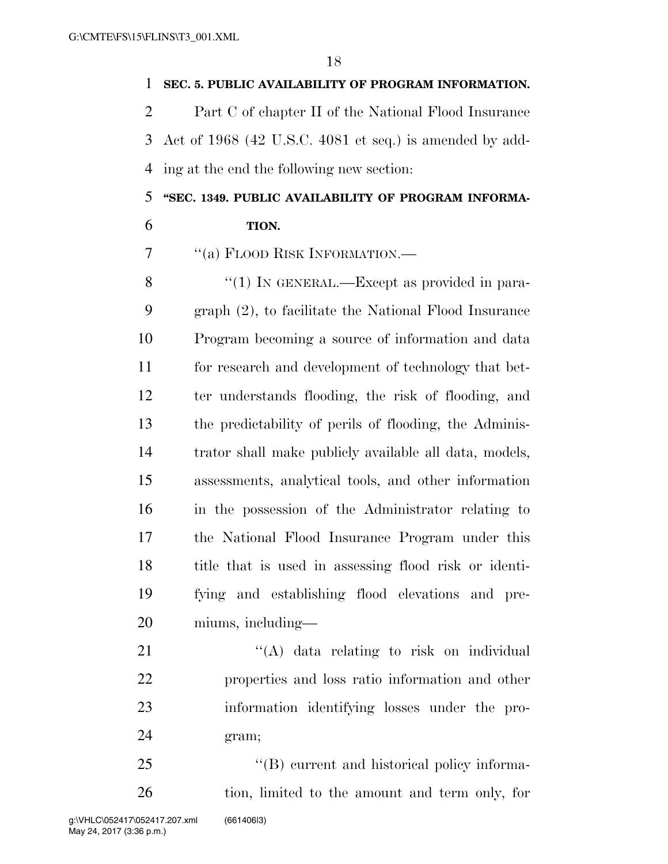#### **SEC. 5. PUBLIC AVAILABILITY OF PROGRAM INFORMATION.**

 Part C of chapter II of the National Flood Insurance Act of 1968 (42 U.S.C. 4081 et seq.) is amended by add-ing at the end the following new section:

### **''SEC. 1349. PUBLIC AVAILABILITY OF PROGRAM INFORMA-TION.**

''(a) FLOOD RISK INFORMATION.—

8 "(1) IN GENERAL.—Except as provided in para- graph (2), to facilitate the National Flood Insurance Program becoming a source of information and data for research and development of technology that bet- ter understands flooding, the risk of flooding, and the predictability of perils of flooding, the Adminis- trator shall make publicly available all data, models, assessments, analytical tools, and other information in the possession of the Administrator relating to the National Flood Insurance Program under this title that is used in assessing flood risk or identi- fying and establishing flood elevations and pre-miums, including—

21 ''(A) data relating to risk on individual properties and loss ratio information and other information identifying losses under the pro-gram;

25 "'(B) current and historical policy informa-tion, limited to the amount and term only, for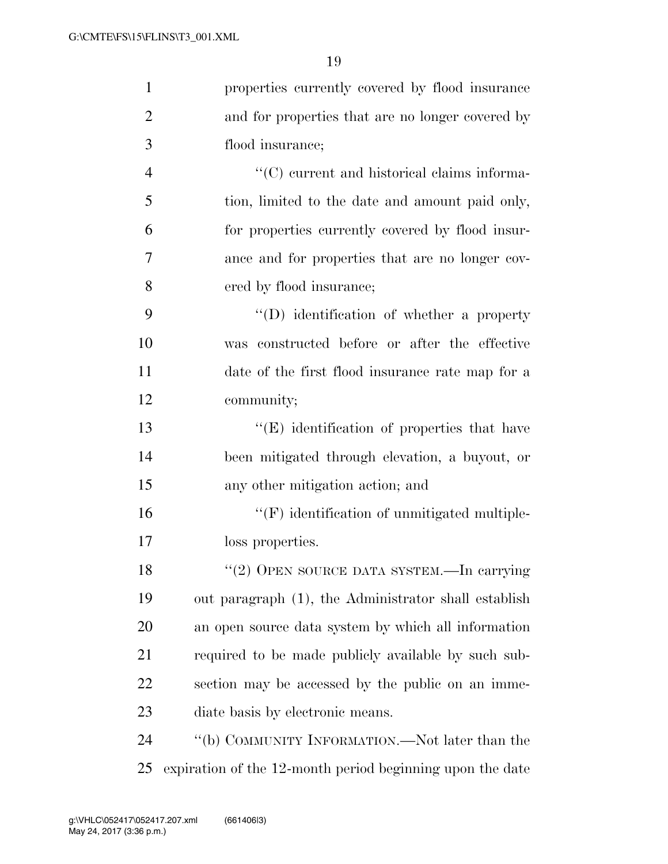| $\mathbf{1}$   | properties currently covered by flood insurance           |
|----------------|-----------------------------------------------------------|
| $\overline{2}$ | and for properties that are no longer covered by          |
| 3              | flood insurance;                                          |
| $\overline{4}$ | $\lq\lq$ current and historical claims informa-           |
| 5              | tion, limited to the date and amount paid only,           |
| 6              | for properties currently covered by flood insur-          |
| 7              | ance and for properties that are no longer cov-           |
| 8              | ered by flood insurance;                                  |
| 9              | $\lq\lq$ ) identification of whether a property           |
| 10             | was constructed before or after the effective             |
| 11             | date of the first flood insurance rate map for a          |
| 12             | community;                                                |
| 13             | $\lq\lq(E)$ identification of properties that have        |
| 14             | been mitigated through elevation, a buyout, or            |
| 15             | any other mitigation action; and                          |
| 16             | $\lq\lq(F)$ identification of unmitigated multiple-       |
| 17             | loss properties.                                          |
| 18             | "(2) OPEN SOURCE DATA SYSTEM.—In carrying                 |
| 19             | out paragraph (1), the Administrator shall establish      |
| 20             | an open source data system by which all information       |
| 21             | required to be made publicly available by such sub-       |
| 22             | section may be accessed by the public on an imme-         |
| 23             | diate basis by electronic means.                          |
| 24             | "(b) COMMUNITY INFORMATION.—Not later than the            |
| 25             | expiration of the 12-month period beginning upon the date |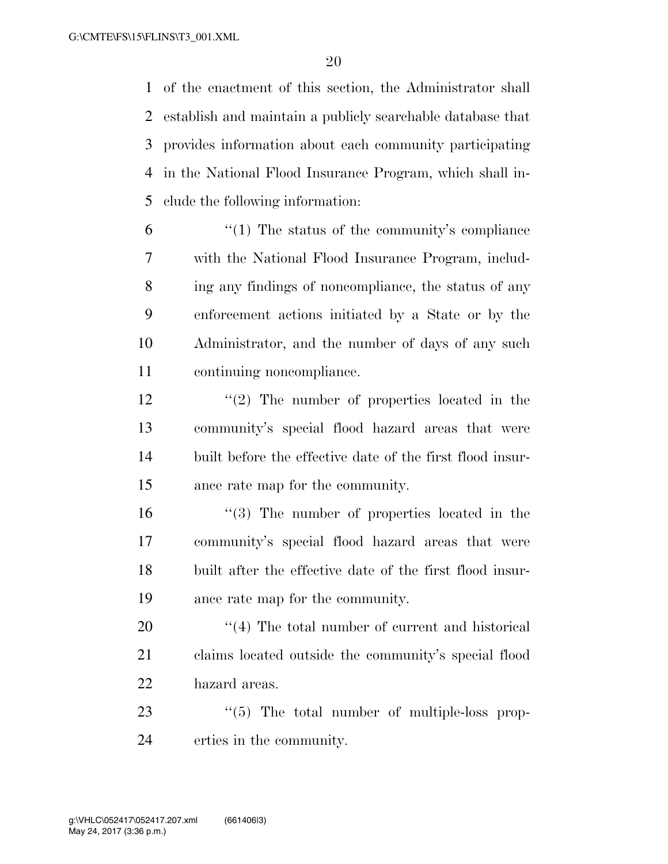of the enactment of this section, the Administrator shall establish and maintain a publicly searchable database that provides information about each community participating in the National Flood Insurance Program, which shall in-clude the following information:

- $\frac{6}{1}$  <sup>"</sup>(1) The status of the community's compliance with the National Flood Insurance Program, includ- ing any findings of noncompliance, the status of any enforcement actions initiated by a State or by the Administrator, and the number of days of any such continuing noncompliance.
- 12 ''(2) The number of properties located in the community's special flood hazard areas that were built before the effective date of the first flood insur-ance rate map for the community.
- ''(3) The number of properties located in the community's special flood hazard areas that were built after the effective date of the first flood insur-ance rate map for the community.
- 20  $\frac{1}{20}$  The total number of current and historical claims located outside the community's special flood hazard areas.
- 23  $\frac{1}{2}$  (5) The total number of multiple-loss prop-erties in the community.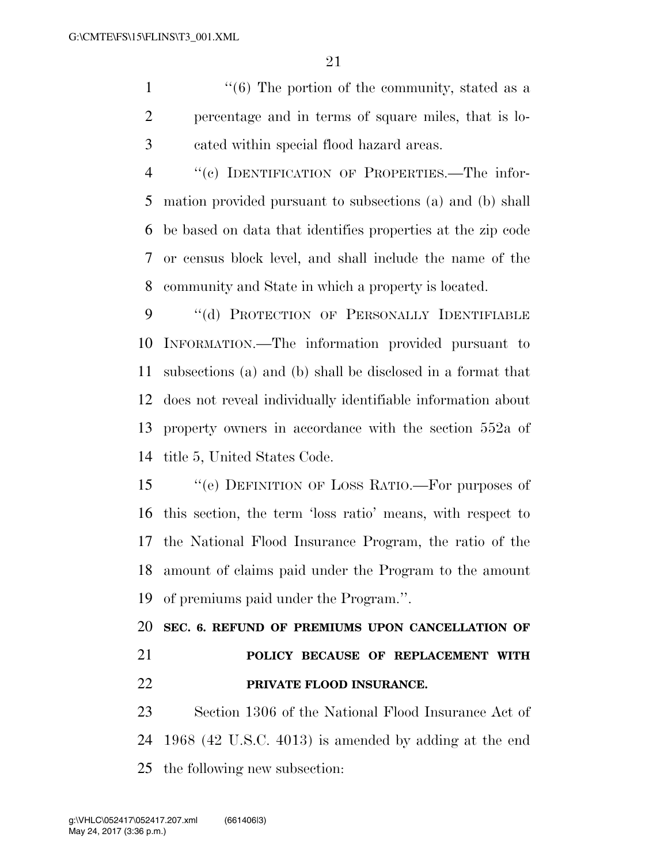1 ''(6) The portion of the community, stated as a percentage and in terms of square miles, that is lo-cated within special flood hazard areas.

 ''(c) IDENTIFICATION OF PROPERTIES.—The infor- mation provided pursuant to subsections (a) and (b) shall be based on data that identifies properties at the zip code or census block level, and shall include the name of the community and State in which a property is located.

9 "(d) PROTECTION OF PERSONALLY IDENTIFIABLE INFORMATION.—The information provided pursuant to subsections (a) and (b) shall be disclosed in a format that does not reveal individually identifiable information about property owners in accordance with the section 552a of title 5, United States Code.

 ''(e) DEFINITION OF LOSS RATIO.—For purposes of this section, the term 'loss ratio' means, with respect to the National Flood Insurance Program, the ratio of the amount of claims paid under the Program to the amount of premiums paid under the Program.''.

 **SEC. 6. REFUND OF PREMIUMS UPON CANCELLATION OF POLICY BECAUSE OF REPLACEMENT WITH PRIVATE FLOOD INSURANCE.** 

 Section 1306 of the National Flood Insurance Act of 1968 (42 U.S.C. 4013) is amended by adding at the end the following new subsection: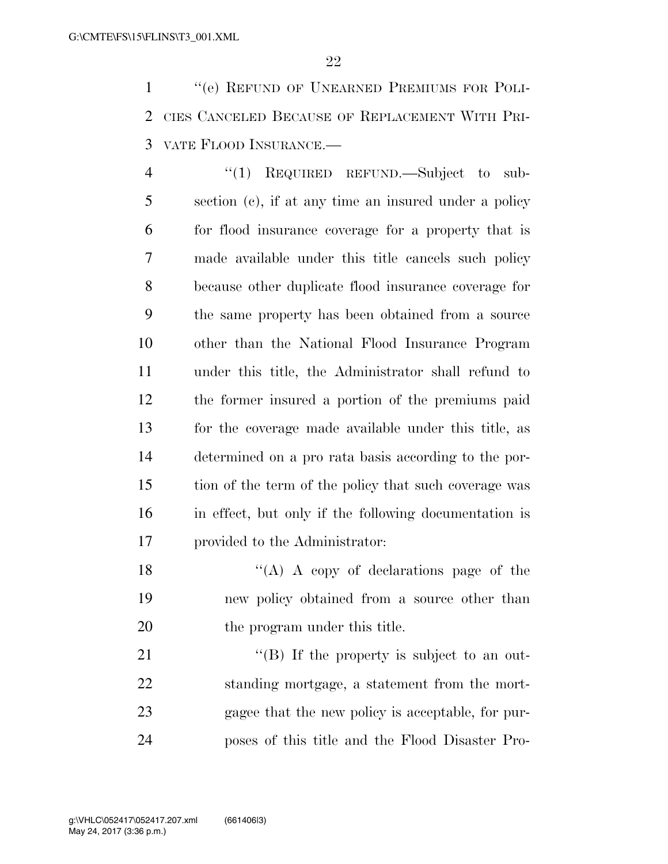''(e) REFUND OF UNEARNED PREMIUMS FOR POLI- CIES CANCELED BECAUSE OF REPLACEMENT WITH PRI-VATE FLOOD INSURANCE.—

4 "(1) REQUIRED REFUND.—Subject to sub- section (c), if at any time an insured under a policy for flood insurance coverage for a property that is made available under this title cancels such policy because other duplicate flood insurance coverage for the same property has been obtained from a source other than the National Flood Insurance Program under this title, the Administrator shall refund to the former insured a portion of the premiums paid for the coverage made available under this title, as determined on a pro rata basis according to the por- tion of the term of the policy that such coverage was in effect, but only if the following documentation is provided to the Administrator:

18  $\langle (A) \rangle$  A copy of declarations page of the new policy obtained from a source other than 20 the program under this title.

21 "(B) If the property is subject to an out- standing mortgage, a statement from the mort- gagee that the new policy is acceptable, for pur-poses of this title and the Flood Disaster Pro-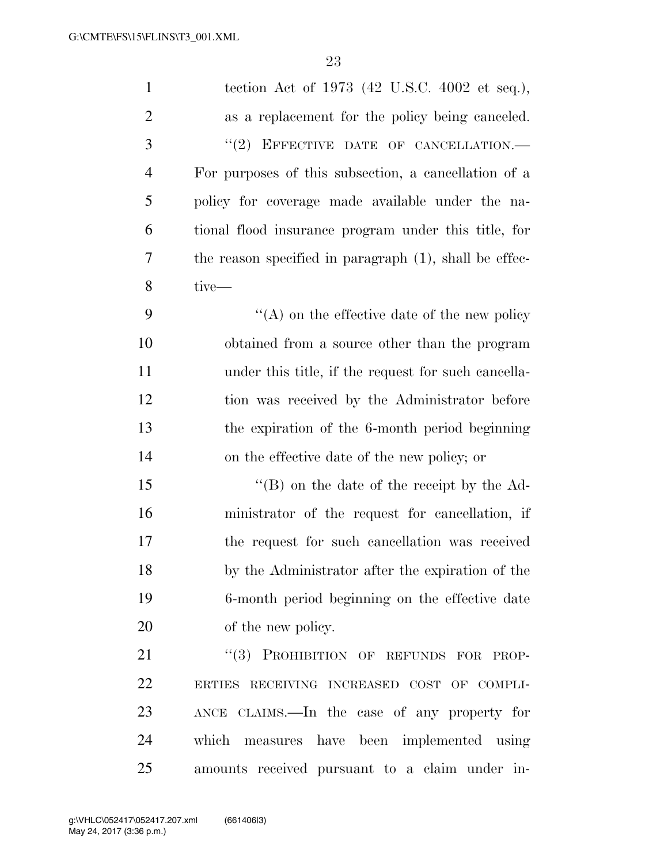| $\mathbf{1}$   | tection Act of 1973 (42 U.S.C. 4002 et seq.),             |
|----------------|-----------------------------------------------------------|
| $\overline{2}$ | as a replacement for the policy being canceled.           |
| 3              | $``(2)$ EFFECTIVE DATE OF CANCELLATION.—                  |
| $\overline{4}$ | For purposes of this subsection, a cancellation of a      |
| 5              | policy for coverage made available under the na-          |
| 6              | tional flood insurance program under this title, for      |
| 7              | the reason specified in paragraph $(1)$ , shall be effec- |
| 8              | tive-                                                     |
| 9              | $\lq\lq$ on the effective date of the new policy          |
| 10             | obtained from a source other than the program             |
| 11             | under this title, if the request for such cancella-       |
| 12             | tion was received by the Administrator before             |
| 13             | the expiration of the 6-month period beginning            |
| 14             | on the effective date of the new policy; or               |
| 15             | $\lq\lq (B)$ on the date of the receipt by the Ad-        |
| 16             | ministrator of the request for cancellation, if           |
| 17             | the request for such cancellation was received            |
| 18             | by the Administrator after the expiration of the          |
| 19             | 6-month period beginning on the effective date            |
| 20             | of the new policy.                                        |
| 21             | "(3) PROHIBITION OF REFUNDS FOR PROP-                     |
| 22             | ERTIES RECEIVING INCREASED COST OF COMPLI-                |
| 23             | ANCE CLAIMS.—In the case of any property for              |
| 24             | which<br>measures have been implemented using             |
| 25             | amounts received pursuant to a claim under in-            |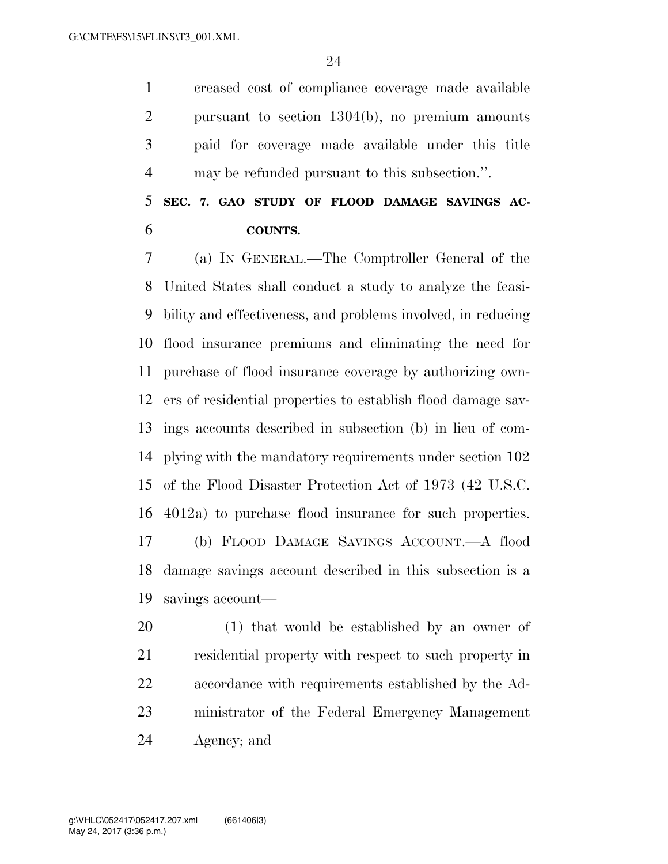creased cost of compliance coverage made available pursuant to section 1304(b), no premium amounts paid for coverage made available under this title may be refunded pursuant to this subsection.''.

 **SEC. 7. GAO STUDY OF FLOOD DAMAGE SAVINGS AC-COUNTS.** 

 (a) IN GENERAL.—The Comptroller General of the United States shall conduct a study to analyze the feasi- bility and effectiveness, and problems involved, in reducing flood insurance premiums and eliminating the need for purchase of flood insurance coverage by authorizing own- ers of residential properties to establish flood damage sav- ings accounts described in subsection (b) in lieu of com- plying with the mandatory requirements under section 102 of the Flood Disaster Protection Act of 1973 (42 U.S.C. 4012a) to purchase flood insurance for such properties. (b) FLOOD DAMAGE SAVINGS ACCOUNT.—A flood damage savings account described in this subsection is a savings account—

 (1) that would be established by an owner of residential property with respect to such property in accordance with requirements established by the Ad- ministrator of the Federal Emergency Management Agency; and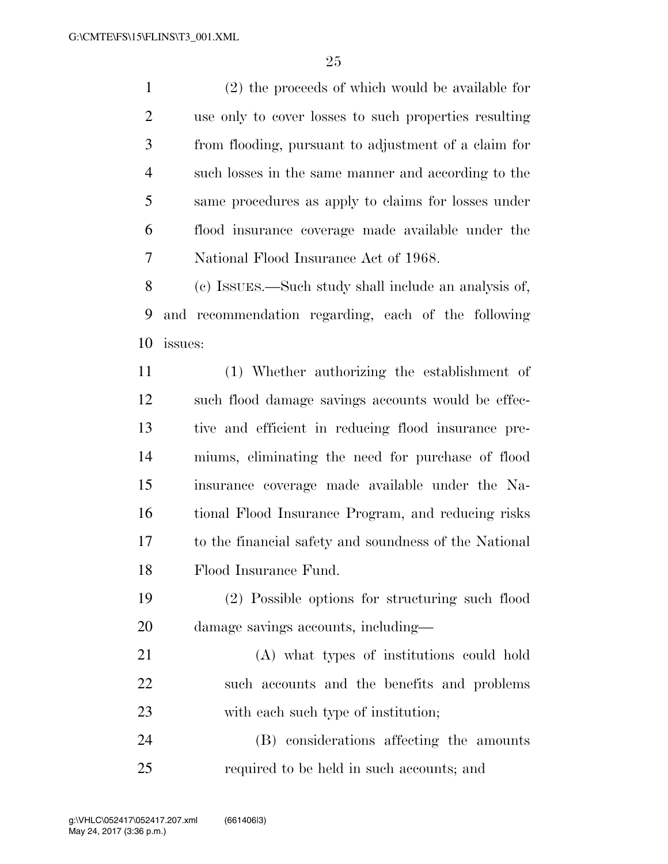(2) the proceeds of which would be available for use only to cover losses to such properties resulting from flooding, pursuant to adjustment of a claim for such losses in the same manner and according to the same procedures as apply to claims for losses under flood insurance coverage made available under the National Flood Insurance Act of 1968.

 (c) ISSUES.—Such study shall include an analysis of, and recommendation regarding, each of the following issues:

 (1) Whether authorizing the establishment of such flood damage savings accounts would be effec- tive and efficient in reducing flood insurance pre- miums, eliminating the need for purchase of flood insurance coverage made available under the Na- tional Flood Insurance Program, and reducing risks to the financial safety and soundness of the National Flood Insurance Fund.

- (2) Possible options for structuring such flood damage savings accounts, including—
- (A) what types of institutions could hold such accounts and the benefits and problems 23 with each such type of institution;

 (B) considerations affecting the amounts required to be held in such accounts; and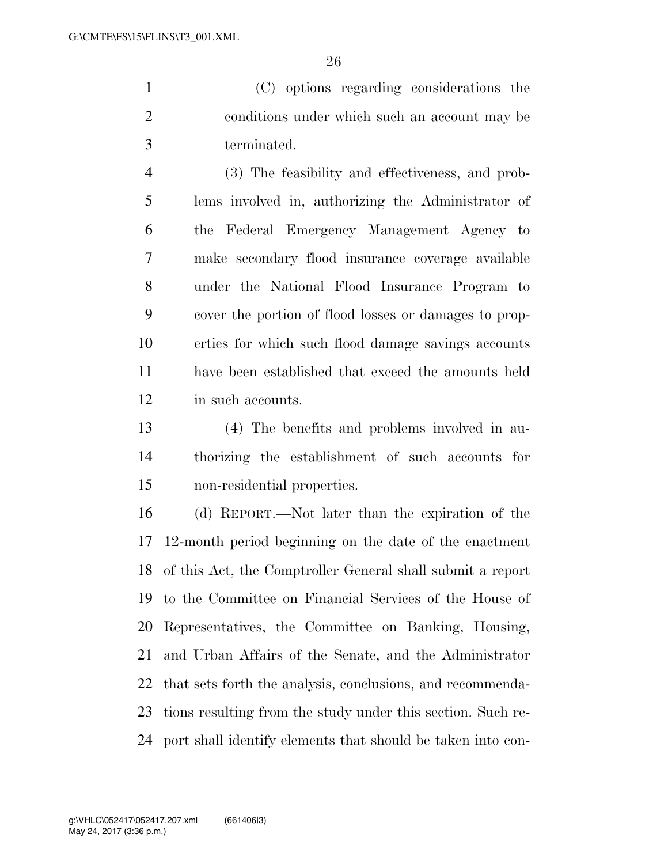(C) options regarding considerations the conditions under which such an account may be terminated.

 (3) The feasibility and effectiveness, and prob- lems involved in, authorizing the Administrator of the Federal Emergency Management Agency to make secondary flood insurance coverage available under the National Flood Insurance Program to cover the portion of flood losses or damages to prop- erties for which such flood damage savings accounts have been established that exceed the amounts held in such accounts.

 (4) The benefits and problems involved in au- thorizing the establishment of such accounts for non-residential properties.

 (d) REPORT.—Not later than the expiration of the 12-month period beginning on the date of the enactment of this Act, the Comptroller General shall submit a report to the Committee on Financial Services of the House of Representatives, the Committee on Banking, Housing, and Urban Affairs of the Senate, and the Administrator that sets forth the analysis, conclusions, and recommenda- tions resulting from the study under this section. Such re-port shall identify elements that should be taken into con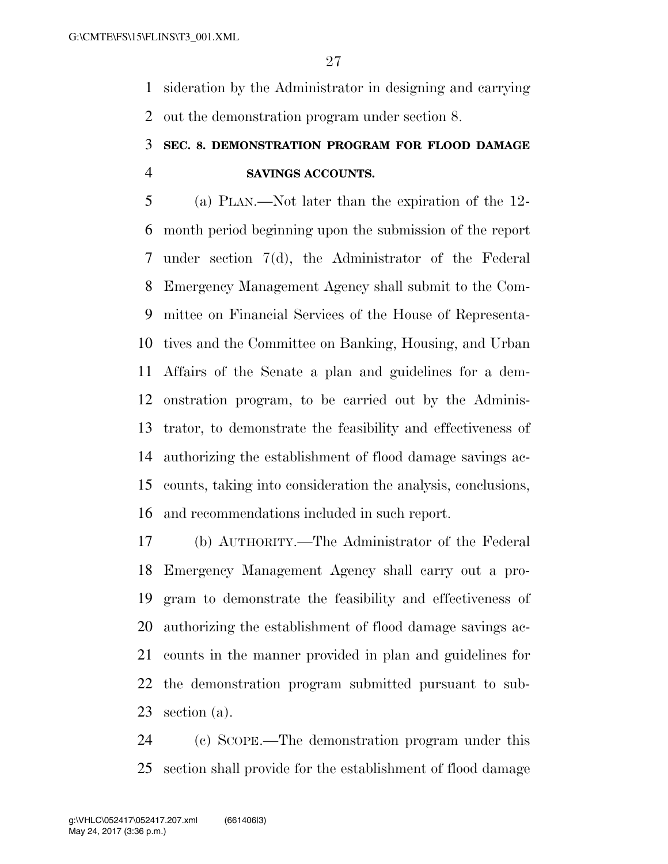sideration by the Administrator in designing and carrying out the demonstration program under section 8.

# **SEC. 8. DEMONSTRATION PROGRAM FOR FLOOD DAMAGE SAVINGS ACCOUNTS.**

 (a) PLAN.—Not later than the expiration of the 12- month period beginning upon the submission of the report under section 7(d), the Administrator of the Federal Emergency Management Agency shall submit to the Com- mittee on Financial Services of the House of Representa- tives and the Committee on Banking, Housing, and Urban Affairs of the Senate a plan and guidelines for a dem- onstration program, to be carried out by the Adminis- trator, to demonstrate the feasibility and effectiveness of authorizing the establishment of flood damage savings ac- counts, taking into consideration the analysis, conclusions, and recommendations included in such report.

 (b) AUTHORITY.—The Administrator of the Federal Emergency Management Agency shall carry out a pro- gram to demonstrate the feasibility and effectiveness of authorizing the establishment of flood damage savings ac- counts in the manner provided in plan and guidelines for the demonstration program submitted pursuant to sub-section (a).

 (c) SCOPE.—The demonstration program under this section shall provide for the establishment of flood damage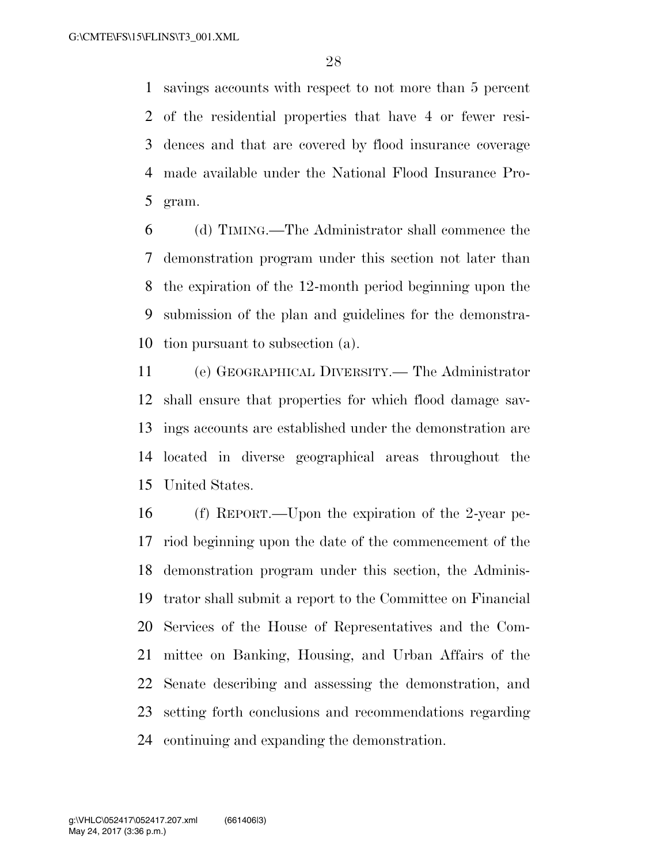savings accounts with respect to not more than 5 percent of the residential properties that have 4 or fewer resi- dences and that are covered by flood insurance coverage made available under the National Flood Insurance Pro-gram.

 (d) TIMING.—The Administrator shall commence the demonstration program under this section not later than the expiration of the 12-month period beginning upon the submission of the plan and guidelines for the demonstra-tion pursuant to subsection (a).

 (e) GEOGRAPHICAL DIVERSITY.— The Administrator shall ensure that properties for which flood damage sav- ings accounts are established under the demonstration are located in diverse geographical areas throughout the United States.

 (f) REPORT.—Upon the expiration of the 2-year pe- riod beginning upon the date of the commencement of the demonstration program under this section, the Adminis- trator shall submit a report to the Committee on Financial Services of the House of Representatives and the Com- mittee on Banking, Housing, and Urban Affairs of the Senate describing and assessing the demonstration, and setting forth conclusions and recommendations regarding continuing and expanding the demonstration.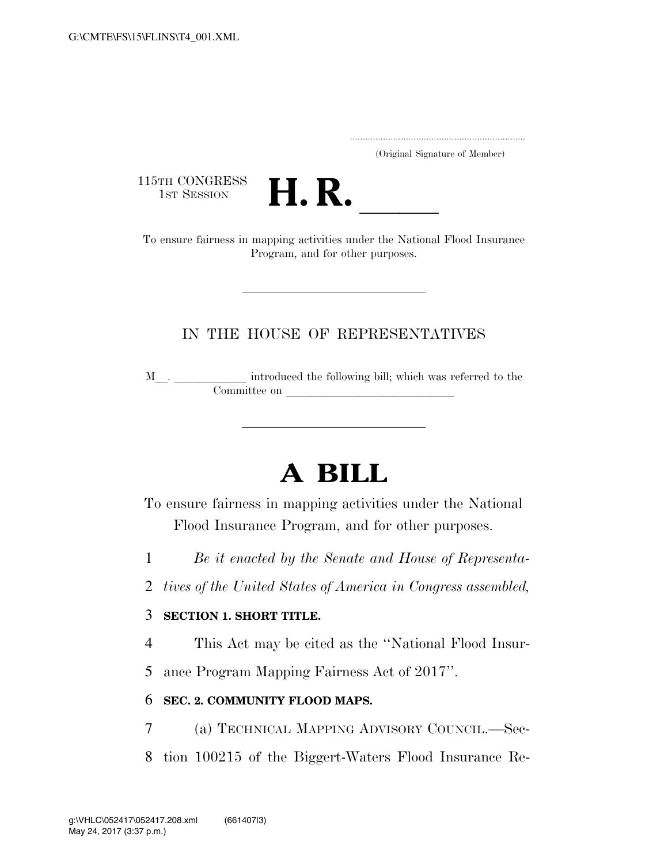..................................................................... (Original Signature of Member)

115TH CONGRESS<br>1st Session



15TH CONGRESS<br>1st SESSION<br>To ensure fairness in mapping activities under the National Flood Insurance Program, and for other purposes.

### IN THE HOUSE OF REPRESENTATIVES

M\_\_. \_\_\_\_\_\_\_\_\_\_\_\_\_ introduced the following bill; which was referred to the Committee on

# **A BILL**

To ensure fairness in mapping activities under the National Flood Insurance Program, and for other purposes.

- 1 *Be it enacted by the Senate and House of Representa-*
- 2 *tives of the United States of America in Congress assembled,*

### 3 **SECTION 1. SHORT TITLE.**

- 4 This Act may be cited as the ''National Flood Insur-
- 5 ance Program Mapping Fairness Act of 2017''.

### 6 **SEC. 2. COMMUNITY FLOOD MAPS.**

- 7 (a) TECHNICAL MAPPING ADVISORY COUNCIL.—Sec-
- 8 tion 100215 of the Biggert-Waters Flood Insurance Re-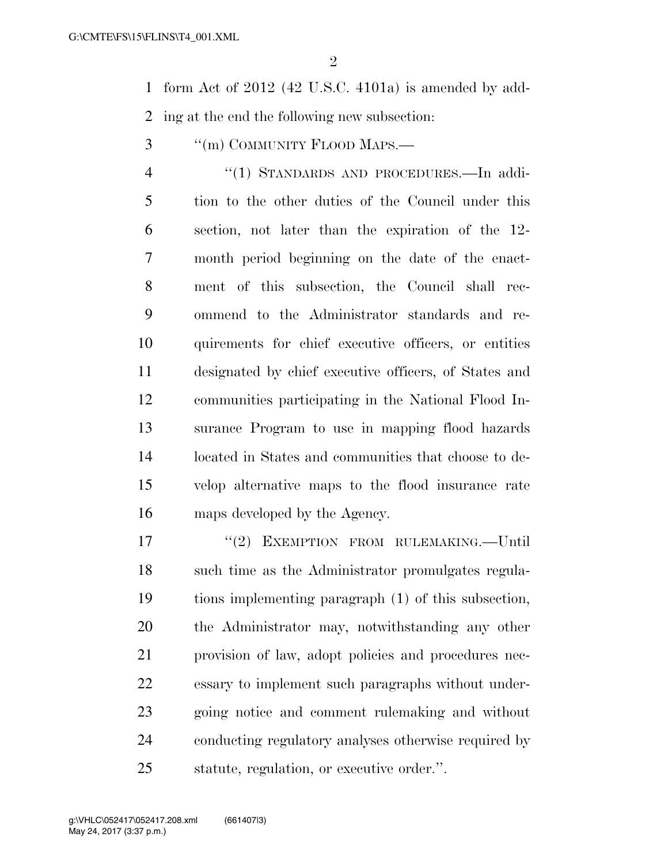$\mathfrak{D}$ 

 form Act of 2012 (42 U.S.C. 4101a) is amended by add-ing at the end the following new subsection:

3 "(m) COMMUNITY FLOOD MAPS.—

 ''(1) STANDARDS AND PROCEDURES.—In addi- tion to the other duties of the Council under this section, not later than the expiration of the 12- month period beginning on the date of the enact- ment of this subsection, the Council shall rec- ommend to the Administrator standards and re- quirements for chief executive officers, or entities designated by chief executive officers, of States and communities participating in the National Flood In- surance Program to use in mapping flood hazards located in States and communities that choose to de- velop alternative maps to the flood insurance rate maps developed by the Agency.

17 <sup>"</sup>(2) EXEMPTION FROM RULEMAKING.—Until such time as the Administrator promulgates regula- tions implementing paragraph (1) of this subsection, the Administrator may, notwithstanding any other provision of law, adopt policies and procedures nec- essary to implement such paragraphs without under- going notice and comment rulemaking and without conducting regulatory analyses otherwise required by statute, regulation, or executive order.''.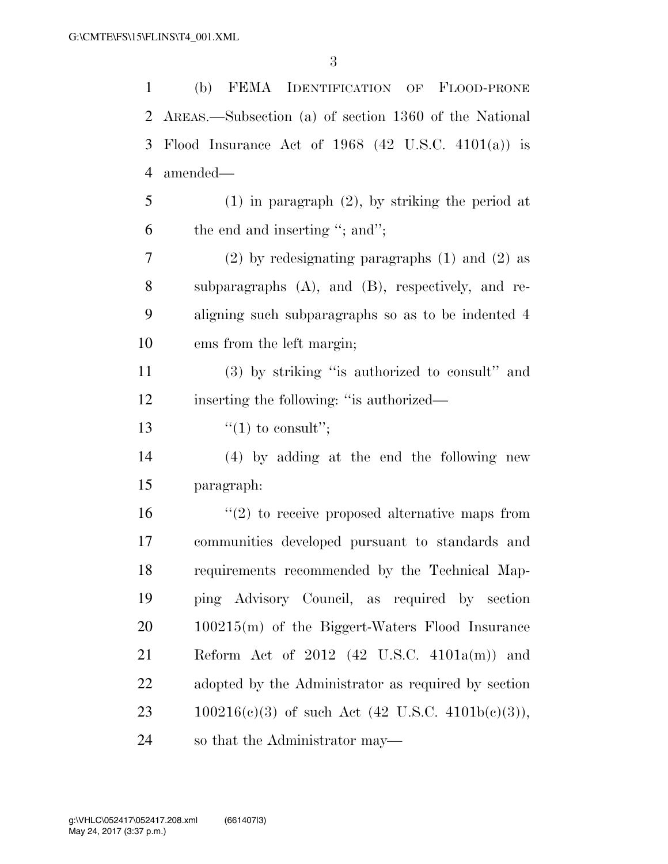| $\mathbf{1}$ | FEMA IDENTIFICATION OF FLOOD-PRONE<br>(b)               |
|--------------|---------------------------------------------------------|
| 2            | AREAS.—Subsection (a) of section 1360 of the National   |
| 3            | Flood Insurance Act of $1968$ (42 U.S.C. 4101(a)) is    |
| 4            | amended—                                                |
| 5            | $(1)$ in paragraph $(2)$ , by striking the period at    |
| 6            | the end and inserting "; and";                          |
| 7            | $(2)$ by redesignating paragraphs $(1)$ and $(2)$ as    |
| 8            | subparagraphs $(A)$ , and $(B)$ , respectively, and re- |
| 9            | aligning such subparagraphs so as to be indented 4      |
| 10           | ems from the left margin;                               |
| 11           | (3) by striking "is authorized to consult" and          |
| 12           | inserting the following: "is authorized—                |
| 13           | "(1) to consult";                                       |
| 14           | (4) by adding at the end the following new              |
| 15           | paragraph:                                              |
| 16           | $\lq(2)$ to receive proposed alternative maps from      |
| 17           | communities developed pursuant to standards and         |
| 18           | requirements recommended by the Technical Map-          |
| 19           | ping Advisory Council, as required by section           |
| 20           | $100215(m)$ of the Biggert-Waters Flood Insurance       |
| 21           | Reform Act of $2012$ (42 U.S.C. 4101a(m)) and           |
| 22           | adopted by the Administrator as required by section     |
| 23           | $100216(c)(3)$ of such Act (42 U.S.C. 4101b(c)(3)),     |
| 24           | so that the Administrator may—                          |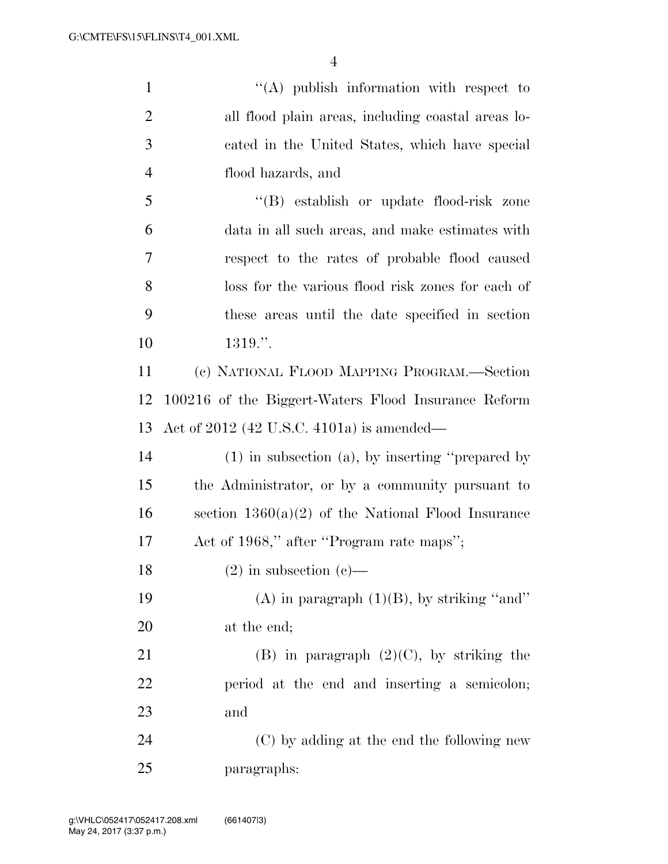1 ''(A) publish information with respect to all flood plain areas, including coastal areas lo- cated in the United States, which have special flood hazards, and ''(B) establish or update flood-risk zone data in all such areas, and make estimates with respect to the rates of probable flood caused loss for the various flood risk zones for each of these areas until the date specified in section 1319.''. (c) NATIONAL FLOOD MAPPING PROGRAM.—Section 100216 of the Biggert-Waters Flood Insurance Reform Act of 2012 (42 U.S.C. 4101a) is amended— (1) in subsection (a), by inserting ''prepared by the Administrator, or by a community pursuant to 16 section  $1360(a)(2)$  of the National Flood Insurance 17 Act of 1968," after "Program rate maps"; 18 (2) in subsection  $(c)$ — 19 (A) in paragraph  $(1)(B)$ , by striking "and" at the end; 21 (B) in paragraph  $(2)(C)$ , by striking the period at the end and inserting a semicolon; and (C) by adding at the end the following new paragraphs: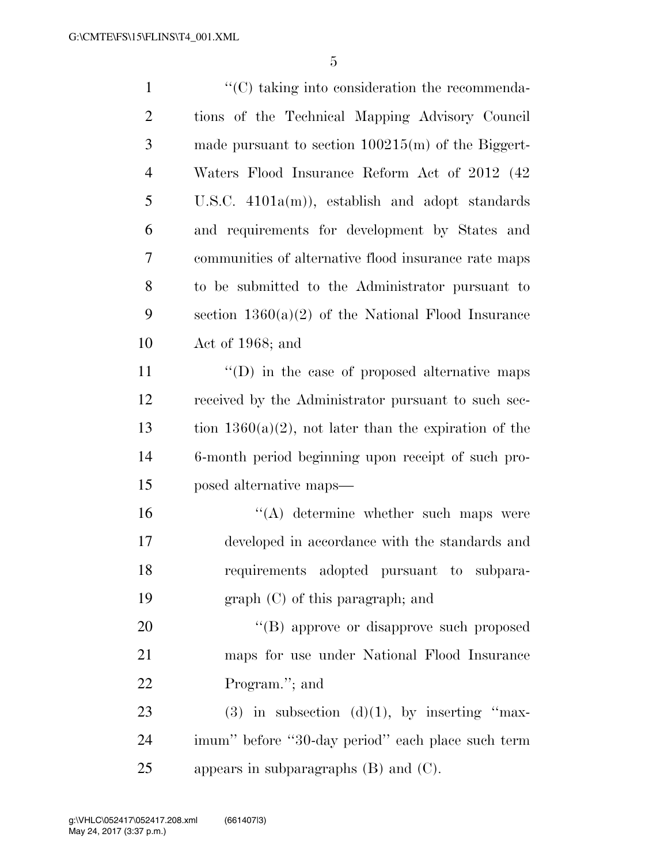| $\mathbf{1}$   | $\cdot$ (C) taking into consideration the recommenda-    |
|----------------|----------------------------------------------------------|
| $\overline{2}$ | tions of the Technical Mapping Advisory Council          |
| 3              | made pursuant to section $100215(m)$ of the Biggert-     |
| $\overline{4}$ | Waters Flood Insurance Reform Act of 2012 (42)           |
| 5              | U.S.C. $4101a(m)$ , establish and adopt standards        |
| 6              | and requirements for development by States and           |
| 7              | communities of alternative flood insurance rate maps     |
| 8              | to be submitted to the Administrator pursuant to         |
| 9              | section $1360(a)(2)$ of the National Flood Insurance     |
| 10             | Act of 1968; and                                         |
| 11             | $\lq\lq$ (D) in the case of proposed alternative maps    |
| 12             | received by the Administrator pursuant to such sec-      |
| 13             | tion $1360(a)(2)$ , not later than the expiration of the |
| 14             | 6-month period beginning upon receipt of such pro-       |
| 15             | posed alternative maps—                                  |
| 16             | $\lq\lq$ determine whether such maps were                |
| 17             | developed in accordance with the standards and           |
| 18             | requirements adopted pursuant to subpara-                |
| 19             | $graph (C)$ of this paragraph; and                       |
| 20             | "(B) approve or disapprove such proposed                 |
| 21             | maps for use under National Flood Insurance              |
| 22             | Program."; and                                           |
| 23             | (3) in subsection (d)(1), by inserting "max-             |
| 24             | imum" before "30-day period" each place such term        |
| 25             | appears in subparagraphs $(B)$ and $(C)$ .               |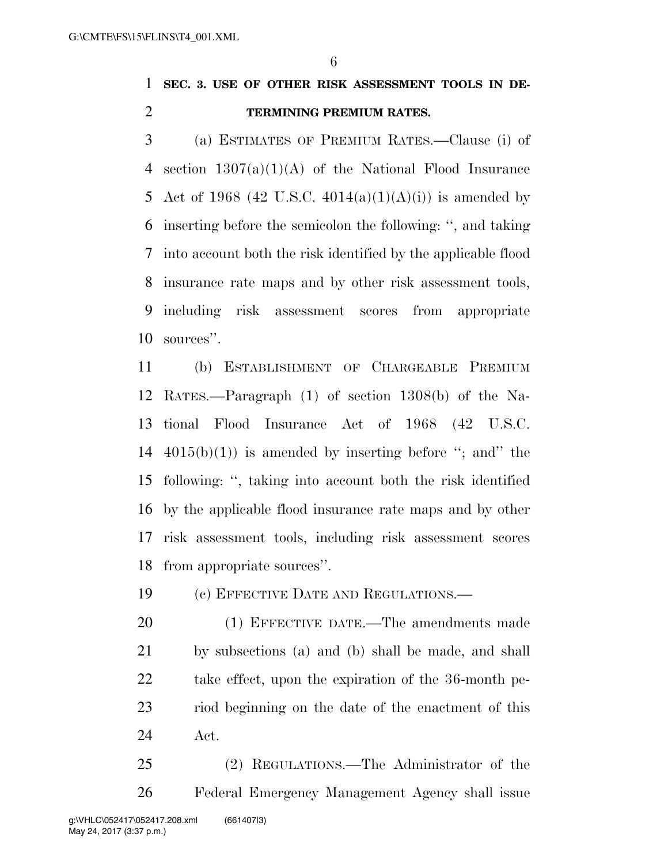# **SEC. 3. USE OF OTHER RISK ASSESSMENT TOOLS IN DE-TERMINING PREMIUM RATES.**

 (a) ESTIMATES OF PREMIUM RATES.—Clause (i) of section 1307(a)(1)(A) of the National Flood Insurance 5 Act of 1968 (42 U.S.C.  $4014(a)(1)(A)(i)$ ) is amended by inserting before the semicolon the following: '', and taking into account both the risk identified by the applicable flood insurance rate maps and by other risk assessment tools, including risk assessment scores from appropriate sources''.

 (b) ESTABLISHMENT OF CHARGEABLE PREMIUM RATES.—Paragraph (1) of section 1308(b) of the Na- tional Flood Insurance Act of 1968 (42 U.S.C.  $4015(b)(1)$  is amended by inserting before "; and" the following: '', taking into account both the risk identified by the applicable flood insurance rate maps and by other risk assessment tools, including risk assessment scores from appropriate sources''.

(c) EFFECTIVE DATE AND REGULATIONS.—

 (1) EFFECTIVE DATE.—The amendments made by subsections (a) and (b) shall be made, and shall take effect, upon the expiration of the 36-month pe- riod beginning on the date of the enactment of this Act.

 (2) REGULATIONS.—The Administrator of the Federal Emergency Management Agency shall issue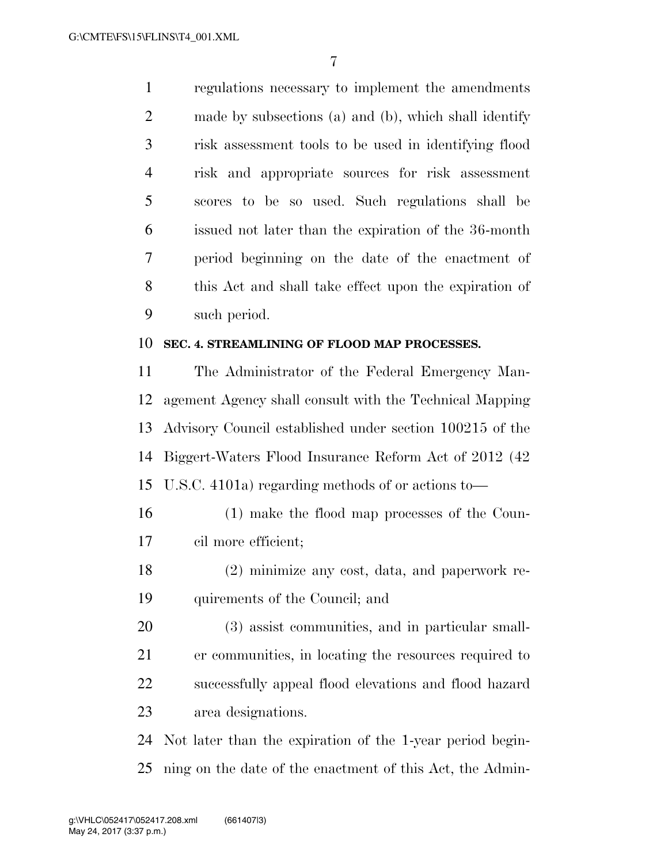regulations necessary to implement the amendments made by subsections (a) and (b), which shall identify risk assessment tools to be used in identifying flood risk and appropriate sources for risk assessment scores to be so used. Such regulations shall be issued not later than the expiration of the 36-month period beginning on the date of the enactment of this Act and shall take effect upon the expiration of such period.

#### **SEC. 4. STREAMLINING OF FLOOD MAP PROCESSES.**

 The Administrator of the Federal Emergency Man- agement Agency shall consult with the Technical Mapping Advisory Council established under section 100215 of the Biggert-Waters Flood Insurance Reform Act of 2012 (42 U.S.C. 4101a) regarding methods of or actions to—

- (1) make the flood map processes of the Coun-cil more efficient;
- (2) minimize any cost, data, and paperwork re-quirements of the Council; and

 (3) assist communities, and in particular small- er communities, in locating the resources required to successfully appeal flood elevations and flood hazard area designations.

 Not later than the expiration of the 1-year period begin-ning on the date of the enactment of this Act, the Admin-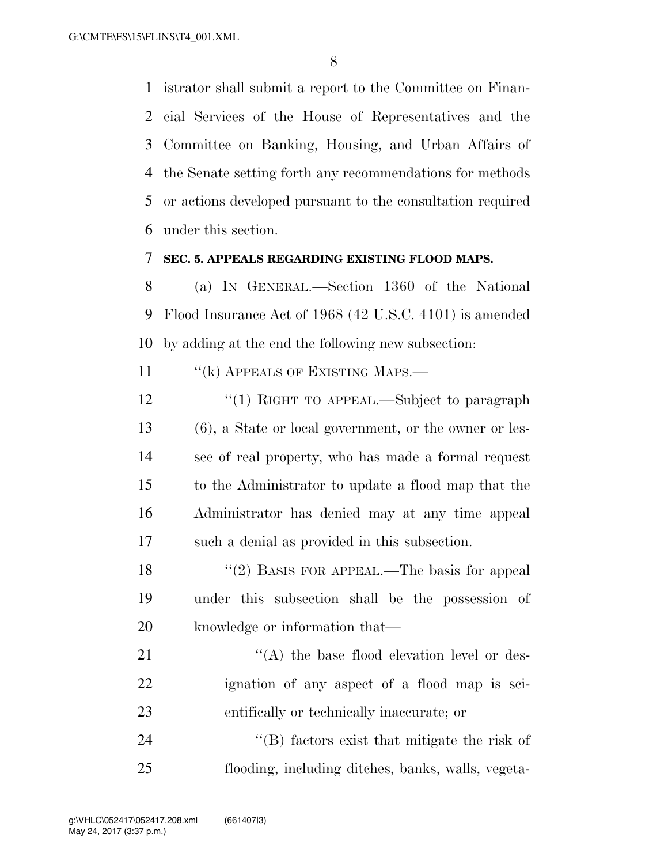istrator shall submit a report to the Committee on Finan- cial Services of the House of Representatives and the Committee on Banking, Housing, and Urban Affairs of the Senate setting forth any recommendations for methods or actions developed pursuant to the consultation required under this section.

#### **SEC. 5. APPEALS REGARDING EXISTING FLOOD MAPS.**

 (a) IN GENERAL.—Section 1360 of the National Flood Insurance Act of 1968 (42 U.S.C. 4101) is amended by adding at the end the following new subsection:

11 " (k) APPEALS OF EXISTING MAPS.—

- 12 "(1) RIGHT TO APPEAL.—Subject to paragraph (6), a State or local government, or the owner or les- see of real property, who has made a formal request to the Administrator to update a flood map that the Administrator has denied may at any time appeal such a denial as provided in this subsection.
- 18 "(2) BASIS FOR APPEAL.—The basis for appeal under this subsection shall be the possession of knowledge or information that—
- 21  $\langle (A)$  the base flood elevation level or des- ignation of any aspect of a flood map is sci-entifically or technically inaccurate; or

 ''(B) factors exist that mitigate the risk of flooding, including ditches, banks, walls, vegeta-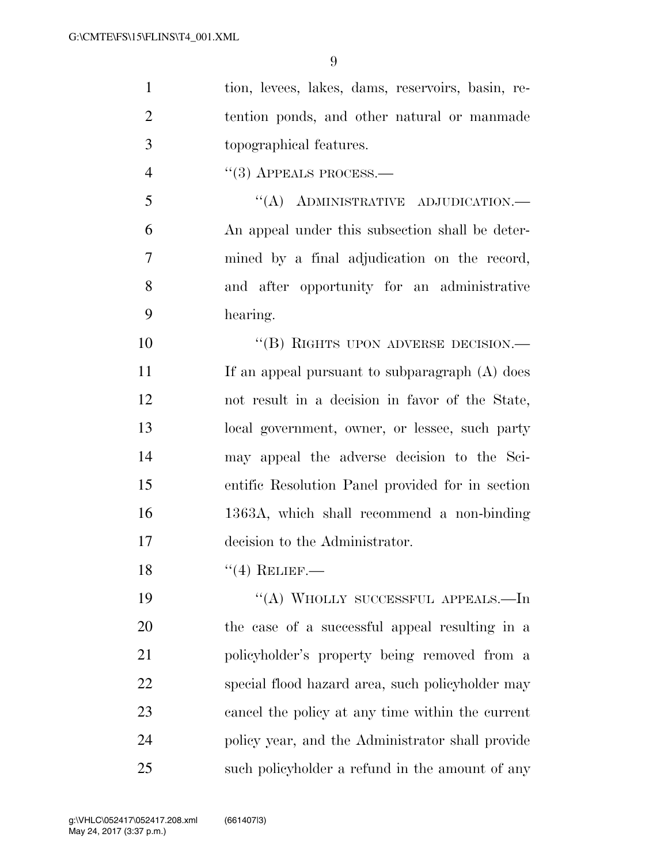| $\mathbf{1}$   | tion, levees, lakes, dams, reservoirs, basin, re- |
|----------------|---------------------------------------------------|
| $\overline{2}$ | tention ponds, and other natural or manmade       |
| 3              | topographical features.                           |
| $\overline{4}$ | $``(3)$ APPEALS PROCESS.—                         |
| 5              | "(A) ADMINISTRATIVE ADJUDICATION.-                |
| 6              | An appeal under this subsection shall be deter-   |
| 7              | mined by a final adjudication on the record,      |
| 8              | and after opportunity for an administrative       |
| 9              | hearing.                                          |
| 10             | "(B) RIGHTS UPON ADVERSE DECISION.—               |
| 11             | If an appeal pursuant to subparagraph (A) does    |
| 12             | not result in a decision in favor of the State,   |
| 13             | local government, owner, or lessee, such party    |
| 14             | may appeal the adverse decision to the Sci-       |
| 15             | entific Resolution Panel provided for in section  |
| 16             | 1363A, which shall recommend a non-binding        |
| 17             | decision to the Administrator.                    |
| 18             | $``(4)$ RELIEF.                                   |
| 19             | "(A) WHOLLY SUCCESSFUL APPEALS.—In                |
| 20             | the case of a successful appeal resulting in a    |
| 21             | policyholder's property being removed from a      |
| 22             | special flood hazard area, such policyholder may  |
| 23             | cancel the policy at any time within the current  |
| 24             | policy year, and the Administrator shall provide  |
| 25             | such policyholder a refund in the amount of any   |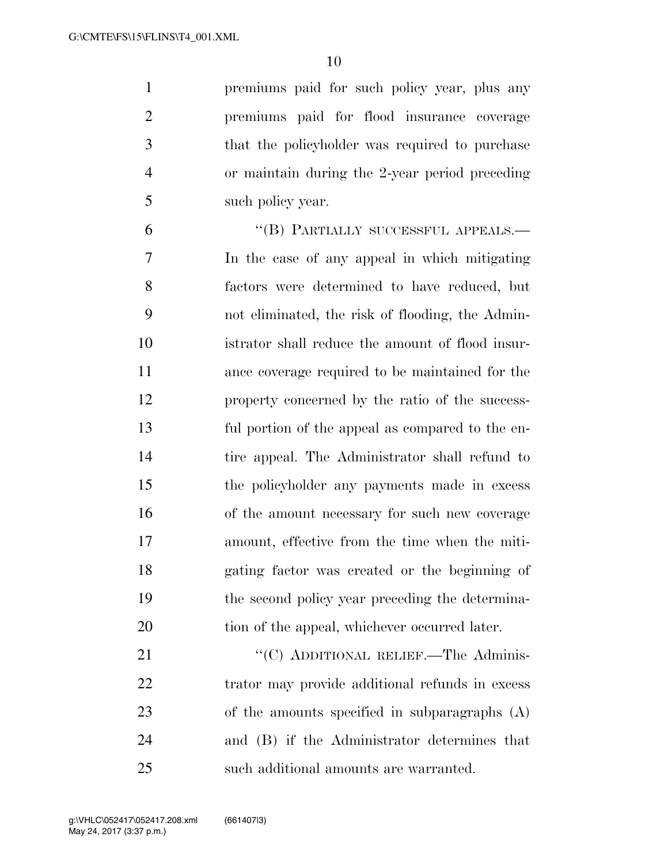premiums paid for such policy year, plus any premiums paid for flood insurance coverage that the policyholder was required to purchase or maintain during the 2-year period preceding such policy year.

6 "(B) PARTIALLY SUCCESSFUL APPEALS.— In the case of any appeal in which mitigating factors were determined to have reduced, but not eliminated, the risk of flooding, the Admin- istrator shall reduce the amount of flood insur- ance coverage required to be maintained for the property concerned by the ratio of the success- ful portion of the appeal as compared to the en- tire appeal. The Administrator shall refund to the policyholder any payments made in excess of the amount necessary for such new coverage amount, effective from the time when the miti- gating factor was created or the beginning of the second policy year preceding the determina-20 tion of the appeal, whichever occurred later.

21 "'(C) ADDITIONAL RELIEF.—The Adminis-22 trator may provide additional refunds in excess of the amounts specified in subparagraphs (A) and (B) if the Administrator determines that such additional amounts are warranted.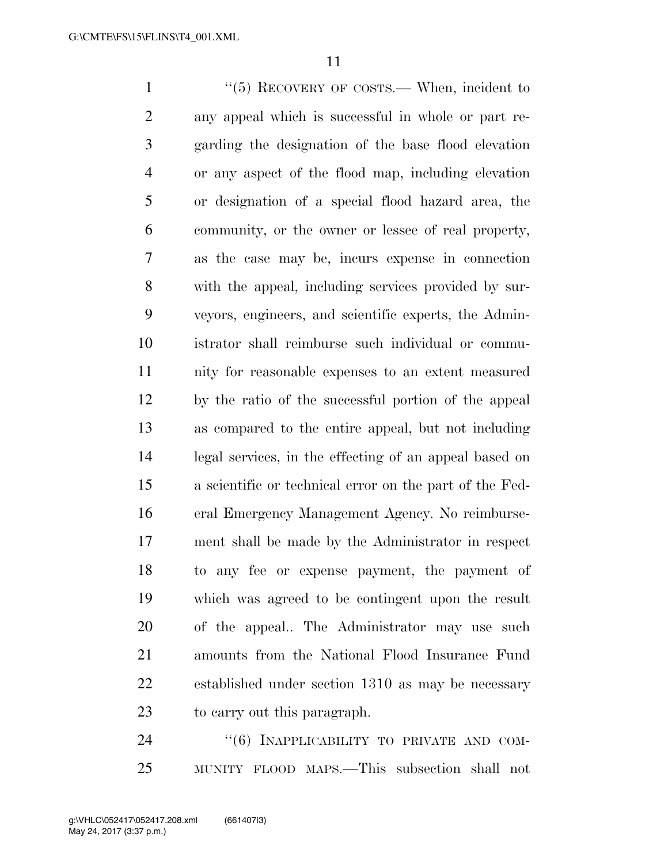1 ''(5) RECOVERY OF COSTS.— When, incident to any appeal which is successful in whole or part re- garding the designation of the base flood elevation or any aspect of the flood map, including elevation or designation of a special flood hazard area, the community, or the owner or lessee of real property, as the case may be, incurs expense in connection with the appeal, including services provided by sur- veyors, engineers, and scientific experts, the Admin- istrator shall reimburse such individual or commu- nity for reasonable expenses to an extent measured by the ratio of the successful portion of the appeal as compared to the entire appeal, but not including legal services, in the effecting of an appeal based on a scientific or technical error on the part of the Fed- eral Emergency Management Agency. No reimburse- ment shall be made by the Administrator in respect to any fee or expense payment, the payment of which was agreed to be contingent upon the result of the appeal.. The Administrator may use such amounts from the National Flood Insurance Fund established under section 1310 as may be necessary to carry out this paragraph.

24 "(6) INAPPLICABILITY TO PRIVATE AND COM-MUNITY FLOOD MAPS.—This subsection shall not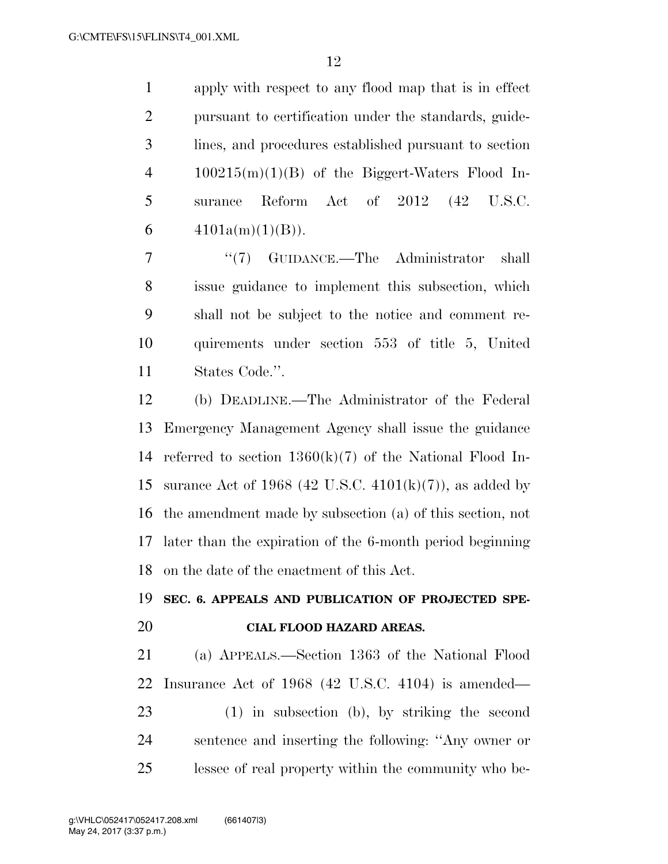apply with respect to any flood map that is in effect pursuant to certification under the standards, guide- lines, and procedures established pursuant to section 100215(m)(1)(B) of the Biggert-Waters Flood In- surance Reform Act of 2012 (42 U.S.C.  $4101a(m)(1)(B)$ .

7 ''(7) GUIDANCE.—The Administrator shall issue guidance to implement this subsection, which shall not be subject to the notice and comment re- quirements under section 553 of title 5, United States Code.''.

 (b) DEADLINE.—The Administrator of the Federal Emergency Management Agency shall issue the guidance referred to section 1360(k)(7) of the National Flood In-15 surance Act of 1968 (42 U.S.C.  $4101(k)(7)$ ), as added by the amendment made by subsection (a) of this section, not later than the expiration of the 6-month period beginning on the date of the enactment of this Act.

### **SEC. 6. APPEALS AND PUBLICATION OF PROJECTED SPE-**

#### **CIAL FLOOD HAZARD AREAS.**

 (a) APPEALS.—Section 1363 of the National Flood Insurance Act of 1968 (42 U.S.C. 4104) is amended— (1) in subsection (b), by striking the second sentence and inserting the following: ''Any owner or lessee of real property within the community who be-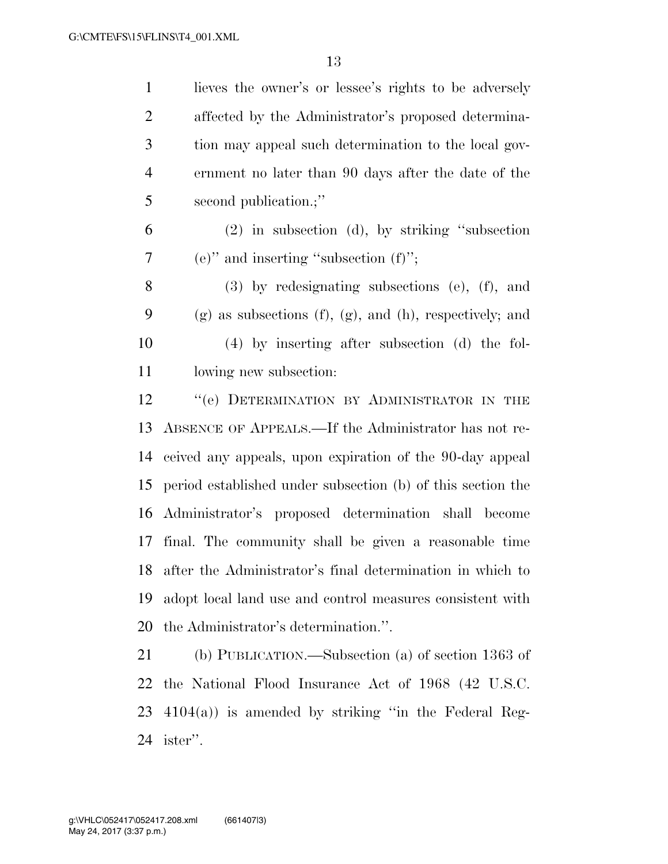| $\mathbf{1}$   | lieves the owner's or lessee's rights to be adversely              |
|----------------|--------------------------------------------------------------------|
| $\overline{2}$ | affected by the Administrator's proposed determina-                |
| 3              | tion may appeal such determination to the local gov-               |
| $\overline{4}$ | ernment no later than 90 days after the date of the                |
| 5              | second publication.;"                                              |
| 6              | $(2)$ in subsection $(d)$ , by striking "subsection                |
| $\tau$         | (e)" and inserting "subsection $(f)$ ";                            |
| 8              | $(3)$ by redesignating subsections $(e)$ , $(f)$ , and             |
| 9              | $(g)$ as subsections $(f)$ , $(g)$ , and $(h)$ , respectively; and |
| 10             | $(4)$ by inserting after subsection $(d)$ the fol-                 |
| 11             | lowing new subsection:                                             |
| 12             | "(e) DETERMINATION BY ADMINISTRATOR IN THE                         |
| 13             | ABSENCE OF APPEALS.—If the Administrator has not re-               |
| 14             | ceived any appeals, upon expiration of the 90-day appeal           |
| 15             | period established under subsection (b) of this section the        |
| 16             | Administrator's proposed determination shall become                |
| 17             | final. The community shall be given a reasonable time              |
| 18             | after the Administrator's final determination in which to          |
| 19             | adopt local land use and control measures consistent with          |
| 20             | the Administrator's determination.".                               |
| 21             | (b) PUBLICATION.—Subsection (a) of section $1363$ of               |
| 22             | the National Flood Insurance Act of 1968 (42 U.S.C.                |
| 23             | $4104(a)$ ) is amended by striking "in the Federal Reg-            |
| 24             | ister".                                                            |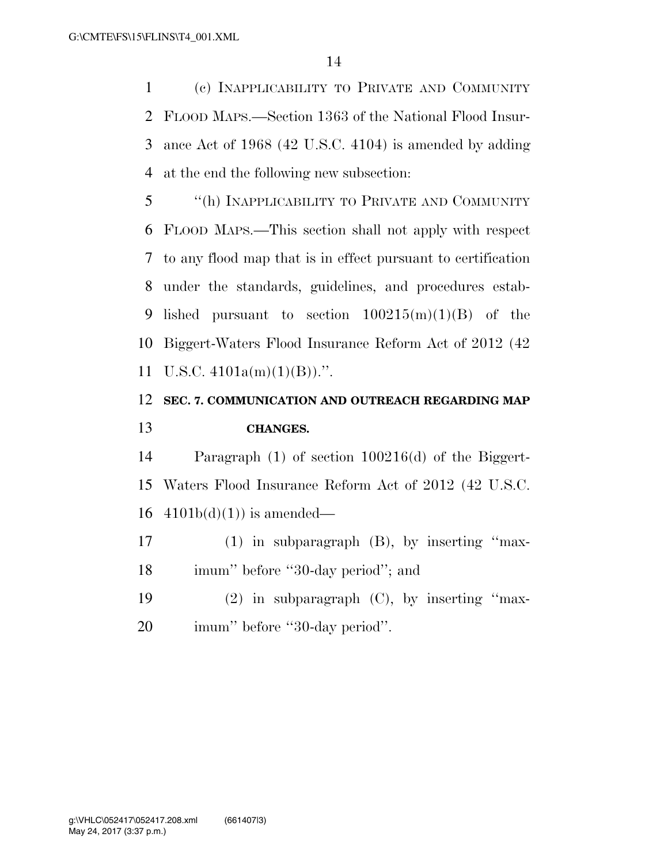(c) INAPPLICABILITY TO PRIVATE AND COMMUNITY FLOOD MAPS.—Section 1363 of the National Flood Insur- ance Act of 1968 (42 U.S.C. 4104) is amended by adding at the end the following new subsection:

 ''(h) INAPPLICABILITY TO PRIVATE AND COMMUNITY FLOOD MAPS.—This section shall not apply with respect to any flood map that is in effect pursuant to certification under the standards, guidelines, and procedures estab-9 lished pursuant to section  $100215(m)(1)(B)$  of the Biggert-Waters Flood Insurance Reform Act of 2012 (42 11 U.S.C.  $4101a(m)(1)(B)$ .".

### **SEC. 7. COMMUNICATION AND OUTREACH REGARDING MAP CHANGES.**

 Paragraph (1) of section 100216(d) of the Biggert- Waters Flood Insurance Reform Act of 2012 (42 U.S.C. 16  $4101b(d)(1)$  is amended—

 (1) in subparagraph (B), by inserting ''max-18 imum'' before "30-day period"; and

 (2) in subparagraph (C), by inserting ''max-imum'' before ''30-day period''.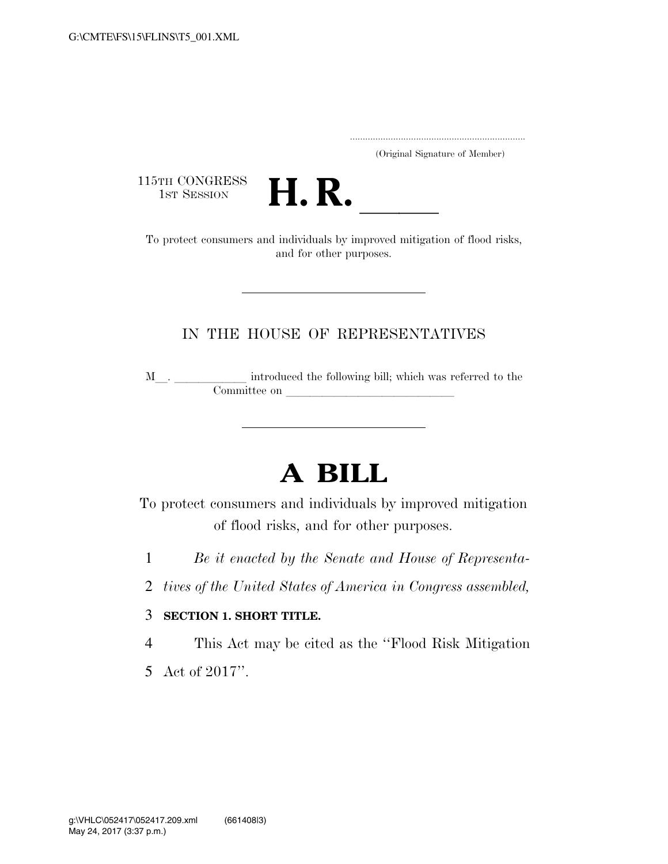.....................................................................

(Original Signature of Member)

115TH CONGRESS<br>1st Session



15TH CONGRESS<br>1st SESSION **H. R.** <u>Individuals by improved mitigation of flood risks</u>, and for other purposes.

### IN THE HOUSE OF REPRESENTATIVES

 $\texttt{M}\_\_\_\_\_\_\_\_\_\_\$  introduced the following bill; which was referred to the Committee on

# **A BILL**

To protect consumers and individuals by improved mitigation of flood risks, and for other purposes.

- 1 *Be it enacted by the Senate and House of Representa-*
- 2 *tives of the United States of America in Congress assembled,*

#### 3 **SECTION 1. SHORT TITLE.**

4 This Act may be cited as the ''Flood Risk Mitigation

5 Act of 2017''.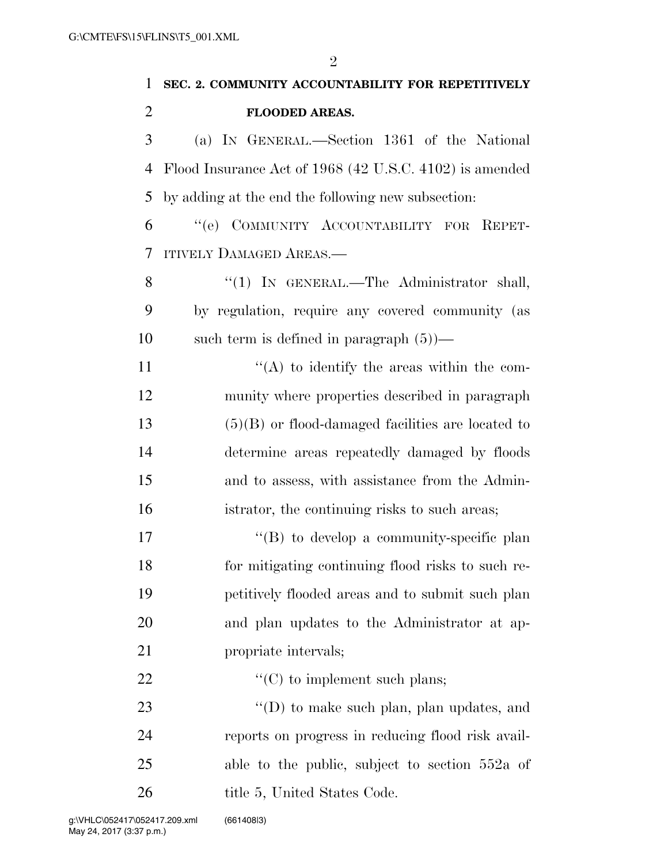$\overline{a}$ 

| 1              | $\overline{2}$<br>SEC. 2. COMMUNITY ACCOUNTABILITY FOR REPETITIVELY |
|----------------|---------------------------------------------------------------------|
| $\overline{2}$ | <b>FLOODED AREAS.</b>                                               |
| 3              | (a) IN GENERAL.—Section 1361 of the National                        |
| 4              | Flood Insurance Act of 1968 (42 U.S.C. 4102) is amended             |
| 5              | by adding at the end the following new subsection:                  |
| 6              | "(e) COMMUNITY ACCOUNTABILITY FOR REPET-                            |
| 7              | <b>ITIVELY DAMAGED AREAS.—</b>                                      |
| 8              | " $(1)$ IN GENERAL.—The Administrator shall,                        |
| 9              | by regulation, require any covered community (as                    |
| 10             | such term is defined in paragraph $(5)$ )—                          |
| 11             | $\lq\lq$ to identify the areas within the com-                      |
| 12             | munity where properties described in paragraph                      |
| 13             | $(5)(B)$ or flood-damaged facilities are located to                 |
| 14             | determine areas repeatedly damaged by floods                        |
| 15             | and to assess, with assistance from the Admin-                      |
| 16             | istrator, the continuing risks to such areas;                       |
| 17             | $\lq\lq (B)$ to develop a community-specific plan                   |
| 18             | for mitigating continuing flood risks to such re-                   |
| 19             | petitively flooded areas and to submit such plan                    |
| 20             | and plan updates to the Administrator at ap-                        |
| 21             | propriate intervals;                                                |
| 22             | $\lq\lq$ (C) to implement such plans;                               |
| 23             | "(D) to make such plan, plan updates, and                           |
| 24             | reports on progress in reducing flood risk avail-                   |
| 25             | able to the public, subject to section $552a$ of                    |

26 title 5, United States Code.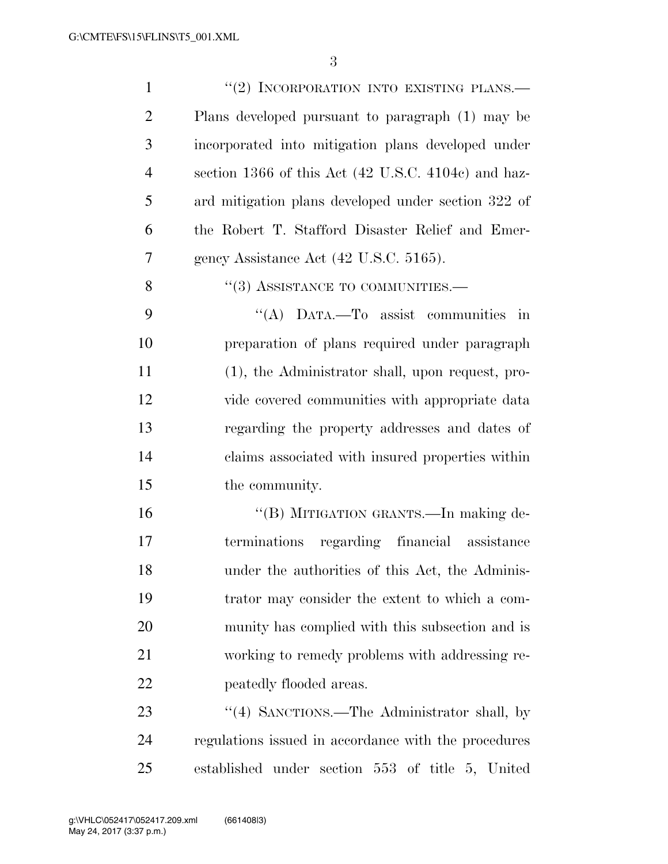| $\mathbf{1}$   | "(2) INCORPORATION INTO EXISTING PLANS.—             |
|----------------|------------------------------------------------------|
| $\overline{2}$ | Plans developed pursuant to paragraph (1) may be     |
| 3              | incorporated into mitigation plans developed under   |
| $\overline{4}$ | section 1366 of this Act (42 U.S.C. 4104c) and haz-  |
| 5              | ard mitigation plans developed under section 322 of  |
| 6              | the Robert T. Stafford Disaster Relief and Emer-     |
| 7              | gency Assistance Act (42 U.S.C. 5165).               |
| 8              | $\cdot$ (3) ASSISTANCE TO COMMUNITIES.—              |
| 9              | "(A) DATA.—To assist communities in                  |
| 10             | preparation of plans required under paragraph        |
| 11             | (1), the Administrator shall, upon request, pro-     |
| 12             | vide covered communities with appropriate data       |
| 13             | regarding the property addresses and dates of        |
| 14             | claims associated with insured properties within     |
| 15             | the community.                                       |
| 16             | "(B) MITIGATION GRANTS.—In making de-                |
| 17             | terminations regarding financial assistance          |
| 18             | under the authorities of this Act, the Adminis-      |
| 19             | trator may consider the extent to which a com-       |
| 20             | munity has complied with this subsection and is      |
| 21             | working to remedy problems with addressing re-       |
| 22             | peatedly flooded areas.                              |
| 23             | "(4) SANCTIONS.—The Administrator shall, by          |
| 24             | regulations issued in accordance with the procedures |
| 25             | established under section 553 of title 5, United     |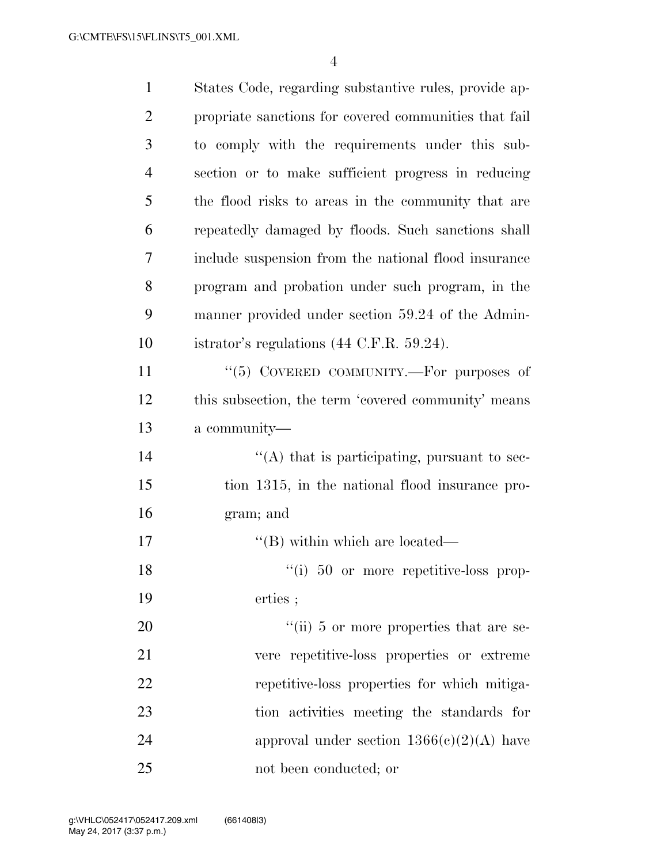| $\mathbf{1}$   | States Code, regarding substantive rules, provide ap- |
|----------------|-------------------------------------------------------|
| $\overline{2}$ | propriate sanctions for covered communities that fail |
| 3              | to comply with the requirements under this sub-       |
| 4              | section or to make sufficient progress in reducing    |
| 5              | the flood risks to areas in the community that are    |
| 6              | repeatedly damaged by floods. Such sanctions shall    |
| 7              | include suspension from the national flood insurance  |
| 8              | program and probation under such program, in the      |
| 9              | manner provided under section 59.24 of the Admin-     |
| 10             | istrator's regulations $(44 \text{ C.F.R. } 59.24)$ . |
| 11             | "(5) COVERED COMMUNITY.-For purposes of               |
| 12             | this subsection, the term 'covered community' means   |
| 13             | a community—                                          |
| 14             | $\lq\lq$ that is participating, pursuant to sec-      |
| 15             | tion 1315, in the national flood insurance pro-       |
| 16             | gram; and                                             |
| 17             | $\lq\lq$ (B) within which are located—                |
| 18             | $\lq(1)$ 50 or more repetitive-loss prop-             |
| 19             | erties;                                               |
| 20             | $\lq\lq$ (ii) 5 or more properties that are se-       |
| 21             | vere repetitive-loss properties or extreme            |
| 22             | repetitive-loss properties for which mitiga-          |
| 23             | tion activities meeting the standards for             |
| 24             | approval under section $1366(e)(2)(A)$ have           |
| 25             | not been conducted; or                                |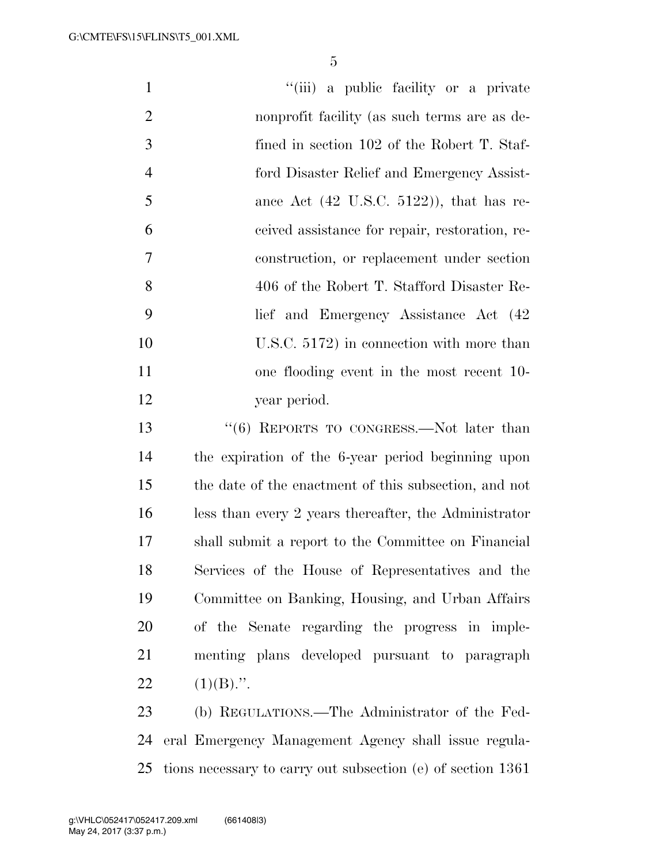| $\mathbf{1}$   | "(iii) a public facility or a private                 |
|----------------|-------------------------------------------------------|
| $\overline{2}$ | nonprofit facility (as such terms are as de-          |
| 3              | fined in section 102 of the Robert T. Staf-           |
| $\overline{4}$ | ford Disaster Relief and Emergency Assist-            |
| 5              | ance Act $(42 \text{ U.S.C. } 5122)$ ), that has re-  |
| 6              | ceived assistance for repair, restoration, re-        |
| 7              | construction, or replacement under section            |
| 8              | 406 of the Robert T. Stafford Disaster Re-            |
| 9              | lief and Emergency Assistance Act (42)                |
| 10             | U.S.C. $5172$ ) in connection with more than          |
| 11             | one flooding event in the most recent 10-             |
| 12             | year period.                                          |
| 13             | $``(6)$ REPORTS TO CONGRESS.—Not later than           |
| 14             | the expiration of the 6-year period beginning upon    |
| 15             | the date of the enactment of this subsection, and not |
| 16             | less than every 2 years thereafter, the Administrator |
| 17             | shall submit a report to the Committee on Financial   |
| 18             | Services of the House of Representatives and the      |
| 19             | Committee on Banking, Housing, and Urban Affairs      |
| 20             | of the Senate regarding the progress in imple-        |
| 21             | menting plans developed pursuant to paragraph         |
| 22             | $(1)(B)$ .".                                          |
| 23             | (b) REGULATIONS.—The Administrator of the Fed-        |
| 24             | eral Emergency Management Agency shall issue regula-  |

tions necessary to carry out subsection (e) of section 1361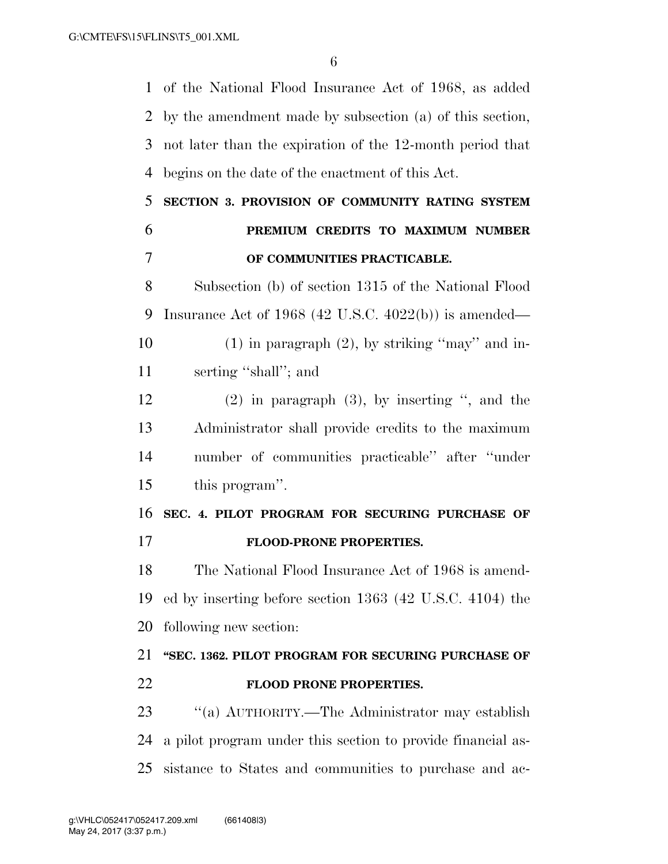of the National Flood Insurance Act of 1968, as added by the amendment made by subsection (a) of this section, not later than the expiration of the 12-month period that begins on the date of the enactment of this Act.

# **SECTION 3. PROVISION OF COMMUNITY RATING SYSTEM PREMIUM CREDITS TO MAXIMUM NUMBER OF COMMUNITIES PRACTICABLE.**

 Subsection (b) of section 1315 of the National Flood Insurance Act of 1968 (42 U.S.C. 4022(b)) is amended— 10 (1) in paragraph  $(2)$ , by striking "may" and in-

serting ''shall''; and

 (2) in paragraph (3), by inserting '', and the Administrator shall provide credits to the maximum number of communities practicable'' after ''under this program''.

# **SEC. 4. PILOT PROGRAM FOR SECURING PURCHASE OF FLOOD-PRONE PROPERTIES.**

 The National Flood Insurance Act of 1968 is amend- ed by inserting before section 1363 (42 U.S.C. 4104) the following new section:

## **''SEC. 1362. PILOT PROGRAM FOR SECURING PURCHASE OF FLOOD PRONE PROPERTIES.**

23 "(a) AUTHORITY.—The Administrator may establish a pilot program under this section to provide financial as-sistance to States and communities to purchase and ac-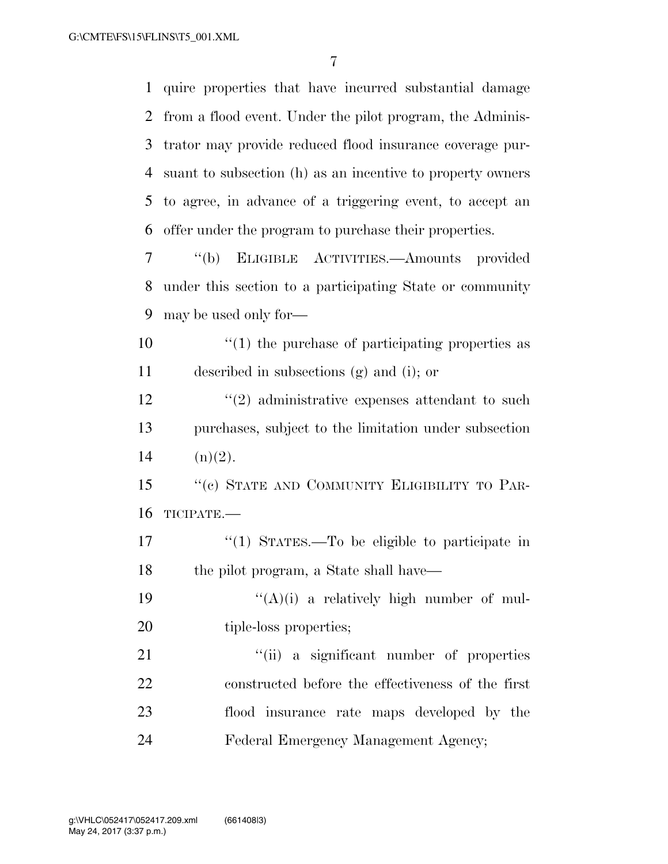quire properties that have incurred substantial damage from a flood event. Under the pilot program, the Adminis- trator may provide reduced flood insurance coverage pur- suant to subsection (h) as an incentive to property owners to agree, in advance of a triggering event, to accept an offer under the program to purchase their properties.

 ''(b) ELIGIBLE ACTIVITIES.—Amounts provided under this section to a participating State or community may be used only for—

 ''(1) the purchase of participating properties as described in subsections (g) and (i); or

12 ''(2) administrative expenses attendant to such purchases, subject to the limitation under subsection 14  $(n)(2)$ .

15 "(c) STATE AND COMMUNITY ELIGIBILITY TO PAR-TICIPATE.—

 ''(1) STATES.—To be eligible to participate in the pilot program, a State shall have—

19  $((A)(i)$  a relatively high number of mul-20 tiple-loss properties;

21 ''(ii) a significant number of properties constructed before the effectiveness of the first flood insurance rate maps developed by the Federal Emergency Management Agency;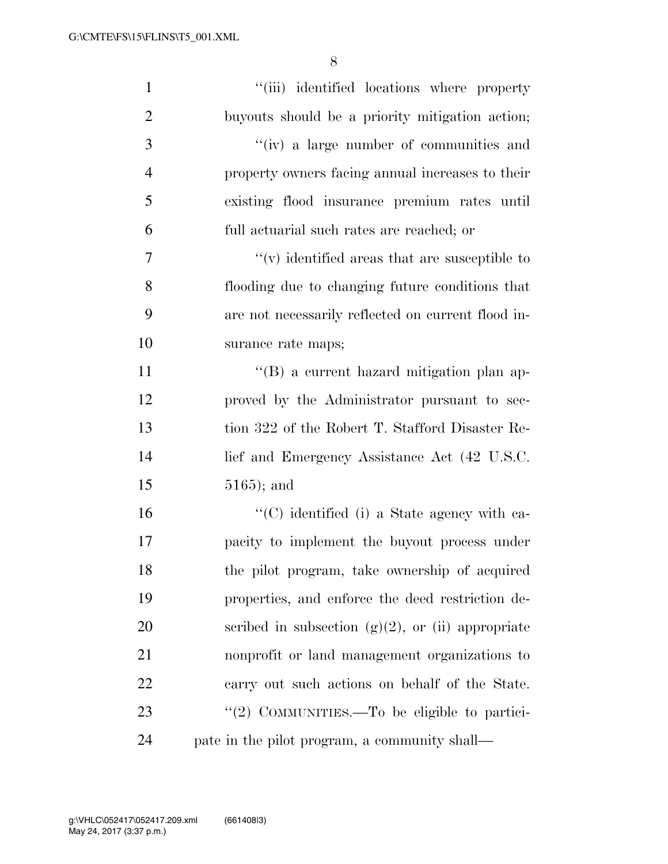| $\mathbf{1}$   | "(iii) identified locations where property                |
|----------------|-----------------------------------------------------------|
| $\overline{2}$ | buyouts should be a priority mitigation action;           |
| 3              | "(iv) a large number of communities and                   |
| $\overline{4}$ | property owners facing annual increases to their          |
| 5              | existing flood insurance premium rates until              |
| 6              | full actuarial such rates are reached; or                 |
| 7              | $\mathcal{C}(v)$ identified areas that are susceptible to |
| 8              | flooding due to changing future conditions that           |
| 9              | are not necessarily reflected on current flood in-        |
| 10             | surance rate maps;                                        |
| 11             | "(B) a current hazard mitigation plan ap-                 |
| 12             | proved by the Administrator pursuant to sec-              |
| 13             | tion 322 of the Robert T. Stafford Disaster Re-           |
| 14             | lief and Emergency Assistance Act (42 U.S.C.              |
| 15             | $5165$ ; and                                              |
| 16             | "(C) identified (i) a State agency with ca-               |
| 17             | pacity to implement the buyout process under              |
| 18             | the pilot program, take ownership of acquired             |
| 19             | properties, and enforce the deed restriction de-          |
| 20             | scribed in subsection $(g)(2)$ , or (ii) appropriate      |
| 21             | nonprofit or land management organizations to             |
| 22             | carry out such actions on behalf of the State.            |
| 23             | "(2) COMMUNITIES.—To be eligible to partici-              |
| 24             | pate in the pilot program, a community shall—             |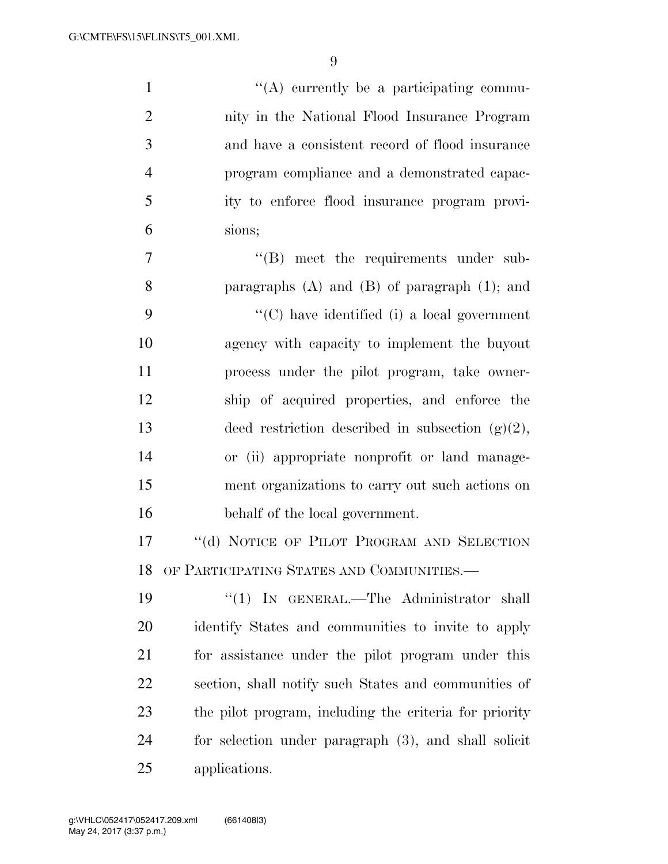$\langle (A)$  currently be a participating commu- nity in the National Flood Insurance Program and have a consistent record of flood insurance program compliance and a demonstrated capac- ity to enforce flood insurance program provi- sions;  $''(B)$  meet the requirements under sub- paragraphs (A) and (B) of paragraph (1); and ''(C) have identified (i) a local government agency with capacity to implement the buyout process under the pilot program, take owner- ship of acquired properties, and enforce the 13 deed restriction described in subsection  $(g)(2)$ , or (ii) appropriate nonprofit or land manage- ment organizations to carry out such actions on behalf of the local government. 17 "(d) NOTICE OF PILOT PROGRAM AND SELECTION OF PARTICIPATING STATES AND COMMUNITIES.— ''(1) IN GENERAL.—The Administrator shall identify States and communities to invite to apply for assistance under the pilot program under this section, shall notify such States and communities of the pilot program, including the criteria for priority for selection under paragraph (3), and shall solicit

applications.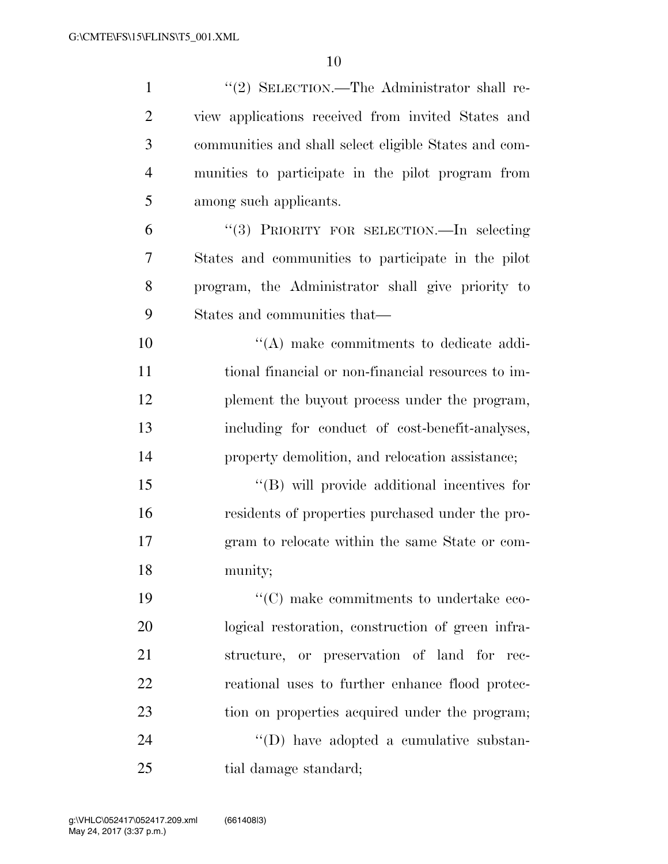| $\mathbf{1}$   | "(2) SELECTION.—The Administrator shall re-           |
|----------------|-------------------------------------------------------|
| $\overline{2}$ | view applications received from invited States and    |
| 3              | communities and shall select eligible States and com- |
| $\overline{4}$ | munities to participate in the pilot program from     |
| 5              | among such applicants.                                |
| 6              | "(3) PRIORITY FOR SELECTION.—In selecting             |
| 7              | States and communities to participate in the pilot    |
| 8              | program, the Administrator shall give priority to     |
| 9              | States and communities that—                          |
| 10             | $\lq\lq$ make commitments to dedicate addi-           |
| 11             | tional financial or non-financial resources to im-    |
| 12             | plement the buyout process under the program,         |
| 13             | including for conduct of cost-benefit-analyses,       |
| 14             | property demolition, and relocation assistance;       |
| 15             | $\lq\lq$ (B) will provide additional incentives for   |
| 16             | residents of properties purchased under the pro-      |
| 17             | gram to relocate within the same State or com-        |
| 18             | munity;                                               |
| 19             | "(C) make commitments to undertake eco-               |
| 20             | logical restoration, construction of green infra-     |
| 21             | structure, or preservation of land for rec-           |
| 22             | reational uses to further enhance flood protec-       |
| 23             | tion on properties acquired under the program;        |
| 24             | "(D) have adopted a cumulative substan-               |
| 25             | tial damage standard;                                 |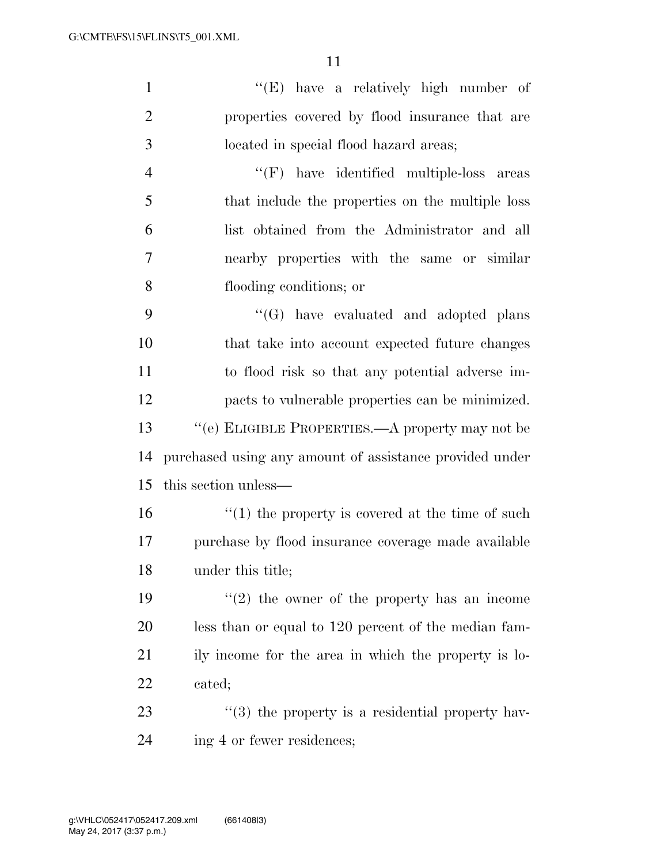| $\mathbf{1}$   | $\lq\lq(E)$ have a relatively high number of            |
|----------------|---------------------------------------------------------|
| $\overline{2}$ | properties covered by flood insurance that are          |
| 3              | located in special flood hazard areas;                  |
| $\overline{4}$ | $``(F)$ have identified multiple-loss areas             |
| 5              | that include the properties on the multiple loss        |
| 6              | list obtained from the Administrator and all            |
| 7              | nearby properties with the same or similar              |
| 8              | flooding conditions; or                                 |
| 9              | $\lq\lq(G)$ have evaluated and adopted plans            |
| 10             | that take into account expected future changes          |
| 11             | to flood risk so that any potential adverse im-         |
| 12             | pacts to vulnerable properties can be minimized.        |
| 13             | "(e) ELIGIBLE PROPERTIES.—A property may not be         |
| 14             | purchased using any amount of assistance provided under |
| 15             | this section unless—                                    |
| 16             | $\cdot$ (1) the property is covered at the time of such |
| 17             | purchase by flood insurance coverage made available     |
| 18             | under this title;                                       |
| 19             | $\lq(2)$ the owner of the property has an income        |
| 20             | less than or equal to 120 percent of the median fam-    |
| 21             | ily income for the area in which the property is lo-    |
| 22             | cated;                                                  |
| 23             | $\lq(3)$ the property is a residential property hav-    |
| 24             | ing 4 or fewer residences;                              |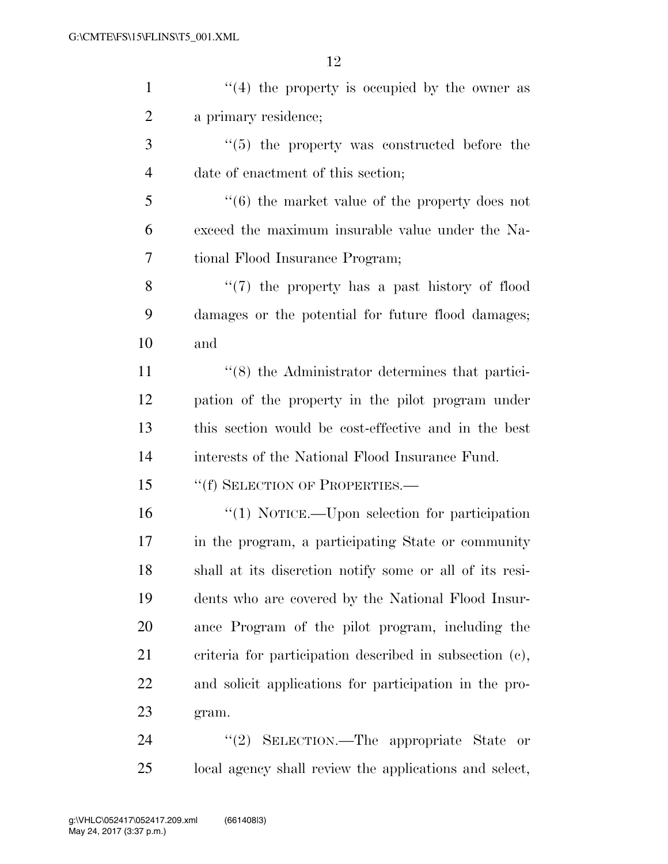| $\mathbf{1}$   | $\lq(4)$ the property is occupied by the owner as           |
|----------------|-------------------------------------------------------------|
| $\overline{2}$ | a primary residence;                                        |
| 3              | $\cdot\cdot$ (5) the property was constructed before the    |
| $\overline{4}$ | date of enactment of this section;                          |
| 5              | $\lq\lq(6)$ the market value of the property does not       |
| 6              | exceed the maximum insurable value under the Na-            |
| 7              | tional Flood Insurance Program;                             |
| 8              | $\lq(7)$ the property has a past history of flood           |
| 9              | damages or the potential for future flood damages;          |
| 10             | and                                                         |
| 11             | $\cdot\cdot$ (8) the Administrator determines that partici- |
| 12             | pation of the property in the pilot program under           |
| 13             | this section would be cost-effective and in the best        |
| 14             | interests of the National Flood Insurance Fund.             |
| 15             | "(f) SELECTION OF PROPERTIES.—                              |
| 16             | " $(1)$ NOTICE.—Upon selection for participation            |
| 17             | in the program, a participating State or community          |
| 18             | shall at its discretion notify some or all of its resi-     |
| 19             | dents who are covered by the National Flood Insur-          |
| 20             | ance Program of the pilot program, including the            |
| 21             | criteria for participation described in subsection (c),     |
| 22             | and solicit applications for participation in the pro-      |
| 23             | gram.                                                       |
| 24             | "(2) SELECTION.—The appropriate State<br><b>or</b>          |

local agency shall review the applications and select,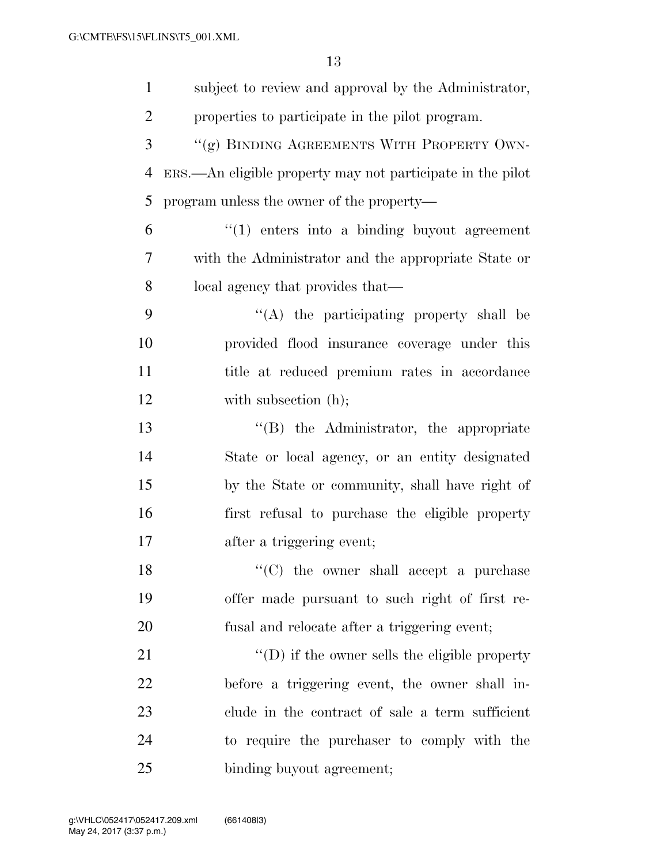| $\mathbf{1}$   | subject to review and approval by the Administrator,        |
|----------------|-------------------------------------------------------------|
| $\overline{2}$ | properties to participate in the pilot program.             |
| 3              | "(g) BINDING AGREEMENTS WITH PROPERTY OWN-                  |
| $\overline{4}$ | ERS.—An eligible property may not participate in the pilot  |
| 5              | program unless the owner of the property—                   |
| 6              | $"(1)$ enters into a binding buyout agreement               |
| 7              | with the Administrator and the appropriate State or         |
| 8              | local agency that provides that—                            |
| 9              | $\lq\lq$ the participating property shall be                |
| 10             | provided flood insurance coverage under this                |
| 11             | title at reduced premium rates in accordance                |
| 12             | with subsection (h);                                        |
| 13             | "(B) the Administrator, the appropriate                     |
| 14             | State or local agency, or an entity designated              |
| 15             | by the State or community, shall have right of              |
| 16             | first refusal to purchase the eligible property             |
| 17             | after a triggering event;                                   |
| 18             | $\lq\lq$ <sup>"</sup> (C) the owner shall accept a purchase |
| 19             | offer made pursuant to such right of first re-              |
| 20             | fusal and relocate after a triggering event;                |
| 21             | $\lq\lq$ if the owner sells the eligible property           |
| 22             | before a triggering event, the owner shall in-              |
| 23             | clude in the contract of sale a term sufficient             |
| 24             | to require the purchaser to comply with the                 |
| 25             | binding buyout agreement;                                   |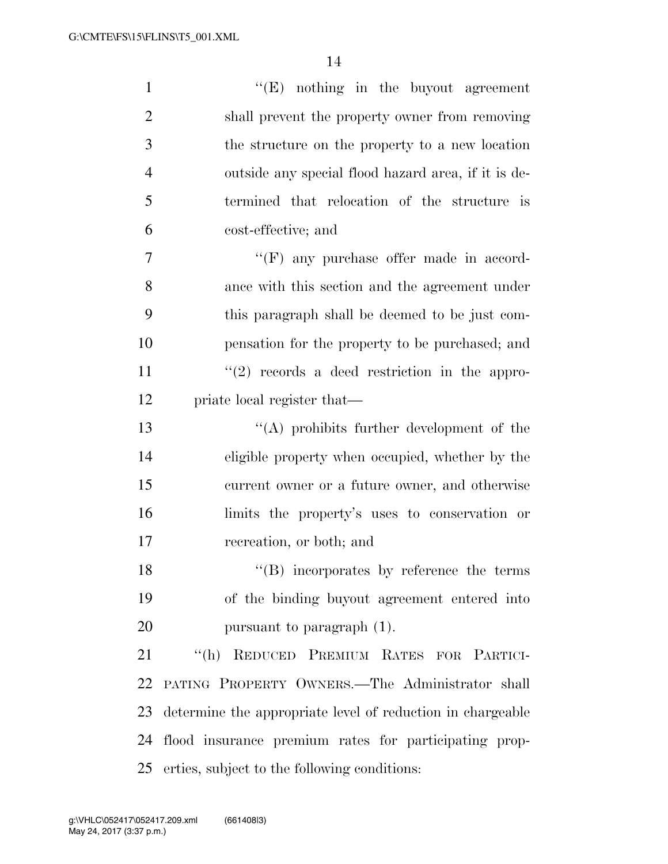| $\mathbf{1}$   | $\lq\lq(E)$ nothing in the buyout agreement                |
|----------------|------------------------------------------------------------|
| $\overline{2}$ | shall prevent the property owner from removing             |
| 3              | the structure on the property to a new location            |
| $\overline{4}$ | outside any special flood hazard area, if it is de-        |
| 5              | termined that relocation of the structure is               |
| 6              | cost-effective; and                                        |
| 7              | $\lq\lq(F)$ any purchase offer made in accord-             |
| 8              | ance with this section and the agreement under             |
| 9              | this paragraph shall be deemed to be just com-             |
| 10             | pensation for the property to be purchased; and            |
| 11             | $\lq(2)$ records a deed restriction in the appro-          |
| 12             | priate local register that—                                |
| 13             | "(A) prohibits further development of the                  |
| 14             | eligible property when occupied, whether by the            |
| 15             | current owner or a future owner, and otherwise             |
| 16             | limits the property's uses to conservation or              |
| 17             | recreation, or both; and                                   |
| 18             | $\lq\lq (B)$ incorporates by reference the terms           |
| 19             | of the binding buyout agreement entered into               |
| 20             | pursuant to paragraph $(1)$ .                              |
| 21             | "(h) REDUCED PREMIUM RATES FOR PARTICI-                    |
| 22             | PATING PROPERTY OWNERS. The Administrator shall            |
| 23             | determine the appropriate level of reduction in chargeable |
| 24             | flood insurance premium rates for participating prop-      |
| 25             | erties, subject to the following conditions:               |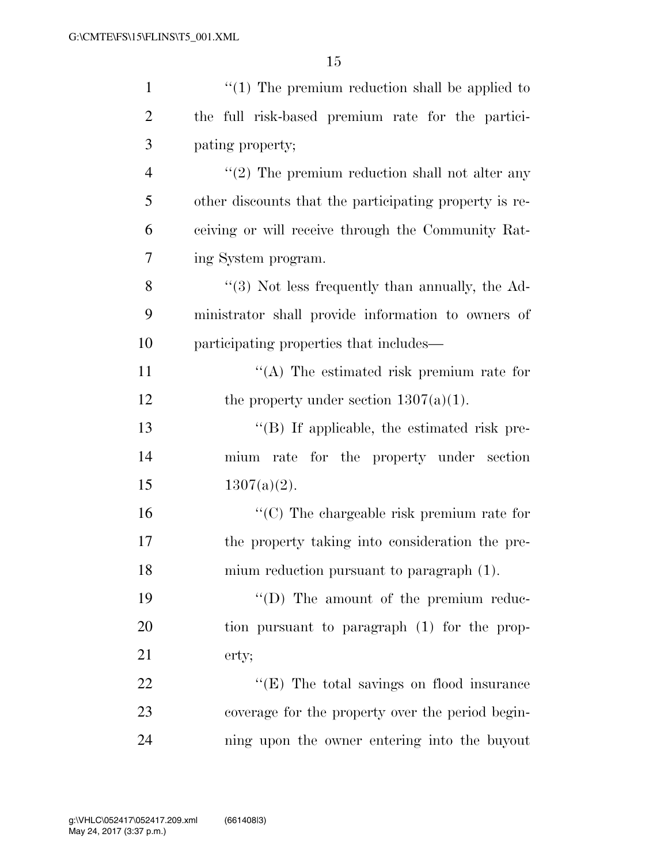| $\mathbf{1}$   | $\lq(1)$ The premium reduction shall be applied to     |
|----------------|--------------------------------------------------------|
| $\overline{2}$ | the full risk-based premium rate for the partici-      |
| 3              | pating property;                                       |
| $\overline{4}$ | $\lq(2)$ The premium reduction shall not alter any     |
| 5              | other discounts that the participating property is re- |
| 6              | ceiving or will receive through the Community Rat-     |
| 7              | ing System program.                                    |
| 8              | "(3) Not less frequently than annually, the Ad-        |
| 9              | ministrator shall provide information to owners of     |
| 10             | participating properties that includes—                |
| 11             | $\lq\lq$ . The estimated risk premium rate for         |
| 12             | the property under section $1307(a)(1)$ .              |
| 13             | $\lq\lq$ . If applicable, the estimated risk pre-      |
| 14             | mium rate for the property under section               |
| 15             | $1307(a)(2)$ .                                         |
| 16             | $\lq\lq$ (C) The chargeable risk premium rate for      |
| 17             | the property taking into consideration the pre-        |
| 18             | mium reduction pursuant to paragraph (1).              |
| 19             | "(D) The amount of the premium reduc-                  |
| 20             | tion pursuant to paragraph (1) for the prop-           |
| 21             | erty;                                                  |
| 22             | "(E) The total savings on flood insurance              |
| 23             | coverage for the property over the period begin-       |
| 24             | ning upon the owner entering into the buyout           |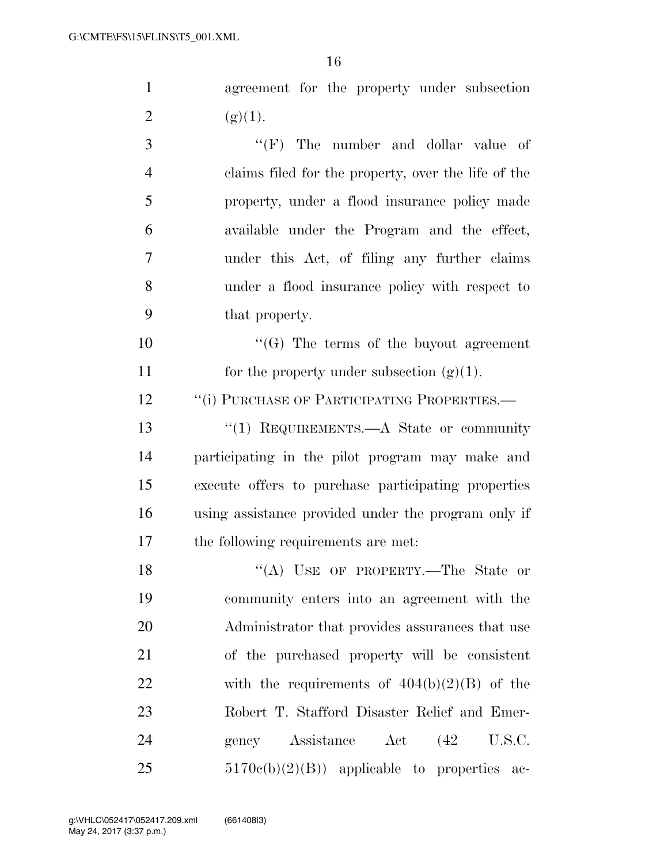| $\mathbf{1}$   | agreement for the property under subsection         |
|----------------|-----------------------------------------------------|
| $\overline{2}$ | (g)(1).                                             |
| 3              | $\lq\lq(F)$ The number and dollar value of          |
| $\overline{4}$ | claims filed for the property, over the life of the |
| 5              | property, under a flood insurance policy made       |
| 6              | available under the Program and the effect,         |
| 7              | under this Act, of filing any further claims        |
| 8              | under a flood insurance policy with respect to      |
| 9              | that property.                                      |
| 10             | $\lq\lq(G)$ The terms of the buyout agreement       |
| 11             | for the property under subsection $(g)(1)$ .        |

12 <sup>''</sup>(i) PURCHASE OF PARTICIPATING PROPERTIES.—

13 "(1) REQUIREMENTS.—A State or community participating in the pilot program may make and execute offers to purchase participating properties using assistance provided under the program only if the following requirements are met:

18 "(A) USE OF PROPERTY.—The State or community enters into an agreement with the Administrator that provides assurances that use of the purchased property will be consistent 22 with the requirements of  $404(b)(2)(B)$  of the Robert T. Stafford Disaster Relief and Emer-24 gency Assistance Act (42 U.S.C.  $5170e(b)(2)(B)$  applicable to properties ac-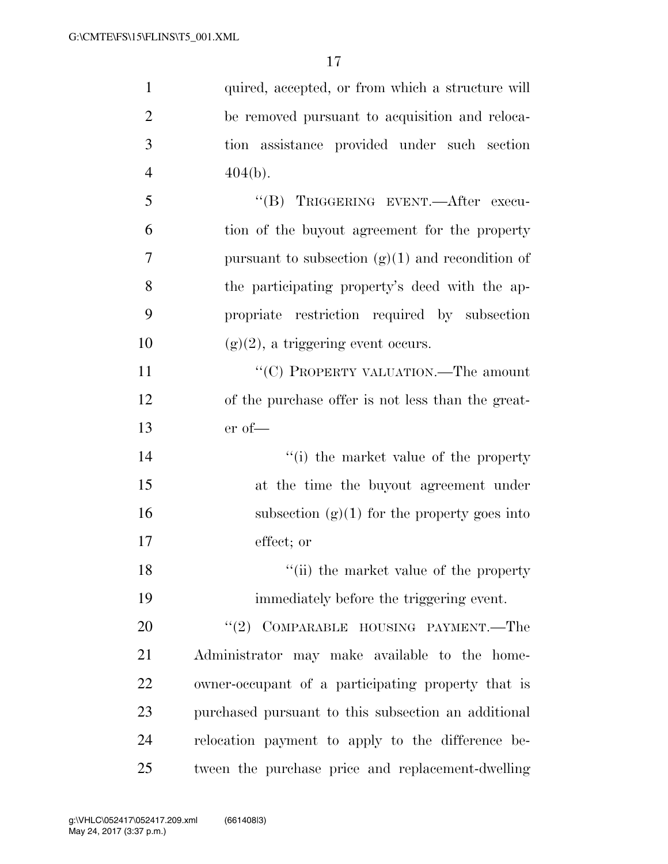| $\mathbf{1}$   | quired, accepted, or from which a structure will    |
|----------------|-----------------------------------------------------|
| $\overline{2}$ | be removed pursuant to acquisition and reloca-      |
| 3              | tion assistance provided under such section         |
| $\overline{4}$ | $404(b)$ .                                          |
| 5              | "(B) TRIGGERING EVENT.—After execu-                 |
| 6              | tion of the buyout agreement for the property       |
| 7              | pursuant to subsection $(g)(1)$ and recondition of  |
| 8              | the participating property's deed with the ap-      |
| 9              | propriate restriction required by subsection        |
| 10             | $(g)(2)$ , a triggering event occurs.               |
| 11             | "(C) PROPERTY VALUATION.—The amount                 |
| 12             | of the purchase offer is not less than the great-   |
| 13             | $er of$ —                                           |
| 14             | "(i) the market value of the property               |
| 15             | at the time the buyout agreement under              |
| 16             | subsection $(g)(1)$ for the property goes into      |
| 17             | effect; or                                          |
| 18             | "(ii) the market value of the property              |
| 19             | immediately before the triggering event.            |
| 20             | $``(2)$ COMPARABLE HOUSING PAYMENT.—The             |
| 21             | Administrator may make available to the home-       |
| 22             | owner-occupant of a participating property that is  |
| 23             | purchased pursuant to this subsection an additional |
| 24             | relocation payment to apply to the difference be-   |
| 25             | tween the purchase price and replacement-dwelling   |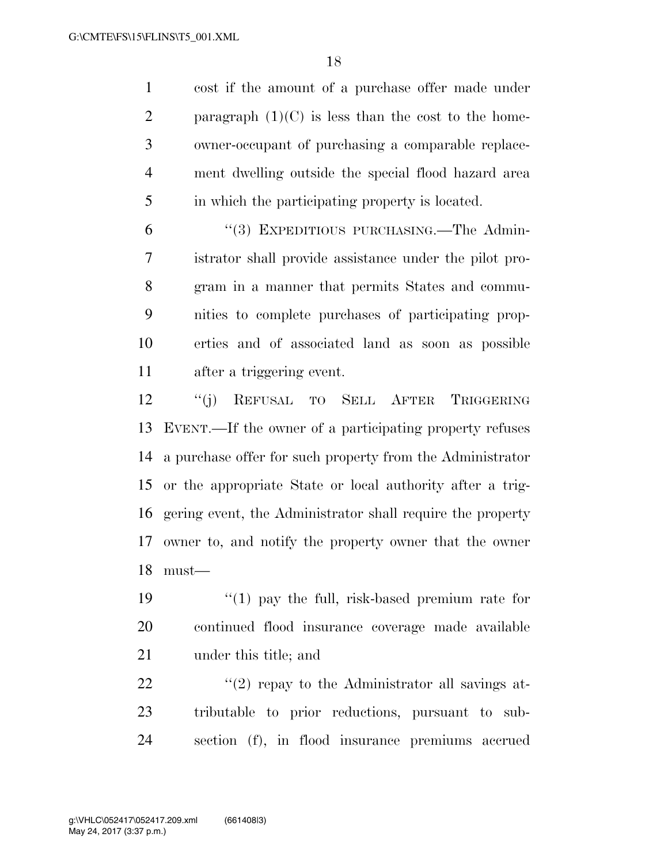cost if the amount of a purchase offer made under 2 paragraph  $(1)(C)$  is less than the cost to the home- owner-occupant of purchasing a comparable replace- ment dwelling outside the special flood hazard area in which the participating property is located.

 ''(3) EXPEDITIOUS PURCHASING.—The Admin- istrator shall provide assistance under the pilot pro- gram in a manner that permits States and commu- nities to complete purchases of participating prop- erties and of associated land as soon as possible after a triggering event.

 ''(j) REFUSAL TO SELL AFTER TRIGGERING EVENT.—If the owner of a participating property refuses a purchase offer for such property from the Administrator or the appropriate State or local authority after a trig- gering event, the Administrator shall require the property owner to, and notify the property owner that the owner must—

19 ''(1) pay the full, risk-based premium rate for continued flood insurance coverage made available under this title; and

22  $\frac{1}{2}$   $\frac{1}{2}$  repay to the Administrator all savings at- tributable to prior reductions, pursuant to sub-section (f), in flood insurance premiums accrued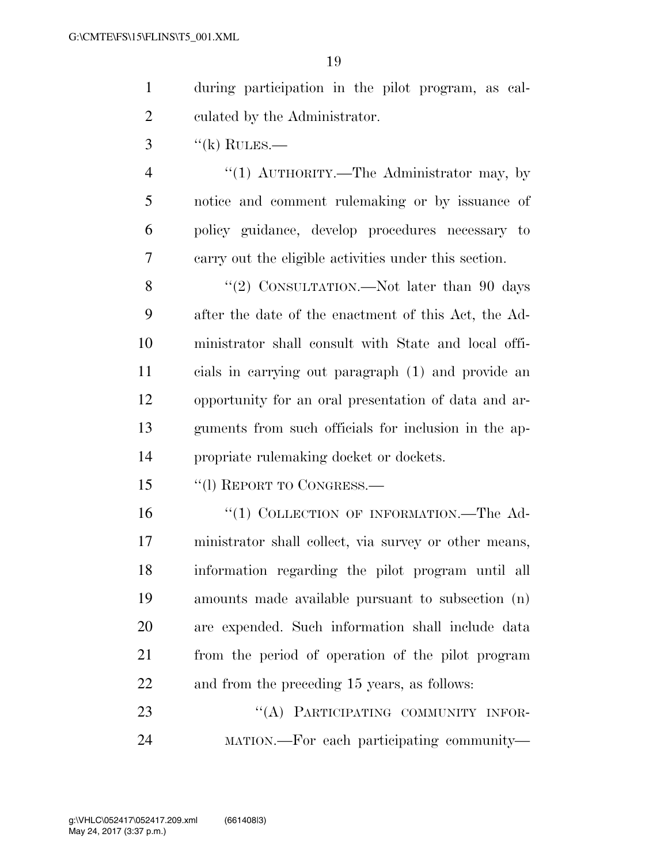| during participation in the pilot program, as cal- |
|----------------------------------------------------|
| culated by the Administrator.                      |

''(k) RULES.—

4 "(1) AUTHORITY.—The Administrator may, by notice and comment rulemaking or by issuance of policy guidance, develop procedures necessary to carry out the eligible activities under this section.

8 "(2) CONSULTATION.—Not later than 90 days after the date of the enactment of this Act, the Ad- ministrator shall consult with State and local offi- cials in carrying out paragraph (1) and provide an opportunity for an oral presentation of data and ar- guments from such officials for inclusion in the ap-propriate rulemaking docket or dockets.

''(l) REPORT TO CONGRESS.—

16 "(1) COLLECTION OF INFORMATION.—The Ad- ministrator shall collect, via survey or other means, information regarding the pilot program until all amounts made available pursuant to subsection (n) are expended. Such information shall include data from the period of operation of the pilot program and from the preceding 15 years, as follows:

23 "(A) PARTICIPATING COMMUNITY INFOR-MATION.—For each participating community—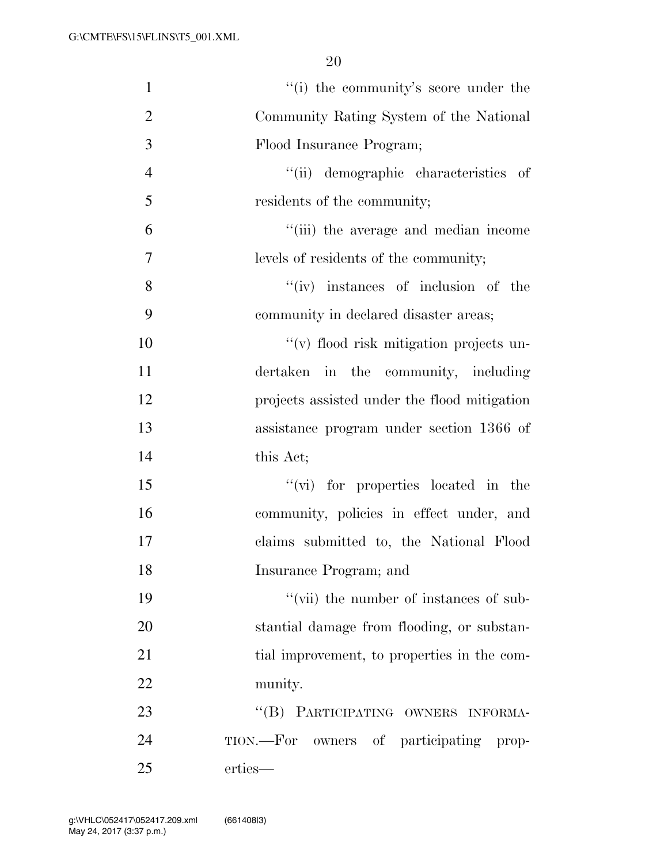| $\mathbf{1}$   | "(i) the community's score under the         |
|----------------|----------------------------------------------|
| $\overline{2}$ | Community Rating System of the National      |
| 3              | Flood Insurance Program;                     |
| $\overline{4}$ | "(ii) demographic characteristics of         |
| 5              | residents of the community;                  |
| 6              | "(iii) the average and median income         |
| $\tau$         | levels of residents of the community;        |
| 8              | $``(iv)$ instances of inclusion of the       |
| 9              | community in declared disaster areas;        |
| 10             | "(v) flood risk mitigation projects un-      |
| 11             | dertaken in the community, including         |
| 12             | projects assisted under the flood mitigation |
| 13             | assistance program under section 1366 of     |
| 14             | this Act;                                    |
| 15             | "(vi) for properties located in the          |
| 16             | community, policies in effect under, and     |
| 17             | claims submitted to, the National Flood      |
| 18             | Insurance Program; and                       |
| 19             | "(vii) the number of instances of sub-       |
| 20             | stantial damage from flooding, or substan-   |
| 21             | tial improvement, to properties in the com-  |
| 22             | munity.                                      |
| 23             | "(B) PARTICIPATING OWNERS INFORMA-           |
| 24             | TION.—For owners of participating prop-      |
| 25             | erties—                                      |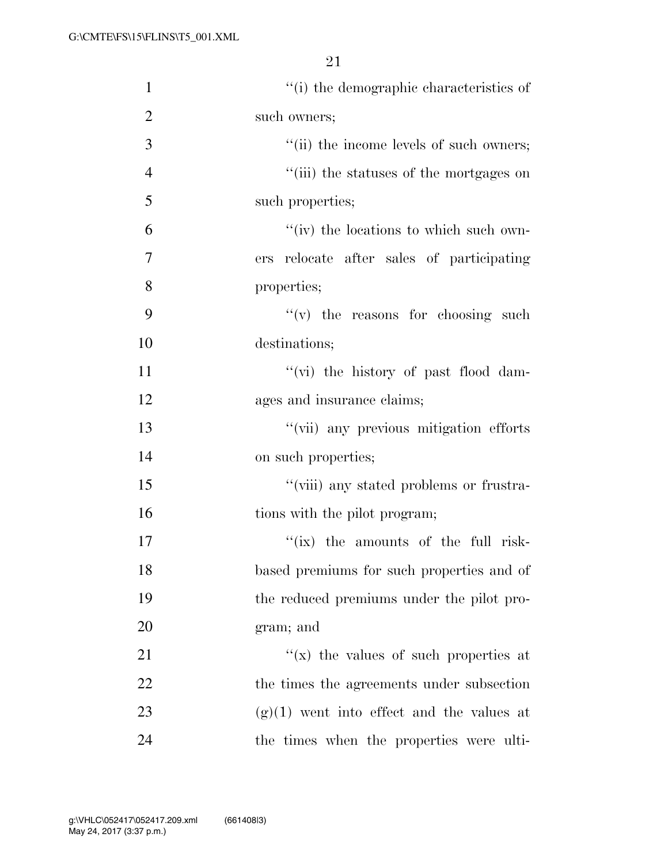| $\mathbf{1}$   | "(i) the demographic characteristics of      |
|----------------|----------------------------------------------|
| $\overline{2}$ | such owners;                                 |
| 3              | "(ii) the income levels of such owners;      |
| $\overline{4}$ | "(iii) the statuses of the mortgages on      |
| 5              | such properties;                             |
| 6              | "(iv) the locations to which such own-       |
| 7              | ers relocate after sales of participating    |
| 8              | properties;                                  |
| 9              | $f'(v)$ the reasons for choosing such        |
| 10             | destinations;                                |
| 11             | $\lq\lq$ (vi) the history of past flood dam- |
| 12             | ages and insurance claims;                   |
| 13             | "(vii) any previous mitigation efforts       |
| 14             | on such properties;                          |
| 15             | "(viii) any stated problems or frustra-      |
| 16             | tions with the pilot program;                |
| 17             | $f(x)$ the amounts of the full risk-         |
| 18             | based premiums for such properties and of    |
| 19             | the reduced premiums under the pilot pro-    |
| 20             | gram; and                                    |
| 21             | "(x) the values of such properties at        |
| 22             | the times the agreements under subsection    |
| 23             | $(g)(1)$ went into effect and the values at  |
| 24             | the times when the properties were ulti-     |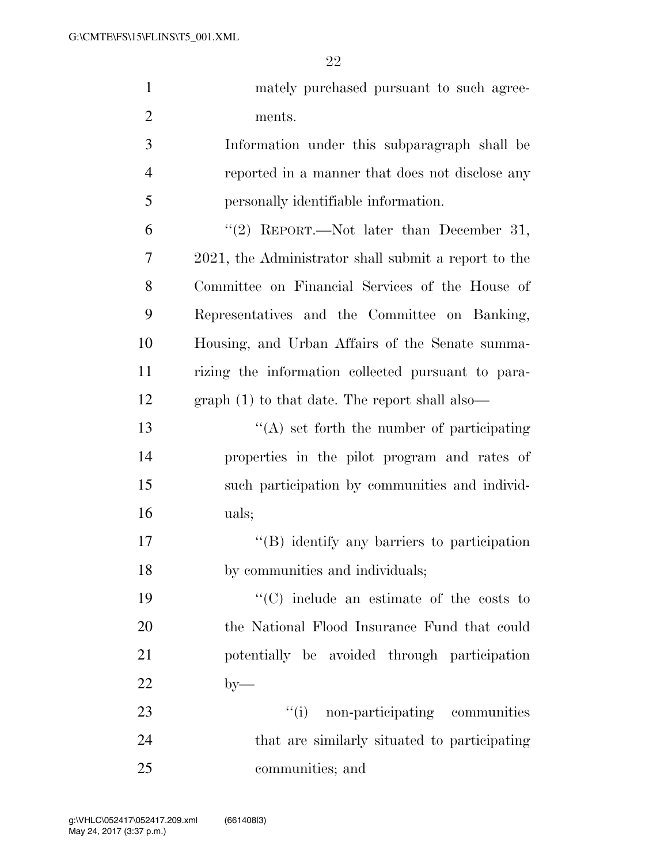| $\mathbf{1}$   | mately purchased pursuant to such agree-             |
|----------------|------------------------------------------------------|
| $\overline{2}$ | ments.                                               |
| 3              | Information under this subparagraph shall be         |
| $\overline{4}$ | reported in a manner that does not disclose any      |
| 5              | personally identifiable information.                 |
| 6              | "(2) REPORT.—Not later than December 31,             |
| 7              | 2021, the Administrator shall submit a report to the |
| 8              | Committee on Financial Services of the House of      |
| 9              | Representatives and the Committee on Banking,        |
| 10             | Housing, and Urban Affairs of the Senate summa-      |
| 11             | rizing the information collected pursuant to para-   |
| 12             | $graph(1)$ to that date. The report shall also—      |
| 13             | $\lq\lq$ set forth the number of participating       |
| 14             | properties in the pilot program and rates of         |
| 15             | such participation by communities and individ-       |
| 16             | uals;                                                |
| 17             | $\lq\lq (B)$ identify any barriers to participation  |
| 18             | by communities and individuals;                      |
| 19             | $\lq\lq$ include an estimate of the costs to         |
| 20             | the National Flood Insurance Fund that could         |
| 21             | potentially be avoided through participation         |
| 22             | $by-$                                                |
| 23             | "(i) non-participating communities                   |
| 24             | that are similarly situated to participating         |
| 25             | communities; and                                     |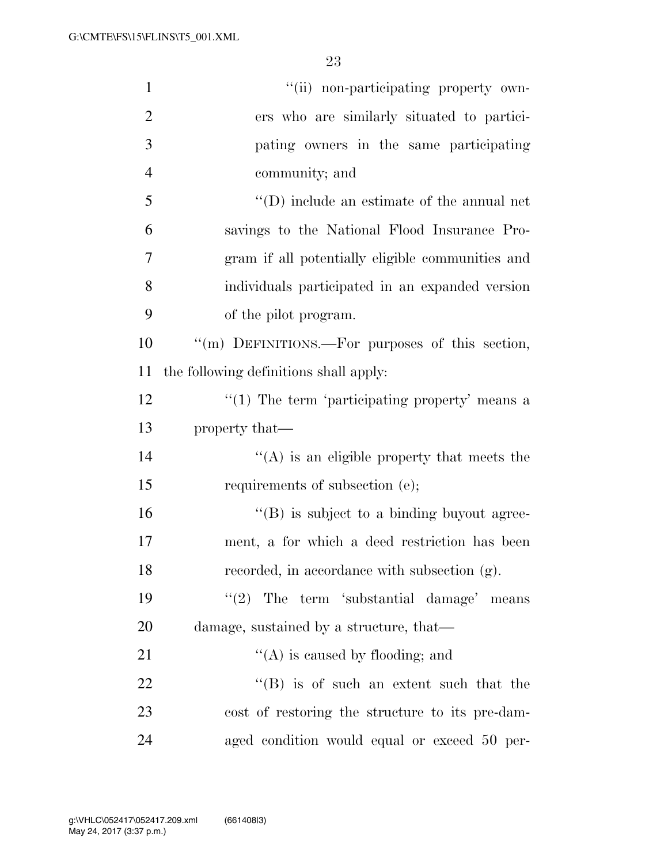| $\mathbf{1}$   | "(ii) non-participating property own-              |
|----------------|----------------------------------------------------|
| $\overline{2}$ | ers who are similarly situated to partici-         |
| 3              | pating owners in the same participating            |
| $\overline{4}$ | community; and                                     |
| 5              | $\lq\lq$ (D) include an estimate of the annual net |
| 6              | savings to the National Flood Insurance Pro-       |
| 7              | gram if all potentially eligible communities and   |
| 8              | individuals participated in an expanded version    |
| 9              | of the pilot program.                              |
| 10             | "(m) DEFINITIONS.—For purposes of this section,    |
| 11             | the following definitions shall apply:             |
| 12             | $"(1)$ The term 'participating property' means a   |
| 13             | property that—                                     |
| 14             | $\lq\lq$ is an eligible property that meets the    |
| 15             | requirements of subsection (e);                    |
| 16             | $\lq\lq (B)$ is subject to a binding buyout agree- |
| 17             | ment, a for which a deed restriction has been      |
| 18             | recorded, in accordance with subsection (g).       |
| 19             | (2)<br>The term 'substantial damage' means         |
| 20             | damage, sustained by a structure, that—            |
| 21             | $\lq\lq$ is caused by flooding; and                |
| 22             | $\lq\lq$ (B) is of such an extent such that the    |
| 23             | cost of restoring the structure to its pre-dam-    |
| 24             | aged condition would equal or exceed 50 per-       |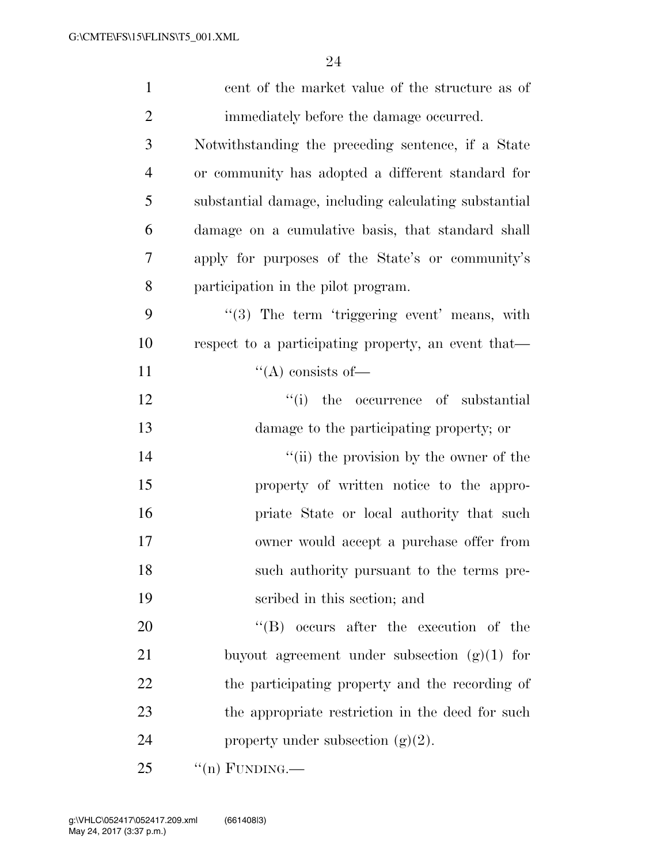| $\mathbf{1}$   | cent of the market value of the structure as of       |
|----------------|-------------------------------------------------------|
| $\overline{2}$ | immediately before the damage occurred.               |
| 3              | Notwithstanding the preceding sentence, if a State    |
| 4              | or community has adopted a different standard for     |
| 5              | substantial damage, including calculating substantial |
| 6              | damage on a cumulative basis, that standard shall     |
| 7              | apply for purposes of the State's or community's      |
| 8              | participation in the pilot program.                   |
| 9              | "(3) The term 'triggering event' means, with          |
| 10             | respect to a participating property, an event that—   |
| 11             | $\lq\lq$ consists of —                                |
| 12             | ``(i)<br>the occurrence of substantial                |
| 13             | damage to the participating property; or              |
| 14             | "(ii) the provision by the owner of the               |
| 15             | property of written notice to the appro-              |
| 16             | priate State or local authority that such             |
| 17             | owner would accept a purchase offer from              |
| 18             | such authority pursuant to the terms pre-             |
| 19             | scribed in this section; and                          |
| 20             | $\lq\lq (B)$ occurs after the execution of the        |
| 21             | buyout agreement under subsection $(g)(1)$ for        |
| 22             | the participating property and the recording of       |
| 23             | the appropriate restriction in the deed for such      |
| 24             | property under subsection $(g)(2)$ .                  |
| 25             | $\lq($ n) FUNDING.—                                   |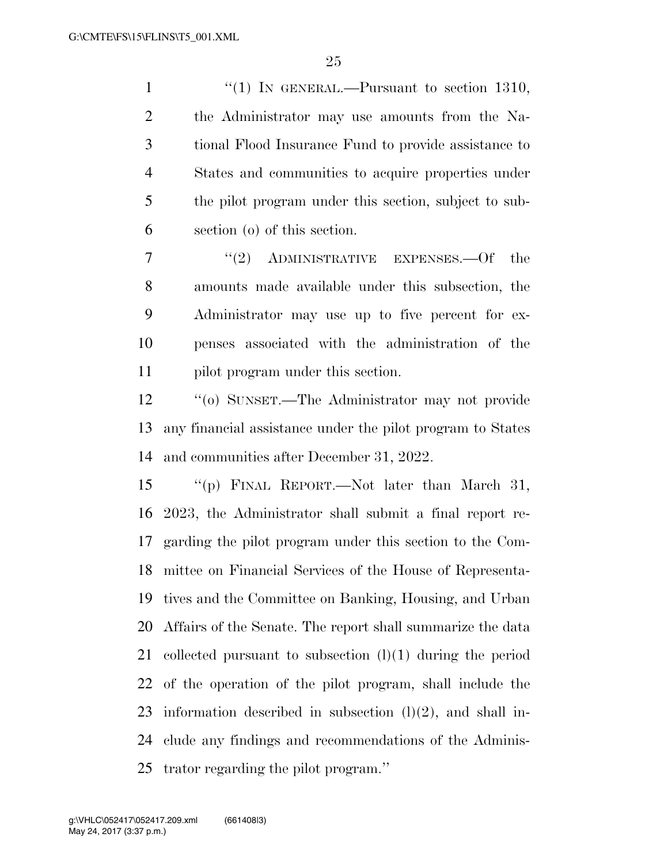1 "(1) IN GENERAL.—Pursuant to section 1310, the Administrator may use amounts from the Na- tional Flood Insurance Fund to provide assistance to States and communities to acquire properties under the pilot program under this section, subject to sub-section (o) of this section.

7 "(2) ADMINISTRATIVE EXPENSES.—Of the amounts made available under this subsection, the Administrator may use up to five percent for ex- penses associated with the administration of the pilot program under this section.

 ''(o) SUNSET.—The Administrator may not provide any financial assistance under the pilot program to States and communities after December 31, 2022.

 ''(p) FINAL REPORT.—Not later than March 31, 2023, the Administrator shall submit a final report re- garding the pilot program under this section to the Com- mittee on Financial Services of the House of Representa- tives and the Committee on Banking, Housing, and Urban Affairs of the Senate. The report shall summarize the data collected pursuant to subsection (l)(1) during the period of the operation of the pilot program, shall include the 23 information described in subsection  $(l)(2)$ , and shall in- clude any findings and recommendations of the Adminis-trator regarding the pilot program.''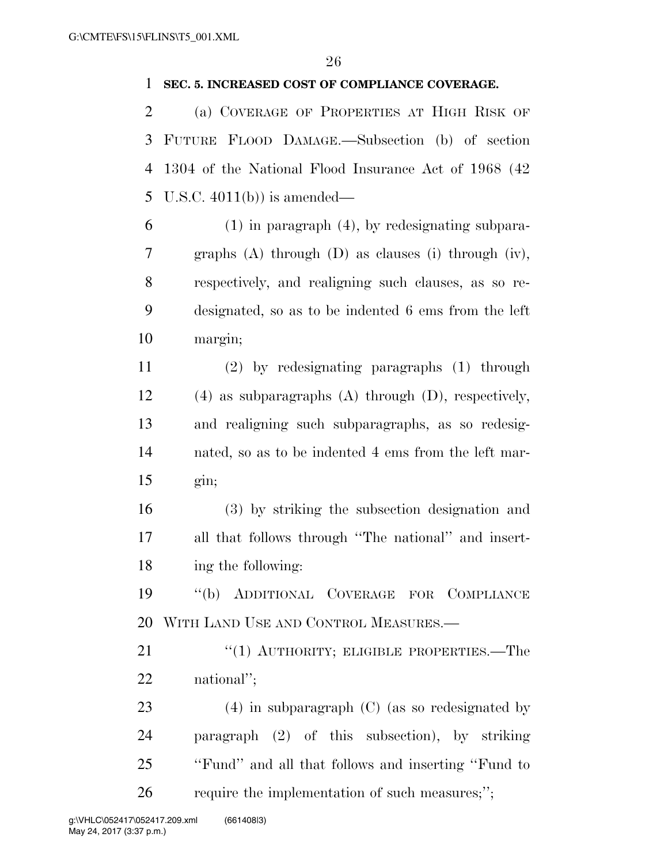#### **SEC. 5. INCREASED COST OF COMPLIANCE COVERAGE.**

 (a) COVERAGE OF PROPERTIES AT HIGH RISK OF FUTURE FLOOD DAMAGE.—Subsection (b) of section 1304 of the National Flood Insurance Act of 1968 (42 U.S.C. 4011(b)) is amended—

 (1) in paragraph (4), by redesignating subpara- graphs (A) through (D) as clauses (i) through (iv), respectively, and realigning such clauses, as so re- designated, so as to be indented 6 ems from the left margin;

 (2) by redesignating paragraphs (1) through (4) as subparagraphs (A) through (D), respectively, and realigning such subparagraphs, as so redesig- nated, so as to be indented 4 ems from the left mar-gin;

 (3) by striking the subsection designation and all that follows through ''The national'' and insert-ing the following:

 ''(b) ADDITIONAL COVERAGE FOR COMPLIANCE WITH LAND USE AND CONTROL MEASURES.—

21 "(1) AUTHORITY; ELIGIBLE PROPERTIES.—The national'';

 (4) in subparagraph (C) (as so redesignated by paragraph (2) of this subsection), by striking ''Fund'' and all that follows and inserting ''Fund to 26 require the implementation of such measures;";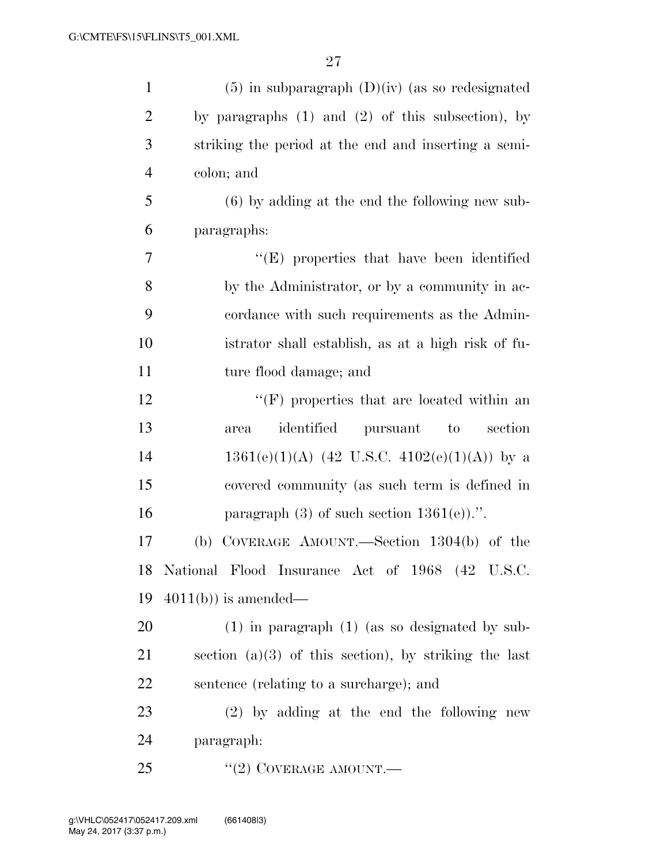| $\mathbf{1}$   | $(5)$ in subparagraph $(D)(iv)$ (as so redesignated     |
|----------------|---------------------------------------------------------|
| $\overline{2}$ | by paragraphs $(1)$ and $(2)$ of this subsection), by   |
| 3              | striking the period at the end and inserting a semi-    |
| $\overline{4}$ | colon; and                                              |
| 5              | $(6)$ by adding at the end the following new sub-       |
| 6              | paragraphs:                                             |
| $\tau$         | "(E) properties that have been identified               |
| 8              | by the Administrator, or by a community in ac-          |
| 9              | cordance with such requirements as the Admin-           |
| 10             | istrator shall establish, as at a high risk of fu-      |
| 11             | ture flood damage; and                                  |
| 12             | $\lq\lq(F)$ properties that are located within an       |
| 13             | identified<br>section<br>pursuant<br>to<br>area         |
| 14             | $1361(e)(1)(A)$ (42 U.S.C. 4102(e)(1)(A)) by a          |
| 15             | covered community (as such term is defined in           |
| 16             | paragraph $(3)$ of such section $1361(e)$ .".           |
| 17             | COVERAGE AMOUNT.—Section $1304(b)$ of the<br>(b)        |
| 18             | National Flood Insurance Act of 1968 (42 U.S.C.         |
| 19             | $4011(b)$ is amended—                                   |
| 20             | $(1)$ in paragraph $(1)$ (as so designated by sub-      |
| 21             | section $(a)(3)$ of this section), by striking the last |
| 22             | sentence (relating to a surcharge); and                 |
| 23             | $(2)$ by adding at the end the following new            |
| 24             | paragraph:                                              |
| 25             | "(2) COVERAGE AMOUNT.—                                  |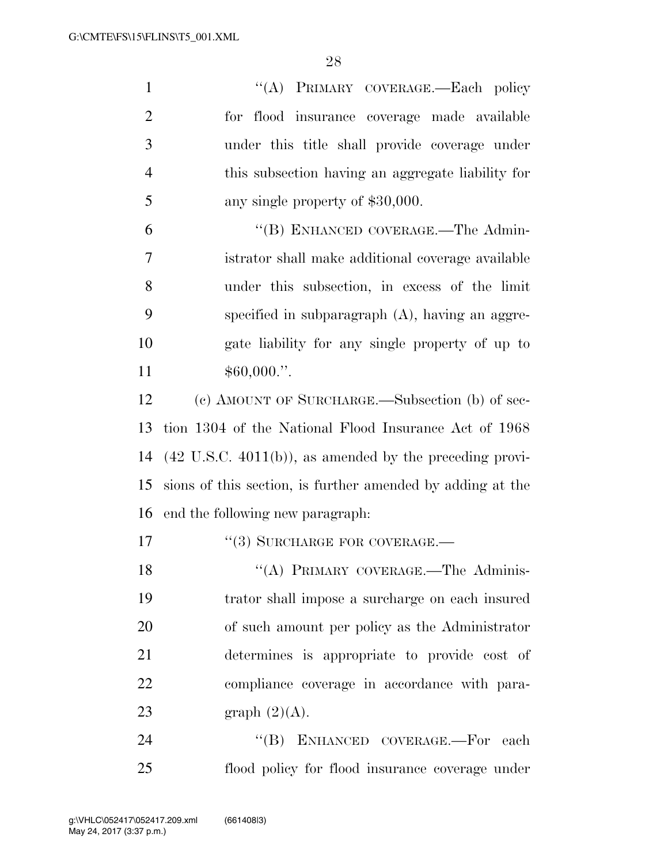| $\mathbf{1}$   | "(A) PRIMARY COVERAGE.-Each policy                                  |
|----------------|---------------------------------------------------------------------|
| $\overline{2}$ | for flood insurance coverage made available                         |
| 3              | under this title shall provide coverage under                       |
| $\overline{4}$ | this subsection having an aggregate liability for                   |
| 5              | any single property of \$30,000.                                    |
| 6              | "(B) ENHANCED COVERAGE.—The Admin-                                  |
| 7              | istrator shall make additional coverage available                   |
| 8              | under this subsection, in excess of the limit                       |
| 9              | specified in subparagraph $(A)$ , having an aggre-                  |
| 10             | gate liability for any single property of up to                     |
| 11             | $$60,000."$ .                                                       |
| 12             | (c) AMOUNT OF SURCHARGE.—Subsection (b) of sec-                     |
| 13             | tion 1304 of the National Flood Insurance Act of 1968               |
| 14             | $(42 \text{ U.S.C. } 4011(b))$ , as amended by the preceding provi- |
| 15             | sions of this section, is further amended by adding at the          |
| 16             | end the following new paragraph:                                    |
| 17             | $``(3)$ SURCHARGE FOR COVERAGE.—                                    |
| 18             | "(A) PRIMARY COVERAGE.—The Adminis-                                 |
| 19             | trator shall impose a surcharge on each insured                     |
| 20             | of such amount per policy as the Administrator                      |
| 21             | determines is appropriate to provide cost of                        |
| 22             | compliance coverage in accordance with para-                        |
| 23             | graph $(2)(A)$ .                                                    |
| 24             | "(B) ENHANCED COVERAGE.—For each                                    |
| 25             | flood policy for flood insurance coverage under                     |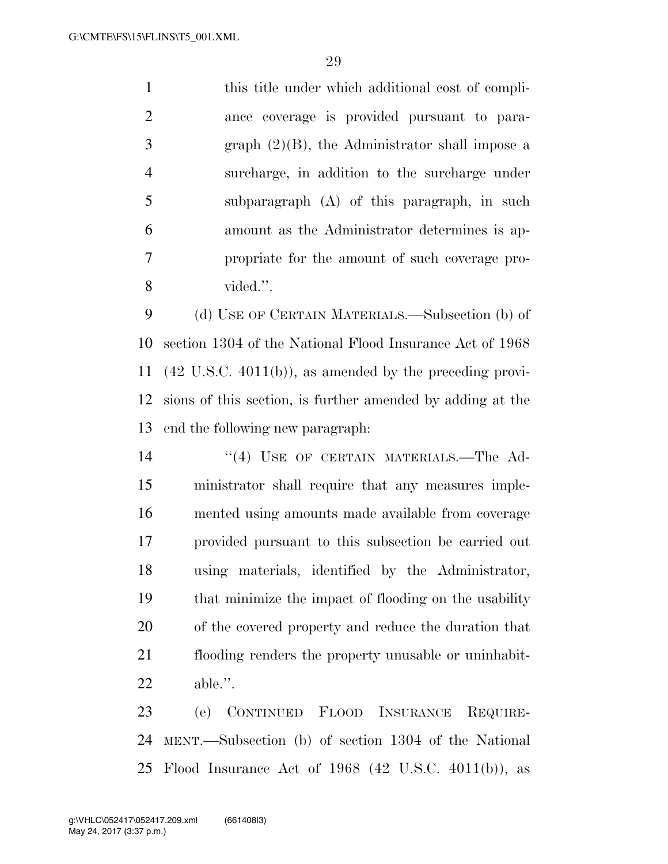this title under which additional cost of compli- ance coverage is provided pursuant to para- graph (2)(B), the Administrator shall impose a surcharge, in addition to the surcharge under subparagraph (A) of this paragraph, in such amount as the Administrator determines is ap- propriate for the amount of such coverage pro-vided.''.

 (d) USE OF CERTAIN MATERIALS.—Subsection (b) of section 1304 of the National Flood Insurance Act of 1968 (42 U.S.C. 4011(b)), as amended by the preceding provi- sions of this section, is further amended by adding at the end the following new paragraph:

14 "(4) USE OF CERTAIN MATERIALS.—The Ad- ministrator shall require that any measures imple- mented using amounts made available from coverage provided pursuant to this subsection be carried out using materials, identified by the Administrator, that minimize the impact of flooding on the usability of the covered property and reduce the duration that flooding renders the property unusable or uninhabit-able.''.

 (e) CONTINUED FLOOD INSURANCE REQUIRE- MENT.—Subsection (b) of section 1304 of the National Flood Insurance Act of 1968 (42 U.S.C. 4011(b)), as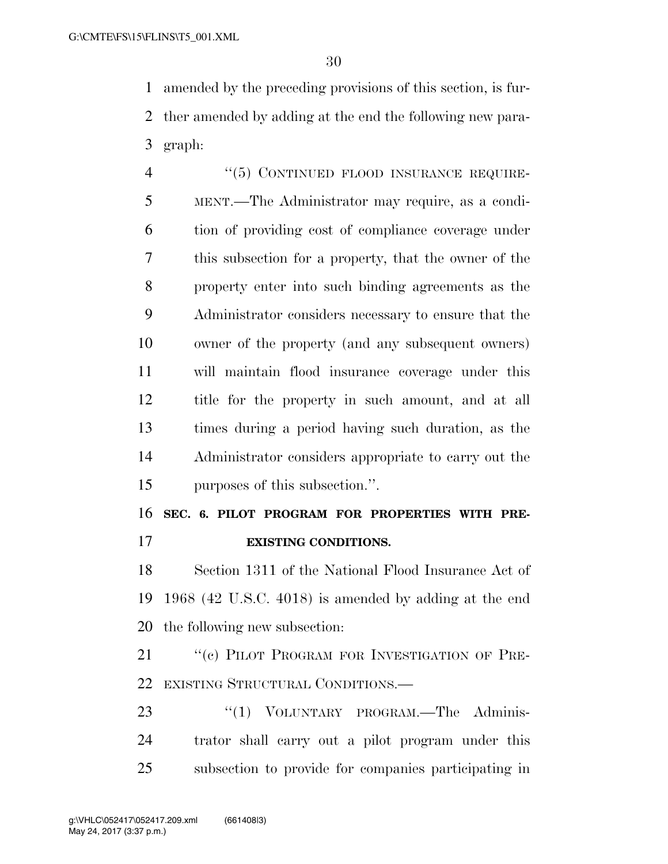amended by the preceding provisions of this section, is fur- ther amended by adding at the end the following new para-graph:

4 "(5) CONTINUED FLOOD INSURANCE REQUIRE- MENT.—The Administrator may require, as a condi- tion of providing cost of compliance coverage under this subsection for a property, that the owner of the property enter into such binding agreements as the Administrator considers necessary to ensure that the owner of the property (and any subsequent owners) will maintain flood insurance coverage under this title for the property in such amount, and at all times during a period having such duration, as the Administrator considers appropriate to carry out the purposes of this subsection.''.

**SEC. 6. PILOT PROGRAM FOR PROPERTIES WITH PRE-**

**EXISTING CONDITIONS.** 

 Section 1311 of the National Flood Insurance Act of 1968 (42 U.S.C. 4018) is amended by adding at the end the following new subsection:

21 "(c) PILOT PROGRAM FOR INVESTIGATION OF PRE-EXISTING STRUCTURAL CONDITIONS.—

23 "(1) VOLUNTARY PROGRAM.—The Adminis- trator shall carry out a pilot program under this subsection to provide for companies participating in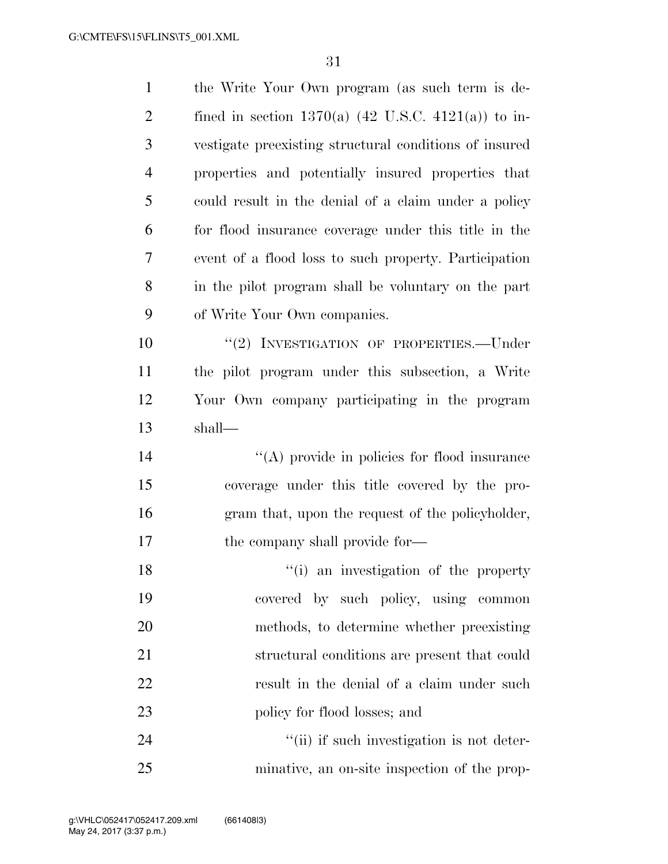| $\mathbf{1}$   | the Write Your Own program (as such term is de-                |
|----------------|----------------------------------------------------------------|
| $\overline{2}$ | fined in section 1370(a) $(42 \text{ U.S.C. } 4121(a))$ to in- |
| 3              | vestigate preexisting structural conditions of insured         |
| $\overline{4}$ | properties and potentially insured properties that             |
| 5              | could result in the denial of a claim under a policy           |
| 6              | for flood insurance coverage under this title in the           |
| 7              | event of a flood loss to such property. Participation          |
| 8              | in the pilot program shall be voluntary on the part            |
| 9              | of Write Your Own companies.                                   |
| 10             | "(2) INVESTIGATION OF PROPERTIES.—Under                        |
| 11             | the pilot program under this subsection, a Write               |
| 12             | Your Own company participating in the program                  |
| 13             | shall—                                                         |
| 14             | $\lq\lq$ provide in policies for flood insurance               |
| 15             | coverage under this title covered by the pro-                  |
| 16             | gram that, upon the request of the policyholder,               |
| 17             | the company shall provide for—                                 |
| 18             | "(i) an investigation of the property                          |
| 19             | covered by such policy, using common                           |
| 20             | methods, to determine whether preexisting                      |
| 21             | structural conditions are present that could                   |
| 22             | result in the denial of a claim under such                     |
| 23             | policy for flood losses; and                                   |
| 24             | "(ii) if such investigation is not deter-                      |
| 25             | minative, an on-site inspection of the prop-                   |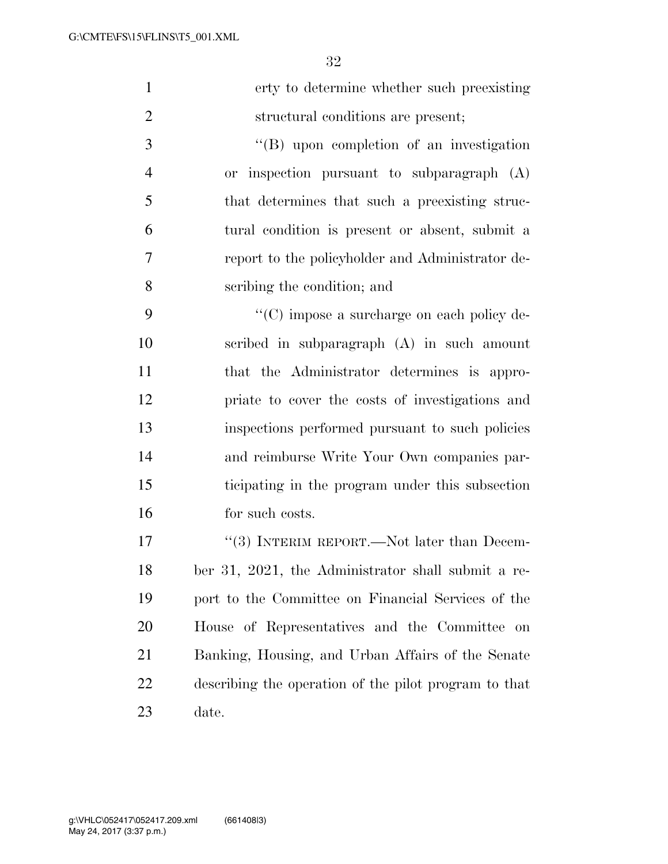| $\mathbf{1}$   | erty to determine whether such preexisting            |
|----------------|-------------------------------------------------------|
| $\mathfrak{2}$ | structural conditions are present;                    |
| 3              | $\lq\lq (B)$ upon completion of an investigation      |
| $\overline{4}$ | or inspection pursuant to subparagraph (A)            |
| 5              | that determines that such a preexisting struc-        |
| 6              | tural condition is present or absent, submit a        |
| $\overline{7}$ | report to the policyholder and Administrator de-      |
| 8              | scribing the condition; and                           |
| 9              | "(C) impose a surcharge on each policy de-            |
| 10             | scribed in subparagraph (A) in such amount            |
| 11             | that the Administrator determines is appro-           |
| 12             | priate to cover the costs of investigations and       |
| 13             | inspections performed pursuant to such policies       |
| 14             | and reimburse Write Your Own companies par-           |
| 15             | ticipating in the program under this subsection       |
| 16             | for such costs.                                       |
| 17             | $\lq(3)$ INTERIM REPORT.—Not later than Decem-        |
| 18             | ber 31, 2021, the Administrator shall submit a re-    |
| 19             | port to the Committee on Financial Services of the    |
| 20             | House of Representatives and the Committee<br>on      |
| 21             | Banking, Housing, and Urban Affairs of the Senate     |
| 22             | describing the operation of the pilot program to that |
| 23             | date.                                                 |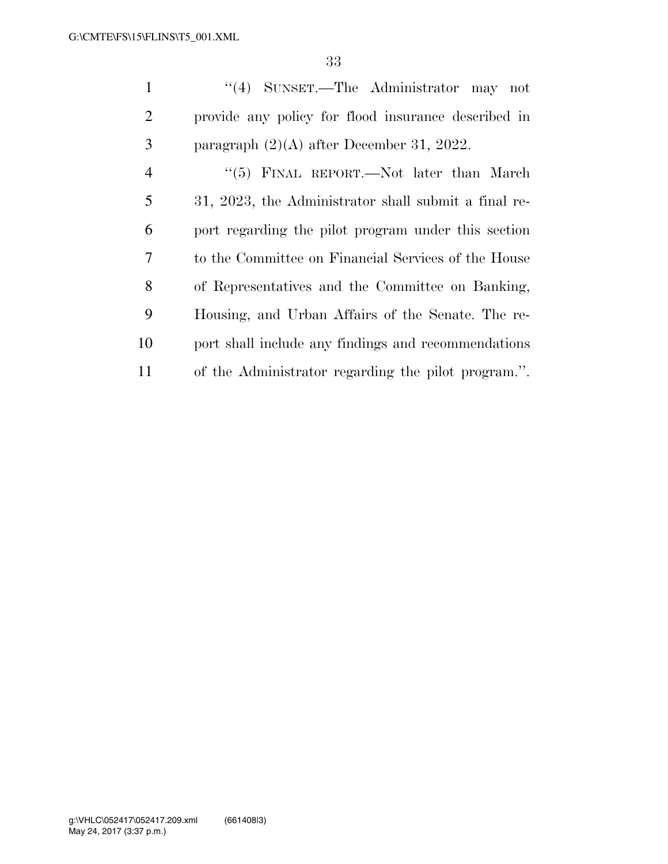''(4) SUNSET.—The Administrator may not provide any policy for flood insurance described in paragraph (2)(A) after December 31, 2022. 4 "(5) FINAL REPORT.—Not later than March 31, 2023, the Administrator shall submit a final re- port regarding the pilot program under this section to the Committee on Financial Services of the House of Representatives and the Committee on Banking, Housing, and Urban Affairs of the Senate. The re-

of the Administrator regarding the pilot program.''.

port shall include any findings and recommendations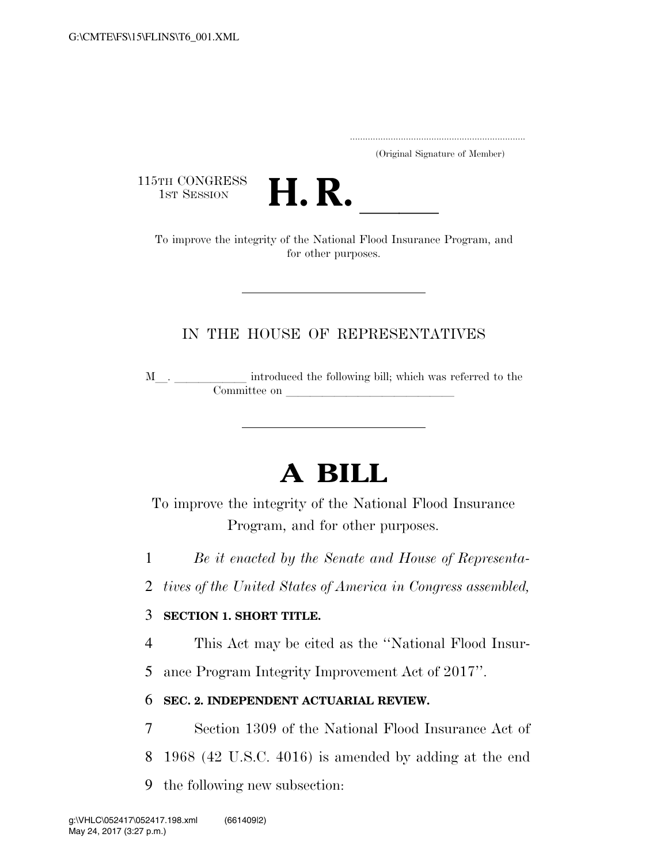..................................................................... (Original Signature of Member)

115TH CONGRESS<br>1st Session



TH CONGRESS<br>
1st SESSION<br>
To improve the integrity of the National Flood Insurance Program, and for other purposes.

## IN THE HOUSE OF REPRESENTATIVES

M\_\_. \_\_\_\_\_\_\_\_\_\_\_\_ introduced the following bill; which was referred to the  $\begin{tabular}{c} 1 & 0 & 0 \\ 0 & 0 & 0 \\ 0 & 0 & 0 \\ 0 & 0 & 0 \\ 0 & 0 & 0 \\ 0 & 0 & 0 \\ 0 & 0 & 0 \\ 0 & 0 & 0 \\ 0 & 0 & 0 \\ 0 & 0 & 0 & 0 \\ 0 & 0 & 0 & 0 \\ 0 & 0 & 0 & 0 \\ 0 & 0 & 0 & 0 & 0 \\ 0 & 0 & 0 & 0 & 0 \\ 0 & 0 & 0 & 0 & 0 \\ 0 & 0 & 0 & 0 & 0 & 0 \\ 0 & 0 & 0 & 0 & 0 & 0 \\ 0 & 0 & 0 & 0 & 0$ 

# **A BILL**

To improve the integrity of the National Flood Insurance Program, and for other purposes.

- 1 *Be it enacted by the Senate and House of Representa-*
- 2 *tives of the United States of America in Congress assembled,*

### 3 **SECTION 1. SHORT TITLE.**

4 This Act may be cited as the ''National Flood Insur-

5 ance Program Integrity Improvement Act of 2017''.

## 6 **SEC. 2. INDEPENDENT ACTUARIAL REVIEW.**

- 7 Section 1309 of the National Flood Insurance Act of
- 8 1968 (42 U.S.C. 4016) is amended by adding at the end
- 9 the following new subsection: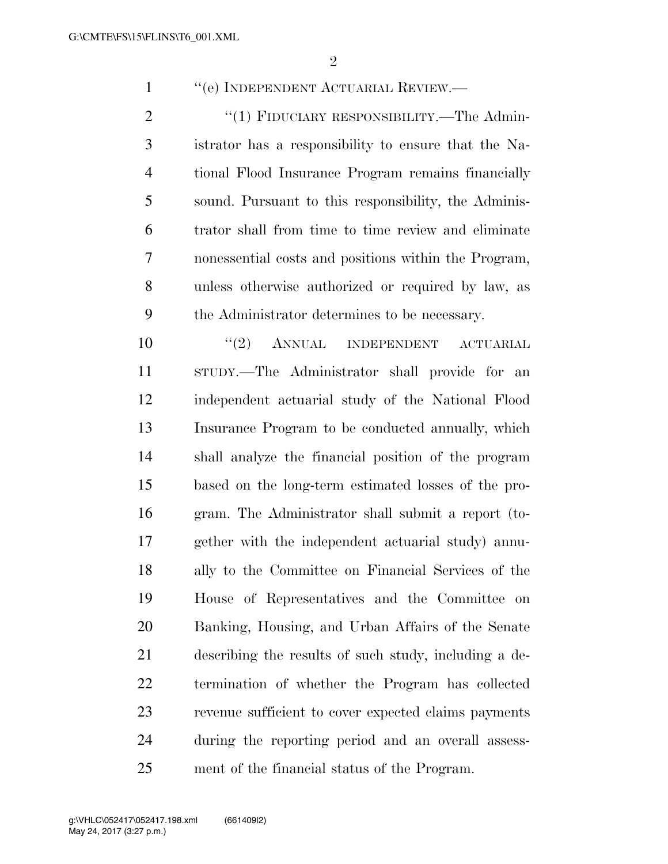''(e) INDEPENDENT ACTUARIAL REVIEW.—

2 "(1) FIDUCIARY RESPONSIBILITY.—The Admin- istrator has a responsibility to ensure that the Na- tional Flood Insurance Program remains financially sound. Pursuant to this responsibility, the Adminis- trator shall from time to time review and eliminate nonessential costs and positions within the Program, unless otherwise authorized or required by law, as the Administrator determines to be necessary.

 $(2)$  ANNUAL INDEPENDENT ACTUARIAL STUDY.—The Administrator shall provide for an independent actuarial study of the National Flood Insurance Program to be conducted annually, which shall analyze the financial position of the program based on the long-term estimated losses of the pro- gram. The Administrator shall submit a report (to- gether with the independent actuarial study) annu- ally to the Committee on Financial Services of the House of Representatives and the Committee on Banking, Housing, and Urban Affairs of the Senate describing the results of such study, including a de- termination of whether the Program has collected revenue sufficient to cover expected claims payments during the reporting period and an overall assess-ment of the financial status of the Program.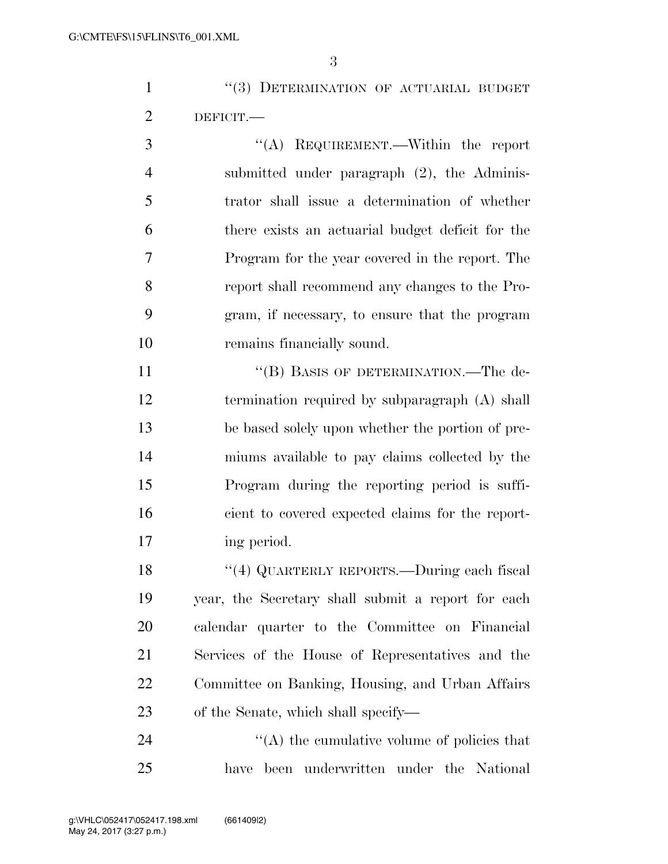1 ''(3) DETERMINATION OF ACTUARIAL BUDGET DEFICIT.—

 ''(A) REQUIREMENT.—Within the report submitted under paragraph (2), the Adminis- trator shall issue a determination of whether there exists an actuarial budget deficit for the Program for the year covered in the report. The report shall recommend any changes to the Pro- gram, if necessary, to ensure that the program remains financially sound.

11 ""(B) BASIS OF DETERMINATION.—The de- termination required by subparagraph (A) shall be based solely upon whether the portion of pre- miums available to pay claims collected by the Program during the reporting period is suffi- cient to covered expected claims for the report-ing period.

 ''(4) QUARTERLY REPORTS.—During each fiscal year, the Secretary shall submit a report for each calendar quarter to the Committee on Financial Services of the House of Representatives and the Committee on Banking, Housing, and Urban Affairs of the Senate, which shall specify—

24  $\langle A \rangle$  the cumulative volume of policies that have been underwritten under the National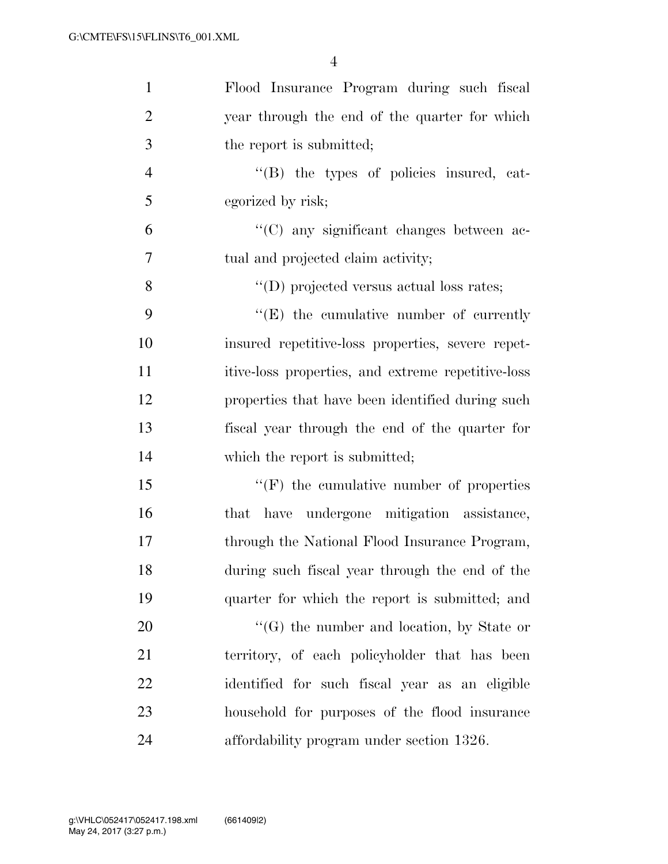| $\mathbf{1}$   | Flood Insurance Program during such fiscal         |
|----------------|----------------------------------------------------|
| $\overline{2}$ | year through the end of the quarter for which      |
| 3              | the report is submitted;                           |
| $\overline{4}$ | "(B) the types of policies insured, cat-           |
| 5              | egorized by risk;                                  |
| 6              | "(C) any significant changes between ac-           |
| 7              | tual and projected claim activity;                 |
| 8              | $\lq\lq$ (D) projected versus actual loss rates;   |
| 9              | $\lq\lq(E)$ the cumulative number of currently     |
| 10             | insured repetitive-loss properties, severe repet-  |
| 11             | itive-loss properties, and extreme repetitive-loss |
| 12             | properties that have been identified during such   |
| 13             | fiscal year through the end of the quarter for     |
| 14             | which the report is submitted;                     |
| 15             | $\lq\lq(F)$ the cumulative number of properties    |
| 16             | that have undergone mitigation assistance,         |
| 17             | through the National Flood Insurance Program,      |
| 18             | during such fiscal year through the end of the     |
| 19             | quarter for which the report is submitted; and     |
| 20             | $\lq\lq(G)$ the number and location, by State or   |
| 21             | territory, of each policyholder that has been      |
| 22             | identified for such fiscal year as an eligible     |
| 23             | household for purposes of the flood insurance      |
| 24             | affordability program under section 1326.          |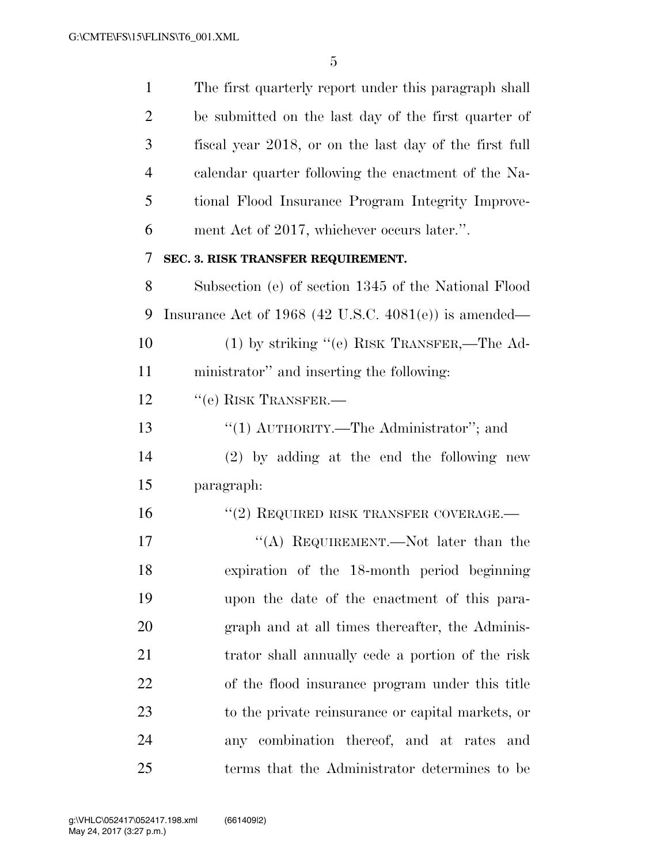| $\mathbf{1}$   | The first quarterly report under this paragraph shall    |
|----------------|----------------------------------------------------------|
| $\overline{2}$ | be submitted on the last day of the first quarter of     |
| 3              | fiscal year 2018, or on the last day of the first full   |
| $\overline{4}$ | calendar quarter following the enactment of the Na-      |
| 5              | tional Flood Insurance Program Integrity Improve-        |
| 6              | ment Act of 2017, whichever occurs later.".              |
| 7              | SEC. 3. RISK TRANSFER REQUIREMENT.                       |
| 8              | Subsection (e) of section 1345 of the National Flood     |
| 9              | Insurance Act of 1968 (42 U.S.C. $4081(e)$ ) is amended— |
| 10             | $(1)$ by striking "(e) RISK TRANSFER,—The Ad-            |
| 11             | ministrator" and inserting the following:                |
| 12             | "(e) RISK TRANSFER.—                                     |
| 13             | "(1) $\text{AUTHORITY}$ .—The Administrator"; and        |
| 14             | (2) by adding at the end the following new               |
| 15             | paragraph:                                               |
| 16             | $``(2)$ REQUIRED RISK TRANSFER COVERAGE.—                |
| 17             | "(A) REQUIREMENT.—Not later than the                     |
| 18             | expiration of the 18-month period beginning              |
| 19             | upon the date of the enactment of this para-             |
| 20             | graph and at all times thereafter, the Adminis-          |
| 21             | trator shall annually cede a portion of the risk         |
| 22             | of the flood insurance program under this title          |
| 23             | to the private reinsurance or capital markets, or        |
| 24             | any combination thereof, and at rates and                |
| 25             | terms that the Administrator determines to be            |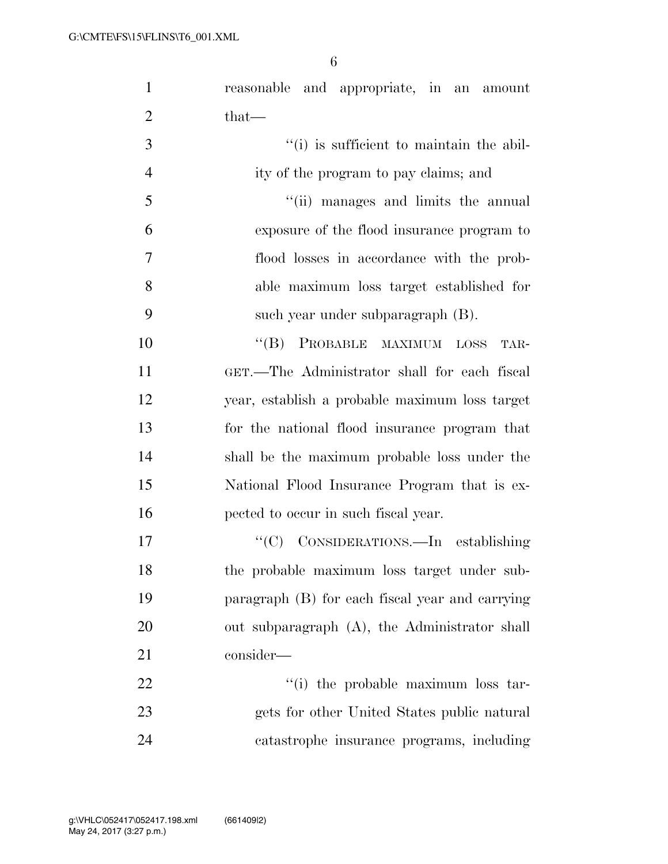reasonable and appropriate, in an amount 2 that— 3  $\frac{1}{1}$  is sufficient to maintain the abil-

 ity of the program to pay claims; and ''(ii) manages and limits the annual exposure of the flood insurance program to flood losses in accordance with the prob- able maximum loss target established for such year under subparagraph (B).

10 "(B) PROBABLE MAXIMUM LOSS TAR- GET.—The Administrator shall for each fiscal year, establish a probable maximum loss target for the national flood insurance program that shall be the maximum probable loss under the National Flood Insurance Program that is ex-pected to occur in such fiscal year.

17 ''(C) CONSIDERATIONS.—In establishing the probable maximum loss target under sub- paragraph (B) for each fiscal year and carrying out subparagraph (A), the Administrator shall consider—

22  $\frac{1}{2}$   $\frac{1}{2}$  the probable maximum loss tar- gets for other United States public natural catastrophe insurance programs, including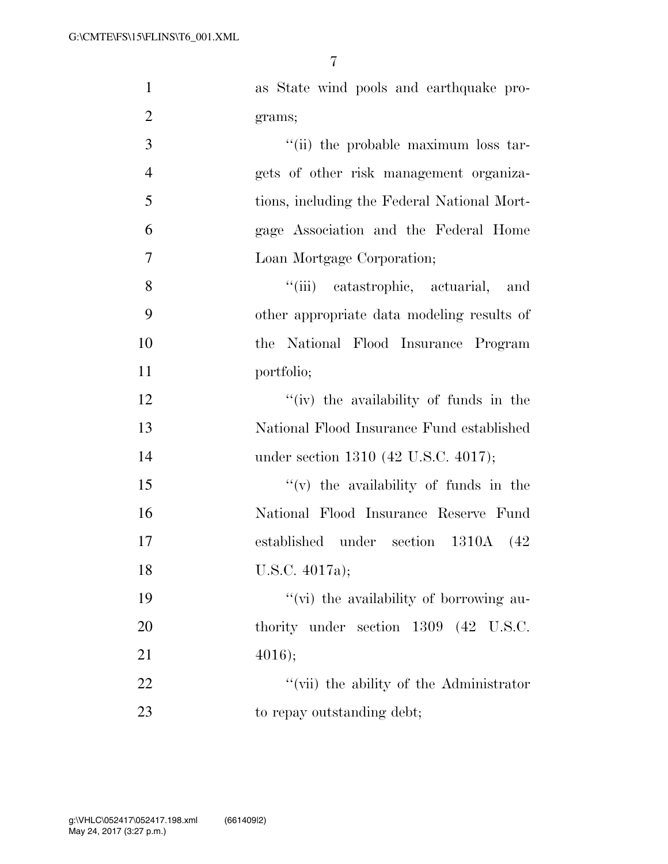| $\mathbf{1}$   | as State wind pools and earthquake pro-     |
|----------------|---------------------------------------------|
| $\overline{2}$ | grams;                                      |
| 3              | "(ii) the probable maximum loss tar-        |
| $\overline{4}$ | gets of other risk management organiza-     |
| 5              | tions, including the Federal National Mort- |
| 6              | gage Association and the Federal Home       |
| $\tau$         | Loan Mortgage Corporation;                  |
| 8              | "(iii) catastrophic, actuarial, and         |
| 9              | other appropriate data modeling results of  |
| 10             | the National Flood Insurance Program        |
| 11             | portfolio;                                  |
| 12             | "(iv) the availability of funds in the      |
| 13             | National Flood Insurance Fund established   |
| 14             | under section 1310 (42 U.S.C. 4017);        |
| 15             | $f'(v)$ the availability of funds in the    |
| 16             | National Flood Insurance Reserve Fund       |
| 17             | established under section 1310A (42)        |
| 18             | U.S.C. 4017a);                              |
| 19             | "(vi) the availability of borrowing au-     |
| 20             | thority under section 1309 (42 U.S.C.       |
| 21             | 4016);                                      |
| 22             | "(vii) the ability of the Administrator     |
| 23             | to repay outstanding debt;                  |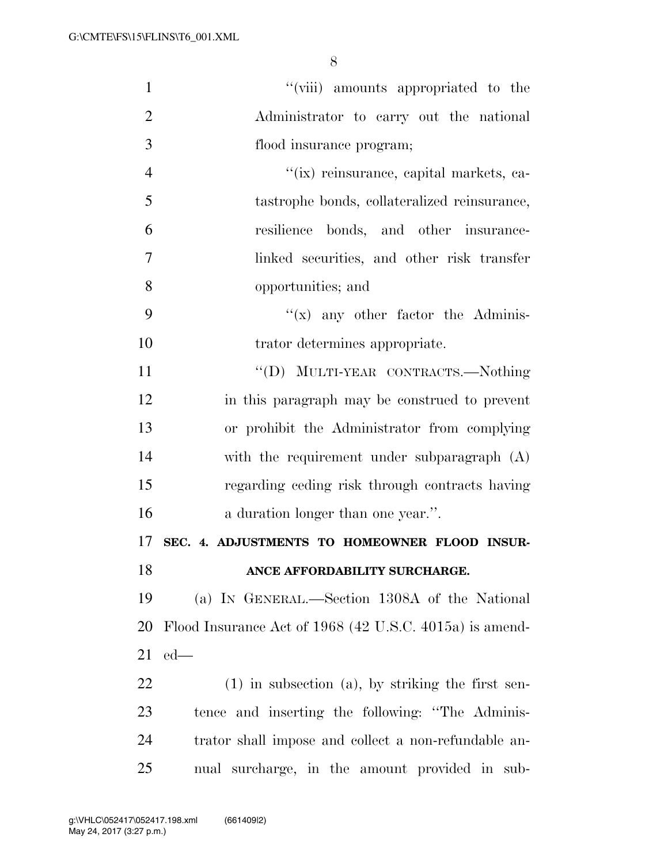| $\mathbf{1}$   | "(viii) amounts appropriated to the                     |
|----------------|---------------------------------------------------------|
| $\overline{2}$ | Administrator to carry out the national                 |
| 3              | flood insurance program;                                |
| $\overline{4}$ | "(ix) reinsurance, capital markets, ca-                 |
| 5              | tastrophe bonds, collateralized reinsurance,            |
| 6              | resilience bonds, and other insurance-                  |
| 7              | linked securities, and other risk transfer              |
| 8              | opportunities; and                                      |
| 9              | $f(x)$ any other factor the Adminis-                    |
| 10             | trator determines appropriate.                          |
| 11             | "(D) MULTI-YEAR CONTRACTS.—Nothing                      |
| 12             | in this paragraph may be construed to prevent           |
| 13             | or prohibit the Administrator from complying            |
| 14             | with the requirement under subparagraph (A)             |
| 15             | regarding ceding risk through contracts having          |
| 16             | a duration longer than one year.".                      |
| 17             | SEC. 4. ADJUSTMENTS TO HOMEOWNER FLOOD INSUR-           |
| 18             | ANCE AFFORDABILITY SURCHARGE.                           |
| 19             | (a) IN GENERAL.—Section 1308A of the National           |
| <b>20</b>      | Flood Insurance Act of 1968 (42 U.S.C. 4015a) is amend- |
| 21             | $ed$ —                                                  |
| 22             | $(1)$ in subsection $(a)$ , by striking the first sen-  |
| 23             | tence and inserting the following: "The Adminis-        |
| 24             | trator shall impose and collect a non-refundable an-    |
| 25             | nual surcharge, in the amount provided in sub-          |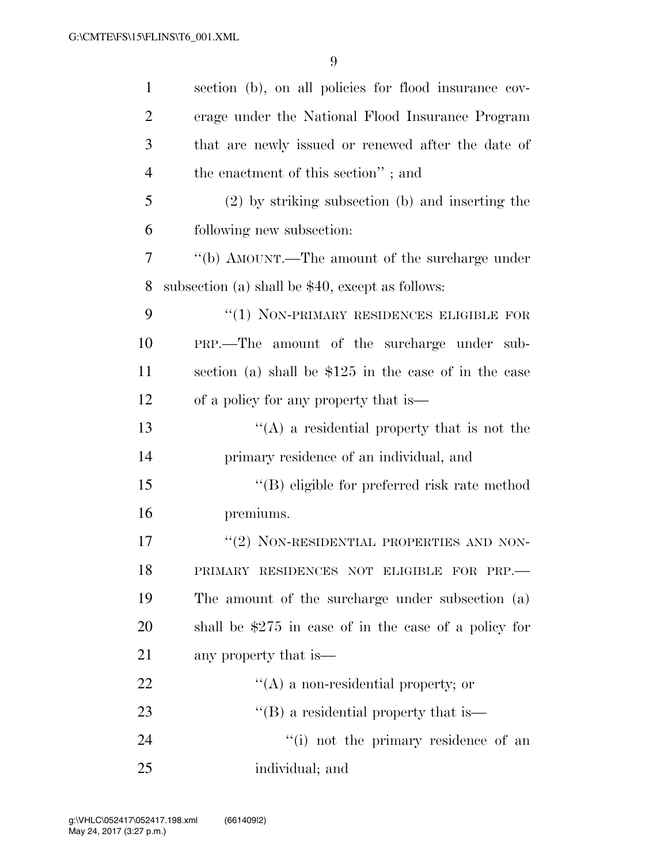| $\mathbf{1}$   | section (b), on all policies for flood insurance cov-  |
|----------------|--------------------------------------------------------|
| $\overline{2}$ | erage under the National Flood Insurance Program       |
| 3              | that are newly issued or renewed after the date of     |
| $\overline{4}$ | the enactment of this section"; and                    |
| 5              | $(2)$ by striking subsection (b) and inserting the     |
| 6              | following new subsection:                              |
| 7              | "(b) AMOUNT.—The amount of the surcharge under         |
| 8              | subsection (a) shall be $$40$ , except as follows:     |
| 9              | "(1) NON-PRIMARY RESIDENCES ELIGIBLE FOR               |
| 10             | PRP.—The amount of the surcharge under sub-            |
| 11             | section (a) shall be $$125$ in the case of in the case |
| 12             | of a policy for any property that is—                  |
| 13             | $\lq\lq$ a residential property that is not the        |
| 14             | primary residence of an individual, and                |
| 15             | $\lq\lq$ eligible for preferred risk rate method       |
| 16             | premiums.                                              |
| 17             | "(2) NON-RESIDENTIAL PROPERTIES AND NON-               |
| 18             | PRIMARY RESIDENCES NOT ELIGIBLE FOR PRP.-              |
| 19             | The amount of the surcharge under subsection (a)       |
| 20             | shall be $$275$ in case of in the case of a policy for |
| 21             | any property that is—                                  |
| 22             | $\lq\lq$ a non-residential property; or                |
| 23             | $\lq\lq$ a residential property that is —              |
| 24             | "(i) not the primary residence of an                   |
| 25             | individual; and                                        |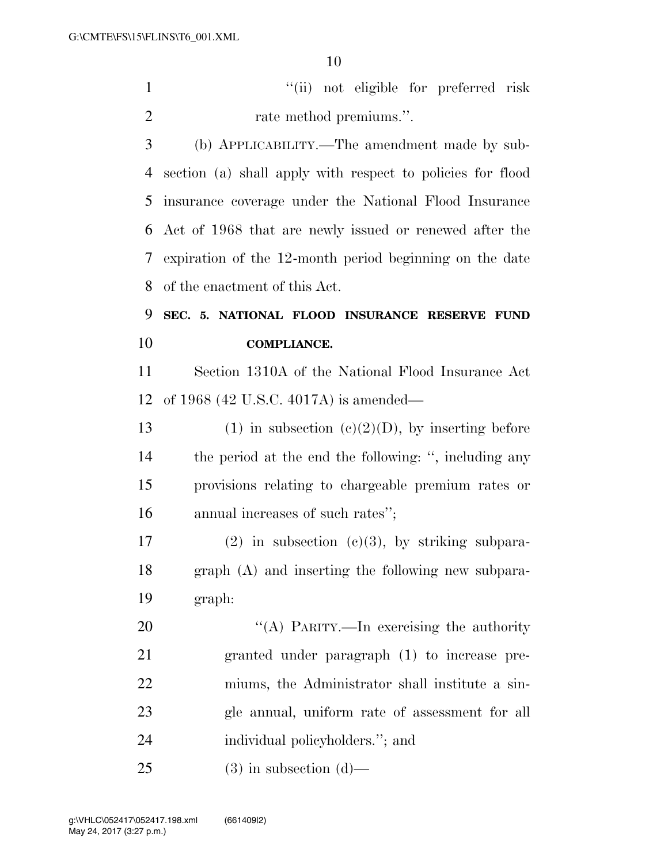''(ii) not eligible for preferred risk 2 rate method premiums.".

 (b) APPLICABILITY.—The amendment made by sub- section (a) shall apply with respect to policies for flood insurance coverage under the National Flood Insurance Act of 1968 that are newly issued or renewed after the expiration of the 12-month period beginning on the date of the enactment of this Act.

 **SEC. 5. NATIONAL FLOOD INSURANCE RESERVE FUND COMPLIANCE.** 

 Section 1310A of the National Flood Insurance Act of 1968 (42 U.S.C. 4017A) is amended—

13 (1) in subsection  $(c)(2)(D)$ , by inserting before the period at the end the following: '', including any provisions relating to chargeable premium rates or annual increases of such rates'';

17 (2) in subsection (c)(3), by striking subpara- graph (A) and inserting the following new subpara-graph:

20 "(A) PARITY.—In exercising the authority granted under paragraph (1) to increase pre- miums, the Administrator shall institute a sin- gle annual, uniform rate of assessment for all individual policyholders.''; and

(3) in subsection (d)—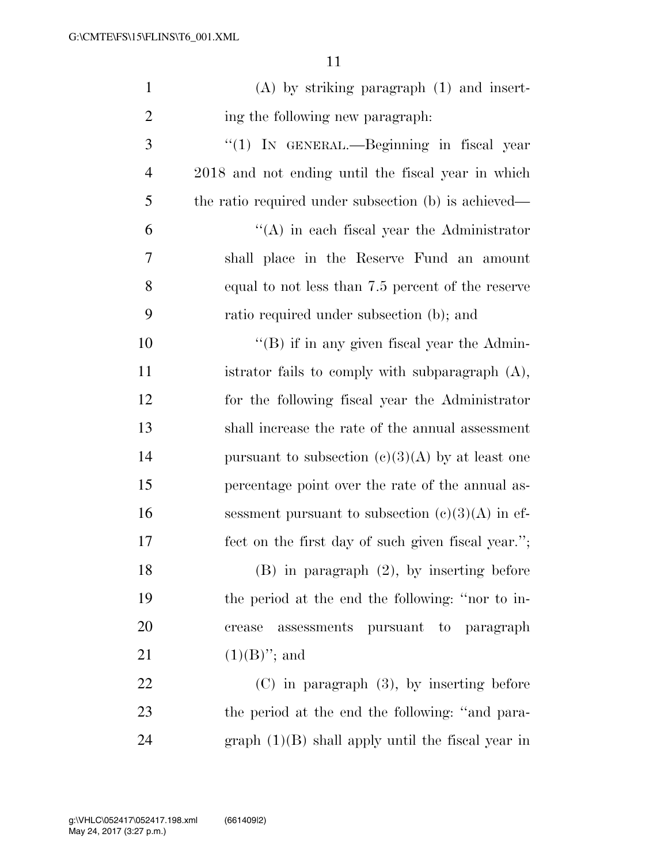| $\mathbf{1}$   | $(A)$ by striking paragraph $(1)$ and insert-        |
|----------------|------------------------------------------------------|
| $\overline{2}$ | ing the following new paragraph:                     |
| 3              | "(1) IN GENERAL.—Beginning in fiscal year            |
| $\overline{4}$ | 2018 and not ending until the fiscal year in which   |
| 5              | the ratio required under subsection (b) is achieved— |
| 6              | $\lq\lq$ in each fiscal year the Administrator       |
| 7              | shall place in the Reserve Fund an amount            |
| 8              | equal to not less than 7.5 percent of the reserve    |
| 9              | ratio required under subsection (b); and             |
| 10             | $\lq\lq$ if in any given fiscal year the Admin-      |
| 11             | istrator fails to comply with subparagraph $(A)$ ,   |
| 12             | for the following fiscal year the Administrator      |
| 13             | shall increase the rate of the annual assessment     |
| 14             | pursuant to subsection $(c)(3)(A)$ by at least one   |
| 15             | percentage point over the rate of the annual as-     |
| 16             | sessment pursuant to subsection $(c)(3)(A)$ in ef-   |
| 17             | fect on the first day of such given fiscal year.";   |
| 18             | $(B)$ in paragraph $(2)$ , by inserting before       |
| 19             | the period at the end the following: "nor to in-     |
| 20             | assessments pursuant to paragraph<br>crease          |
| 21             | $(1)(B)$ "; and                                      |
| 22             | $(C)$ in paragraph $(3)$ , by inserting before       |
| 23             | the period at the end the following: "and para-      |
| 24             | graph $(1)(B)$ shall apply until the fiscal year in  |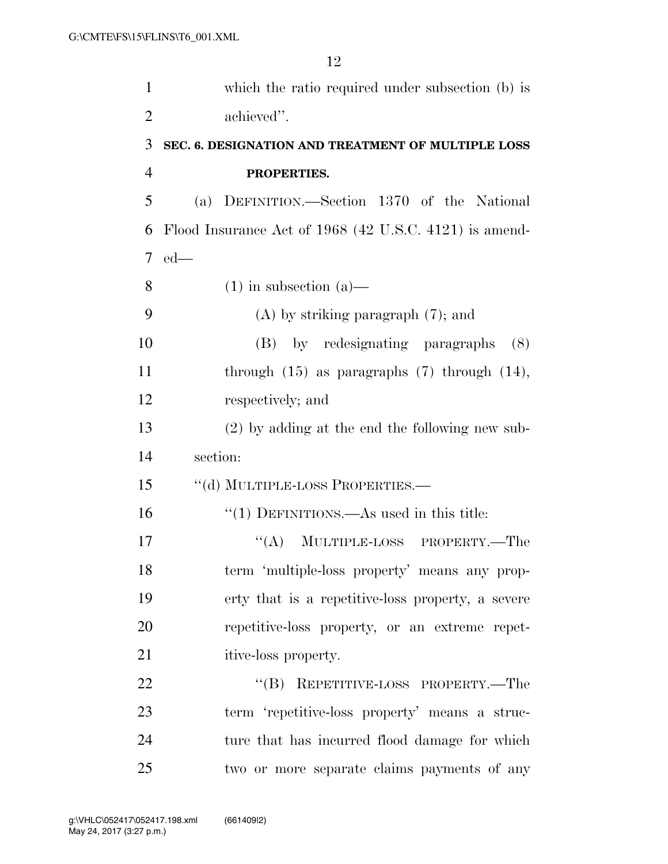| $\mathbf{1}$   | which the ratio required under subsection (b) is       |
|----------------|--------------------------------------------------------|
| $\overline{2}$ | achieved".                                             |
| 3              | SEC. 6. DESIGNATION AND TREATMENT OF MULTIPLE LOSS     |
| $\overline{4}$ | PROPERTIES.                                            |
| 5              | (a) DEFINITION.—Section 1370 of the National           |
| 6              | Flood Insurance Act of 1968 (42 U.S.C. 4121) is amend- |
| 7              | $ed$ —                                                 |
| 8              | $(1)$ in subsection $(a)$ —                            |
| 9              | $(A)$ by striking paragraph $(7)$ ; and                |
| 10             | (B) by redesignating paragraphs<br>(8)                 |
| 11             | through $(15)$ as paragraphs $(7)$ through $(14)$ ,    |
| 12             | respectively; and                                      |
| 13             | $(2)$ by adding at the end the following new sub-      |
| 14             | section:                                               |
| 15             | "(d) MULTIPLE-LOSS PROPERTIES.-                        |
| 16             | $"(1)$ DEFINITIONS.—As used in this title:             |
| 17             | ``(A)<br>MULTIPLE-LOSS PROPERTY.—The                   |
| 18             | term 'multiple-loss property' means any prop-          |
| 19             | erty that is a repetitive-loss property, a severe      |
| 20             | repetitive-loss property, or an extreme repet-         |
| 21             | itive-loss property.                                   |
| 22             | REPETITIVE-LOSS PROPERTY.-The<br>$\lq\lq (B)$          |
| 23             | term 'repetitive-loss property' means a struc-         |
| 24             | ture that has incurred flood damage for which          |
| $25\,$         | two or more separate claims payments of any            |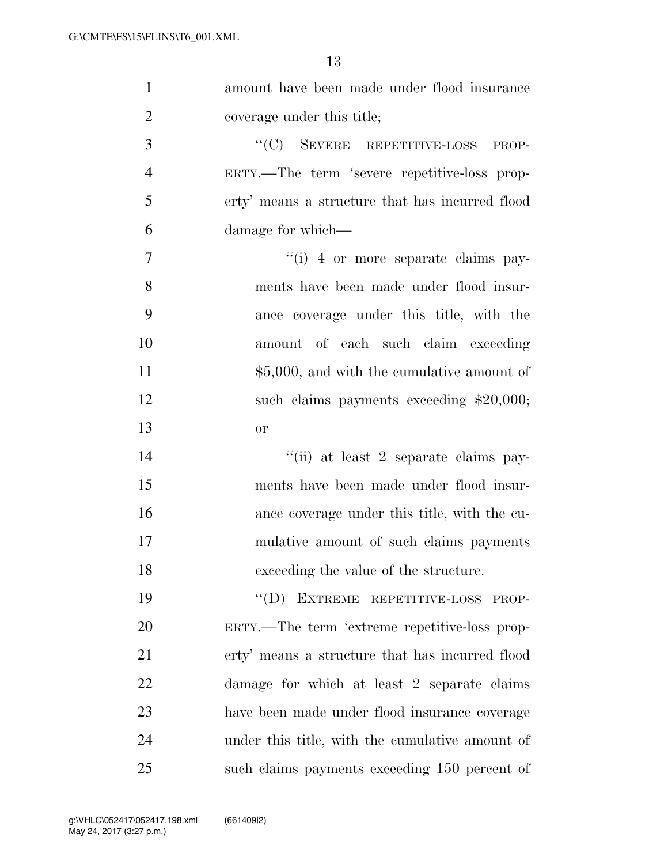| $\mathbf{1}$   | amount have been made under flood insurance     |
|----------------|-------------------------------------------------|
| $\overline{2}$ | coverage under this title;                      |
| 3              | "(C) SEVERE REPETITIVE-LOSS PROP-               |
| $\overline{4}$ | ERTY.—The term 'severe repetitive-loss prop-    |
| 5              | erty' means a structure that has incurred flood |
| 6              | damage for which—                               |
| 7              | "(i) 4 or more separate claims pay-             |
| 8              | ments have been made under flood insur-         |
| 9              | ance coverage under this title, with the        |
| 10             | amount of each such claim exceeding             |
| 11             | $$5,000$ , and with the cumulative amount of    |
| 12             | such claims payments exceeding $$20,000;$       |
| 13             | <b>or</b>                                       |
| 14             | "(ii) at least 2 separate claims pay-           |
| 15             | ments have been made under flood insur-         |
| 16             | ance coverage under this title, with the cu-    |
| 17             | mulative amount of such claims payments         |
| 18             | exceeding the value of the structure.           |
| 19             | "(D) EXTREME REPETITIVE-LOSS PROP-              |
| 20             | ERTY.—The term 'extreme repetitive-loss prop-   |
| 21             | erty' means a structure that has incurred flood |
| 22             | damage for which at least 2 separate claims     |
| 23             | have been made under flood insurance coverage   |
| 24             | under this title, with the cumulative amount of |
| 25             | such claims payments exceeding 150 percent of   |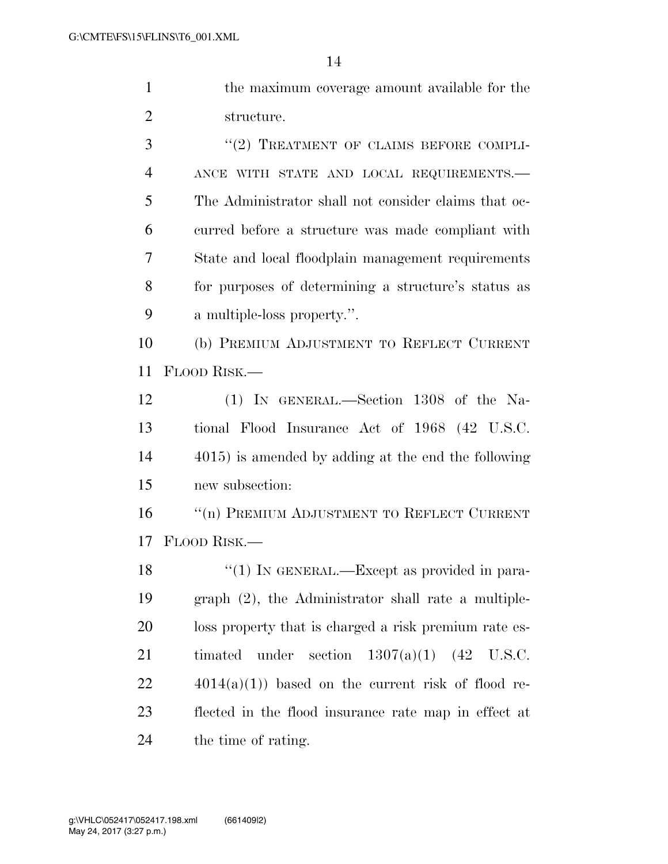| the maximum coverage amount available for the |
|-----------------------------------------------|
| structure.                                    |
| $''(2)$ TREATMENT OF CLAIMS BEFORE COMPLI-    |

 ANCE WITH STATE AND LOCAL REQUIREMENTS.— The Administrator shall not consider claims that oc- curred before a structure was made compliant with State and local floodplain management requirements for purposes of determining a structure's status as a multiple-loss property.''.

 (b) PREMIUM ADJUSTMENT TO REFLECT CURRENT FLOOD RISK.—

 (1) IN GENERAL.—Section 1308 of the Na- tional Flood Insurance Act of 1968 (42 U.S.C. 4015) is amended by adding at the end the following new subsection:

16 "(n) PREMIUM ADJUSTMENT TO REFLECT CURRENT FLOOD RISK.—

18 "(1) IN GENERAL.—Except as provided in para- graph (2), the Administrator shall rate a multiple- loss property that is charged a risk premium rate es- timated under section 1307(a)(1) (42 U.S.C.  $22 \qquad \qquad 4014(a)(1)$  based on the current risk of flood re- flected in the flood insurance rate map in effect at the time of rating.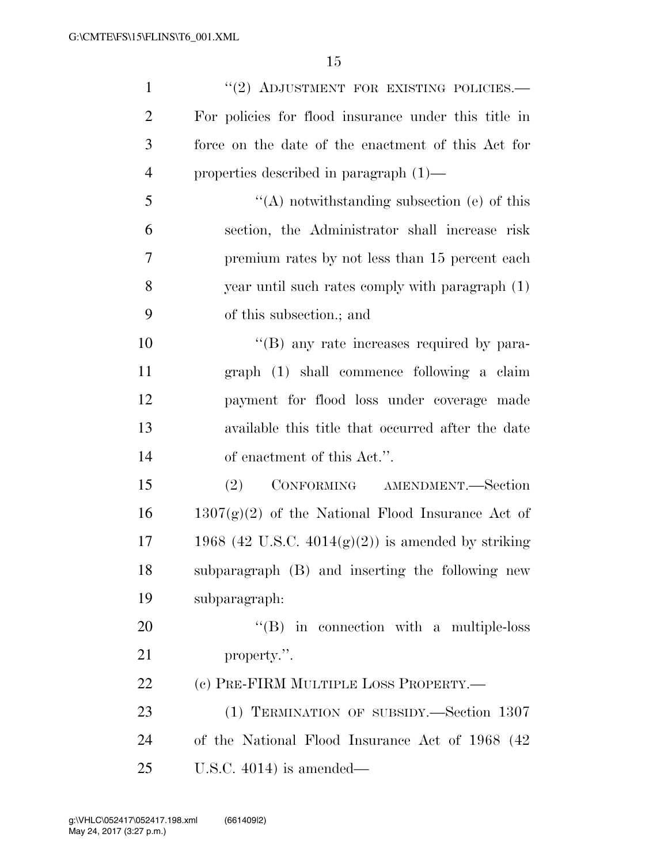| $\mathbf{1}$   | "(2) ADJUSTMENT FOR EXISTING POLICIES.-               |
|----------------|-------------------------------------------------------|
| $\overline{2}$ | For policies for flood insurance under this title in  |
| 3              | force on the date of the enactment of this Act for    |
| $\overline{4}$ | properties described in paragraph $(1)$ —             |
| 5              | $\lq\lq$ notwithstanding subsection (e) of this       |
| 6              | section, the Administrator shall increase risk        |
| 7              | premium rates by not less than 15 percent each        |
| 8              | year until such rates comply with paragraph (1)       |
| 9              | of this subsection.; and                              |
| 10             | $\lq\lq$ (B) any rate increases required by para-     |
| 11             | graph (1) shall commence following a claim            |
| 12             | payment for flood loss under coverage made            |
| 13             | available this title that occurred after the date     |
| 14             | of enactment of this Act.".                           |
| 15             | (2)<br>CONFORMING AMENDMENT.—Section                  |
| 16             | $1307(g)(2)$ of the National Flood Insurance Act of   |
| 17             | 1968 (42 U.S.C. $4014(g)(2)$ ) is amended by striking |
| 18             | subparagraph (B) and inserting the following new      |
| 19             | subparagraph:                                         |
| 20             | $\lq\lq (B)$ in connection with a multiple-loss       |
| 21             | property.".                                           |
| 22             | (c) PRE-FIRM MULTIPLE LOSS PROPERTY.—                 |
| 23             | (1) TERMINATION OF SUBSIDY.—Section 1307              |
| 24             | of the National Flood Insurance Act of 1968 (42)      |
| 25             | U.S.C. $4014$ ) is amended—                           |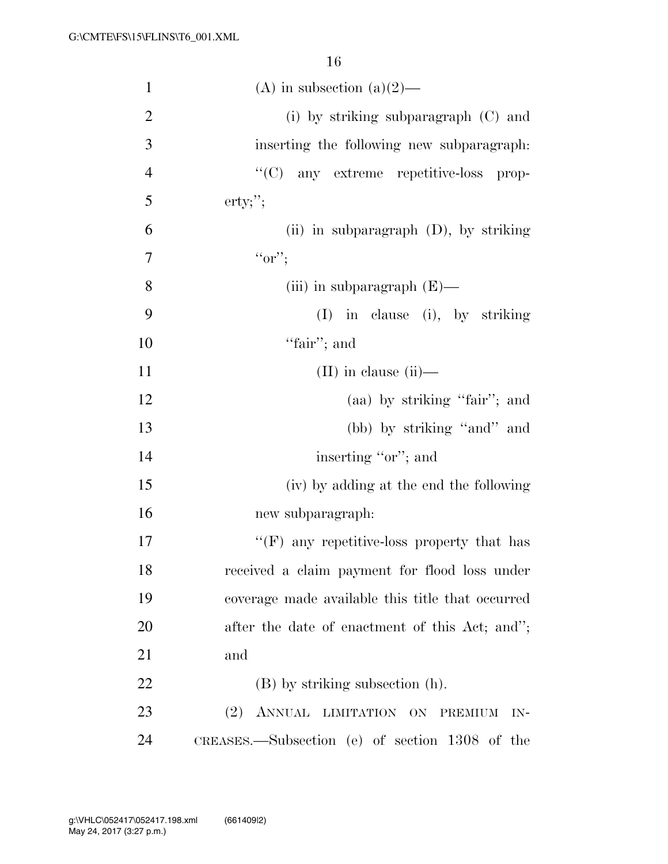| $\mathbf{1}$   | (A) in subsection (a) $(2)$ —                    |
|----------------|--------------------------------------------------|
| $\overline{2}$ | (i) by striking subparagraph $(C)$ and           |
| 3              | inserting the following new subparagraph:        |
| $\overline{4}$ | "(C) any extreme repetitive-loss prop-           |
| 5              | $\text{erty};$ ";                                |
| 6              | (ii) in subparagraph $(D)$ , by striking         |
| 7              | $``or$ ";                                        |
| 8              | (iii) in subparagraph $(E)$ —                    |
| 9              | $(I)$ in clause (i), by striking                 |
| 10             | "fair"; and                                      |
| 11             | $(II)$ in clause $(ii)$ —                        |
| 12             | (aa) by striking "fair"; and                     |
| 13             | (bb) by striking "and" and                       |
| 14             | inserting "or"; and                              |
| 15             | (iv) by adding at the end the following          |
| 16             | new subparagraph:                                |
| 17             | " $(F)$ any repetitive-loss property that has    |
| 18             | received a claim payment for flood loss under    |
| 19             | coverage made available this title that occurred |
| 20             | after the date of enactment of this Act; and";   |
| 21             | and                                              |
| 22             | (B) by striking subsection (h).                  |
| 23             | (2)<br>ANNUAL LIMITATION ON<br>PREMIUM<br>$IN-$  |
| 24             | CREASES.—Subsection (e) of section 1308 of the   |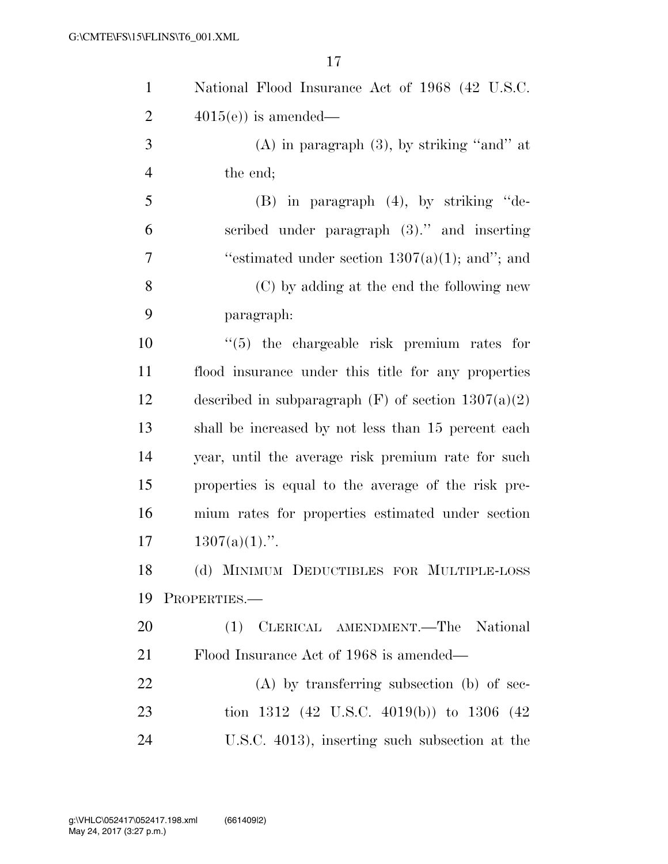| $\mathbf{1}$   | National Flood Insurance Act of 1968 (42 U.S.C.         |
|----------------|---------------------------------------------------------|
| $\overline{2}$ | $4015(e)$ is amended—                                   |
| 3              | $(A)$ in paragraph $(3)$ , by striking "and" at         |
| $\overline{4}$ | the end;                                                |
| 5              | $(B)$ in paragraph $(4)$ , by striking "de-             |
| 6              | scribed under paragraph (3)." and inserting             |
| 7              | "estimated under section $1307(a)(1)$ ; and"; and       |
| 8              | (C) by adding at the end the following new              |
| 9              | paragraph:                                              |
| 10             | $\lq(5)$ the chargeable risk premium rates for          |
| 11             | flood insurance under this title for any properties     |
| 12             | described in subparagraph $(F)$ of section $1307(a)(2)$ |
| 13             | shall be increased by not less than 15 percent each     |
| 14             | year, until the average risk premium rate for such      |
| 15             | properties is equal to the average of the risk pre-     |
| 16             | mium rates for properties estimated under section       |
| 17             | $1307(a)(1)$ .".                                        |
| 18             | (d) MINIMUM DEDUCTIBLES FOR MULTIPLE-LOSS               |
| 19             | PROPERTIES.                                             |
| 20             | (1) CLERICAL AMENDMENT.—The National                    |
| 21             | Flood Insurance Act of 1968 is amended—                 |
| 22             | $(A)$ by transferring subsection (b) of sec-            |
| 23             | tion 1312 (42 U.S.C. 4019(b)) to 1306 (42               |
| 24             | U.S.C. 4013), inserting such subsection at the          |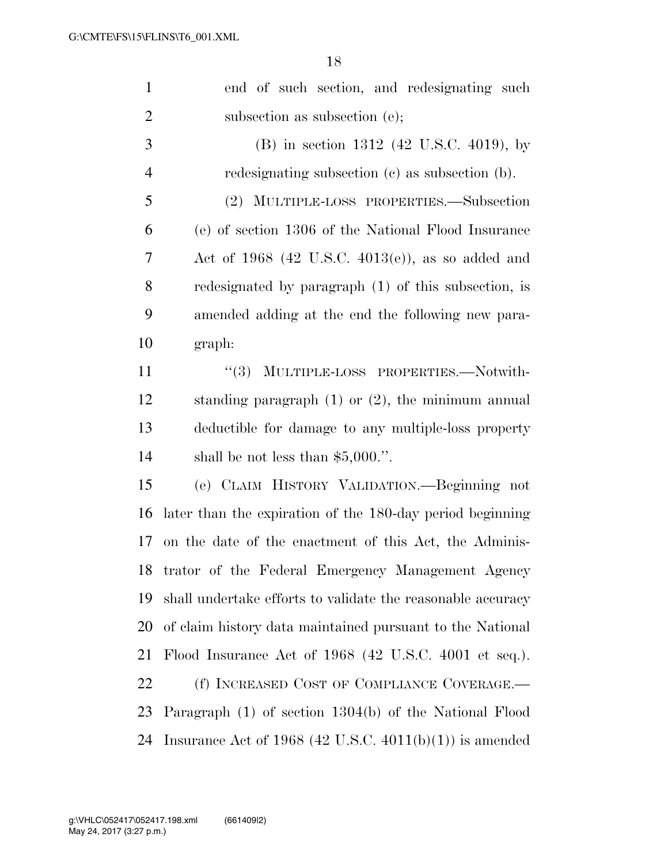| $\mathbf{1}$   | end of such section, and redesignating such                 |
|----------------|-------------------------------------------------------------|
| $\overline{2}$ | subsection as subsection $(e)$ ;                            |
| 3              | (B) in section 1312 (42 U.S.C. 4019), by                    |
| $\overline{4}$ | redesignating subsection (c) as subsection (b).             |
| 5              | (2) MULTIPLE-LOSS PROPERTIES.—Subsection                    |
| 6              | (e) of section 1306 of the National Flood Insurance         |
| 7              | Act of $1968$ (42 U.S.C. 4013(e)), as so added and          |
| 8              | redesignated by paragraph (1) of this subsection, is        |
| 9              | amended adding at the end the following new para-           |
| 10             | graph:                                                      |
| 11             | MULTIPLE-LOSS PROPERTIES.-Notwith-<br>(3)                   |
| 12             | standing paragraph $(1)$ or $(2)$ , the minimum annual      |
| 13             | deductible for damage to any multiple-loss property         |
| 14             | shall be not less than $$5,000."$ .                         |
| 15             | (e) CLAIM HISTORY VALIDATION.—Beginning not                 |
| 16             | later than the expiration of the 180-day period beginning   |
| 17             | on the date of the enactment of this Act, the Adminis-      |
|                | 18 trator of the Federal Emergency Management Agency        |
| 19             | shall undertake efforts to validate the reasonable accuracy |
| 20             | of claim history data maintained pursuant to the National   |
| 21             | Flood Insurance Act of 1968 (42 U.S.C. 4001 et seq.).       |
| 22             | (f) INCREASED COST OF COMPLIANCE COVERAGE.—                 |
| 23             | Paragraph (1) of section 1304(b) of the National Flood      |
| 24             | Insurance Act of 1968 (42 U.S.C. $4011(b)(1)$ ) is amended  |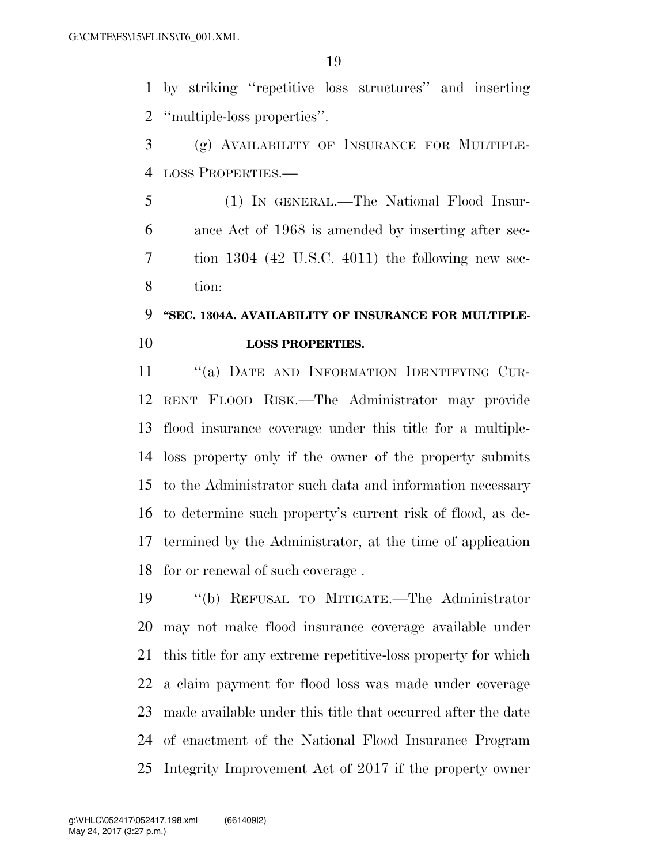by striking ''repetitive loss structures'' and inserting ''multiple-loss properties''.

 (g) AVAILABILITY OF INSURANCE FOR MULTIPLE-LOSS PROPERTIES.—

 (1) IN GENERAL.—The National Flood Insur- ance Act of 1968 is amended by inserting after sec- tion 1304 (42 U.S.C. 4011) the following new sec-tion:

## **''SEC. 1304A. AVAILABILITY OF INSURANCE FOR MULTIPLE-LOSS PROPERTIES.**

11 "(a) DATE AND INFORMATION IDENTIFYING CUR- RENT FLOOD RISK.—The Administrator may provide flood insurance coverage under this title for a multiple- loss property only if the owner of the property submits to the Administrator such data and information necessary to determine such property's current risk of flood, as de- termined by the Administrator, at the time of application for or renewal of such coverage .

 ''(b) REFUSAL TO MITIGATE.—The Administrator may not make flood insurance coverage available under this title for any extreme repetitive-loss property for which a claim payment for flood loss was made under coverage made available under this title that occurred after the date of enactment of the National Flood Insurance Program Integrity Improvement Act of 2017 if the property owner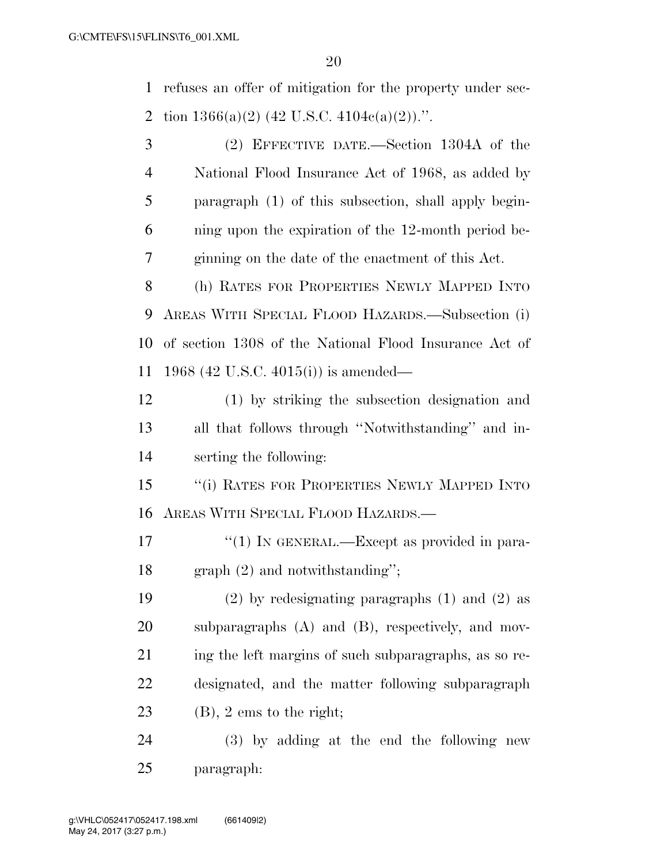refuses an offer of mitigation for the property under sec-2 tion  $1366(a)(2)$  (42 U.S.C.  $4104c(a)(2)$ ).".

 (2) EFFECTIVE DATE.—Section 1304A of the National Flood Insurance Act of 1968, as added by paragraph (1) of this subsection, shall apply begin- ning upon the expiration of the 12-month period be- ginning on the date of the enactment of this Act. (h) RATES FOR PROPERTIES NEWLY MAPPED INTO AREAS WITH SPECIAL FLOOD HAZARDS.—Subsection (i) of section 1308 of the National Flood Insurance Act of 1968 (42 U.S.C. 4015(i)) is amended— (1) by striking the subsection designation and all that follows through ''Notwithstanding'' and in- serting the following: ''(i) RATES FOR PROPERTIES NEWLY MAPPED INTO AREAS WITH SPECIAL FLOOD HAZARDS.—  $\frac{17}{2}$  (1) In GENERAL.—Except as provided in para-graph (2) and notwithstanding'';

 (2) by redesignating paragraphs (1) and (2) as subparagraphs (A) and (B), respectively, and mov-21 ing the left margins of such subparagraphs, as so re- designated, and the matter following subparagraph (B), 2 ems to the right;

 (3) by adding at the end the following new paragraph: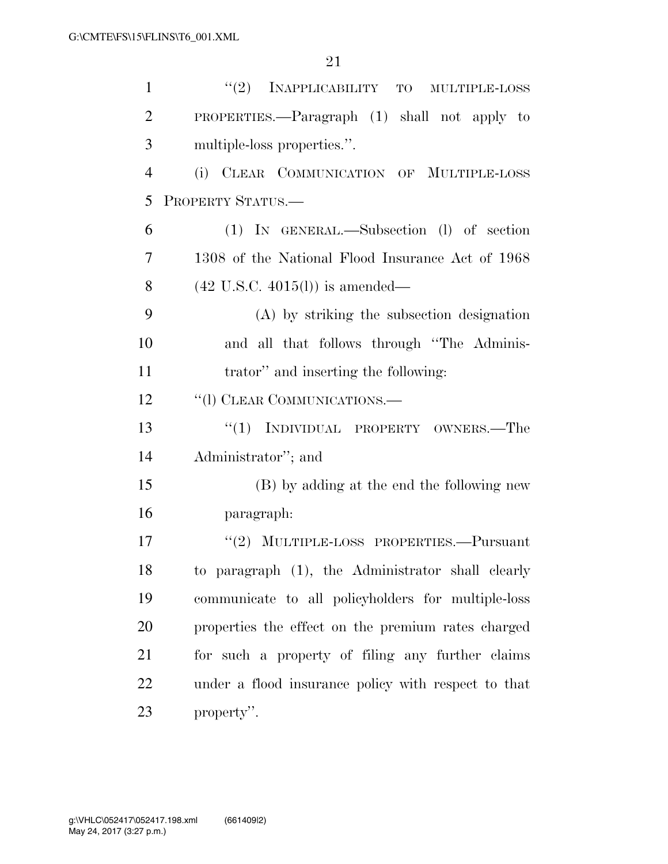| $\mathbf{1}$   | "(2) INAPPLICABILITY TO MULTIPLE-LOSS               |
|----------------|-----------------------------------------------------|
| $\overline{2}$ | PROPERTIES.—Paragraph (1) shall not apply to        |
| 3              | multiple-loss properties.".                         |
| $\overline{4}$ | (i) CLEAR COMMUNICATION OF MULTIPLE-LOSS            |
| 5              | PROPERTY STATUS.-                                   |
| 6              | (1) IN GENERAL.—Subsection (1) of section           |
| $\overline{7}$ | 1308 of the National Flood Insurance Act of 1968    |
| 8              | $(42 \text{ U.S.C. } 4015(l))$ is amended—          |
| 9              | (A) by striking the subsection designation          |
| 10             | and all that follows through "The Adminis-          |
| 11             | trator" and inserting the following:                |
| 12             | "(1) CLEAR COMMUNICATIONS.—                         |
| 13             | "(1) INDIVIDUAL PROPERTY OWNERS.—The                |
| 14             | Administrator"; and                                 |
| 15             | (B) by adding at the end the following new          |
| 16             | paragraph:                                          |
| 17             | $"(2)$ MULTIPLE-LOSS PROPERTIES.—Pursuant           |
| 18             | to paragraph (1), the Administrator shall clearly   |
| 19             | communicate to all policyholders for multiple-loss  |
| 20             | properties the effect on the premium rates charged  |
| 21             | for such a property of filing any further claims    |
| 22             | under a flood insurance policy with respect to that |
| 23             | property".                                          |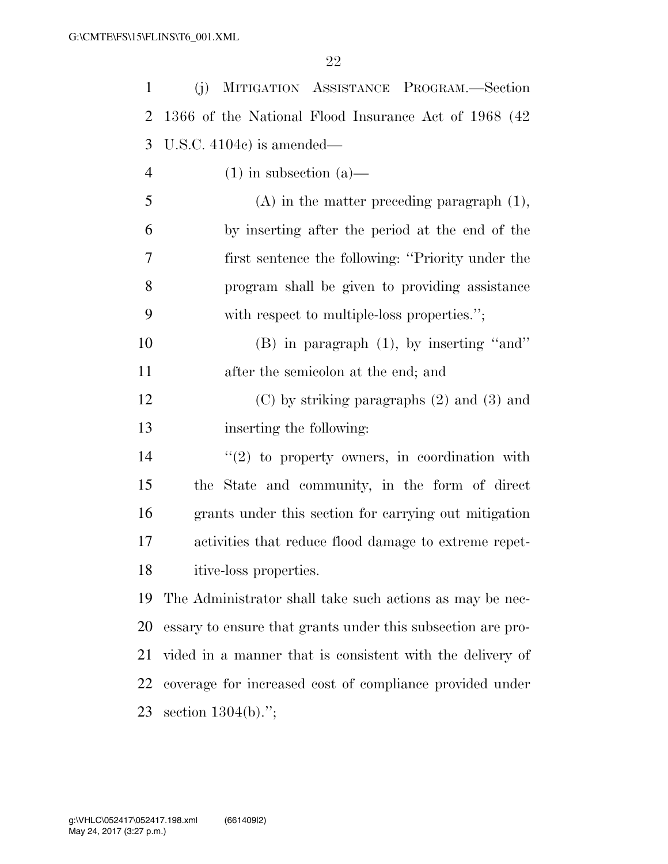| $\mathbf{1}$   | MITIGATION ASSISTANCE PROGRAM.-Section<br>(j)               |
|----------------|-------------------------------------------------------------|
| 2              | 1366 of the National Flood Insurance Act of 1968 (42)       |
| 3              | U.S.C. $4104c$ is amended—                                  |
| $\overline{4}$ | $(1)$ in subsection $(a)$ —                                 |
| 5              | $(A)$ in the matter preceding paragraph $(1)$ ,             |
| 6              | by inserting after the period at the end of the             |
| 7              | first sentence the following: "Priority under the           |
| 8              | program shall be given to providing assistance              |
| 9              | with respect to multiple-loss properties.";                 |
| 10             | $(B)$ in paragraph $(1)$ , by inserting "and"               |
| 11             | after the semicolon at the end; and                         |
| 12             | $(C)$ by striking paragraphs $(2)$ and $(3)$ and            |
| 13             | inserting the following:                                    |
| 14             | $\lq(2)$ to property owners, in coordination with           |
| 15             | the State and community, in the form of direct              |
| 16             | grants under this section for carrying out mitigation       |
| 17             | activities that reduce flood damage to extreme repet-       |
| 18             | itive-loss properties.                                      |
| 19             | The Administrator shall take such actions as may be nec-    |
| 20             | essary to ensure that grants under this subsection are pro- |
| 21             | vided in a manner that is consistent with the delivery of   |
| 22             | coverage for increased cost of compliance provided under    |
| 23             | section $1304(b)$ .";                                       |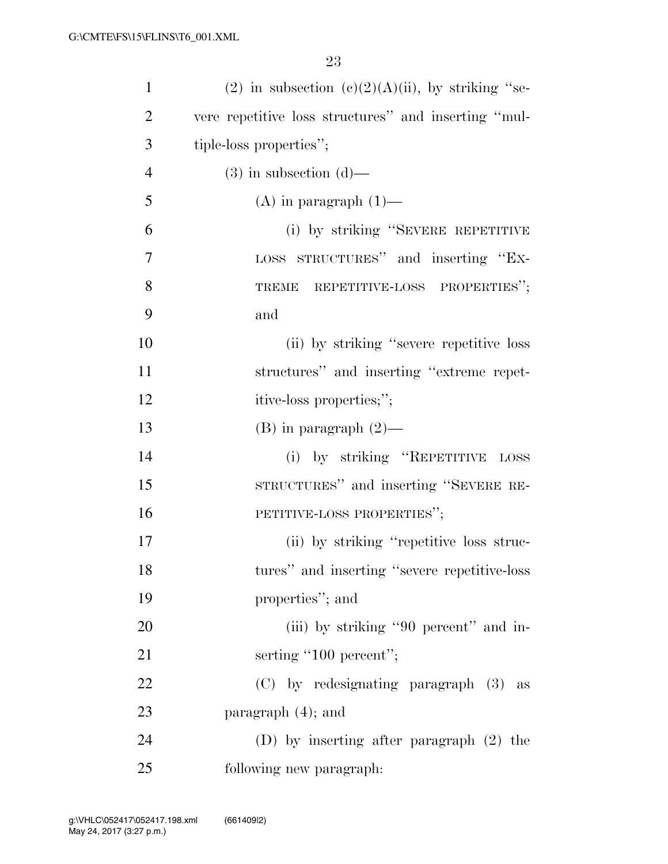| $\mathbf{1}$   | (2) in subsection (c)(2)(A)(ii), by striking "se-    |
|----------------|------------------------------------------------------|
| $\overline{2}$ | vere repetitive loss structures" and inserting "mul- |
| 3              | tiple-loss properties";                              |
| $\overline{4}$ | $(3)$ in subsection $(d)$ —                          |
| 5              | $(A)$ in paragraph $(1)$ —                           |
| 6              | (i) by striking "SEVERE REPETITIVE                   |
| 7              | LOSS STRUCTURES" and inserting "EX-                  |
| 8              | REPETITIVE-LOSS PROPERTIES";<br><b>TREME</b>         |
| 9              | and                                                  |
| 10             | (ii) by striking "severe repetitive loss"            |
| 11             | structures" and inserting "extreme repet-            |
| 12             | itive-loss properties;";                             |
| 13             | $(B)$ in paragraph $(2)$ —                           |
| 14             | (i) by striking "REPETITIVE LOSS                     |
| 15             | STRUCTURES" and inserting "SEVERE RE-                |
| 16             | PETITIVE-LOSS PROPERTIES";                           |
| 17             | (ii) by striking "repetitive loss struc-             |
| 18             | tures" and inserting "severe repetitive-loss         |
| 19             | properties"; and                                     |
| 20             | (iii) by striking "90 percent" and in-               |
| 21             | serting "100 percent";                               |
| 22             | $(C)$ by redesignating paragraph $(3)$ as            |
| 23             | paragraph $(4)$ ; and                                |
| 24             | (D) by inserting after paragraph $(2)$ the           |
| 25             | following new paragraph:                             |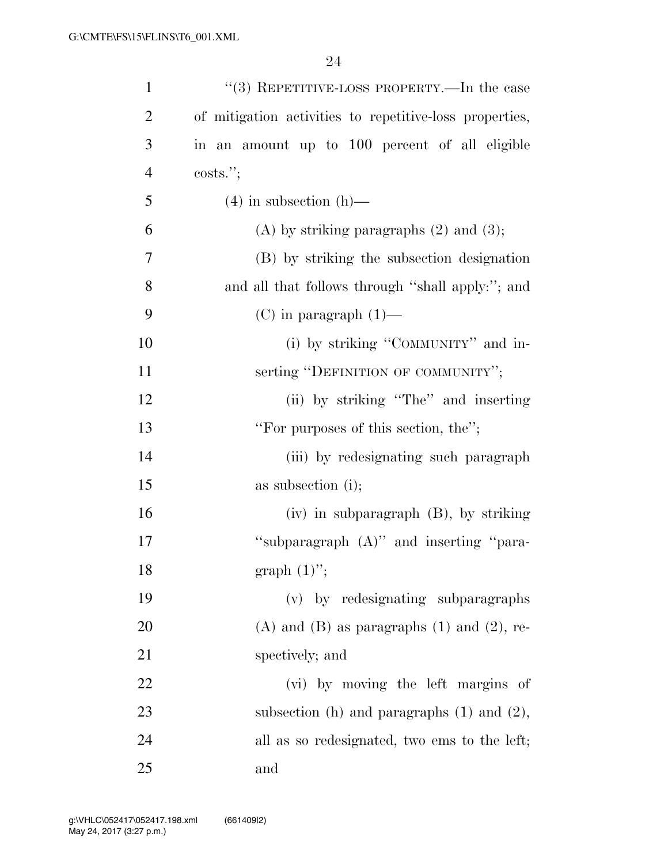| $\mathbf{1}$   | "(3) REPETITIVE-LOSS PROPERTY.—In the case              |
|----------------|---------------------------------------------------------|
| $\overline{2}$ | of mitigation activities to repetitive-loss properties, |
| 3              | in an amount up to 100 percent of all eligible          |
| $\overline{4}$ | costs."                                                 |
| 5              | $(4)$ in subsection $(h)$ —                             |
| 6              | $(A)$ by striking paragraphs $(2)$ and $(3)$ ;          |
| 7              | (B) by striking the subsection designation              |
| 8              | and all that follows through "shall apply:"; and        |
| 9              | $(C)$ in paragraph $(1)$ —                              |
| 10             | (i) by striking "COMMUNITY" and in-                     |
| 11             | serting "DEFINITION OF COMMUNITY";                      |
| 12             | (ii) by striking "The" and inserting                    |
| 13             | "For purposes of this section, the";                    |
| 14             | (iii) by redesignating such paragraph                   |
| 15             | as subsection (i);                                      |
| 16             | (iv) in subparagraph (B), by striking                   |
| 17             | "subparagraph (A)" and inserting "para-                 |
| 18             | graph $(1)$ ";                                          |
| 19             | (v) by redesignating subparagraphs                      |
| 20             | $(A)$ and $(B)$ as paragraphs $(1)$ and $(2)$ , re-     |
| 21             | spectively; and                                         |
| 22             | (vi) by moving the left margins of                      |
| 23             | subsection (h) and paragraphs $(1)$ and $(2)$ ,         |
| 24             | all as so redesignated, two ems to the left;            |
| 25             | and                                                     |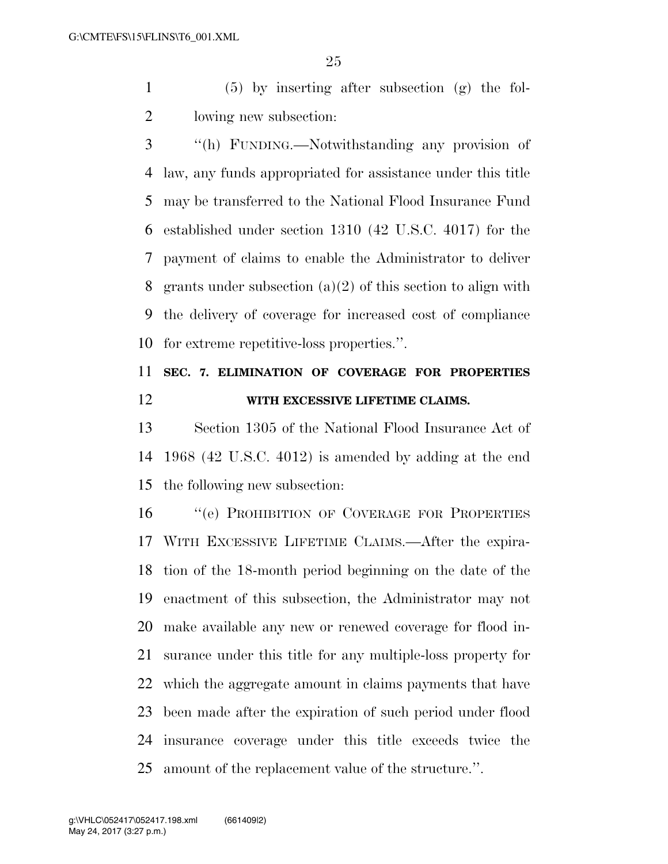(5) by inserting after subsection (g) the fol-lowing new subsection:

 ''(h) FUNDING.—Notwithstanding any provision of law, any funds appropriated for assistance under this title may be transferred to the National Flood Insurance Fund established under section 1310 (42 U.S.C. 4017) for the payment of claims to enable the Administrator to deliver grants under subsection (a)(2) of this section to align with the delivery of coverage for increased cost of compliance for extreme repetitive-loss properties.''.

## **SEC. 7. ELIMINATION OF COVERAGE FOR PROPERTIES WITH EXCESSIVE LIFETIME CLAIMS.**

 Section 1305 of the National Flood Insurance Act of 1968 (42 U.S.C. 4012) is amended by adding at the end the following new subsection:

16 "(e) PROHIBITION OF COVERAGE FOR PROPERTIES WITH EXCESSIVE LIFETIME CLAIMS.—After the expira- tion of the 18-month period beginning on the date of the enactment of this subsection, the Administrator may not make available any new or renewed coverage for flood in- surance under this title for any multiple-loss property for which the aggregate amount in claims payments that have been made after the expiration of such period under flood insurance coverage under this title exceeds twice the amount of the replacement value of the structure.''.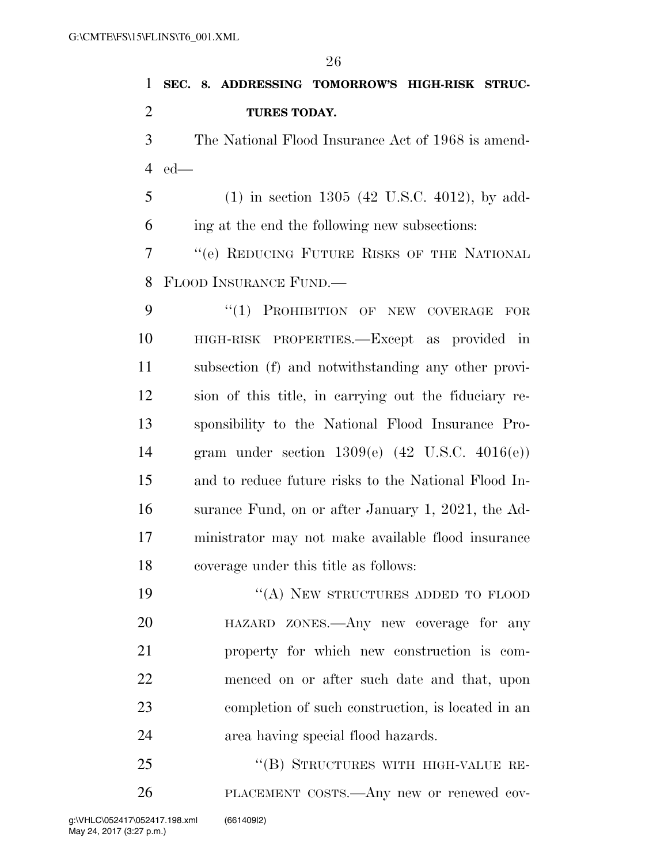| $\mathbf{1}$   | SEC. 8. ADDRESSING TOMORROW'S HIGH-RISK STRUC-        |
|----------------|-------------------------------------------------------|
| $\overline{2}$ | TURES TODAY.                                          |
| 3              | The National Flood Insurance Act of 1968 is amend-    |
| $\overline{4}$ | $ed$ —                                                |
| 5              | $(1)$ in section 1305 (42 U.S.C. 4012), by add-       |
| 6              | ing at the end the following new subsections:         |
| 7              | "(e) REDUCING FUTURE RISKS OF THE NATIONAL            |
| 8              | FLOOD INSURANCE FUND.—                                |
| 9              | "(1) PROHIBITION OF NEW COVERAGE FOR                  |
| 10             | HIGH-RISK PROPERTIES.—Except as provided in           |
| 11             | subsection (f) and notwithstanding any other provi-   |
| 12             | sion of this title, in carrying out the fiduciary re- |
| 13             | sponsibility to the National Flood Insurance Pro-     |
| 14             | gram under section $1309(e)$ (42 U.S.C. $4016(e)$ )   |
| 15             | and to reduce future risks to the National Flood In-  |
| 16             | surance Fund, on or after January 1, 2021, the Ad-    |
| 17             | ministrator may not make available flood insurance    |
| 18             | coverage under this title as follows:                 |
| 19             | "(A) NEW STRUCTURES ADDED TO FLOOD                    |
| 20             | HAZARD ZONES.—Any new coverage for any                |
| 21             | property for which new construction is com-           |
| 22             | menced on or after such date and that, upon           |
| 23             | completion of such construction, is located in an     |
| 24             | area having special flood hazards.                    |

25 "(B) STRUCTURES WITH HIGH-VALUE RE-PLACEMENT COSTS.—Any new or renewed cov-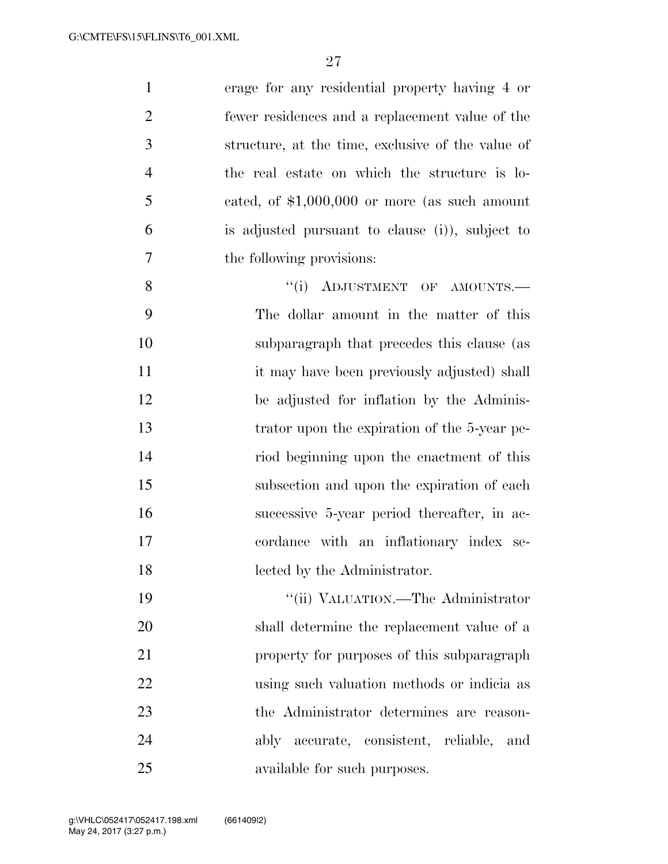| $\mathbf{1}$   | erage for any residential property having 4 or    |
|----------------|---------------------------------------------------|
| $\overline{2}$ | fewer residences and a replacement value of the   |
| 3              | structure, at the time, exclusive of the value of |
| $\overline{4}$ | the real estate on which the structure is lo-     |
| 5              | cated, of $$1,000,000$ or more (as such amount    |
| 6              | is adjusted pursuant to clause (i), subject to    |
| $\overline{7}$ | the following provisions:                         |
| 8              | "(i) ADJUSTMENT OF AMOUNTS.-                      |
| 9              | The dollar amount in the matter of this           |
| 10             | subparagraph that precedes this clause (as        |
| 11             | it may have been previously adjusted) shall       |
| 12             | be adjusted for inflation by the Adminis-         |
| 13             | trator upon the expiration of the 5-year pe-      |
| 14             | riod beginning upon the enactment of this         |
| 15             | subsection and upon the expiration of each        |
| 16             | successive 5-year period thereafter, in ac-       |
| 17             | cordance with an inflationary index se-           |
| 18             | lected by the Administrator.                      |
| 19             | "(ii) VALUATION.—The Administrator                |
| 20             | shall determine the replacement value of a        |
| 21             | property for purposes of this subparagraph        |
| 22             | using such valuation methods or indicia as        |
| 23             | the Administrator determines are reason-          |
| 24             | ably accurate, consistent, reliable,<br>and       |
| 25             | available for such purposes.                      |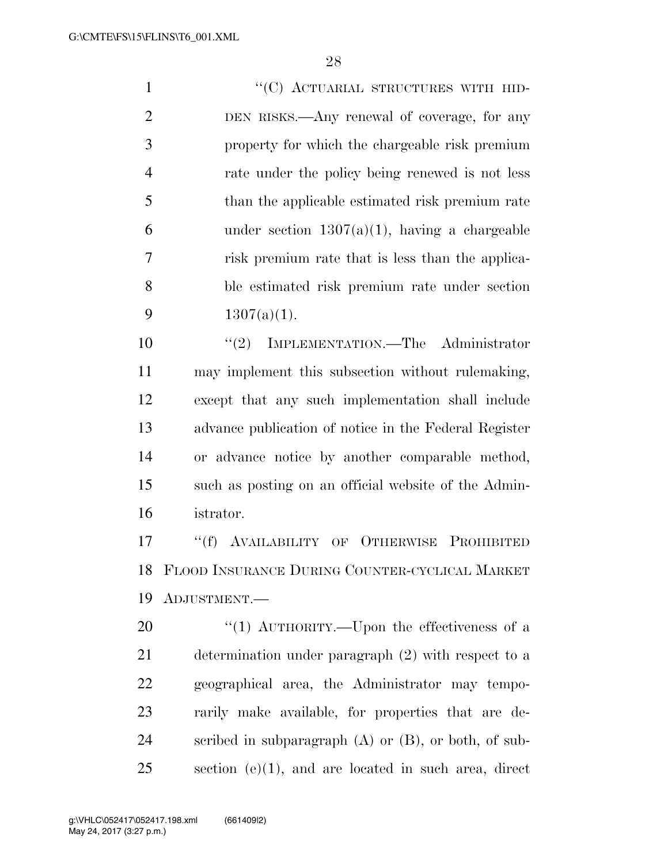1 "'(C) ACTUARIAL STRUCTURES WITH HID- DEN RISKS.—Any renewal of coverage, for any property for which the chargeable risk premium rate under the policy being renewed is not less than the applicable estimated risk premium rate 6 under section  $1307(a)(1)$ , having a chargeable risk premium rate that is less than the applica- ble estimated risk premium rate under section  $1307(a)(1)$ . ''(2) IMPLEMENTATION.—The Administrator may implement this subsection without rulemaking,

 except that any such implementation shall include advance publication of notice in the Federal Register or advance notice by another comparable method, such as posting on an official website of the Admin-istrator.

 ''(f) AVAILABILITY OF OTHERWISE PROHIBITED FLOOD INSURANCE DURING COUNTER-CYCLICAL MARKET ADJUSTMENT.—

20 "(1) AUTHORITY.—Upon the effectiveness of a determination under paragraph (2) with respect to a geographical area, the Administrator may tempo- rarily make available, for properties that are de- scribed in subparagraph (A) or (B), or both, of sub-section (e)(1), and are located in such area, direct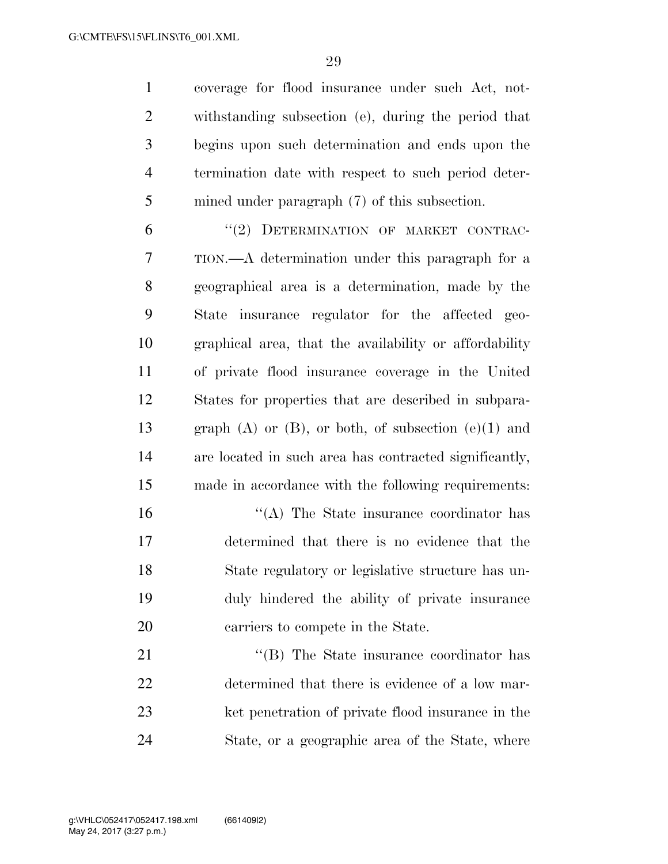coverage for flood insurance under such Act, not- withstanding subsection (e), during the period that begins upon such determination and ends upon the termination date with respect to such period deter-mined under paragraph (7) of this subsection.

6 "(2) DETERMINATION OF MARKET CONTRAC- TION.—A determination under this paragraph for a geographical area is a determination, made by the State insurance regulator for the affected geo- graphical area, that the availability or affordability of private flood insurance coverage in the United States for properties that are described in subpara-13 graph  $(A)$  or  $(B)$ , or both, of subsection  $(e)(1)$  and are located in such area has contracted significantly, made in accordance with the following requirements:

16 ''(A) The State insurance coordinator has determined that there is no evidence that the State regulatory or legislative structure has un- duly hindered the ability of private insurance carriers to compete in the State.

21 ''(B) The State insurance coordinator has determined that there is evidence of a low mar- ket penetration of private flood insurance in the State, or a geographic area of the State, where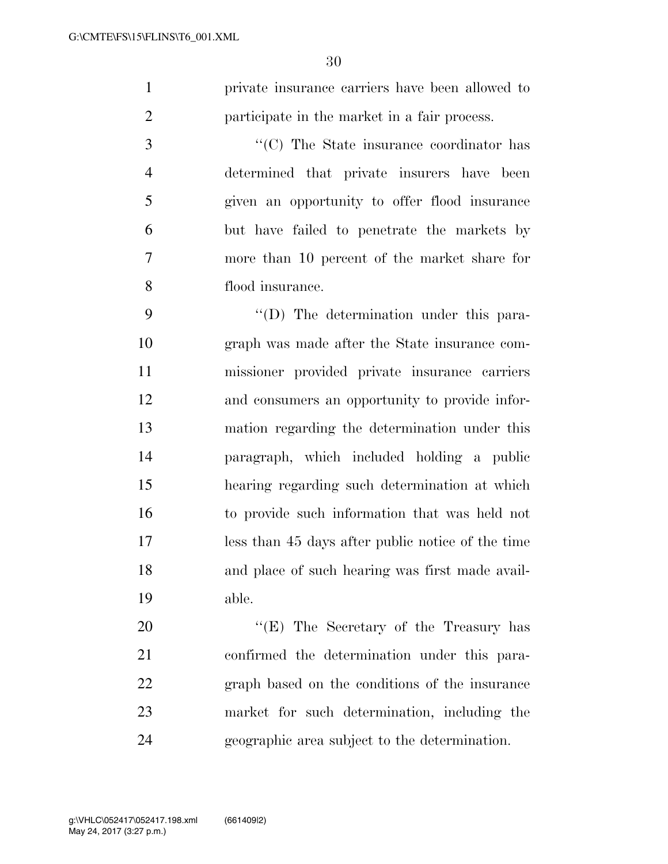private insurance carriers have been allowed to participate in the market in a fair process.

 $\cdot$  (C) The State insurance coordinator has determined that private insurers have been given an opportunity to offer flood insurance but have failed to penetrate the markets by more than 10 percent of the market share for flood insurance.

 $\langle \text{`}(D) \rangle$  The determination under this para- graph was made after the State insurance com- missioner provided private insurance carriers and consumers an opportunity to provide infor- mation regarding the determination under this paragraph, which included holding a public hearing regarding such determination at which to provide such information that was held not less than 45 days after public notice of the time and place of such hearing was first made avail-able.

20 "'(E) The Secretary of the Treasury has confirmed the determination under this para- graph based on the conditions of the insurance market for such determination, including the geographic area subject to the determination.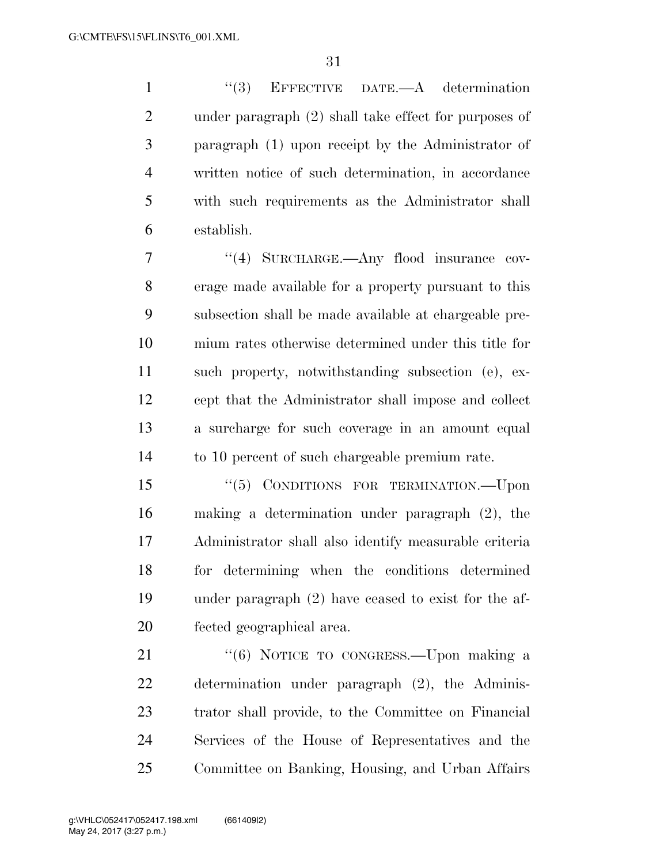''(3) EFFECTIVE DATE.—A determination under paragraph (2) shall take effect for purposes of paragraph (1) upon receipt by the Administrator of written notice of such determination, in accordance with such requirements as the Administrator shall establish.

7 "(4) SURCHARGE.—Any flood insurance cov- erage made available for a property pursuant to this subsection shall be made available at chargeable pre- mium rates otherwise determined under this title for such property, notwithstanding subsection (e), ex- cept that the Administrator shall impose and collect a surcharge for such coverage in an amount equal to 10 percent of such chargeable premium rate.

15 "(5) CONDITIONS FOR TERMINATION.—Upon making a determination under paragraph (2), the Administrator shall also identify measurable criteria for determining when the conditions determined under paragraph (2) have ceased to exist for the af-fected geographical area.

21 "(6) NOTICE TO CONGRESS.—Upon making a determination under paragraph (2), the Adminis- trator shall provide, to the Committee on Financial Services of the House of Representatives and the Committee on Banking, Housing, and Urban Affairs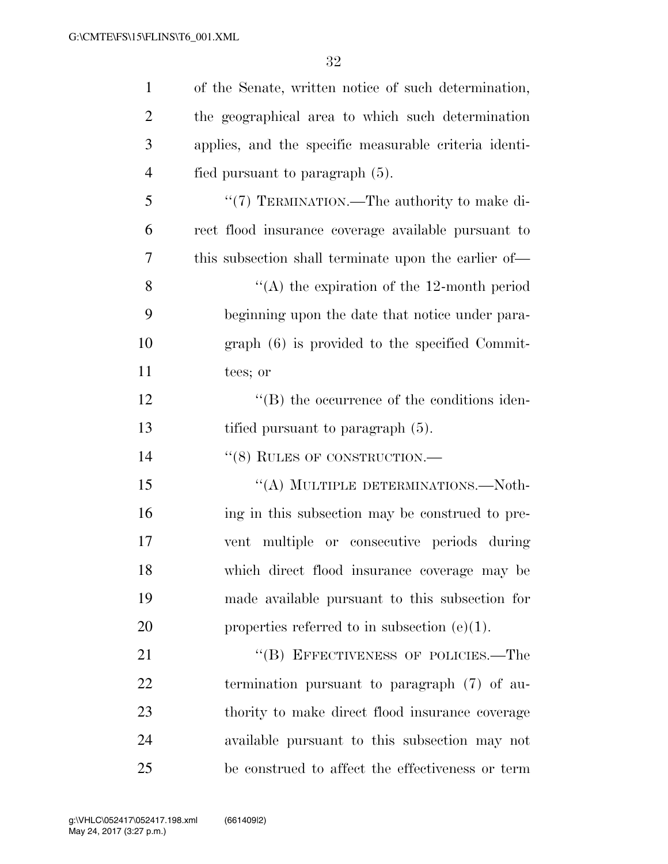| $\mathbf{1}$   | of the Senate, written notice of such determination,  |
|----------------|-------------------------------------------------------|
| $\overline{2}$ | the geographical area to which such determination     |
| 3              | applies, and the specific measurable criteria identi- |
| $\overline{4}$ | fied pursuant to paragraph $(5)$ .                    |
| 5              | "(7) TERMINATION.—The authority to make di-           |
| 6              | rect flood insurance coverage available pursuant to   |
| 7              | this subsection shall terminate upon the earlier of—  |
| 8              | "(A) the expiration of the 12-month period            |
| 9              | beginning upon the date that notice under para-       |
| 10             | graph (6) is provided to the specified Commit-        |
| 11             | tees; or                                              |
| 12             | $\lq\lq$ (B) the occurrence of the conditions iden-   |
| 13             | tified pursuant to paragraph (5).                     |
| 14             | "(8) RULES OF CONSTRUCTION.-                          |
| 15             | "(A) MULTIPLE DETERMINATIONS.—Noth-                   |
| 16             | ing in this subsection may be construed to pre-       |
| 17             | vent multiple or consecutive periods during           |
| 18             | which direct flood insurance coverage may be          |
| 19             | made available pursuant to this subsection for        |
| 20             | properties referred to in subsection $(e)(1)$ .       |
| 21             | "(B) EFFECTIVENESS OF POLICIES.—The                   |
| 22             | termination pursuant to paragraph $(7)$ of au-        |
| 23             | thority to make direct flood insurance coverage       |
| 24             | available pursuant to this subsection may not         |
| 25             | be construed to affect the effectiveness or term      |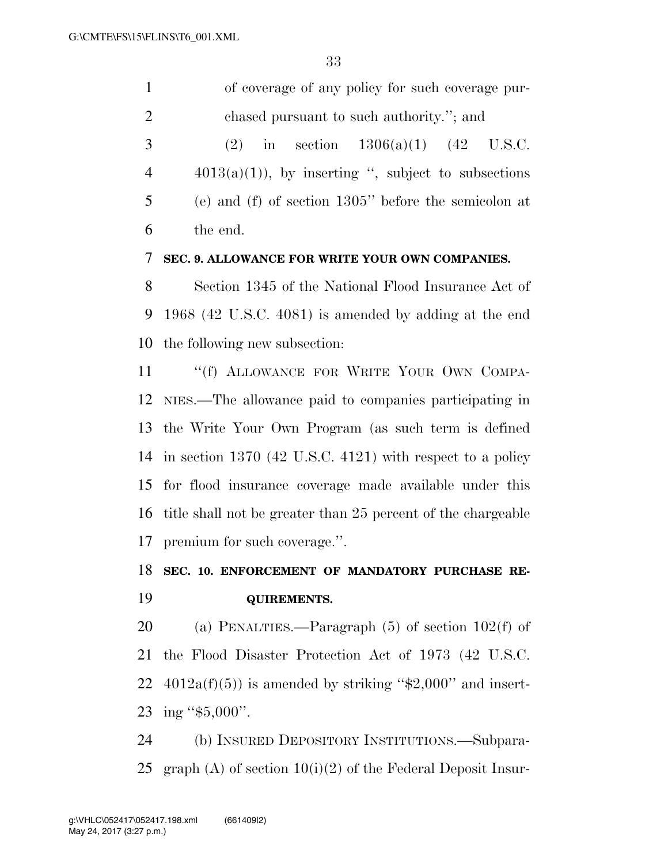|   | of coverage of any policy for such coverage pur-        |
|---|---------------------------------------------------------|
| 2 | chased pursuant to such authority."; and                |
| 3 | in section $1306(a)(1)$ $(42 \text{ U.S.C.})$<br>(2)    |
| 4 | $4013(a)(1)$ , by inserting ", subject to subsections   |
| 5 | (e) and (f) of section $1305$ " before the semicolon at |
| 6 | the end.                                                |
|   |                                                         |

#### **SEC. 9. ALLOWANCE FOR WRITE YOUR OWN COMPANIES.**

 Section 1345 of the National Flood Insurance Act of 1968 (42 U.S.C. 4081) is amended by adding at the end the following new subsection:

11 ""(f) ALLOWANCE FOR WRITE YOUR OWN COMPA- NIES.—The allowance paid to companies participating in the Write Your Own Program (as such term is defined in section 1370 (42 U.S.C. 4121) with respect to a policy for flood insurance coverage made available under this title shall not be greater than 25 percent of the chargeable premium for such coverage.''.

# **SEC. 10. ENFORCEMENT OF MANDATORY PURCHASE RE-**

#### **QUIREMENTS.**

(a) PENALTIES.—Paragraph (5) of section 102(f) of

 the Flood Disaster Protection Act of 1973 (42 U.S.C. 22  $4012a(f)(5)$  is amended by striking "\$2,000" and insert-ing ''\$5,000''.

 (b) INSURED DEPOSITORY INSTITUTIONS.—Subpara-25 graph (A) of section  $10(i)(2)$  of the Federal Deposit Insur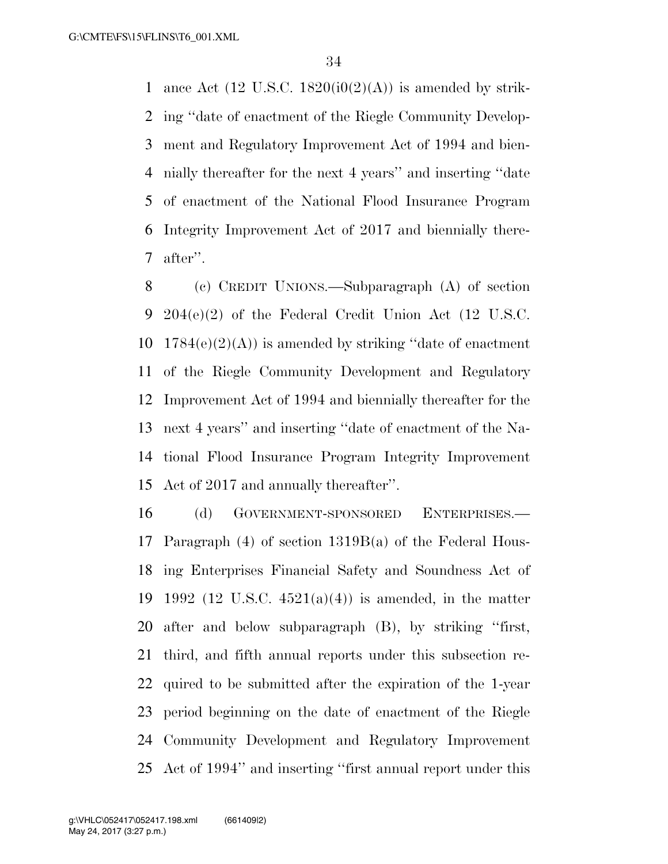1 ance Act (12 U.S.C. 1820( $i0(2)(A)$ ) is amended by strik- ing ''date of enactment of the Riegle Community Develop- ment and Regulatory Improvement Act of 1994 and bien- nially thereafter for the next 4 years'' and inserting ''date of enactment of the National Flood Insurance Program Integrity Improvement Act of 2017 and biennially there-after''.

 (c) CREDIT UNIONS.—Subparagraph (A) of section 204(e)(2) of the Federal Credit Union Act (12 U.S.C.  $1784(e)(2)(A)$  is amended by striking "date of enactment" of the Riegle Community Development and Regulatory Improvement Act of 1994 and biennially thereafter for the next 4 years'' and inserting ''date of enactment of the Na- tional Flood Insurance Program Integrity Improvement Act of 2017 and annually thereafter''.

 (d) GOVERNMENT-SPONSORED ENTERPRISES.— Paragraph (4) of section 1319B(a) of the Federal Hous- ing Enterprises Financial Safety and Soundness Act of 19 1992 (12 U.S.C.  $4521(a)(4)$ ) is amended, in the matter after and below subparagraph (B), by striking ''first, third, and fifth annual reports under this subsection re- quired to be submitted after the expiration of the 1-year period beginning on the date of enactment of the Riegle Community Development and Regulatory Improvement Act of 1994'' and inserting ''first annual report under this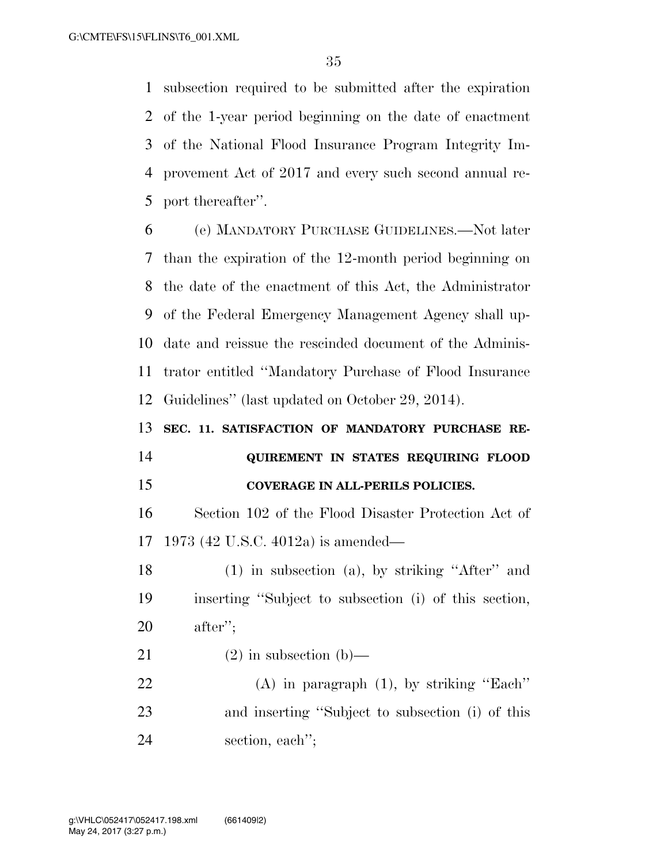subsection required to be submitted after the expiration of the 1-year period beginning on the date of enactment of the National Flood Insurance Program Integrity Im- provement Act of 2017 and every such second annual re-port thereafter''.

 (e) MANDATORY PURCHASE GUIDELINES.—Not later than the expiration of the 12-month period beginning on the date of the enactment of this Act, the Administrator of the Federal Emergency Management Agency shall up- date and reissue the rescinded document of the Adminis- trator entitled ''Mandatory Purchase of Flood Insurance Guidelines'' (last updated on October 29, 2014).

**SEC. 11. SATISFACTION OF MANDATORY PURCHASE RE-**

# **QUIREMENT IN STATES REQUIRING FLOOD COVERAGE IN ALL-PERILS POLICIES.**

 Section 102 of the Flood Disaster Protection Act of 1973 (42 U.S.C. 4012a) is amended—

 (1) in subsection (a), by striking ''After'' and inserting ''Subject to subsection (i) of this section, after'';

21 (2) in subsection (b)—

 (A) in paragraph (1), by striking ''Each'' and inserting ''Subject to subsection (i) of this section, each'';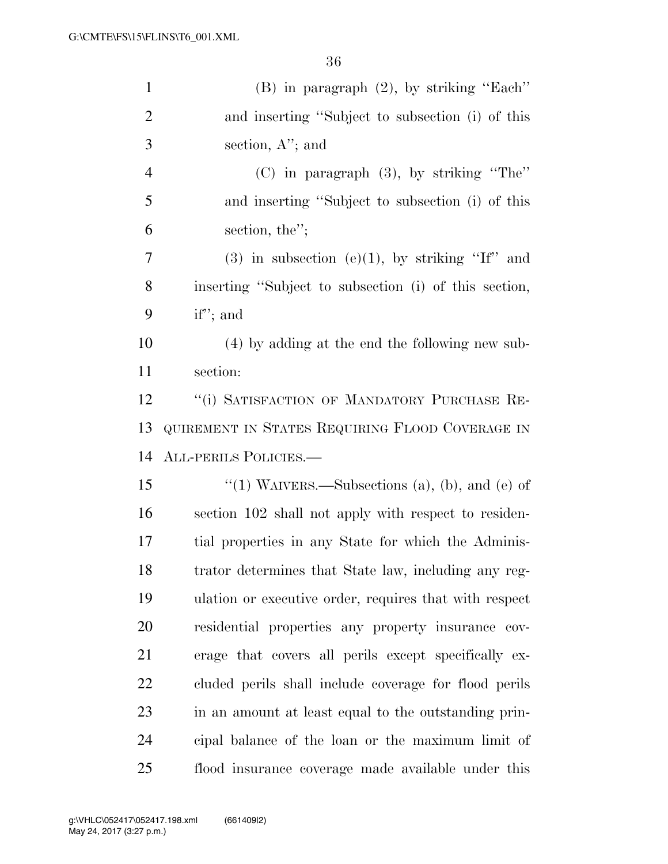| $\mathbf{1}$   | $(B)$ in paragraph $(2)$ , by striking "Each"          |
|----------------|--------------------------------------------------------|
| $\overline{2}$ | and inserting "Subject to subsection (i) of this       |
| 3              | section, $A$ "; and                                    |
| $\overline{4}$ | $(C)$ in paragraph $(3)$ , by striking "The"           |
| 5              | and inserting "Subject to subsection (i) of this       |
| 6              | section, the";                                         |
| 7              | $(3)$ in subsection $(e)(1)$ , by striking "If" and    |
| 8              | inserting "Subject to subsection (i) of this section,  |
| 9              | if"; and                                               |
| 10             | (4) by adding at the end the following new sub-        |
| 11             | section:                                               |
| 12             | "(i) SATISFACTION OF MANDATORY PURCHASE RE-            |
| 13             | QUIREMENT IN STATES REQUIRING FLOOD COVERAGE IN        |
| 14             | ALL-PERILS POLICIES.-                                  |
| 15             | "(1) WAIVERS.—Subsections (a), (b), and (e) of         |
| 16             | section 102 shall not apply with respect to residen-   |
| 17             | tial properties in any State for which the Adminis-    |
| 18             | trator determines that State law, including any reg-   |
| 19             | ulation or executive order, requires that with respect |
| 20             | residential properties any property insurance cov-     |
| 21             | erage that covers all perils except specifically ex-   |
| 22             | cluded perils shall include coverage for flood perils  |
| 23             | in an amount at least equal to the outstanding prin-   |
| 24             | cipal balance of the loan or the maximum limit of      |
| 25             | flood insurance coverage made available under this     |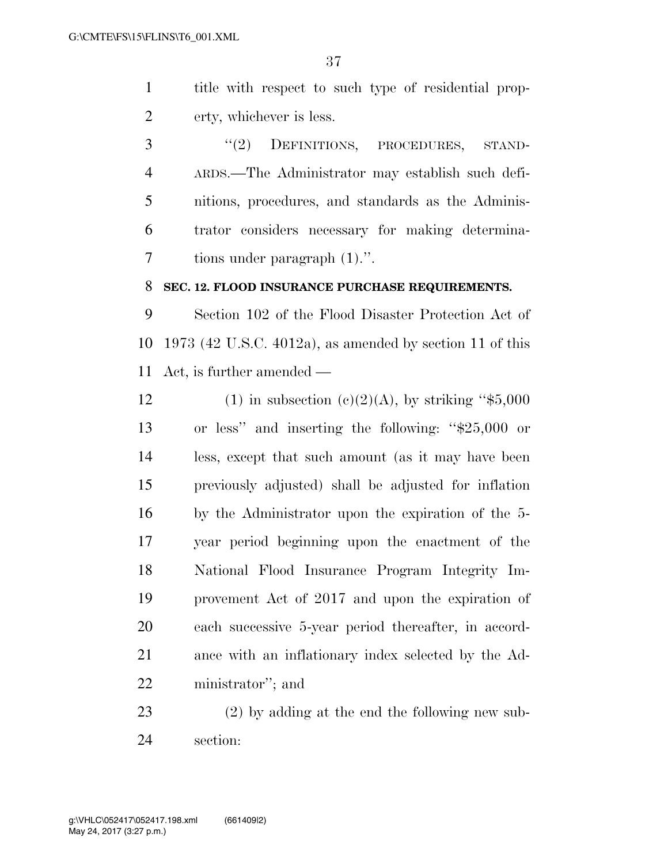title with respect to such type of residential prop-erty, whichever is less.

3 "(2) DEFINITIONS, PROCEDURES, STAND- ARDS.—The Administrator may establish such defi- nitions, procedures, and standards as the Adminis- trator considers necessary for making determina-tions under paragraph (1).''.

#### **SEC. 12. FLOOD INSURANCE PURCHASE REQUIREMENTS.**

 Section 102 of the Flood Disaster Protection Act of 1973 (42 U.S.C. 4012a), as amended by section 11 of this Act, is further amended —

12 (1) in subsection  $(c)(2)(A)$ , by striking "\$5,000 or less'' and inserting the following: ''\$25,000 or less, except that such amount (as it may have been previously adjusted) shall be adjusted for inflation by the Administrator upon the expiration of the 5- year period beginning upon the enactment of the National Flood Insurance Program Integrity Im- provement Act of 2017 and upon the expiration of each successive 5-year period thereafter, in accord- ance with an inflationary index selected by the Ad-ministrator''; and

 (2) by adding at the end the following new sub-section: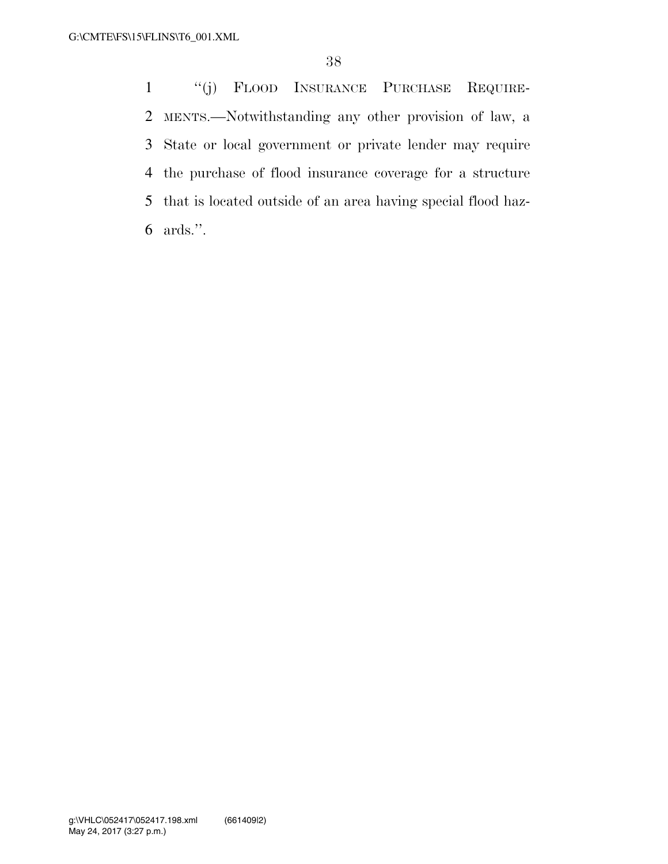''(j) FLOOD INSURANCE PURCHASE REQUIRE- MENTS.—Notwithstanding any other provision of law, a State or local government or private lender may require the purchase of flood insurance coverage for a structure that is located outside of an area having special flood haz-ards.''.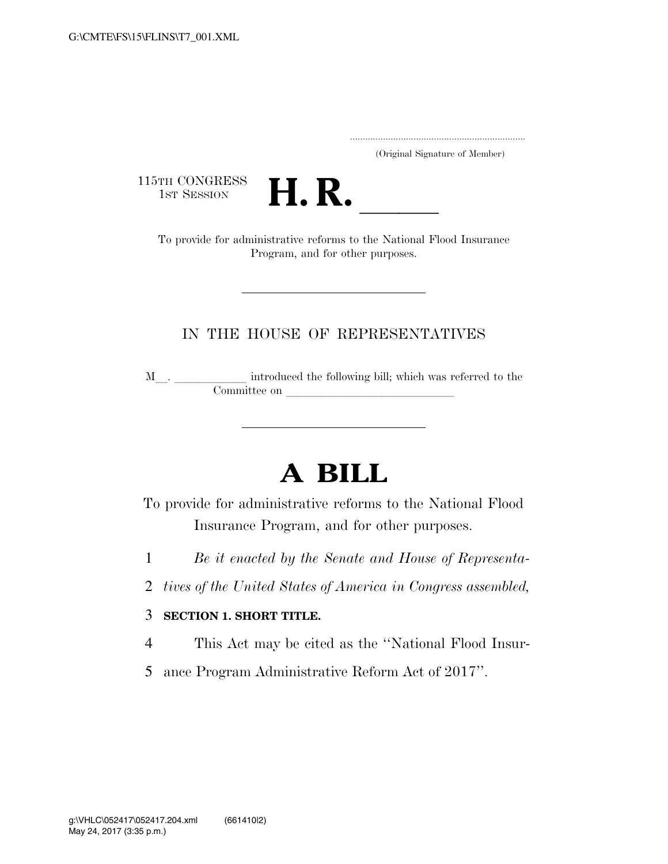..................................................................... (Original Signature of Member)

115TH CONGRESS<br>1st Session



TH CONGRESS<br>1st SESSION **H. R.** <u>Internative reforms</u> to the National Flood Insurance Program, and for other purposes.

#### IN THE HOUSE OF REPRESENTATIVES

<sup>M</sup>l. llllll introduced the following bill; which was referred to the Committee on l

# **A BILL**

To provide for administrative reforms to the National Flood Insurance Program, and for other purposes.

- 1 *Be it enacted by the Senate and House of Representa-*
- 2 *tives of the United States of America in Congress assembled,*

#### 3 **SECTION 1. SHORT TITLE.**

- 4 This Act may be cited as the ''National Flood Insur-
- 5 ance Program Administrative Reform Act of 2017''.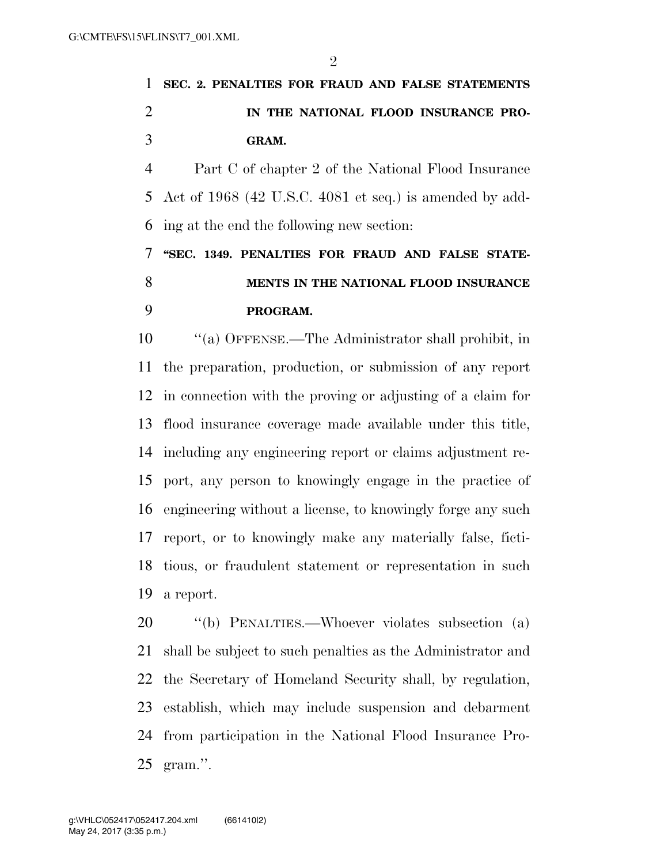# **SEC. 2. PENALTIES FOR FRAUD AND FALSE STATEMENTS IN THE NATIONAL FLOOD INSURANCE PRO-GRAM.**

 Part C of chapter 2 of the National Flood Insurance Act of 1968 (42 U.S.C. 4081 et seq.) is amended by add-ing at the end the following new section:

 **''SEC. 1349. PENALTIES FOR FRAUD AND FALSE STATE- MENTS IN THE NATIONAL FLOOD INSURANCE PROGRAM.** 

 ''(a) OFFENSE.—The Administrator shall prohibit, in the preparation, production, or submission of any report in connection with the proving or adjusting of a claim for flood insurance coverage made available under this title, including any engineering report or claims adjustment re- port, any person to knowingly engage in the practice of engineering without a license, to knowingly forge any such report, or to knowingly make any materially false, ficti- tious, or fraudulent statement or representation in such a report.

 ''(b) PENALTIES.—Whoever violates subsection (a) shall be subject to such penalties as the Administrator and the Secretary of Homeland Security shall, by regulation, establish, which may include suspension and debarment from participation in the National Flood Insurance Pro-gram.''.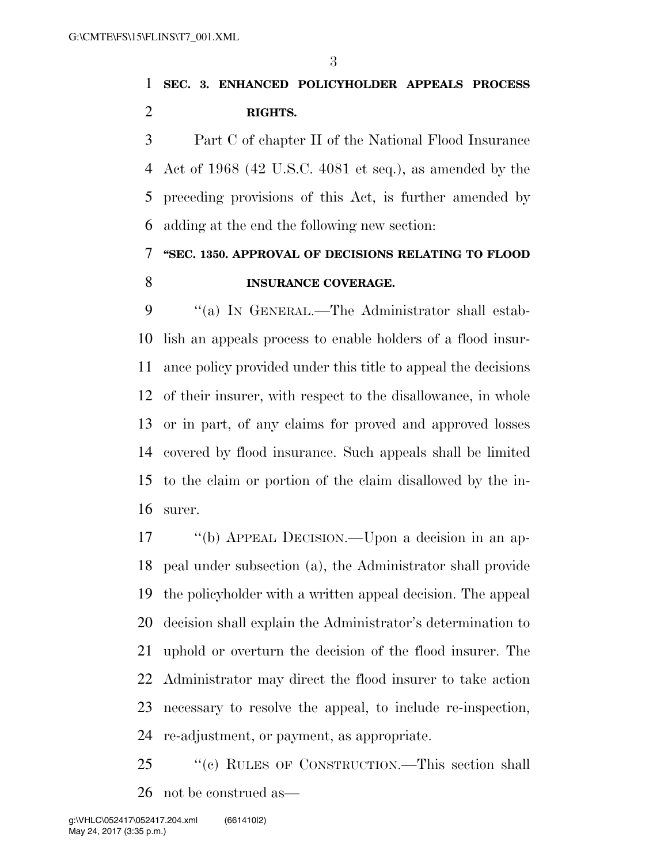# **SEC. 3. ENHANCED POLICYHOLDER APPEALS PROCESS RIGHTS.**

 Part C of chapter II of the National Flood Insurance Act of 1968 (42 U.S.C. 4081 et seq.), as amended by the preceding provisions of this Act, is further amended by adding at the end the following new section:

# **''SEC. 1350. APPROVAL OF DECISIONS RELATING TO FLOOD INSURANCE COVERAGE.**

 ''(a) IN GENERAL.—The Administrator shall estab- lish an appeals process to enable holders of a flood insur- ance policy provided under this title to appeal the decisions of their insurer, with respect to the disallowance, in whole or in part, of any claims for proved and approved losses covered by flood insurance. Such appeals shall be limited to the claim or portion of the claim disallowed by the in-surer.

 ''(b) APPEAL DECISION.—Upon a decision in an ap- peal under subsection (a), the Administrator shall provide the policyholder with a written appeal decision. The appeal decision shall explain the Administrator's determination to uphold or overturn the decision of the flood insurer. The Administrator may direct the flood insurer to take action necessary to resolve the appeal, to include re-inspection, re-adjustment, or payment, as appropriate.

 ''(c) RULES OF CONSTRUCTION.—This section shall not be construed as—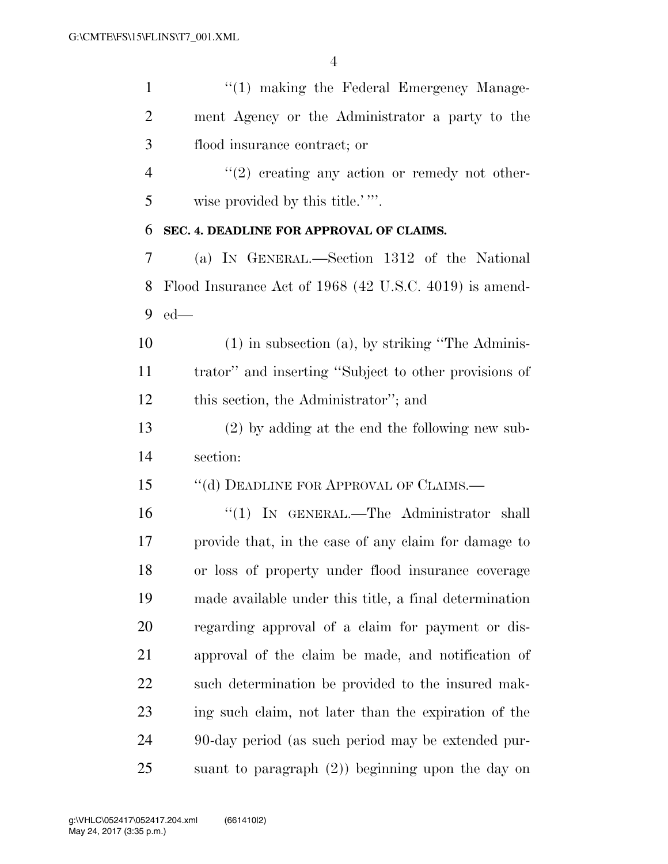| $\mathbf{1}$   | $\lq(1)$ making the Federal Emergency Manage-          |
|----------------|--------------------------------------------------------|
| $\overline{2}$ | ment Agency or the Administrator a party to the        |
| 3              | flood insurance contract; or                           |
| $\overline{4}$ | $"(2)$ creating any action or remedy not other-        |
| 5              | wise provided by this title.'"                         |
| 6              | SEC. 4. DEADLINE FOR APPROVAL OF CLAIMS.               |
| 7              | (a) IN GENERAL.—Section 1312 of the National           |
| 8              | Flood Insurance Act of 1968 (42 U.S.C. 4019) is amend- |
| 9              | $ed$ —                                                 |
| 10             | $(1)$ in subsection $(a)$ , by striking "The Adminis-  |
| 11             | trator" and inserting "Subject to other provisions of  |
| 12             | this section, the Administrator"; and                  |
| 13             | $(2)$ by adding at the end the following new sub-      |
| 14             | section:                                               |
| 15             | "(d) DEADLINE FOR APPROVAL OF CLAIMS.—                 |
| 16             | "(1) IN GENERAL.—The Administrator shall               |
| 17             | provide that, in the case of any claim for damage to   |
| 18             | or loss of property under flood insurance coverage     |
| 19             | made available under this title, a final determination |
| 20             | regarding approval of a claim for payment or dis-      |
| 21             | approval of the claim be made, and notification of     |
| 22             | such determination be provided to the insured mak-     |
| 23             | ing such claim, not later than the expiration of the   |
| 24             | 90-day period (as such period may be extended pur-     |
| 25             | suant to paragraph $(2)$ ) beginning upon the day on   |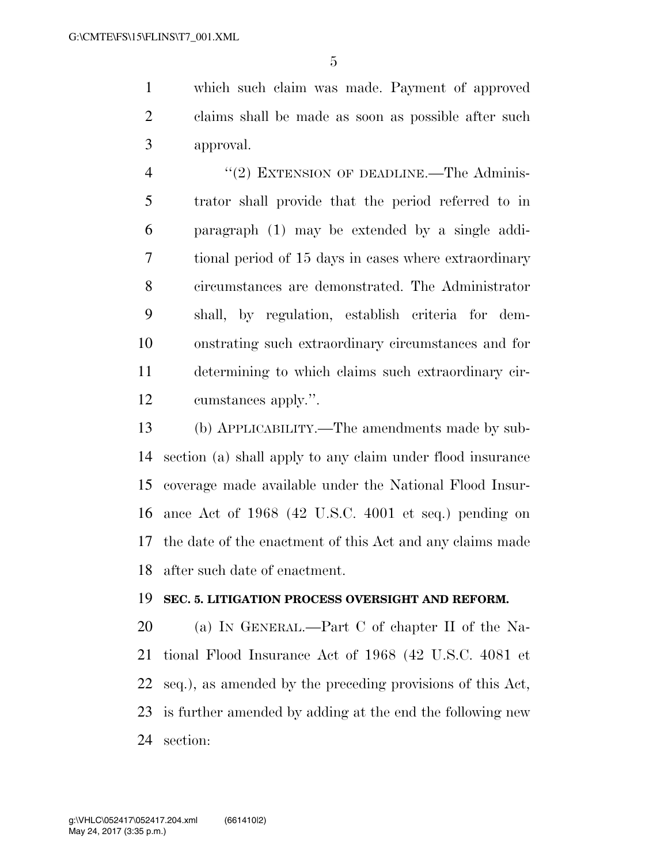which such claim was made. Payment of approved claims shall be made as soon as possible after such approval.

4 "(2) EXTENSION OF DEADLINE.—The Adminis- trator shall provide that the period referred to in paragraph (1) may be extended by a single addi- tional period of 15 days in cases where extraordinary circumstances are demonstrated. The Administrator shall, by regulation, establish criteria for dem- onstrating such extraordinary circumstances and for determining to which claims such extraordinary cir-cumstances apply.''.

 (b) APPLICABILITY.—The amendments made by sub- section (a) shall apply to any claim under flood insurance coverage made available under the National Flood Insur- ance Act of 1968 (42 U.S.C. 4001 et seq.) pending on the date of the enactment of this Act and any claims made after such date of enactment.

#### **SEC. 5. LITIGATION PROCESS OVERSIGHT AND REFORM.**

 (a) IN GENERAL.—Part C of chapter II of the Na- tional Flood Insurance Act of 1968 (42 U.S.C. 4081 et seq.), as amended by the preceding provisions of this Act, is further amended by adding at the end the following new section: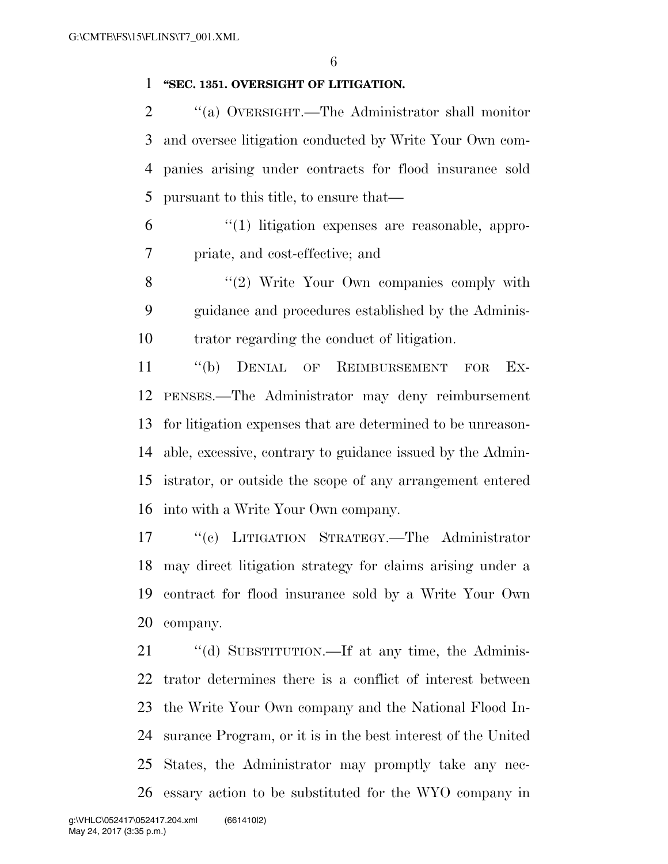### **''SEC. 1351. OVERSIGHT OF LITIGATION.**

 ''(a) OVERSIGHT.—The Administrator shall monitor and oversee litigation conducted by Write Your Own com- panies arising under contracts for flood insurance sold pursuant to this title, to ensure that—

 ''(1) litigation expenses are reasonable, appro-priate, and cost-effective; and

8 "(2) Write Your Own companies comply with guidance and procedures established by the Adminis-trator regarding the conduct of litigation.

 ''(b) DENIAL OF REIMBURSEMENT FOR EX- PENSES.—The Administrator may deny reimbursement for litigation expenses that are determined to be unreason- able, excessive, contrary to guidance issued by the Admin- istrator, or outside the scope of any arrangement entered into with a Write Your Own company.

 ''(c) LITIGATION STRATEGY.—The Administrator may direct litigation strategy for claims arising under a contract for flood insurance sold by a Write Your Own company.

21 "(d) SUBSTITUTION.—If at any time, the Adminis- trator determines there is a conflict of interest between the Write Your Own company and the National Flood In- surance Program, or it is in the best interest of the United States, the Administrator may promptly take any nec-essary action to be substituted for the WYO company in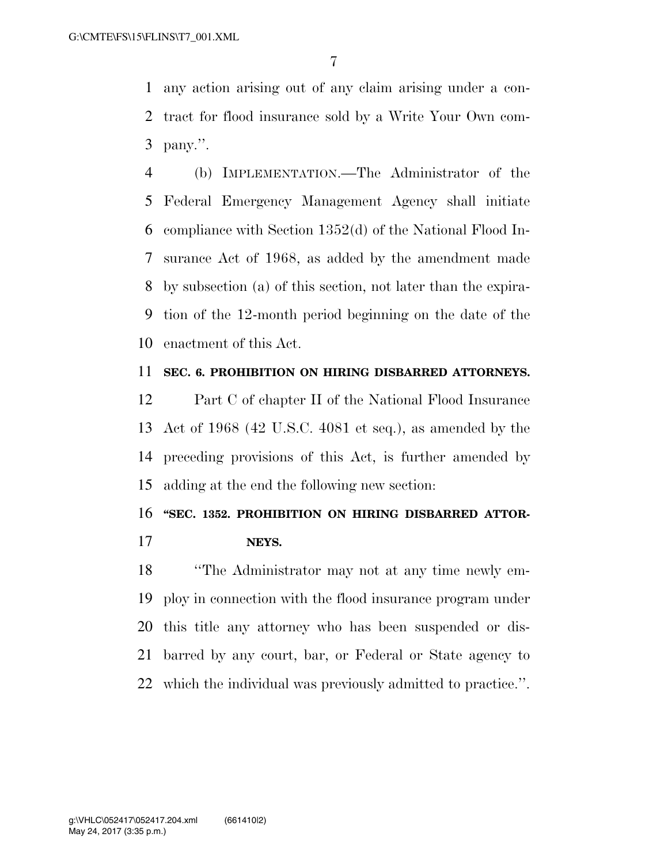any action arising out of any claim arising under a con- tract for flood insurance sold by a Write Your Own com-pany.''.

 (b) IMPLEMENTATION.—The Administrator of the Federal Emergency Management Agency shall initiate compliance with Section 1352(d) of the National Flood In- surance Act of 1968, as added by the amendment made by subsection (a) of this section, not later than the expira- tion of the 12-month period beginning on the date of the enactment of this Act.

#### **SEC. 6. PROHIBITION ON HIRING DISBARRED ATTORNEYS.**

 Part C of chapter II of the National Flood Insurance Act of 1968 (42 U.S.C. 4081 et seq.), as amended by the preceding provisions of this Act, is further amended by adding at the end the following new section:

### **''SEC. 1352. PROHIBITION ON HIRING DISBARRED ATTOR-**

**NEYS.** 

 ''The Administrator may not at any time newly em- ploy in connection with the flood insurance program under this title any attorney who has been suspended or dis- barred by any court, bar, or Federal or State agency to which the individual was previously admitted to practice.''.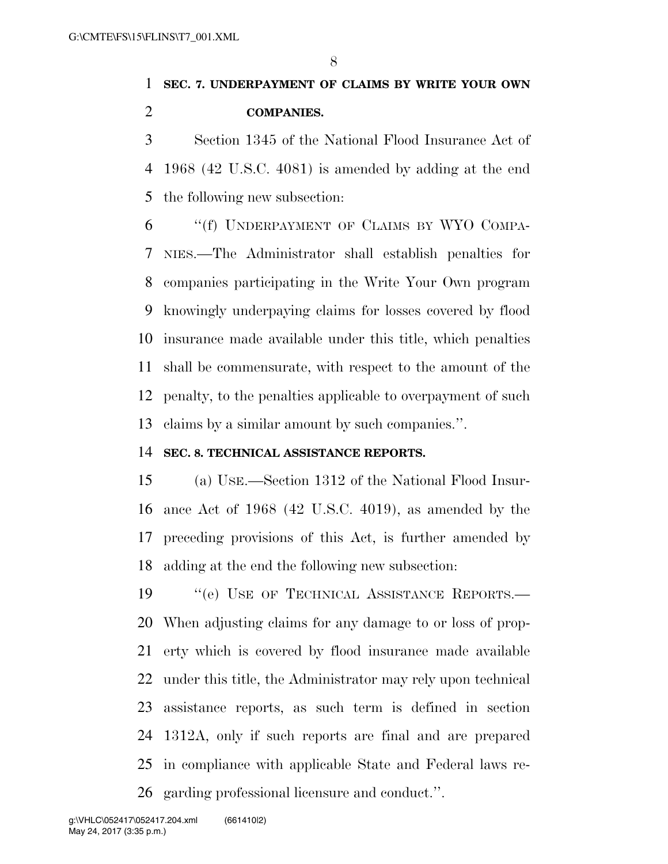# **SEC. 7. UNDERPAYMENT OF CLAIMS BY WRITE YOUR OWN COMPANIES.**

 Section 1345 of the National Flood Insurance Act of 1968 (42 U.S.C. 4081) is amended by adding at the end the following new subsection:

 ''(f) UNDERPAYMENT OF CLAIMS BY WYO COMPA- NIES.—The Administrator shall establish penalties for companies participating in the Write Your Own program knowingly underpaying claims for losses covered by flood insurance made available under this title, which penalties shall be commensurate, with respect to the amount of the penalty, to the penalties applicable to overpayment of such claims by a similar amount by such companies.''.

#### **SEC. 8. TECHNICAL ASSISTANCE REPORTS.**

 (a) USE.—Section 1312 of the National Flood Insur- ance Act of 1968 (42 U.S.C. 4019), as amended by the preceding provisions of this Act, is further amended by adding at the end the following new subsection:

19 "'(e) USE OF TECHNICAL ASSISTANCE REPORTS.— When adjusting claims for any damage to or loss of prop- erty which is covered by flood insurance made available under this title, the Administrator may rely upon technical assistance reports, as such term is defined in section 1312A, only if such reports are final and are prepared in compliance with applicable State and Federal laws re-garding professional licensure and conduct.''.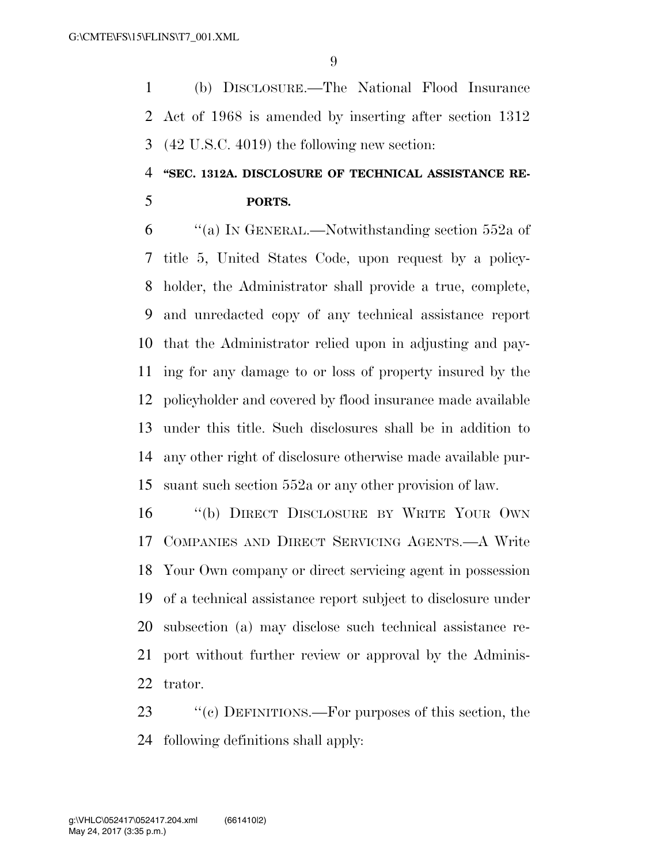(b) DISCLOSURE.—The National Flood Insurance Act of 1968 is amended by inserting after section 1312 (42 U.S.C. 4019) the following new section:

## **''SEC. 1312A. DISCLOSURE OF TECHNICAL ASSISTANCE RE-PORTS.**

 ''(a) IN GENERAL.—Notwithstanding section 552a of title 5, United States Code, upon request by a policy- holder, the Administrator shall provide a true, complete, and unredacted copy of any technical assistance report that the Administrator relied upon in adjusting and pay- ing for any damage to or loss of property insured by the policyholder and covered by flood insurance made available under this title. Such disclosures shall be in addition to any other right of disclosure otherwise made available pur-suant such section 552a or any other provision of law.

 ''(b) DIRECT DISCLOSURE BY WRITE YOUR OWN COMPANIES AND DIRECT SERVICING AGENTS.—A Write Your Own company or direct servicing agent in possession of a technical assistance report subject to disclosure under subsection (a) may disclose such technical assistance re- port without further review or approval by the Adminis-trator.

23 "(c) DEFINITIONS.—For purposes of this section, the following definitions shall apply: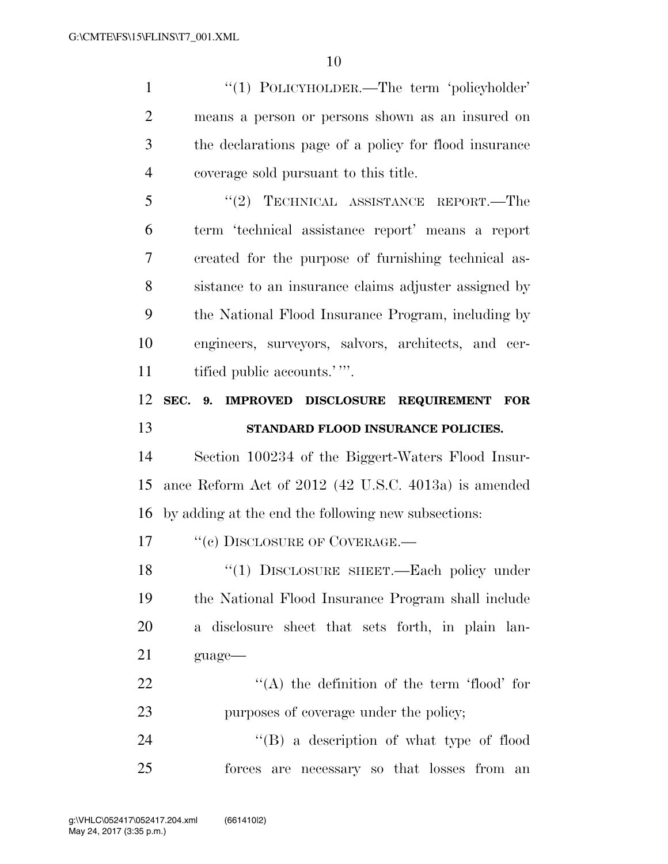1 "(1) POLICYHOLDER.—The term 'policyholder' means a person or persons shown as an insured on the declarations page of a policy for flood insurance coverage sold pursuant to this title. 5 "(2) TECHNICAL ASSISTANCE REPORT.—The term 'technical assistance report' means a report created for the purpose of furnishing technical as-

 sistance to an insurance claims adjuster assigned by the National Flood Insurance Program, including by engineers, surveyors, salvors, architects, and cer-11 tified public accounts.'".

## **SEC. 9. IMPROVED DISCLOSURE REQUIREMENT FOR STANDARD FLOOD INSURANCE POLICIES.**

 Section 100234 of the Biggert-Waters Flood Insur- ance Reform Act of 2012 (42 U.S.C. 4013a) is amended by adding at the end the following new subsections:

17 "(c) DISCLOSURE OF COVERAGE.—

18 "(1) DISCLOSURE SHEET.—Each policy under the National Flood Insurance Program shall include a disclosure sheet that sets forth, in plain lan-guage—

22  $\langle (A)$  the definition of the term 'flood' for purposes of coverage under the policy;

24 "(B) a description of what type of flood forces are necessary so that losses from an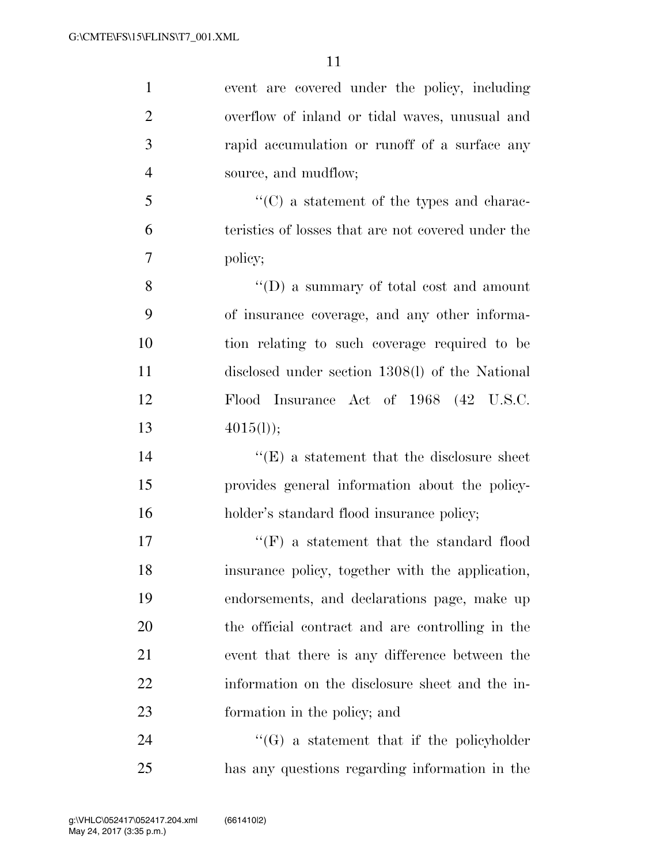| $\mathbf{1}$   | event are covered under the policy, including         |
|----------------|-------------------------------------------------------|
| $\overline{2}$ | overflow of inland or tidal waves, unusual and        |
| 3              | rapid accumulation or runoff of a surface any         |
| $\overline{4}$ | source, and mudflow;                                  |
| 5              | $\cdot\cdot$ (C) a statement of the types and charac- |
| 6              | teristics of losses that are not covered under the    |
| $\overline{7}$ | policy;                                               |
| 8              | $\lq\lq$ asummary of total cost and amount            |
| 9              | of insurance coverage, and any other informa-         |
| 10             | tion relating to such coverage required to be         |
| 11             | disclosed under section 1308(l) of the National       |
| 12             | Flood Insurance Act of 1968 (42 U.S.C.                |
| 13             | 4015(l));                                             |
| 14             | $\lq\lq(E)$ a statement that the disclosure sheet     |
| 15             | provides general information about the policy-        |
| 16             | holder's standard flood insurance policy;             |
| 17             | $\lq\lq(F)$ a statement that the standard flood       |
| 18             | insurance policy, together with the application,      |
| 19             | endorsements, and declarations page, make up          |
| 20             | the official contract and are controlling in the      |
| 21             | event that there is any difference between the        |
| 22             | information on the disclosure sheet and the in-       |
| 23             | formation in the policy; and                          |
| 24             | $\lq\lq(G)$ a statement that if the policyholder      |
| 25             | has any questions regarding information in the        |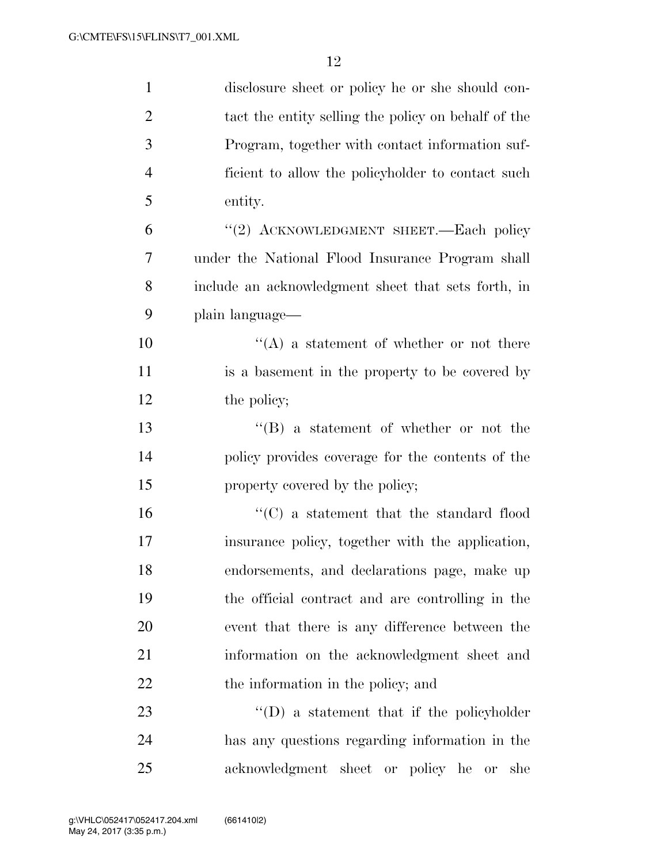| $\mathbf{1}$   | disclosure sheet or policy he or she should con-    |
|----------------|-----------------------------------------------------|
| $\overline{2}$ | tact the entity selling the policy on behalf of the |
| 3              | Program, together with contact information suf-     |
| $\overline{4}$ | ficient to allow the policyholder to contact such   |
| 5              | entity.                                             |
| 6              | "(2) ACKNOWLEDGMENT SHEET.—Each policy              |
| 7              | under the National Flood Insurance Program shall    |
| 8              | include an acknowledgment sheet that sets forth, in |
| 9              | plain language—                                     |
| 10             | $\lq\lq$ a statement of whether or not there        |
| 11             | is a basement in the property to be covered by      |
| 12             | the policy;                                         |
| 13             | $\lq\lq (B)$ a statement of whether or not the      |
| 14             | policy provides coverage for the contents of the    |
| 15             | property covered by the policy;                     |
| 16             | $\lq\lq$ a statement that the standard flood        |
| 17             | insurance policy, together with the application,    |
| 18             | endorsements, and declarations page, make up        |
| 19             | the official contract and are controlling in the    |
| 20             | event that there is any difference between the      |
| 21             | information on the acknowledgment sheet and         |
| 22             | the information in the policy; and                  |
| 23             | $\lq\lq$ a statement that if the policyholder       |
| 24             | has any questions regarding information in the      |
| 25             | acknowledgment sheet or policy he or<br>she         |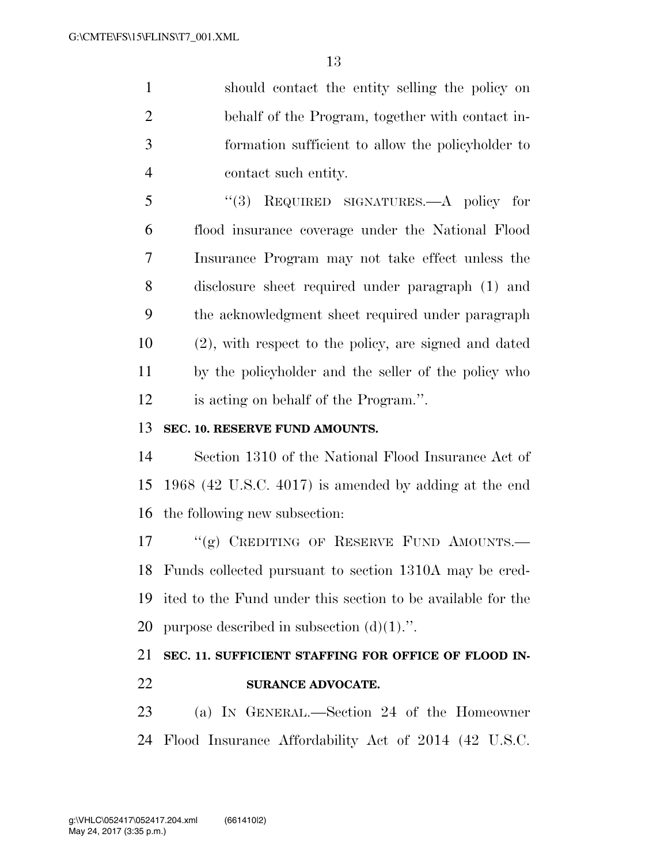should contact the entity selling the policy on behalf of the Program, together with contact in- formation sufficient to allow the policyholder to contact such entity.

 ''(3) REQUIRED SIGNATURES.—A policy for flood insurance coverage under the National Flood Insurance Program may not take effect unless the disclosure sheet required under paragraph (1) and the acknowledgment sheet required under paragraph (2), with respect to the policy, are signed and dated by the policyholder and the seller of the policy who is acting on behalf of the Program.''.

### **SEC. 10. RESERVE FUND AMOUNTS.**

 Section 1310 of the National Flood Insurance Act of 1968 (42 U.S.C. 4017) is amended by adding at the end the following new subsection:

17 "(g) CREDITING OF RESERVE FUND AMOUNTS.— Funds collected pursuant to section 1310A may be cred- ited to the Fund under this section to be available for the 20 purpose described in subsection  $(d)(1)$ .".

## **SEC. 11. SUFFICIENT STAFFING FOR OFFICE OF FLOOD IN-SURANCE ADVOCATE.**

 (a) IN GENERAL.—Section 24 of the Homeowner Flood Insurance Affordability Act of 2014 (42 U.S.C.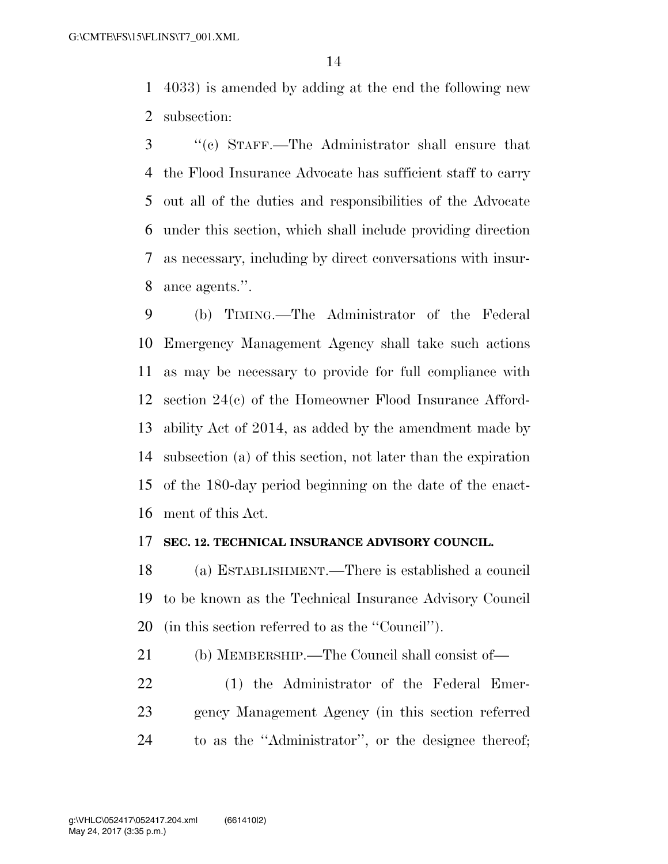4033) is amended by adding at the end the following new subsection:

 ''(c) STAFF.—The Administrator shall ensure that the Flood Insurance Advocate has sufficient staff to carry out all of the duties and responsibilities of the Advocate under this section, which shall include providing direction as necessary, including by direct conversations with insur-ance agents.''.

 (b) TIMING.—The Administrator of the Federal Emergency Management Agency shall take such actions as may be necessary to provide for full compliance with section 24(c) of the Homeowner Flood Insurance Afford- ability Act of 2014, as added by the amendment made by subsection (a) of this section, not later than the expiration of the 180-day period beginning on the date of the enact-ment of this Act.

#### **SEC. 12. TECHNICAL INSURANCE ADVISORY COUNCIL.**

 (a) ESTABLISHMENT.—There is established a council to be known as the Technical Insurance Advisory Council (in this section referred to as the ''Council'').

(b) MEMBERSHIP.—The Council shall consist of—

 (1) the Administrator of the Federal Emer- gency Management Agency (in this section referred to as the ''Administrator'', or the designee thereof;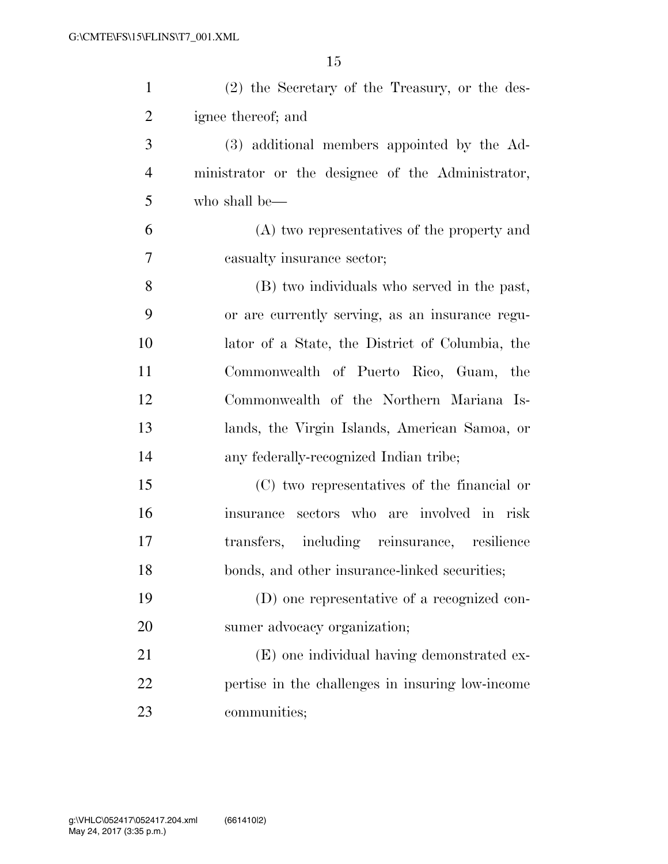| $\mathbf{1}$   | (2) the Secretary of the Treasury, or the des-    |
|----------------|---------------------------------------------------|
| $\overline{2}$ | ignee thereof; and                                |
| 3              | (3) additional members appointed by the Ad-       |
| $\overline{4}$ | ministrator or the designee of the Administrator, |
| 5              | who shall be—                                     |
| 6              | (A) two representatives of the property and       |
| $\overline{7}$ | casualty insurance sector;                        |
| 8              | (B) two individuals who served in the past,       |
| 9              | or are currently serving, as an insurance regu-   |
| 10             | lator of a State, the District of Columbia, the   |
| 11             | Commonwealth of Puerto Rico, Guam, the            |
| 12             | Commonwealth of the Northern Mariana Is-          |
| 13             | lands, the Virgin Islands, American Samoa, or     |
| 14             | any federally-recognized Indian tribe;            |
| 15             | (C) two representatives of the financial or       |
| 16             | insurance sectors who are involved in risk        |
| 17             | transfers, including reinsurance, resilience      |
| 18             | bonds, and other insurance-linked securities;     |
| 19             | (D) one representative of a recognized con-       |
| 20             | sumer advocacy organization;                      |
| 21             | (E) one individual having demonstrated ex-        |
| 22             | pertise in the challenges in insuring low-income  |
| 23             | communities;                                      |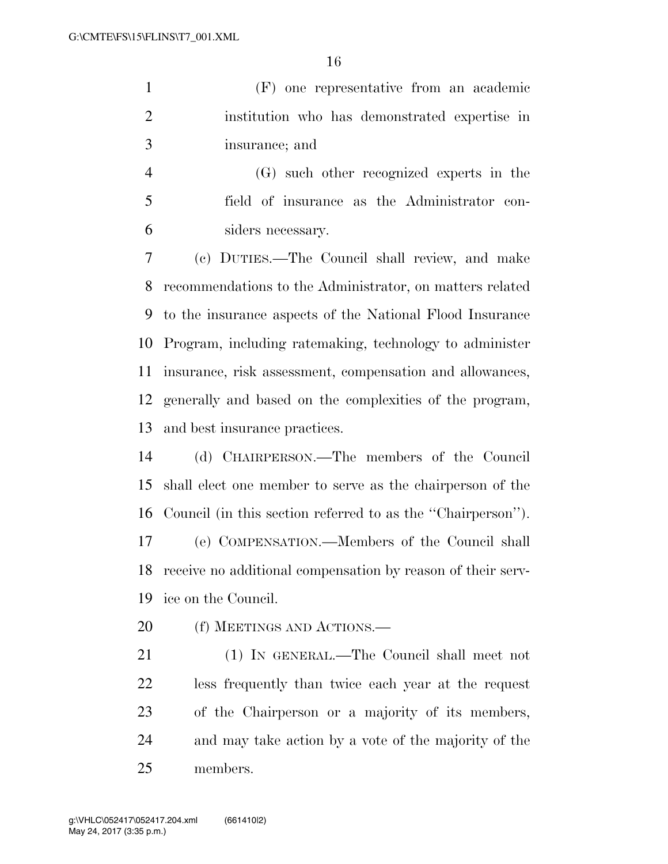(F) one representative from an academic institution who has demonstrated expertise in insurance; and

 (G) such other recognized experts in the field of insurance as the Administrator con-siders necessary.

 (c) DUTIES.—The Council shall review, and make recommendations to the Administrator, on matters related to the insurance aspects of the National Flood Insurance Program, including ratemaking, technology to administer insurance, risk assessment, compensation and allowances, generally and based on the complexities of the program, and best insurance practices.

 (d) CHAIRPERSON.—The members of the Council shall elect one member to serve as the chairperson of the Council (in this section referred to as the ''Chairperson''). (e) COMPENSATION.—Members of the Council shall receive no additional compensation by reason of their serv-ice on the Council.

20 (f) MEETINGS AND ACTIONS.—

 (1) IN GENERAL.—The Council shall meet not less frequently than twice each year at the request of the Chairperson or a majority of its members, and may take action by a vote of the majority of the members.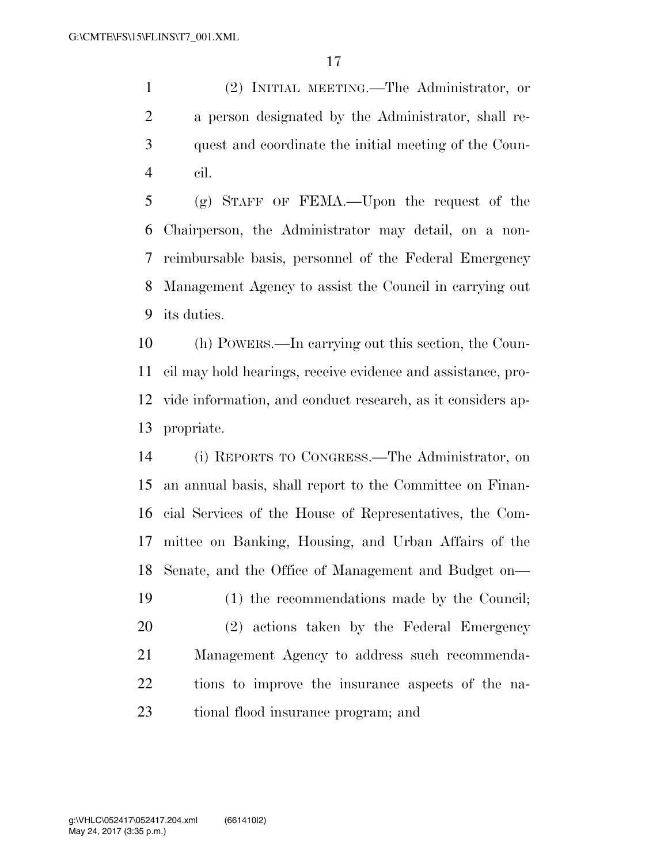(2) INITIAL MEETING.—The Administrator, or a person designated by the Administrator, shall re- quest and coordinate the initial meeting of the Coun-cil.

 (g) STAFF OF FEMA.—Upon the request of the Chairperson, the Administrator may detail, on a non- reimbursable basis, personnel of the Federal Emergency Management Agency to assist the Council in carrying out its duties.

 (h) POWERS.—In carrying out this section, the Coun- cil may hold hearings, receive evidence and assistance, pro- vide information, and conduct research, as it considers ap-propriate.

 (i) REPORTS TO CONGRESS.—The Administrator, on an annual basis, shall report to the Committee on Finan- cial Services of the House of Representatives, the Com- mittee on Banking, Housing, and Urban Affairs of the Senate, and the Office of Management and Budget on— (1) the recommendations made by the Council; (2) actions taken by the Federal Emergency Management Agency to address such recommenda- tions to improve the insurance aspects of the na-tional flood insurance program; and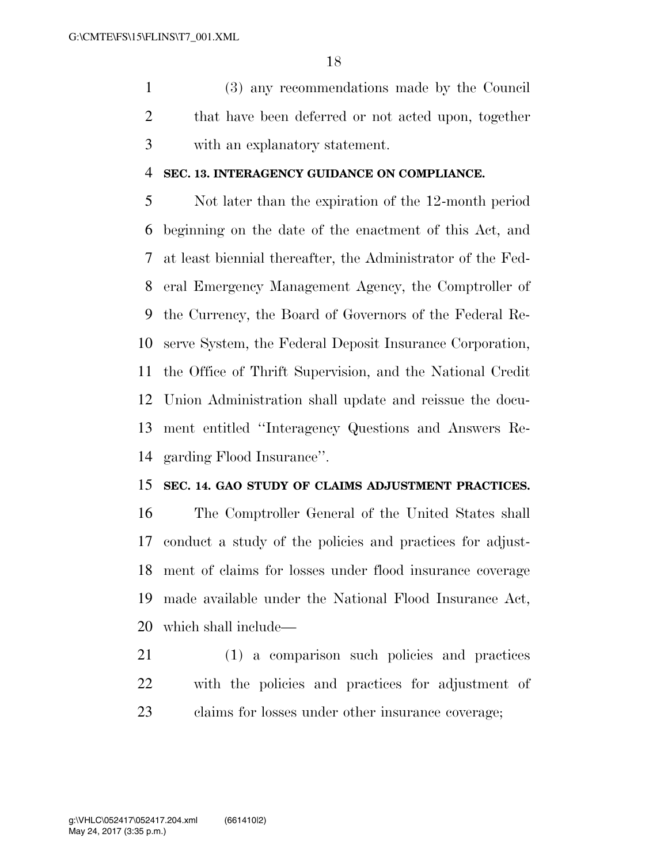(3) any recommendations made by the Council that have been deferred or not acted upon, together with an explanatory statement.

#### **SEC. 13. INTERAGENCY GUIDANCE ON COMPLIANCE.**

 Not later than the expiration of the 12-month period beginning on the date of the enactment of this Act, and at least biennial thereafter, the Administrator of the Fed- eral Emergency Management Agency, the Comptroller of the Currency, the Board of Governors of the Federal Re- serve System, the Federal Deposit Insurance Corporation, the Office of Thrift Supervision, and the National Credit Union Administration shall update and reissue the docu- ment entitled ''Interagency Questions and Answers Re-garding Flood Insurance''.

### **SEC. 14. GAO STUDY OF CLAIMS ADJUSTMENT PRACTICES.**

 The Comptroller General of the United States shall conduct a study of the policies and practices for adjust- ment of claims for losses under flood insurance coverage made available under the National Flood Insurance Act, which shall include—

 (1) a comparison such policies and practices with the policies and practices for adjustment of claims for losses under other insurance coverage;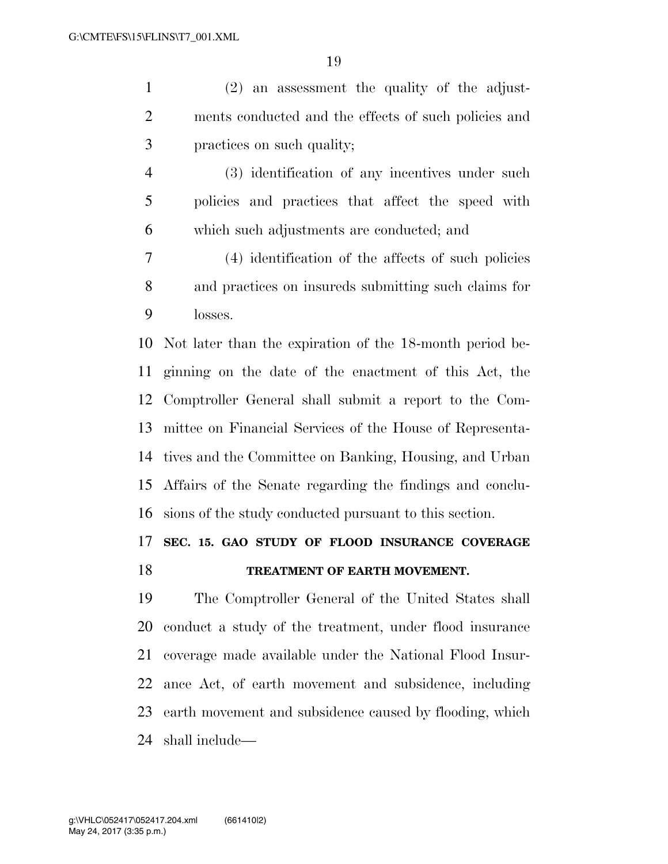(2) an assessment the quality of the adjust- ments conducted and the effects of such policies and practices on such quality;

 (3) identification of any incentives under such policies and practices that affect the speed with which such adjustments are conducted; and

 (4) identification of the affects of such policies and practices on insureds submitting such claims for losses.

 Not later than the expiration of the 18-month period be- ginning on the date of the enactment of this Act, the Comptroller General shall submit a report to the Com- mittee on Financial Services of the House of Representa- tives and the Committee on Banking, Housing, and Urban Affairs of the Senate regarding the findings and conclu-sions of the study conducted pursuant to this section.

### **SEC. 15. GAO STUDY OF FLOOD INSURANCE COVERAGE**

### **TREATMENT OF EARTH MOVEMENT.**

 The Comptroller General of the United States shall conduct a study of the treatment, under flood insurance coverage made available under the National Flood Insur- ance Act, of earth movement and subsidence, including earth movement and subsidence caused by flooding, which shall include—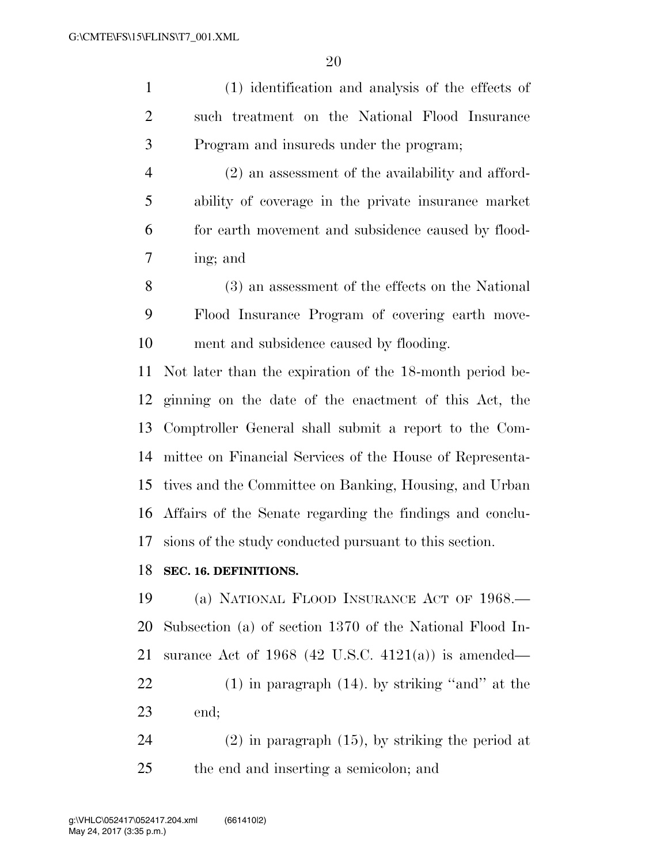(1) identification and analysis of the effects of such treatment on the National Flood Insurance Program and insureds under the program; (2) an assessment of the availability and afford- ability of coverage in the private insurance market for earth movement and subsidence caused by flood- ing; and (3) an assessment of the effects on the National Flood Insurance Program of covering earth move- ment and subsidence caused by flooding. Not later than the expiration of the 18-month period be-

 ginning on the date of the enactment of this Act, the Comptroller General shall submit a report to the Com- mittee on Financial Services of the House of Representa- tives and the Committee on Banking, Housing, and Urban Affairs of the Senate regarding the findings and conclu-sions of the study conducted pursuant to this section.

#### **SEC. 16. DEFINITIONS.**

 (a) NATIONAL FLOOD INSURANCE ACT OF 1968.— Subsection (a) of section 1370 of the National Flood In- surance Act of 1968 (42 U.S.C. 4121(a)) is amended— (1) in paragraph (14). by striking ''and'' at the end;

 (2) in paragraph (15), by striking the period at the end and inserting a semicolon; and